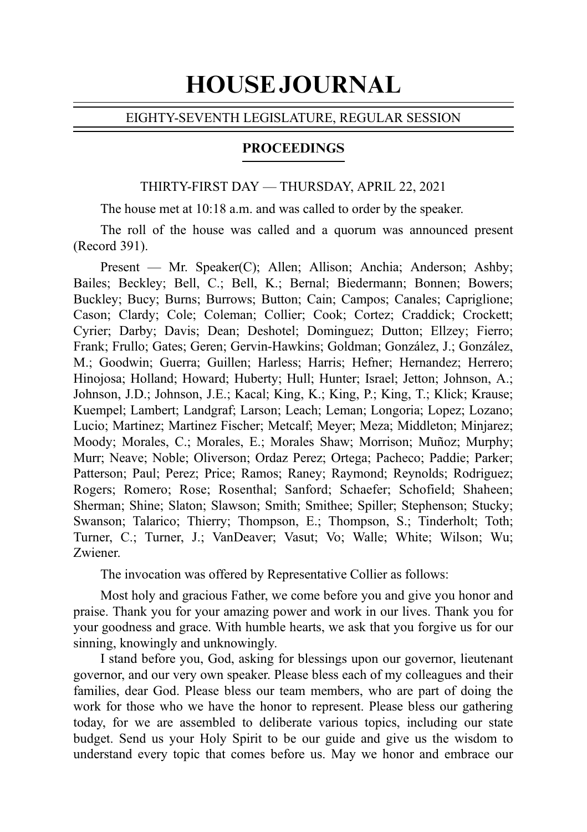# HOUSE JOURNAL

### EIGHTY-SEVENTH LEGISLATURE, REGULAR SESSION

### PROCEEDINGS

### THIRTY-FIRST DAY — THURSDAY, APRIL 22, 2021

The house met at 10:18 a.m. and was called to order by the speaker.

The roll of the house was called and a quorum was announced present (Record 391).

Present — Mr. Speaker(C); Allen; Allison; Anchia; Anderson; Ashby; Bailes; Beckley; Bell, C.; Bell, K.; Bernal; Biedermann; Bonnen; Bowers; Buckley; Bucy; Burns; Burrows; Button; Cain; Campos; Canales; Capriglione; Cason; Clardy; Cole; Coleman; Collier; Cook; Cortez; Craddick; Crockett; Cyrier; Darby; Davis; Dean; Deshotel; Dominguez; Dutton; Ellzey; Fierro; Frank; Frullo; Gates; Geren; Gervin-Hawkins; Goldman; González, J.; González, M.; Goodwin; Guerra; Guillen; Harless; Harris; Hefner; Hernandez; Herrero; Hinojosa; Holland; Howard; Huberty; Hull; Hunter; Israel; Jetton; Johnson, A.; Johnson, J.D.; Johnson, J.E.; Kacal; King, K.; King, P.; King, T.; Klick; Krause; Kuempel; Lambert; Landgraf; Larson; Leach; Leman; Longoria; Lopez; Lozano; Lucio; Martinez; Martinez Fischer; Metcalf; Meyer; Meza; Middleton; Minjarez; Moody; Morales, C.; Morales, E.; Morales Shaw; Morrison; Muñoz; Murphy; Murr; Neave; Noble; Oliverson; Ordaz Perez; Ortega; Pacheco; Paddie; Parker; Patterson; Paul; Perez; Price; Ramos; Raney; Raymond; Reynolds; Rodriguez; Rogers; Romero; Rose; Rosenthal; Sanford; Schaefer; Schofield; Shaheen; Sherman; Shine; Slaton; Slawson; Smith; Smithee; Spiller; Stephenson; Stucky; Swanson; Talarico; Thierry; Thompson, E.; Thompson, S.; Tinderholt; Toth; Turner, C.; Turner, J.; VanDeaver; Vasut; Vo; Walle; White; Wilson; Wu; Zwiener.

The invocation was offered by Representative Collier as follows:

Most holy and gracious Father, we come before you and give you honor and praise. Thank you for your amazing power and work in our lives. Thank you for your goodness and grace. With humble hearts, we ask that you forgive us for our sinning, knowingly and unknowingly.

I stand before you, God, asking for blessings upon our governor, lieutenant governor, and our very own speaker. Please bless each of my colleagues and their families, dear God. Please bless our team members, who are part of doing the work for those who we have the honor to represent. Please bless our gathering today, for we are assembled to deliberate various topics, including our state budget. Send us your Holy Spirit to be our guide and give us the wisdom to understand every topic that comes before us. May we honor and embrace our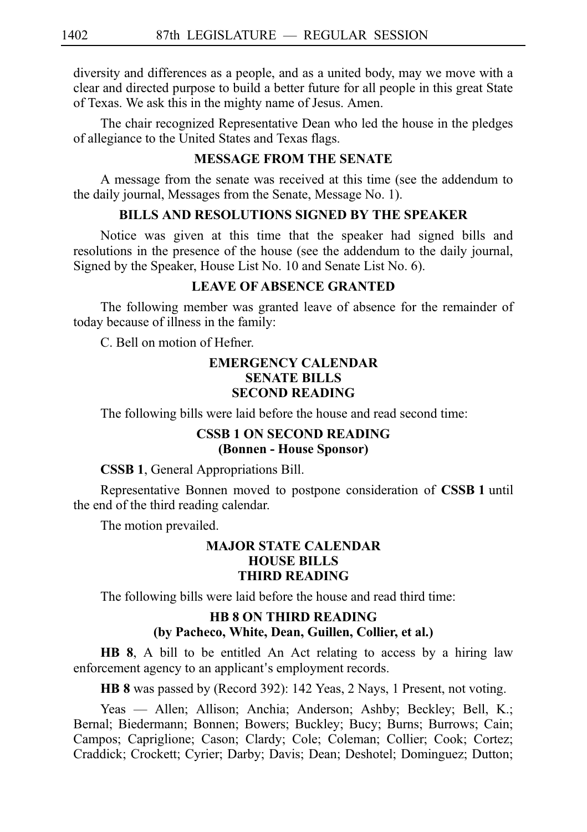diversity and differences as a people, and as a united body, may we move with a clear and directed purpose to build a better future for all people in this great State of Texas. We ask this in the mighty name of Jesus. Amen.

The chair recognized Representative Dean who led the house in the pledges of allegiance to the United States and Texas flags.

### **MESSAGE FROM THE SENATE**

A message from the senate was received at this time (see the addendum to the daily journal, Messages from the Senate, Message No. 1).

## **BILLS AND RESOLUTIONS SIGNED BY THE SPEAKER**

Notice was given at this time that the speaker had signed bills and resolutions in the presence of the house (see the addendum to the daily journal, Signed by the Speaker, House List No. 10 and Senate List No. 6).

### **LEAVE OF ABSENCE GRANTED**

The following member was granted leave of absence for the remainder of today because of illness in the family:

C. Bell on motion of Hefner.

### **EMERGENCY CALENDAR SENATE BILLS SECOND READING**

The following bills were laid before the house and read second time:

### **CSSB 1 ON SECOND READING (Bonnen - House Sponsor)**

**CSSB 1**, General Appropriations Bill.

Representative Bonnen moved to postpone consideration of **CSSB 1** until the end of the third reading calendar.

The motion prevailed.

### **MAJOR STATE CALENDAR HOUSE BILLS THIRD READING**

The following bills were laid before the house and read third time:

### **HB 8 ON THIRD READING (by Pacheco, White, Dean, Guillen, Collier, et al.)**

**HB 8**, A bill to be entitled An Act relating to access by a hiring law enforcement agency to an applicant's employment records.

HB 8 was passed by (Record 392): 142 Yeas, 2 Nays, 1 Present, not voting.

Yeas — Allen; Allison; Anchia; Anderson; Ashby; Beckley; Bell, K.; Bernal; Biedermann; Bonnen; Bowers; Buckley; Bucy; Burns; Burrows; Cain; Campos; Capriglione; Cason; Clardy; Cole; Coleman; Collier; Cook; Cortez; Craddick; Crockett; Cyrier; Darby; Davis; Dean; Deshotel; Dominguez; Dutton;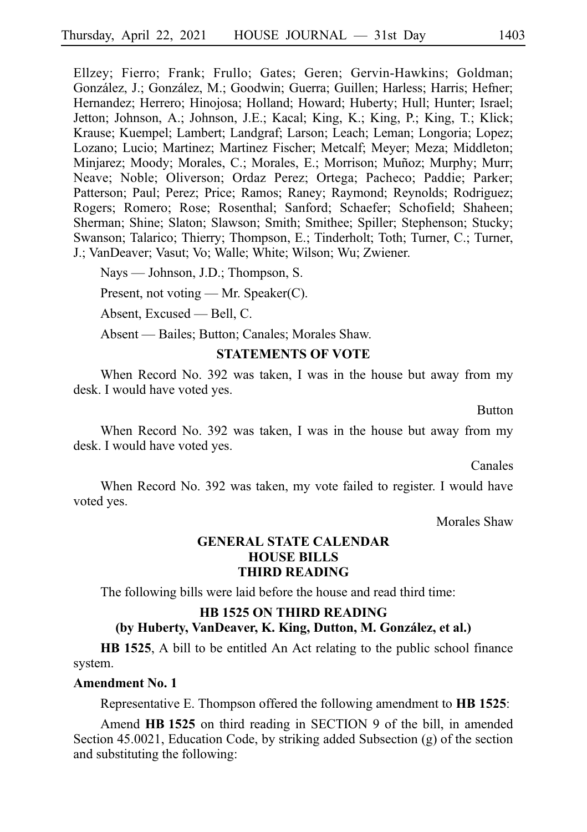Ellzey; Fierro; Frank; Frullo; Gates; Geren; Gervin-Hawkins; Goldman; González, J.; González, M.; Goodwin; Guerra; Guillen; Harless; Harris; Hefner; Hernandez; Herrero; Hinojosa; Holland; Howard; Huberty; Hull; Hunter; Israel; Jetton; Johnson, A.; Johnson, J.E.; Kacal; King, K.; King, P.; King, T.; Klick; Krause; Kuempel; Lambert; Landgraf; Larson; Leach; Leman; Longoria; Lopez; Lozano; Lucio; Martinez; Martinez Fischer; Metcalf; Meyer; Meza; Middleton; Minjarez; Moody; Morales, C.; Morales, E.; Morrison; Muñoz; Murphy; Murr; Neave; Noble; Oliverson; Ordaz Perez; Ortega; Pacheco; Paddie; Parker; Patterson; Paul; Perez; Price; Ramos; Raney; Raymond; Reynolds; Rodriguez; Rogers; Romero; Rose; Rosenthal; Sanford; Schaefer; Schofield; Shaheen; Sherman; Shine; Slaton; Slawson; Smith; Smithee; Spiller; Stephenson; Stucky; Swanson; Talarico; Thierry; Thompson, E.; Tinderholt; Toth; Turner, C.; Turner, J.; VanDeaver; Vasut; Vo; Walle; White; Wilson; Wu; Zwiener.

Nays — Johnson, J.D.; Thompson, S.

Present, not voting — Mr. Speaker(C).

Absent, Excused — Bell, C.

Absent — Bailes; Button; Canales; Morales Shaw.

### **STATEMENTS OF VOTE**

When Record No. 392 was taken, I was in the house but away from my desk. I would have voted yes.

Button

When Record No. 392 was taken, I was in the house but away from my desk. I would have voted yes.

Canales

When Record No. 392 was taken, my vote failed to register. I would have voted yes.

Morales Shaw

### **GENERAL STATE CALENDAR HOUSE BILLS THIRD READING**

The following bills were laid before the house and read third time:

### **HB 1525 ON THIRD READING** (by Huberty, VanDeaver, K. King, Dutton, M. González, et al.)

**HB 1525**, A bill to be entitled An Act relating to the public school finance system.

### **Amendment No. 1**

Representative E. Thompson offered the following amendment to **HBi1525**:

Amend **HBi1525** on third reading in SECTION 9 of the bill, in amended Section 45.0021, Education Code, by striking added Subsection (g) of the section and substituting the following: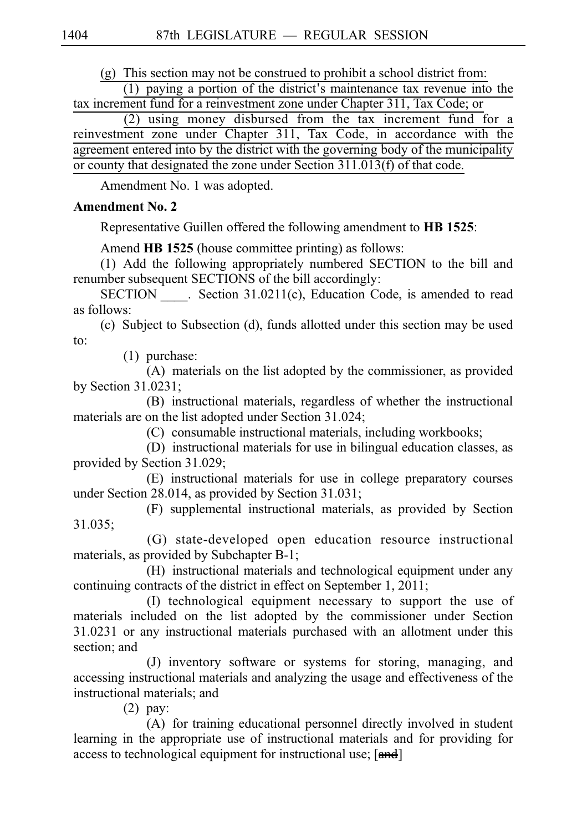$(g)$  This section may not be construed to prohibit a school district from:

 $(1)$  paying a portion of the district's maintenance tax revenue into the tax increment fund for a reinvestment zone under Chapter 311, Tax Code; or

 $(2)$  using money disbursed from the tax increment fund for a reinvestment zone under Chapter 311, Tax Code, in accordance with the agreement entered into by the district with the governing body of the municipality or county that designated the zone under Section 311.013(f) of that code.

Amendment No. 1 was adopted.

## **Amendment No. 2**

Representative Guillen offered the following amendment to **HBi1525**:

Amend **HB 1525** (house committee printing) as follows:

(1) Add the following appropriately numbered SECTION to the bill and renumber subsequent SECTIONS of the bill accordingly:

SECTION Section 31.0211(c), Education Code, is amended to read as follows:

(c) Subject to Subsection (d), funds allotted under this section may be used to:

 $(1)$  purchase:

(A) materials on the list adopted by the commissioner, as provided by Section 31.0231;

(B) instructional materials, regardless of whether the instructional materials are on the list adopted under Section 31.024;

(C) consumable instructional materials, including workbooks;

(D) instructional materials for use in bilingual education classes, as provided by Section 31.029;

(E) instructional materials for use in college preparatory courses under Section 28.014, as provided by Section 31.031;

(F) supplemental instructional materials, as provided by Section 31.035;

(G) state-developed open education resource instructional materials, as provided by Subchapter B-1;

(H) instructional materials and technological equipment under any continuing contracts of the district in effect on September 1, 2011;

(I) technological equipment necessary to support the use of materials included on the list adopted by the commissioner under Section 31.0231 or any instructional materials purchased with an allotment under this section; and

(J) inventory software or systems for storing, managing, and accessing instructional materials and analyzing the usage and effectiveness of the instructional materials; and

 $(2)$  pay:

(A) for training educational personnel directly involved in student learning in the appropriate use of instructional materials and for providing for access to technological equipment for instructional use; [and]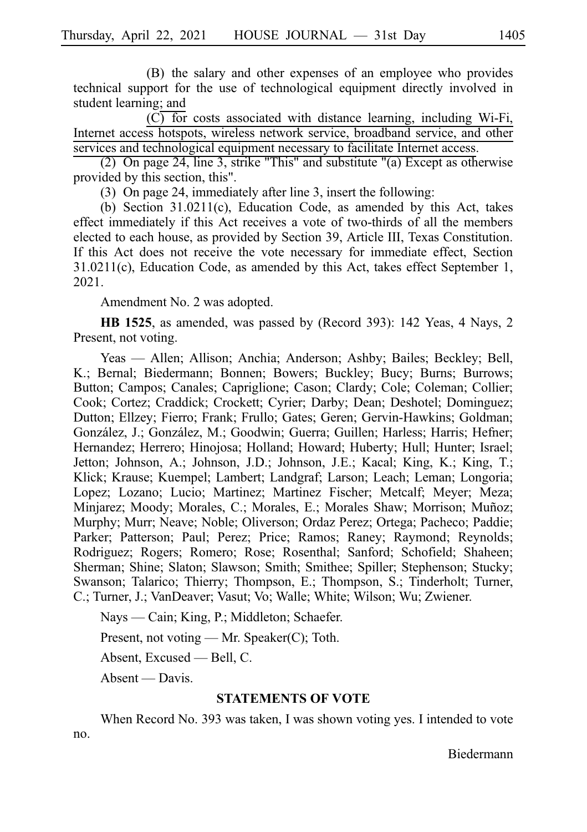(B) the salary and other expenses of an employee who provides technical support for the use of technological equipment directly involved in student learning; and

 $(C)$  for costs associated with distance learning, including Wi-Fi, Internet access hotspots, wireless network service, broadband service, and other services and technological equipment necessary to facilitate Internet access.

(2) On page 24, line 3, strike "This" and substitute "(a) Except as otherwise provided by this section, this".

(3) On page 24, immediately after line 3, insert the following:

(b) Section  $31.0211(c)$ , Education Code, as amended by this Act, takes effect immediately if this Act receives a vote of two-thirds of all the members elected to each house, as provided by Section 39, Article III, Texas Constitution. If this Act does not receive the vote necessary for immediate effect, Section 31.0211(c), Education Code, as amended by this Act, takes effect September 1, 2021.

Amendment No. 2 was adopted.

**HB 1525**, as amended, was passed by (Record 393): 142 Yeas, 4 Nays, 2 Present, not voting.

Yeas — Allen; Allison; Anchia; Anderson; Ashby; Bailes; Beckley; Bell, K.; Bernal; Biedermann; Bonnen; Bowers; Buckley; Bucy; Burns; Burrows; Button; Campos; Canales; Capriglione; Cason; Clardy; Cole; Coleman; Collier; Cook; Cortez; Craddick; Crockett; Cyrier; Darby; Dean; Deshotel; Dominguez; Dutton; Ellzey; Fierro; Frank; Frullo; Gates; Geren; Gervin-Hawkins; Goldman; González, J.; González, M.; Goodwin; Guerra; Guillen; Harless; Harris; Hefner; Hernandez; Herrero; Hinojosa; Holland; Howard; Huberty; Hull; Hunter; Israel; Jetton; Johnson, A.; Johnson, J.D.; Johnson, J.E.; Kacal; King, K.; King, T.; Klick; Krause; Kuempel; Lambert; Landgraf; Larson; Leach; Leman; Longoria; Lopez; Lozano; Lucio; Martinez; Martinez Fischer; Metcalf; Meyer; Meza; Minjarez; Moody; Morales, C.; Morales, E.; Morales Shaw; Morrison; Muñoz; Murphy; Murr; Neave; Noble; Oliverson; Ordaz Perez; Ortega; Pacheco; Paddie; Parker; Patterson; Paul; Perez; Price; Ramos; Raney; Raymond; Reynolds; Rodriguez; Rogers; Romero; Rose; Rosenthal; Sanford; Schofield; Shaheen; Sherman; Shine; Slaton; Slawson; Smith; Smithee; Spiller; Stephenson; Stucky; Swanson; Talarico; Thierry; Thompson, E.; Thompson, S.; Tinderholt; Turner, C.; Turner, J.; VanDeaver; Vasut; Vo; Walle; White; Wilson; Wu; Zwiener.

Nays — Cain; King, P.; Middleton; Schaefer.

Present, not voting — Mr. Speaker(C); Toth.

Absent, Excused — Bell, C.

Absent — Davis.

### **STATEMENTS OF VOTE**

When Record No. 393 was taken, I was shown voting yes. I intended to vote no.

Biedermann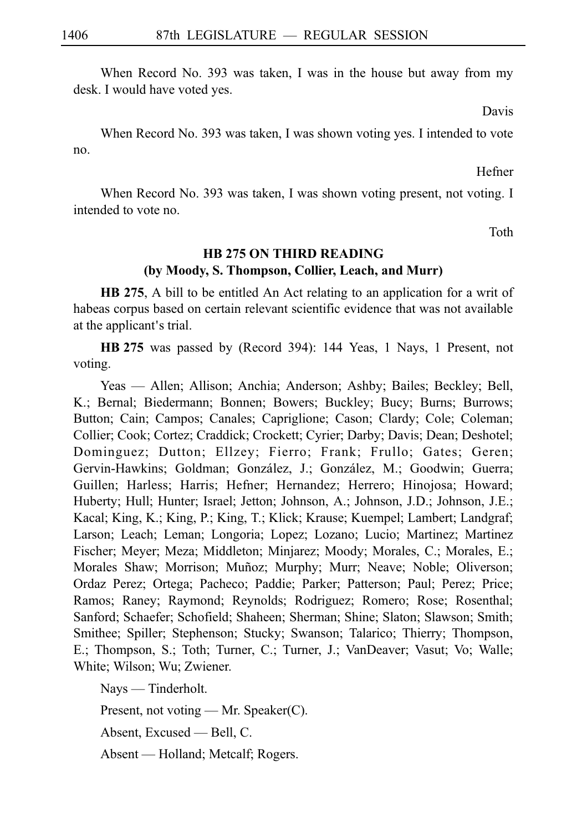When Record No. 393 was taken, I was in the house but away from my desk. I would have voted yes.

Davis

When Record No. 393 was taken, I was shown voting yes. I intended to vote no.

Hefner

When Record No. 393 was taken, I was shown voting present, not voting. I intended to vote no.

Toth

## **HB 275 ON THIRD READING (by Moody, S. Thompson, Collier, Leach, and Murr)**

**HB 275**, A bill to be entitled An Act relating to an application for a writ of habeas corpus based on certain relevant scientific evidence that was not available at the applicant's trial.

**HB** 275 was passed by (Record 394): 144 Yeas, 1 Nays, 1 Present, not voting.

Yeas — Allen; Allison; Anchia; Anderson; Ashby; Bailes; Beckley; Bell, K.; Bernal; Biedermann; Bonnen; Bowers; Buckley; Bucy; Burns; Burrows; Button; Cain; Campos; Canales; Capriglione; Cason; Clardy; Cole; Coleman; Collier; Cook; Cortez; Craddick; Crockett; Cyrier; Darby; Davis; Dean; Deshotel; Dominguez; Dutton; Ellzey; Fierro; Frank; Frullo; Gates; Geren; Gervin-Hawkins; Goldman; González, J.; González, M.; Goodwin; Guerra; Guillen; Harless; Harris; Hefner; Hernandez; Herrero; Hinojosa; Howard; Huberty; Hull; Hunter; Israel; Jetton; Johnson, A.; Johnson, J.D.; Johnson, J.E.; Kacal; King, K.; King, P.; King, T.; Klick; Krause; Kuempel; Lambert; Landgraf; Larson; Leach; Leman; Longoria; Lopez; Lozano; Lucio; Martinez; Martinez Fischer; Meyer; Meza; Middleton; Minjarez; Moody; Morales, C.; Morales, E.; Morales Shaw; Morrison; Muñoz; Murphy; Murr; Neave; Noble; Oliverson; Ordaz Perez; Ortega; Pacheco; Paddie; Parker; Patterson; Paul; Perez; Price; Ramos; Raney; Raymond; Reynolds; Rodriguez; Romero; Rose; Rosenthal; Sanford; Schaefer; Schofield; Shaheen; Sherman; Shine; Slaton; Slawson; Smith; Smithee; Spiller; Stephenson; Stucky; Swanson; Talarico; Thierry; Thompson, E.; Thompson, S.; Toth; Turner, C.; Turner, J.; VanDeaver; Vasut; Vo; Walle; White; Wilson; Wu; Zwiener.

Nays — Tinderholt.

Present, not voting — Mr. Speaker(C).

Absent, Excused — Bell, C.

Absent — Holland; Metcalf; Rogers.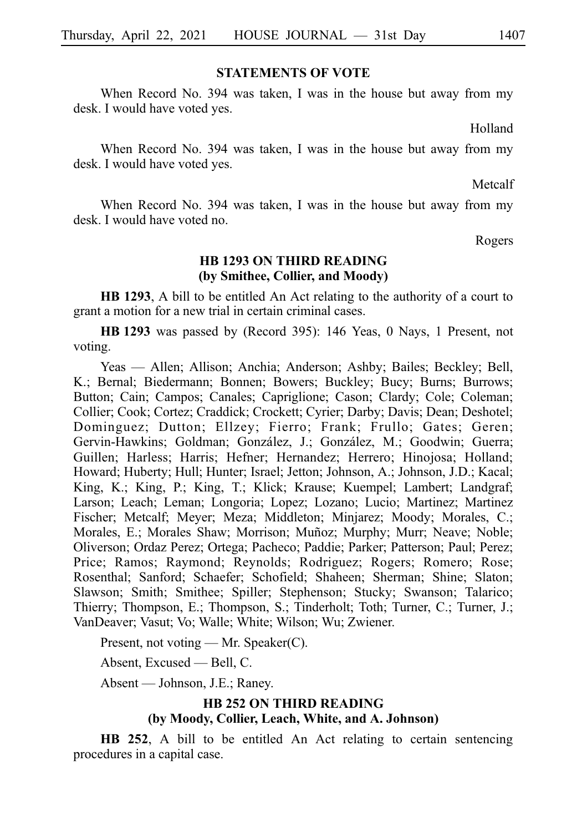### **STATEMENTS OF VOTE**

When Record No. 394 was taken, I was in the house but away from my desk. I would have voted yes.

Holland

When Record No. 394 was taken, I was in the house but away from my desk. I would have voted yes.

Metcalf

When Record No. 394 was taken, I was in the house but away from my desk. I would have voted no.

Rogers

### **HB 1293 ON THIRD READING (by Smithee, Collier, and Moody)**

**HB 1293**, A bill to be entitled An Act relating to the authority of a court to grant a motion for a new trial in certain criminal cases.

**HBi1293** was passed by (Record 395): 146 Yeas, 0 Nays, 1 Present, not voting.

Yeas — Allen; Allison; Anchia; Anderson; Ashby; Bailes; Beckley; Bell, K.; Bernal; Biedermann; Bonnen; Bowers; Buckley; Bucy; Burns; Burrows; Button; Cain; Campos; Canales; Capriglione; Cason; Clardy; Cole; Coleman; Collier; Cook; Cortez; Craddick; Crockett; Cyrier; Darby; Davis; Dean; Deshotel; Dominguez; Dutton; Ellzey; Fierro; Frank; Frullo; Gates; Geren; Gervin-Hawkins; Goldman; González, J.; González, M.; Goodwin; Guerra; Guillen; Harless; Harris; Hefner; Hernandez; Herrero; Hinojosa; Holland; Howard; Huberty; Hull; Hunter; Israel; Jetton; Johnson, A.; Johnson, J.D.; Kacal; King, K.; King, P.; King, T.; Klick; Krause; Kuempel; Lambert; Landgraf; Larson; Leach; Leman; Longoria; Lopez; Lozano; Lucio; Martinez; Martinez Fischer; Metcalf; Meyer; Meza; Middleton; Minjarez; Moody; Morales, C.; Morales, E.; Morales Shaw; Morrison; Muñoz; Murphy; Murr; Neave; Noble; Oliverson; Ordaz Perez; Ortega; Pacheco; Paddie; Parker; Patterson; Paul; Perez; Price; Ramos; Raymond; Reynolds; Rodriguez; Rogers; Romero; Rose; Rosenthal; Sanford; Schaefer; Schofield; Shaheen; Sherman; Shine; Slaton; Slawson; Smith; Smithee; Spiller; Stephenson; Stucky; Swanson; Talarico; Thierry; Thompson, E.; Thompson, S.; Tinderholt; Toth; Turner, C.; Turner, J.; VanDeaver; Vasut; Vo; Walle; White; Wilson; Wu; Zwiener.

Present, not voting — Mr. Speaker(C).

Absent, Excused — Bell, C.

Absent — Johnson, J.E.; Raney.

### **HB 252 ON THIRD READING (by Moody, Collier, Leach, White, and A. Johnson)**

**HB 252**, A bill to be entitled An Act relating to certain sentencing procedures in a capital case.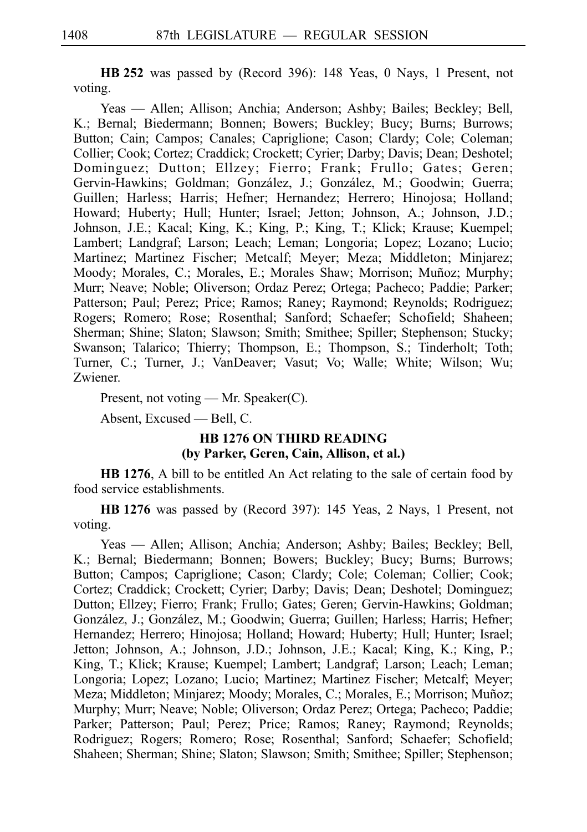**HBi252** was passed by (Record 396): 148 Yeas, 0 Nays, 1 Present, not voting.

Yeas — Allen; Allison; Anchia; Anderson; Ashby; Bailes; Beckley; Bell, K.; Bernal; Biedermann; Bonnen; Bowers; Buckley; Bucy; Burns; Burrows; Button; Cain; Campos; Canales; Capriglione; Cason; Clardy; Cole; Coleman; Collier; Cook; Cortez; Craddick; Crockett; Cyrier; Darby; Davis; Dean; Deshotel; Dominguez; Dutton; Ellzey; Fierro; Frank; Frullo; Gates; Geren; Gervin-Hawkins; Goldman; González, J.; González, M.; Goodwin; Guerra; Guillen; Harless; Harris; Hefner; Hernandez; Herrero; Hinojosa; Holland; Howard; Huberty; Hull; Hunter; Israel; Jetton; Johnson, A.; Johnson, J.D.; Johnson, J.E.; Kacal; King, K.; King, P.; King, T.; Klick; Krause; Kuempel; Lambert; Landgraf; Larson; Leach; Leman; Longoria; Lopez; Lozano; Lucio; Martinez; Martinez Fischer; Metcalf; Meyer; Meza; Middleton; Minjarez; Moody; Morales, C.; Morales, E.; Morales Shaw; Morrison; Muñoz; Murphy; Murr; Neave; Noble; Oliverson; Ordaz Perez; Ortega; Pacheco; Paddie; Parker; Patterson; Paul; Perez; Price; Ramos; Raney; Raymond; Reynolds; Rodriguez; Rogers; Romero; Rose; Rosenthal; Sanford; Schaefer; Schofield; Shaheen; Sherman; Shine; Slaton; Slawson; Smith; Smithee; Spiller; Stephenson; Stucky; Swanson; Talarico; Thierry; Thompson, E.; Thompson, S.; Tinderholt; Toth; Turner, C.; Turner, J.; VanDeaver; Vasut; Vo; Walle; White; Wilson; Wu; Zwiener.

Present, not voting — Mr. Speaker(C).

Absent, Excused — Bell, C.

### **HB 1276 ON THIRD READING (by Parker, Geren, Cain, Allison, et al.)**

**HB 1276**, A bill to be entitled An Act relating to the sale of certain food by food service establishments.

**HBi1276** was passed by (Record 397): 145 Yeas, 2 Nays, 1 Present, not voting.

Yeas — Allen; Allison; Anchia; Anderson; Ashby; Bailes; Beckley; Bell, K.; Bernal; Biedermann; Bonnen; Bowers; Buckley; Bucy; Burns; Burrows; Button; Campos; Capriglione; Cason; Clardy; Cole; Coleman; Collier; Cook; Cortez; Craddick; Crockett; Cyrier; Darby; Davis; Dean; Deshotel; Dominguez; Dutton; Ellzey; Fierro; Frank; Frullo; Gates; Geren; Gervin-Hawkins; Goldman; González, J.; González, M.; Goodwin; Guerra; Guillen; Harless; Harris; Hefner; Hernandez; Herrero; Hinojosa; Holland; Howard; Huberty; Hull; Hunter; Israel; Jetton; Johnson, A.; Johnson, J.D.; Johnson, J.E.; Kacal; King, K.; King, P.; King, T.; Klick; Krause; Kuempel; Lambert; Landgraf; Larson; Leach; Leman; Longoria; Lopez; Lozano; Lucio; Martinez; Martinez Fischer; Metcalf; Meyer; Meza; Middleton; Minjarez; Moody; Morales, C.; Morales, E.; Morrison; Muñoz; Murphy; Murr; Neave; Noble; Oliverson; Ordaz Perez; Ortega; Pacheco; Paddie; Parker; Patterson; Paul; Perez; Price; Ramos; Raney; Raymond; Reynolds; Rodriguez; Rogers; Romero; Rose; Rosenthal; Sanford; Schaefer; Schofield; Shaheen; Sherman; Shine; Slaton; Slawson; Smith; Smithee; Spiller; Stephenson;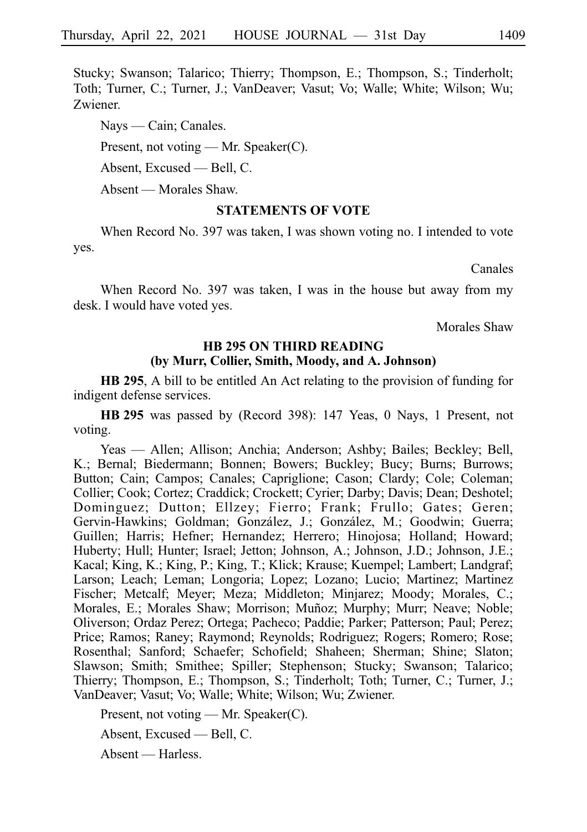Stucky; Swanson; Talarico; Thierry; Thompson, E.; Thompson, S.; Tinderholt; Toth; Turner, C.; Turner, J.; VanDeaver; Vasut; Vo; Walle; White; Wilson; Wu; Zwiener.

Nays — Cain; Canales.

Present, not voting — Mr. Speaker(C).

Absent, Excused — Bell, C.

Absent — Morales Shaw.

### **STATEMENTS OF VOTE**

When Record No. 397 was taken, I was shown voting no. I intended to vote yes.

Canales

When Record No. 397 was taken, I was in the house but away from my desk. I would have voted yes.

Morales Shaw

### **HB 295 ON THIRD READING (by Murr, Collier, Smith, Moody, and A. Johnson)**

**HB 295**, A bill to be entitled An Act relating to the provision of funding for indigent defense services.

**HBi295** was passed by (Record 398): 147 Yeas, 0 Nays, 1 Present, not voting.

Yeas — Allen; Allison; Anchia; Anderson; Ashby; Bailes; Beckley; Bell, K.; Bernal; Biedermann; Bonnen; Bowers; Buckley; Bucy; Burns; Burrows; Button; Cain; Campos; Canales; Capriglione; Cason; Clardy; Cole; Coleman; Collier; Cook; Cortez; Craddick; Crockett; Cyrier; Darby; Davis; Dean; Deshotel; Dominguez; Dutton; Ellzey; Fierro; Frank; Frullo; Gates; Geren; Gervin-Hawkins; Goldman; González, J.; González, M.; Goodwin; Guerra; Guillen; Harris; Hefner; Hernandez; Herrero; Hinojosa; Holland; Howard; Huberty; Hull; Hunter; Israel; Jetton; Johnson, A.; Johnson, J.D.; Johnson, J.E.; Kacal; King, K.; King, P.; King, T.; Klick; Krause; Kuempel; Lambert; Landgraf; Larson; Leach; Leman; Longoria; Lopez; Lozano; Lucio; Martinez; Martinez Fischer; Metcalf; Meyer; Meza; Middleton; Minjarez; Moody; Morales, C.; Morales, E.; Morales Shaw; Morrison; Muñoz; Murphy; Murr; Neave; Noble; Oliverson; Ordaz Perez; Ortega; Pacheco; Paddie; Parker; Patterson; Paul; Perez; Price; Ramos; Raney; Raymond; Reynolds; Rodriguez; Rogers; Romero; Rose; Rosenthal; Sanford; Schaefer; Schofield; Shaheen; Sherman; Shine; Slaton; Slawson; Smith; Smithee; Spiller; Stephenson; Stucky; Swanson; Talarico; Thierry; Thompson, E.; Thompson, S.; Tinderholt; Toth; Turner, C.; Turner, J.; VanDeaver; Vasut; Vo; Walle; White; Wilson; Wu; Zwiener.

Present, not voting — Mr. Speaker(C).

Absent, Excused — Bell, C.

Absent — Harless.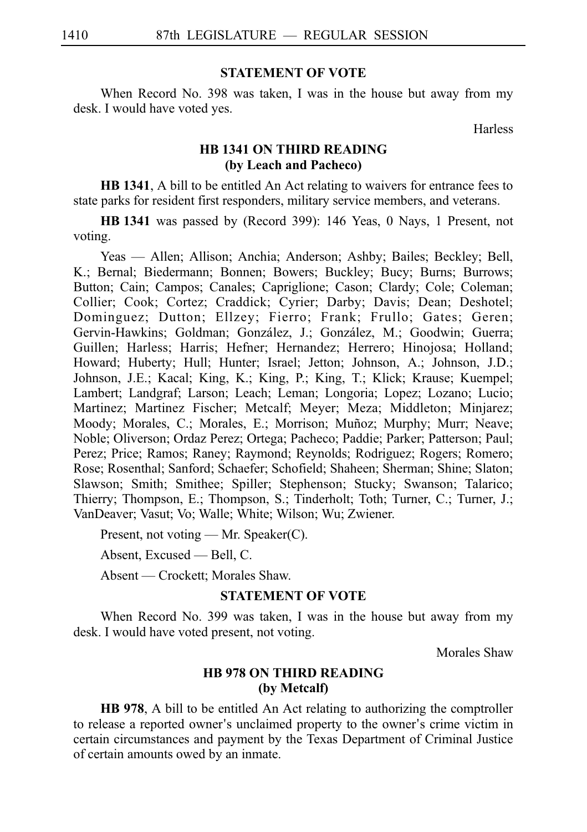### **STATEMENT OF VOTE**

When Record No. 398 was taken, I was in the house but away from my desk. I would have voted yes.

Harless

### **HB 1341 ON THIRD READING (by Leach and Pacheco)**

**HB 1341**, A bill to be entitled An Act relating to waivers for entrance fees to state parks for resident first responders, military service members, and veterans.

**HBi1341** was passed by (Record 399): 146 Yeas, 0 Nays, 1 Present, not voting.

Yeas — Allen; Allison; Anchia; Anderson; Ashby; Bailes; Beckley; Bell, K.; Bernal; Biedermann; Bonnen; Bowers; Buckley; Bucy; Burns; Burrows; Button; Cain; Campos; Canales; Capriglione; Cason; Clardy; Cole; Coleman; Collier; Cook; Cortez; Craddick; Cyrier; Darby; Davis; Dean; Deshotel; Dominguez; Dutton; Ellzey; Fierro; Frank; Frullo; Gates; Geren; Gervin-Hawkins; Goldman; González, J.; González, M.; Goodwin; Guerra; Guillen; Harless; Harris; Hefner; Hernandez; Herrero; Hinojosa; Holland; Howard; Huberty; Hull; Hunter; Israel; Jetton; Johnson, A.; Johnson, J.D.; Johnson, J.E.; Kacal; King, K.; King, P.; King, T.; Klick; Krause; Kuempel; Lambert; Landgraf; Larson; Leach; Leman; Longoria; Lopez; Lozano; Lucio; Martinez; Martinez Fischer; Metcalf; Meyer; Meza; Middleton; Minjarez; Moody; Morales, C.; Morales, E.; Morrison; Muñoz; Murphy; Murr; Neave; Noble; Oliverson; Ordaz Perez; Ortega; Pacheco; Paddie; Parker; Patterson; Paul; Perez; Price; Ramos; Raney; Raymond; Reynolds; Rodriguez; Rogers; Romero; Rose; Rosenthal; Sanford; Schaefer; Schofield; Shaheen; Sherman; Shine; Slaton; Slawson; Smith; Smithee; Spiller; Stephenson; Stucky; Swanson; Talarico; Thierry; Thompson, E.; Thompson, S.; Tinderholt; Toth; Turner, C.; Turner, J.; VanDeaver; Vasut; Vo; Walle; White; Wilson; Wu; Zwiener.

Present, not voting — Mr. Speaker(C).

Absent, Excused — Bell, C.

Absent — Crockett; Morales Shaw.

### **STATEMENT OF VOTE**

When Record No. 399 was taken, I was in the house but away from my desk. I would have voted present, not voting.

Morales Shaw

### **HB 978 ON THIRD READING (by Metcalf)**

**HB 978**, A bill to be entitled An Act relating to authorizing the comptroller to release a reported owner's unclaimed property to the owner's crime victim in certain circumstances and payment by the Texas Department of Criminal Justice of certain amounts owed by an inmate.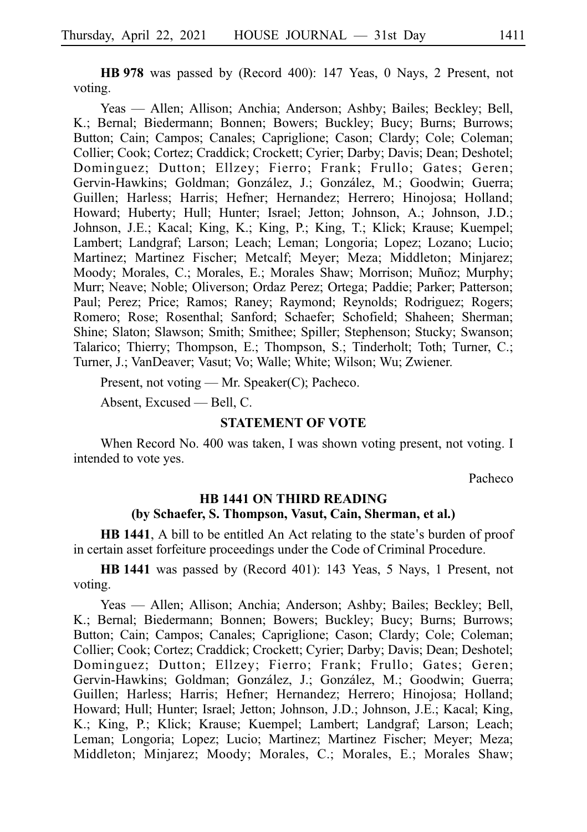**HB 978** was passed by (Record 400): 147 Yeas, 0 Nays, 2 Present, not voting.

Yeas — Allen; Allison; Anchia; Anderson; Ashby; Bailes; Beckley; Bell, K.; Bernal; Biedermann; Bonnen; Bowers; Buckley; Bucy; Burns; Burrows; Button; Cain; Campos; Canales; Capriglione; Cason; Clardy; Cole; Coleman; Collier; Cook; Cortez; Craddick; Crockett; Cyrier; Darby; Davis; Dean; Deshotel; Dominguez; Dutton; Ellzey; Fierro; Frank; Frullo; Gates; Geren; Gervin-Hawkins; Goldman; González, J.; González, M.; Goodwin; Guerra; Guillen; Harless; Harris; Hefner; Hernandez; Herrero; Hinojosa; Holland; Howard; Huberty; Hull; Hunter; Israel; Jetton; Johnson, A.; Johnson, J.D.; Johnson, J.E.; Kacal; King, K.; King, P.; King, T.; Klick; Krause; Kuempel; Lambert; Landgraf; Larson; Leach; Leman; Longoria; Lopez; Lozano; Lucio; Martinez; Martinez Fischer; Metcalf; Meyer; Meza; Middleton; Minjarez; Moody; Morales, C.; Morales, E.; Morales Shaw; Morrison; Muñoz; Murphy; Murr; Neave; Noble; Oliverson; Ordaz Perez; Ortega; Paddie; Parker; Patterson; Paul; Perez; Price; Ramos; Raney; Raymond; Reynolds; Rodriguez; Rogers; Romero; Rose; Rosenthal; Sanford; Schaefer; Schofield; Shaheen; Sherman; Shine; Slaton; Slawson; Smith; Smithee; Spiller; Stephenson; Stucky; Swanson; Talarico; Thierry; Thompson, E.; Thompson, S.; Tinderholt; Toth; Turner, C.; Turner, J.; VanDeaver; Vasut; Vo; Walle; White; Wilson; Wu; Zwiener.

Present, not voting — Mr. Speaker(C); Pacheco.

Absent, Excused — Bell, C.

### **STATEMENT OF VOTE**

When Record No. 400 was taken, I was shown voting present, not voting. I intended to vote yes.

Pacheco

### **HB 1441 ON THIRD READING (by Schaefer, S. Thompson, Vasut, Cain, Sherman, et al.)**

**HB 1441**, A bill to be entitled An Act relating to the state's burden of proof in certain asset forfeiture proceedings under the Code of Criminal Procedure.

**HBi1441** was passed by (Record 401): 143 Yeas, 5 Nays, 1 Present, not voting.

Yeas — Allen; Allison; Anchia; Anderson; Ashby; Bailes; Beckley; Bell, K.; Bernal; Biedermann; Bonnen; Bowers; Buckley; Bucy; Burns; Burrows; Button; Cain; Campos; Canales; Capriglione; Cason; Clardy; Cole; Coleman; Collier; Cook; Cortez; Craddick; Crockett; Cyrier; Darby; Davis; Dean; Deshotel; Dominguez; Dutton; Ellzey; Fierro; Frank; Frullo; Gates; Geren; Gervin-Hawkins; Goldman; González, J.; González, M.; Goodwin; Guerra; Guillen; Harless; Harris; Hefner; Hernandez; Herrero; Hinojosa; Holland; Howard; Hull; Hunter; Israel; Jetton; Johnson, J.D.; Johnson, J.E.; Kacal; King, K.; King, P.; Klick; Krause; Kuempel; Lambert; Landgraf; Larson; Leach; Leman; Longoria; Lopez; Lucio; Martinez; Martinez Fischer; Meyer; Meza; Middleton; Minjarez; Moody; Morales, C.; Morales, E.; Morales Shaw;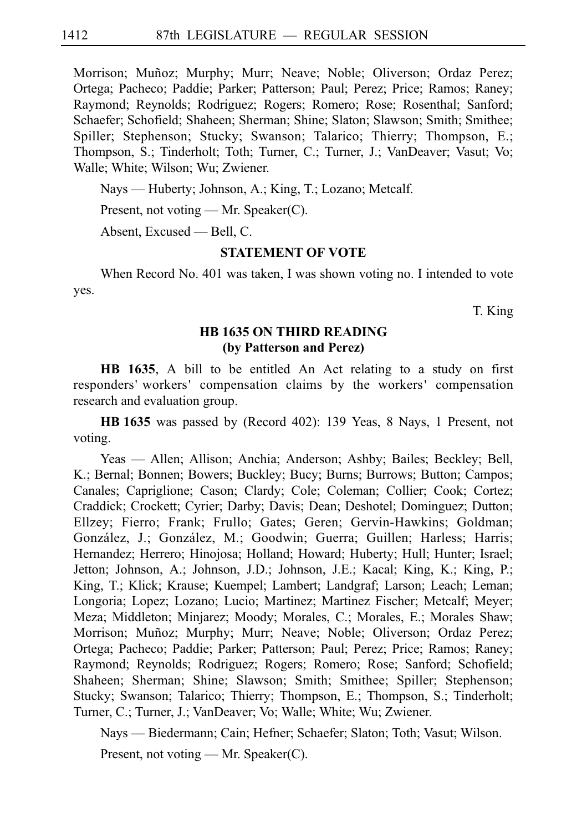Morrison; Muñoz; Murphy; Murr; Neave; Noble; Oliverson; Ordaz Perez; Ortega; Pacheco; Paddie; Parker; Patterson; Paul; Perez; Price; Ramos; Raney; Raymond; Reynolds; Rodriguez; Rogers; Romero; Rose; Rosenthal; Sanford; Schaefer; Schofield; Shaheen; Sherman; Shine; Slaton; Slawson; Smith; Smithee; Spiller; Stephenson; Stucky; Swanson; Talarico; Thierry; Thompson, E.; Thompson, S.; Tinderholt; Toth; Turner, C.; Turner, J.; VanDeaver; Vasut; Vo; Walle; White; Wilson; Wu; Zwiener.

Nays — Huberty; Johnson, A.; King, T.; Lozano; Metcalf.

Present, not voting — Mr. Speaker(C).

Absent, Excused — Bell, C.

### **STATEMENT OF VOTE**

When Record No. 401 was taken, I was shown voting no. I intended to vote yes.

T. King

### **HB 1635 ON THIRD READING (by Patterson and Perez)**

**HB 1635**, A bill to be entitled An Act relating to a study on first responders' workers' compensation claims by the workers' compensation research and evaluation group.

**HBi1635** was passed by (Record 402): 139 Yeas, 8 Nays, 1 Present, not voting.

Yeas — Allen; Allison; Anchia; Anderson; Ashby; Bailes; Beckley; Bell, K.; Bernal; Bonnen; Bowers; Buckley; Bucy; Burns; Burrows; Button; Campos; Canales; Capriglione; Cason; Clardy; Cole; Coleman; Collier; Cook; Cortez; Craddick; Crockett; Cyrier; Darby; Davis; Dean; Deshotel; Dominguez; Dutton; Ellzey; Fierro; Frank; Frullo; Gates; Geren; Gervin-Hawkins; Goldman; González, J.; González, M.; Goodwin; Guerra; Guillen; Harless; Harris; Hernandez; Herrero; Hinojosa; Holland; Howard; Huberty; Hull; Hunter; Israel; Jetton; Johnson, A.; Johnson, J.D.; Johnson, J.E.; Kacal; King, K.; King, P.; King, T.; Klick; Krause; Kuempel; Lambert; Landgraf; Larson; Leach; Leman; Longoria; Lopez; Lozano; Lucio; Martinez; Martinez Fischer; Metcalf; Meyer; Meza; Middleton; Minjarez; Moody; Morales, C.; Morales, E.; Morales Shaw; Morrison; Muñoz; Murphy; Murr; Neave; Noble; Oliverson; Ordaz Perez; Ortega; Pacheco; Paddie; Parker; Patterson; Paul; Perez; Price; Ramos; Raney; Raymond; Reynolds; Rodriguez; Rogers; Romero; Rose; Sanford; Schofield; Shaheen; Sherman; Shine; Slawson; Smith; Smithee; Spiller; Stephenson; Stucky; Swanson; Talarico; Thierry; Thompson, E.; Thompson, S.; Tinderholt; Turner, C.; Turner, J.; VanDeaver; Vo; Walle; White; Wu; Zwiener.

Nays — Biedermann; Cain; Hefner; Schaefer; Slaton; Toth; Vasut; Wilson.

Present, not voting — Mr. Speaker(C).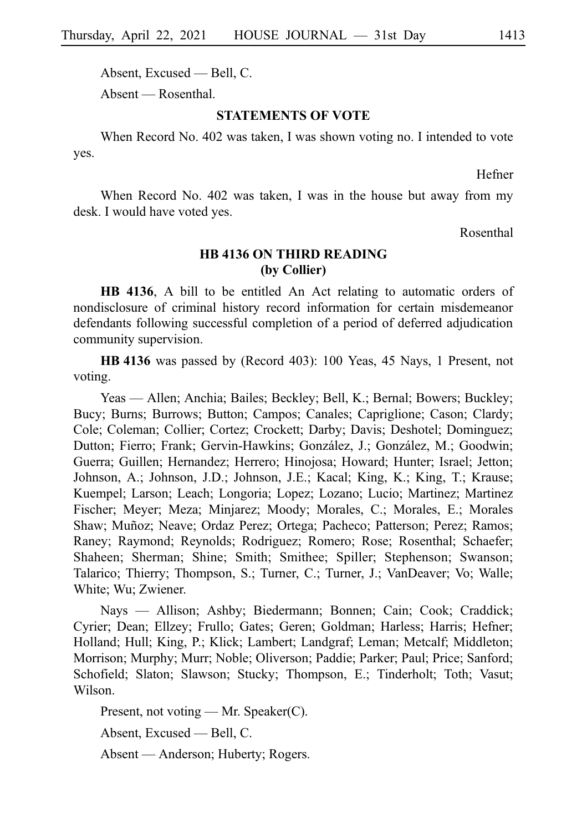Absent, Excused — Bell, C.

Absent — Rosenthal.

### **STATEMENTS OF VOTE**

When Record No. 402 was taken, I was shown voting no. I intended to vote yes.

Hefner

When Record No. 402 was taken, I was in the house but away from my desk. I would have voted yes.

Rosenthal

### **HB 4136 ON THIRD READING (by Collier)**

**HB 4136**, A bill to be entitled An Act relating to automatic orders of nondisclosure of criminal history record information for certain misdemeanor defendants following successful completion of a period of deferred adjudication community supervision.

**HB** 4136 was passed by (Record 403): 100 Yeas, 45 Nays, 1 Present, not voting.

Yeas — Allen; Anchia; Bailes; Beckley; Bell, K.; Bernal; Bowers; Buckley; Bucy; Burns; Burrows; Button; Campos; Canales; Capriglione; Cason; Clardy; Cole; Coleman; Collier; Cortez; Crockett; Darby; Davis; Deshotel; Dominguez; Dutton; Fierro; Frank; Gervin-Hawkins; González, J.; González, M.; Goodwin; Guerra; Guillen; Hernandez; Herrero; Hinojosa; Howard; Hunter; Israel; Jetton; Johnson, A.; Johnson, J.D.; Johnson, J.E.; Kacal; King, K.; King, T.; Krause; Kuempel; Larson; Leach; Longoria; Lopez; Lozano; Lucio; Martinez; Martinez Fischer; Meyer; Meza; Minjarez; Moody; Morales, C.; Morales, E.; Morales Shaw; Muñoz; Neave; Ordaz Perez; Ortega; Pacheco; Patterson; Perez; Ramos; Raney; Raymond; Reynolds; Rodriguez; Romero; Rose; Rosenthal; Schaefer; Shaheen; Sherman; Shine; Smith; Smithee; Spiller; Stephenson; Swanson; Talarico; Thierry; Thompson, S.; Turner, C.; Turner, J.; VanDeaver; Vo; Walle; White; Wu; Zwiener.

Nays — Allison; Ashby; Biedermann; Bonnen; Cain; Cook; Craddick; Cyrier; Dean; Ellzey; Frullo; Gates; Geren; Goldman; Harless; Harris; Hefner; Holland; Hull; King, P.; Klick; Lambert; Landgraf; Leman; Metcalf; Middleton; Morrison; Murphy; Murr; Noble; Oliverson; Paddie; Parker; Paul; Price; Sanford; Schofield; Slaton; Slawson; Stucky; Thompson, E.; Tinderholt; Toth; Vasut; Wilson.

Present, not voting — Mr. Speaker(C).

Absent, Excused — Bell, C.

Absent — Anderson; Huberty; Rogers.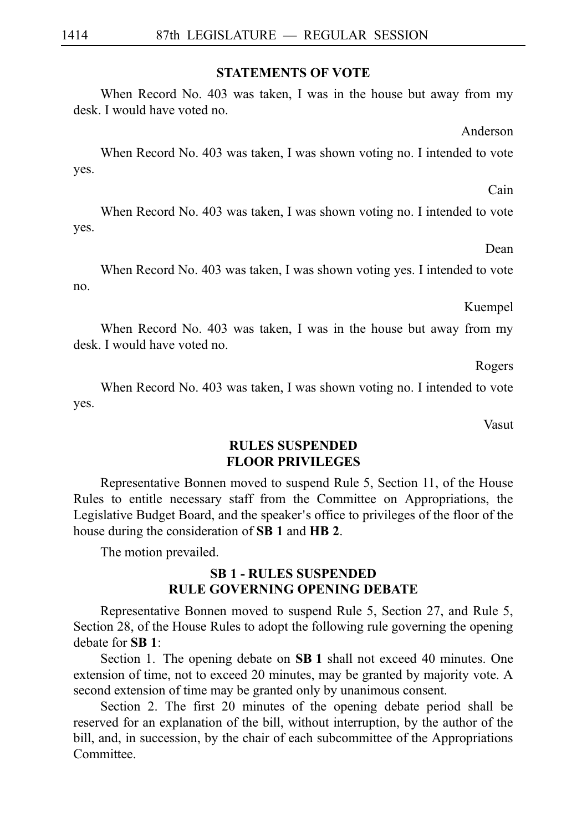### **STATEMENTS OF VOTE**

When Record No. 403 was taken, I was in the house but away from my desk. I would have voted no.

Anderson

When Record No. 403 was taken, I was shown voting no. I intended to vote yes.

When Record No. 403 was taken, I was shown voting no. I intended to vote yes.

Dean

Cain

When Record No. 403 was taken, I was shown voting yes. I intended to vote no.

Kuempel

When Record No. 403 was taken, I was in the house but away from my desk. I would have voted no.

Rogers

When Record No. 403 was taken, I was shown voting no. I intended to vote yes.

Vasut

### **RULES SUSPENDED FLOOR PRIVILEGES**

Representative Bonnen moved to suspend Rule 5, Section 11, of the House Rules to entitle necessary staff from the Committee on Appropriations, the Legislative Budget Board, and the speaker's office to privileges of the floor of the house during the consideration of **SB 1** and **HB 2**.

The motion prevailed.

### **SBi1 - RULES SUSPENDED RULE GOVERNING OPENING DEBATE**

Representative Bonnen moved to suspend Rule 5, Section 27, and Rule 5, Section 28, of the House Rules to adopt the following rule governing the opening debate for **SBi1**:

Section 1. The opening debate on **SB 1** shall not exceed 40 minutes. One extension of time, not to exceed 20 minutes, may be granted by majority vote. A second extension of time may be granted only by unanimous consent.

Section 2. The first 20 minutes of the opening debate period shall be reserved for an explanation of the bill, without interruption, by the author of the bill, and, in succession, by the chair of each subcommittee of the Appropriations Committee.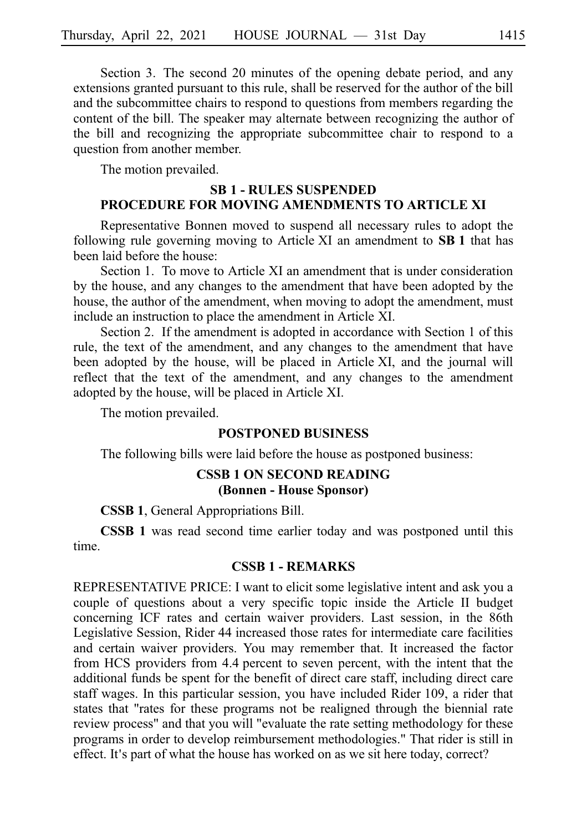Section 3. The second 20 minutes of the opening debate period, and any extensions granted pursuant to this rule, shall be reserved for the author of the bill and the subcommittee chairs to respond to questions from members regarding the content of the bill. The speaker may alternate between recognizing the author of the bill and recognizing the appropriate subcommittee chair to respond to a question from another member.

The motion prevailed.

### **SBi1 - RULES SUSPENDED PROCEDURE FOR MOVING AMENDMENTS TO ARTICLE XI**

Representative Bonnen moved to suspend all necessary rules to adopt the following rule governing moving to Article XI an amendment to **SB 1** that has been laid before the house:

Section 1. To move to Article XI an amendment that is under consideration by the house, and any changes to the amendment that have been adopted by the house, the author of the amendment, when moving to adopt the amendment, must include an instruction to place the amendment in Article XI.

Section 2. If the amendment is adopted in accordance with Section 1 of this rule, the text of the amendment, and any changes to the amendment that have been adopted by the house, will be placed in Article XI, and the journal will reflect that the text of the amendment, and any changes to the amendment adopted by the house, will be placed in Article XI.

The motion prevailed.

### **POSTPONED BUSINESS**

The following bills were laid before the house as postponed business:

### **CSSB 1 ON SECOND READING (Bonnen - House Sponsor)**

**CSSB 1**, General Appropriations Bill.

**CSSB 1** was read second time earlier today and was postponed until this time.

### **CSSB 1 - REMARKS**

REPRESENTATIVE PRICE: I want to elicit some legislative intent and ask you a couple of questions about a very specific topic inside the Article II budget concerning ICF rates and certain waiver providers. Last session, in the 86th Legislative Session, Rider 44 increased those rates for intermediate care facilities and certain waiver providers. You may remember that. It increased the factor from HCS providers from 4.4 percent to seven percent, with the intent that the additional funds be spent for the benefit of direct care staff, including direct care staff wages. In this particular session, you have included Rider 109, a rider that states that "rates for these programs not be realigned through the biennial rate review process" and that you will "evaluate the rate setting methodology for these programs in order to develop reimbursement methodologies." That rider is still in effect. It's part of what the house has worked on as we sit here today, correct?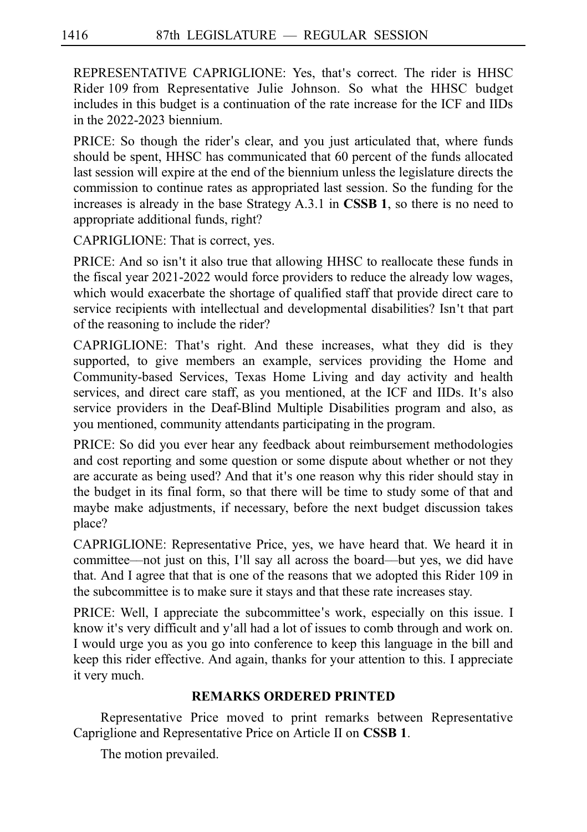REPRESENTATIVE CAPRIGLIONE: Yes, that's correct. The rider is HHSC Rider 109 from Representative Julie Johnson. So what the HHSC budget includes in this budget is a continuation of the rate increase for the ICF and IIDs in the 2022-2023 biennium.

PRICE: So though the rider's clear, and you just articulated that, where funds should be spent, HHSC has communicated that 60 percent of the funds allocated last session will expire at the end of the biennium unless the legislature directs the commission to continue rates as appropriated last session. So the funding for the increases is already in the base Strategy A.3.1 in **CSSB 1**, so there is no need to appropriate additional funds, right?

CAPRIGLIONE: That is correct, yes.

PRICE: And so isn't it also true that allowing HHSC to reallocate these funds in the fiscal year 2021-2022 would force providers to reduce the already low wages, which would exacerbate the shortage of qualified staff that provide direct care to service recipients with intellectual and developmental disabilities? Isn't that part of the reasoning to include the rider?

CAPRIGLIONE: That's right. And these increases, what they did is they supported, to give members an example, services providing the Home and Community-based Services, Texas Home Living and day activity and health services, and direct care staff, as you mentioned, at the ICF and IIDs. It's also service providers in the Deaf-Blind Multiple Disabilities program and also, as you mentioned, community attendants participating in the program.

PRICE: So did you ever hear any feedback about reimbursement methodologies and cost reporting and some question or some dispute about whether or not they are accurate as being used? And that it's one reason why this rider should stay in the budget in its final form, so that there will be time to study some of that and maybe make adjustments, if necessary, before the next budget discussion takes place?

CAPRIGLIONE: Representative Price, yes, we have heard that. We heard it in committee—not just on this, I'll say all across the board—but yes, we did have that. And I agree that that is one of the reasons that we adopted this Rider 109 in the subcommittee is to make sure it stays and that these rate increases stay.

PRICE: Well, I appreciate the subcommittee's work, especially on this issue. I know it's very difficult and y'all had a lot of issues to comb through and work on. I would urge you as you go into conference to keep this language in the bill and keep this rider effective. And again, thanks for your attention to this. I appreciate it very much.

### **REMARKS ORDERED PRINTED**

Representative Price moved to print remarks between Representative Capriglione and Representative Price on Article II on **CSSB 1**.

The motion prevailed.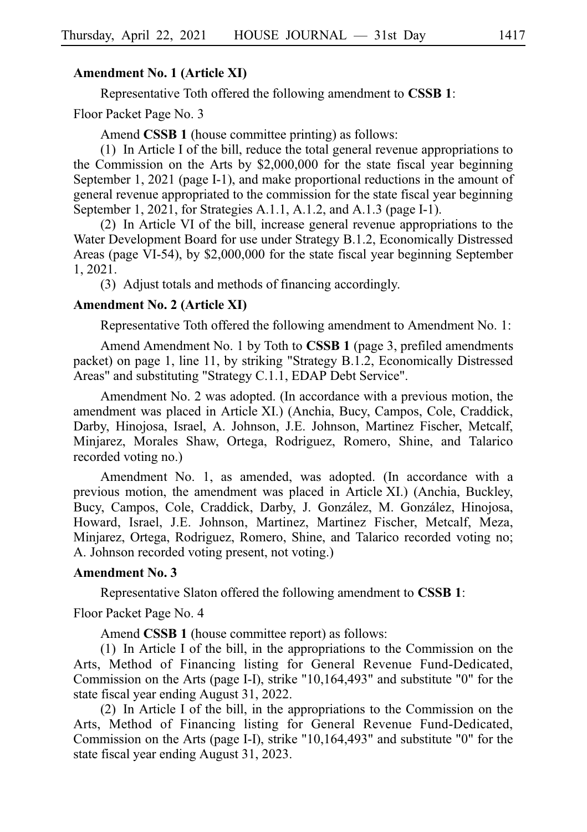### **Amendment No. 1 (Article XI)**

Representative Toth offered the following amendment to **CSSB 1**:

Floor Packet Page No. 3

Amend **CSSB 1** (house committee printing) as follows:

(1) In Article I of the bill, reduce the total general revenue appropriations to the Commission on the Arts by \$2,000,000 for the state fiscal year beginning September 1, 2021 (page I-1), and make proportional reductions in the amount of general revenue appropriated to the commission for the state fiscal year beginning September 1, 2021, for Strategies A.1.1, A.1.2, and A.1.3 (page I-1).

 $(2)$  In Article VI of the bill, increase general revenue appropriations to the Water Development Board for use under Strategy B.1.2, Economically Distressed Areas (page VI-54), by \$2,000,000 for the state fiscal year beginning September 1, 2021.

(3) Adjust totals and methods of financing accordingly.

### **Amendment No. 2 (Article XI)**

Representative Toth offered the following amendment to Amendment No. 1:

Amend Amendment No. 1 by Toth to **CSSB 1** (page 3, prefiled amendments packet) on page 1, line 11, by striking "Strategy B.1.2, Economically Distressed Areas" and substituting "Strategy C.1.1, EDAP Debt Service".

Amendment No. 2 was adopted. (In accordance with a previous motion, the amendment was placed in Article XI.) (Anchia, Bucy, Campos, Cole, Craddick, Darby, Hinojosa, Israel, A. Johnson, J.E. Johnson, Martinez Fischer, Metcalf, Minjarez, Morales Shaw, Ortega, Rodriguez, Romero, Shine, and Talarico recorded voting no.)

Amendment No. 1, as amended, was adopted. (In accordance with a previous motion, the amendment was placed in Article XI.) (Anchia, Buckley, Bucy, Campos, Cole, Craddick, Darby, J. González, M. González, Hinojosa, Howard, Israel, J.E. Johnson, Martinez, Martinez Fischer, Metcalf, Meza, Minjarez, Ortega, Rodriguez, Romero, Shine, and Talarico recorded voting no; A. Johnson recorded voting present, not voting.)

### **Amendment No. 3**

Representative Slaton offered the following amendment to **CSSBi1**:

Floor Packet Page No. 4

Amend **CSSB 1** (house committee report) as follows:

(1) In Article I of the bill, in the appropriations to the Commission on the Arts, Method of Financing listing for General Revenue Fund-Dedicated, Commission on the Arts (page I-I), strike "10,164,493" and substitute "0" for the state fiscal year ending August 31, 2022.

(2) In Article I of the bill, in the appropriations to the Commission on the Arts, Method of Financing listing for General Revenue Fund-Dedicated, Commission on the Arts (page I-I), strike "10,164,493" and substitute "0" for the state fiscal year ending August 31, 2023.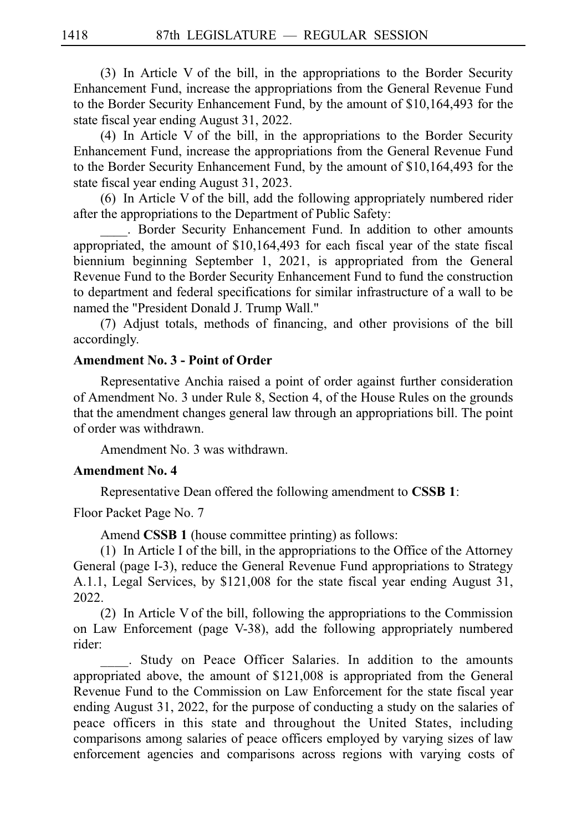$(3)$  In Article V of the bill, in the appropriations to the Border Security Enhancement Fund, increase the appropriations from the General Revenue Fund to the Border Security Enhancement Fund, by the amount of \$10,164,493 for the state fiscal year ending August 31, 2022.

(4) In Article V of the bill, in the appropriations to the Border Security Enhancement Fund, increase the appropriations from the General Revenue Fund to the Border Security Enhancement Fund, by the amount of \$10,164,493 for the state fiscal year ending August 31, 2023.

 $(6)$  In Article V of the bill, add the following appropriately numbered rider after the appropriations to the Department of Public Safety:

. Border Security Enhancement Fund. In addition to other amounts appropriated, the amount of \$10,164,493 for each fiscal year of the state fiscal biennium beginning September 1, 2021, is appropriated from the General Revenue Fund to the Border Security Enhancement Fund to fund the construction to department and federal specifications for similar infrastructure of a wall to be named the "President Donald J. Trump Wall."

(7) Adjust totals, methods of financing, and other provisions of the bill accordingly.

### **Amendment No. 3 - Point of Order**

Representative Anchia raised a point of order against further consideration of Amendment No. 3 under Rule 8, Section 4, of the House Rules on the grounds that the amendment changes general law through an appropriations bill. The point of order was withdrawn.

Amendment No. 3 was withdrawn.

### **Amendment No. 4**

Representative Dean offered the following amendment to **CSSBi1**:

Floor Packet Page No. 7

Amend **CSSB 1** (house committee printing) as follows:

 $(1)$  In Article I of the bill, in the appropriations to the Office of the Attorney General (page I-3), reduce the General Revenue Fund appropriations to Strategy A.1.1, Legal Services, by \$121,008 for the state fiscal year ending August 31, 2022.

 $(2)$  In Article V of the bill, following the appropriations to the Commission on Law Enforcement (page V-38), add the following appropriately numbered rider:

\_\_\_\_. Study on Peace Officer Salaries. In addition to the amounts appropriated above, the amount of \$121,008 is appropriated from the General Revenue Fund to the Commission on Law Enforcement for the state fiscal year ending August 31, 2022, for the purpose of conducting a study on the salaries of peace officers in this state and throughout the United States, including comparisons among salaries of peace officers employed by varying sizes of law enforcement agencies and comparisons across regions with varying costs of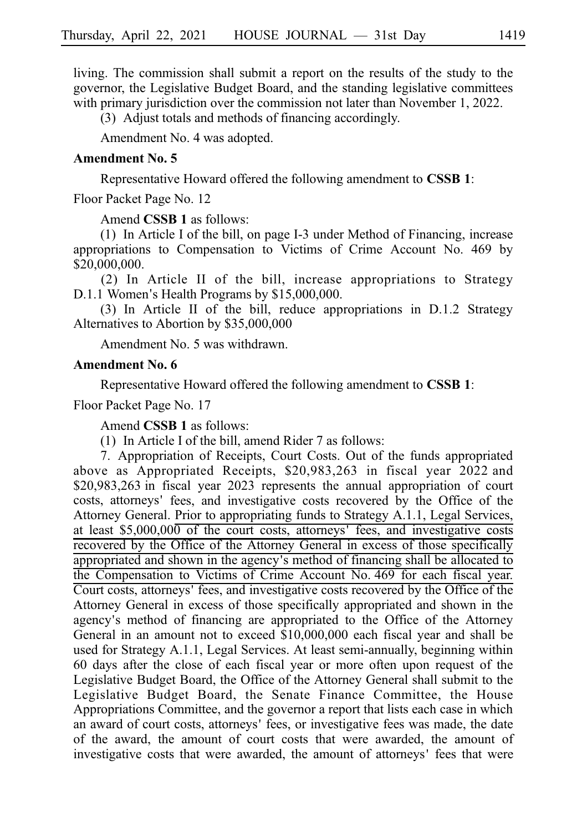living. The commission shall submit a report on the results of the study to the governor, the Legislative Budget Board, and the standing legislative committees with primary jurisdiction over the commission not later than November 1, 2022.

(3) Adjust totals and methods of financing accordingly.

Amendment No. 4 was adopted.

### **Amendment No. 5**

Representative Howard offered the following amendment to **CSSBi1**:

Floor Packet Page No. 12

Amend **CSSB 1** as follows:

 $(1)$  In Article I of the bill, on page I-3 under Method of Financing, increase appropriations to Compensation to Victims of Crime Account No. 469 by \$20,000,000.

 $(2)$  In Article II of the bill, increase appropriations to Strategy  $D.1.1$  Women's Health Programs by  $$15,000,000$ .

(3) In Article II of the bill, reduce appropriations in  $D.1.2$  Strategy Alternatives to Abortion by \$35,000,000

Amendment No. 5 was withdrawn.

### **Amendment No. 6**

Representative Howard offered the following amendment to **CSSBi1**:

Floor Packet Page No. 17

Amend **CSSB 1** as follows:

(1) In Article I of the bill, amend Rider 7 as follows:

7. Appropriation of Receipts, Court Costs. Out of the funds appropriated above as Appropriated Receipts,  $$20,983,263$  in fiscal year 2022 and \$20,983,263 in fiscal year 2023 represents the annual appropriation of court costs, attorneys' fees, and investigative costs recovered by the Office of the Attorney General. Prior to appropriating funds to Strategy A.1.1, Legal Services, at least  $$5,000,000$  of the court costs, attorneys' fees, and investigative costs recovered by the Office of the Attorney General in excess of those specifically appropriated and shown in the agency's method of financing shall be allocated to the Compensation to Victims of Crime Account No. 469 for each fiscal year. Court costs, attorneys' fees, and investigative costs recovered by the Office of the Attorney General in excess of those specifically appropriated and shown in the agency's method of financing are appropriated to the Office of the Attorney General in an amount not to exceed \$10,000,000 each fiscal year and shall be used for Strategy A.1.1, Legal Services. At least semi-annually, beginning within 60 days after the close of each fiscal year or more often upon request of the Legislative Budget Board, the Office of the Attorney General shall submit to the Legislative Budget Board, the Senate Finance Committee, the House Appropriations Committee, and the governor a report that lists each case in which an award of court costs, attorneys' fees, or investigative fees was made, the date of the award, the amount of court costs that were awarded, the amount of investigative costs that were awarded, the amount of attorneys' fees that were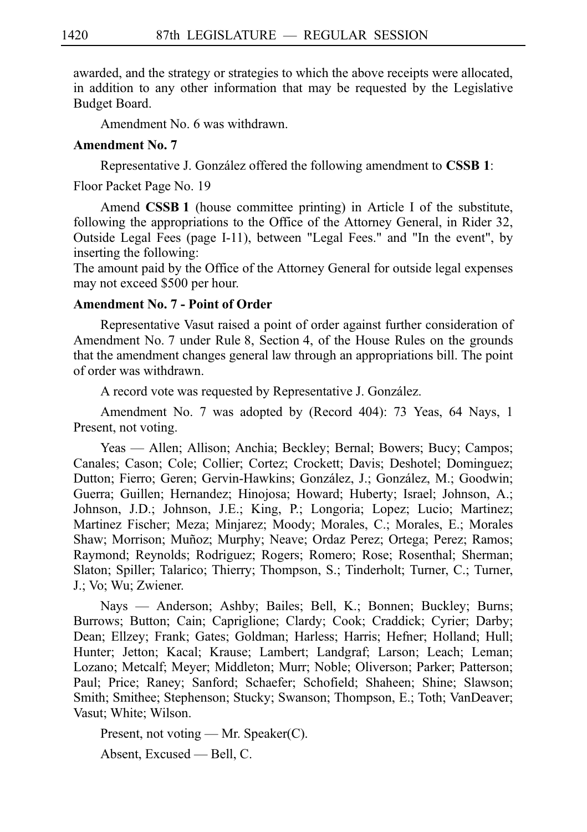awarded, and the strategy or strategies to which the above receipts were allocated, in addition to any other information that may be requested by the Legislative Budget Board.

Amendment No. 6 was withdrawn.

### **Amendment No. 7**

Representative J. González offered the following amendment to **CSSB 1**:

Floor Packet Page No. 19

Amend **CSSB<sub>1</sub>** (house committee printing) in Article I of the substitute, following the appropriations to the Office of the Attorney General, in Rider 32, Outside Legal Fees (page I-11), between "Legal Fees." and "In the event", by inserting the following:

The amount paid by the Office of the Attorney General for outside legal expenses may not exceed \$500 per hour.

### **Amendment No. 7 - Point of Order**

Representative Vasut raised a point of order against further consideration of Amendment No. 7 under Rule 8, Section 4, of the House Rules on the grounds that the amendment changes general law through an appropriations bill. The point of order was withdrawn.

A record vote was requested by Representative J. González.

Amendment No. 7 was adopted by (Record 404): 73 Yeas, 64 Nays, 1 Present, not voting.

Yeas — Allen; Allison; Anchia; Beckley; Bernal; Bowers; Bucy; Campos; Canales; Cason; Cole; Collier; Cortez; Crockett; Davis; Deshotel; Dominguez; Dutton; Fierro; Geren; Gervin-Hawkins; González, J.; González, M.; Goodwin; Guerra; Guillen; Hernandez; Hinojosa; Howard; Huberty; Israel; Johnson, A.; Johnson, J.D.; Johnson, J.E.; King, P.; Longoria; Lopez; Lucio; Martinez; Martinez Fischer; Meza; Minjarez; Moody; Morales, C.; Morales, E.; Morales Shaw; Morrison; Muñoz; Murphy; Neave; Ordaz Perez; Ortega; Perez; Ramos; Raymond; Reynolds; Rodriguez; Rogers; Romero; Rose; Rosenthal; Sherman; Slaton; Spiller; Talarico; Thierry; Thompson, S.; Tinderholt; Turner, C.; Turner, J.; Vo; Wu; Zwiener.

Nays — Anderson; Ashby; Bailes; Bell, K.; Bonnen; Buckley; Burns; Burrows; Button; Cain; Capriglione; Clardy; Cook; Craddick; Cyrier; Darby; Dean; Ellzey; Frank; Gates; Goldman; Harless; Harris; Hefner; Holland; Hull; Hunter; Jetton; Kacal; Krause; Lambert; Landgraf; Larson; Leach; Leman; Lozano; Metcalf; Meyer; Middleton; Murr; Noble; Oliverson; Parker; Patterson; Paul; Price; Raney; Sanford; Schaefer; Schofield; Shaheen; Shine; Slawson; Smith; Smithee; Stephenson; Stucky; Swanson; Thompson, E.; Toth; VanDeaver; Vasut; White; Wilson.

Present, not voting — Mr. Speaker(C).

Absent, Excused — Bell, C.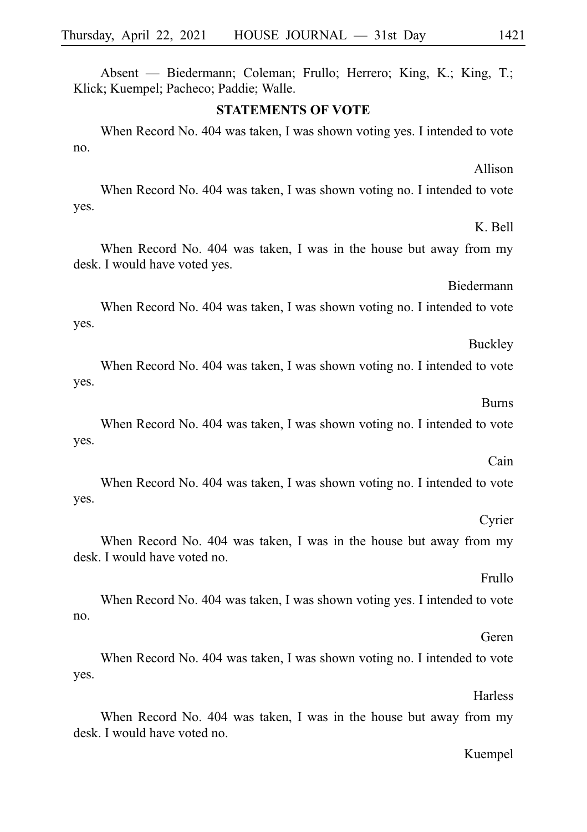Absent — Biedermann; Coleman; Frullo; Herrero; King, K.; King, T.; Klick; Kuempel; Pacheco; Paddie; Walle.

### **STATEMENTS OF VOTE**

When Record No. 404 was taken, I was shown voting yes. I intended to vote no.

When Record No. 404 was taken, I was shown voting no. I intended to vote yes.

When Record No. 404 was taken, I was in the house but away from my desk. I would have voted yes.

When Record No. 404 was taken, I was shown voting no. I intended to vote yes.

When Record No. 404 was taken, I was shown voting no. I intended to vote yes.

When Record No. 404 was taken, I was shown voting no. I intended to vote yes.

When Record No. 404 was taken, I was shown voting no. I intended to vote yes.

When Record No. 404 was taken, I was in the house but away from my desk. I would have voted no.

When Record No. 404 was taken, I was shown voting yes. I intended to vote no.

When Record No. 404 was taken, I was shown voting no. I intended to vote yes.

When Record No. 404 was taken, I was in the house but away from my desk. I would have voted no.

### Kuempel

## Allison

### Biedermann

## Burns

Buckley

### Frullo

## Cyrier

# **Harless**

Geren

# K. Bell

Cain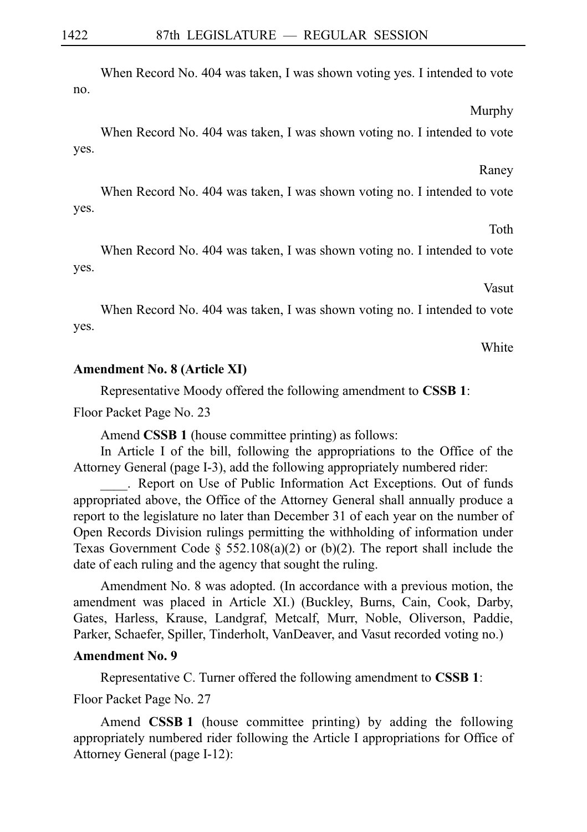When Record No. 404 was taken, I was shown voting yes. I intended to vote no.

When Record No. 404 was taken, I was shown voting no. I intended to vote yes.

When Record No. 404 was taken, I was shown voting no. I intended to vote yes.

When Record No. 404 was taken, I was shown voting no. I intended to vote yes.

When Record No. 404 was taken, I was shown voting no. I intended to vote yes.

Representative Moody offered the following amendment to **CSSBi1**:

Floor Packet Page No. 23

Amend **CSSB 1** (house committee printing) as follows:

In Article I of the bill, following the appropriations to the Office of the Attorney General (page I-3), add the following appropriately numbered rider:

. Report on Use of Public Information Act Exceptions. Out of funds appropriated above, the Office of the Attorney General shall annually produce a report to the legislature no later than December 31 of each year on the number of Open Records Division rulings permitting the withholding of information under Texas Government Code  $\S$  552.108(a)(2) or (b)(2). The report shall include the date of each ruling and the agency that sought the ruling.

Amendment No. 8 was adopted. (In accordance with a previous motion, the amendment was placed in Article XI.) (Buckley, Burns, Cain, Cook, Darby, Gates, Harless, Krause, Landgraf, Metcalf, Murr, Noble, Oliverson, Paddie, Parker, Schaefer, Spiller, Tinderholt, VanDeaver, and Vasut recorded voting no.)

### **Amendment No. 9**

Representative C. Turner offered the following amendment to **CSSBi1**:

Floor Packet Page No. 27

Amend **CSSB 1** (house committee printing) by adding the following appropriately numbered rider following the Article I appropriations for Office of Attorney General (page I-12):

## **Amendment No. 8 (Article XI)**

Vasut

**White** 

Murphy

Raney

Toth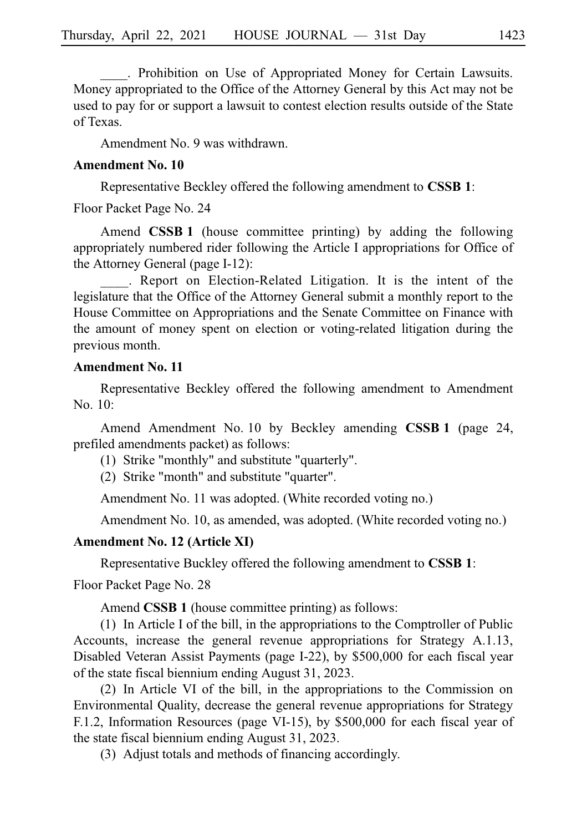. Prohibition on Use of Appropriated Money for Certain Lawsuits. Money appropriated to the Office of the Attorney General by this Act may not be used to pay for or support a lawsuit to contest election results outside of the State of Texas.

Amendment No. 9 was withdrawn.

### **Amendment No. 10**

Representative Beckley offered the following amendment to **CSSBi1**:

Floor Packet Page No. 24

Amend **CSSB 1** (house committee printing) by adding the following appropriately numbered rider following the Article I appropriations for Office of the Attorney General (page I-12):

. Report on Election-Related Litigation. It is the intent of the legislature that the Office of the Attorney General submit a monthly report to the House Committee on Appropriations and the Senate Committee on Finance with the amount of money spent on election or voting-related litigation during the previous month.

### **Amendment No. 11**

Representative Beckley offered the following amendment to Amendment No. 10:

Amend Amendment No. 10 by Beckley amending **CSSB 1** (page 24, prefiled amendments packet) as follows:

- $(1)$  Strike "monthly" and substitute "quarterly".
- (2) Strike "month" and substitute "quarter".

Amendment No. 11 was adopted. (White recorded voting no.)

Amendment No. 10, as amended, was adopted. (White recorded voting no.)

### **Amendment No. 12 (Article XI)**

Representative Buckley offered the following amendment to **CSSBi1**:

Floor Packet Page No. 28

Amend **CSSB 1** (house committee printing) as follows:

 $(1)$  In Article I of the bill, in the appropriations to the Comptroller of Public Accounts, increase the general revenue appropriations for Strategy A.1.13, Disabled Veteran Assist Payments (page I-22), by \$500,000 for each fiscal year of the state fiscal biennium ending August 31, 2023.

 $(2)$  In Article VI of the bill, in the appropriations to the Commission on Environmental Quality, decrease the general revenue appropriations for Strategy F.1.2, Information Resources (page VI-15), by \$500,000 for each fiscal year of the state fiscal biennium ending August 31, 2023.

(3) Adjust totals and methods of financing accordingly.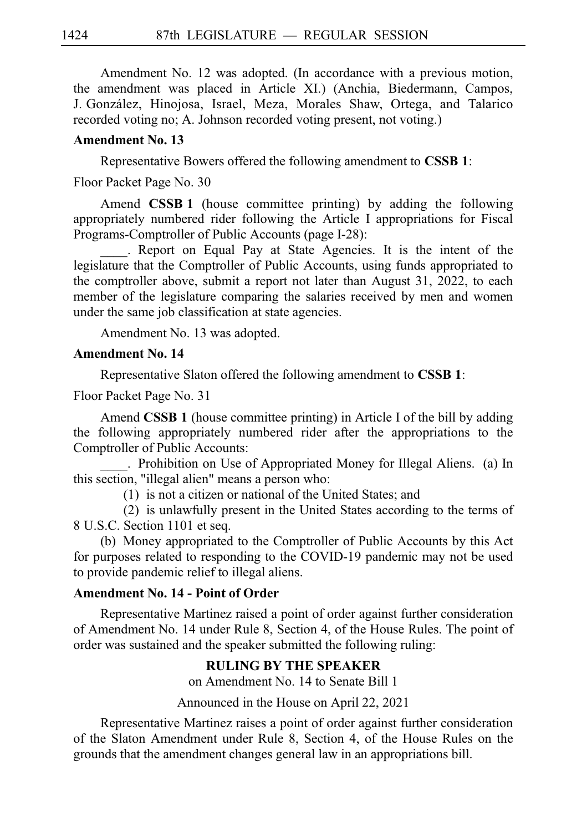Amendment No. 12 was adopted. (In accordance with a previous motion, the amendment was placed in Article XI.) (Anchia, Biedermann, Campos, J. González, Hinojosa, Israel, Meza, Morales Shaw, Ortega, and Talarico recorded voting no; A. Johnson recorded voting present, not voting.)

### **Amendment No. 13**

Representative Bowers offered the following amendment to **CSSBi1**:

Floor Packet Page No. 30

Amend **CSSB 1** (house committee printing) by adding the following appropriately numbered rider following the Article I appropriations for Fiscal Programs-Comptroller of Public Accounts (page I-28):

. Report on Equal Pay at State Agencies. It is the intent of the legislature that the Comptroller of Public Accounts, using funds appropriated to the comptroller above, submit a report not later than August 31, 2022, to each member of the legislature comparing the salaries received by men and women under the same job classification at state agencies.

Amendment No. 13 was adopted.

### **Amendment No. 14**

Representative Slaton offered the following amendment to **CSSBi1**:

Floor Packet Page No. 31

Amend **CSSB 1** (house committee printing) in Article I of the bill by adding the following appropriately numbered rider after the appropriations to the Comptroller of Public Accounts:

. Prohibition on Use of Appropriated Money for Illegal Aliens. (a) In this section, "illegal alien" means a person who:

 $(1)$  is not a citizen or national of the United States; and

(2) is unlawfully present in the United States according to the terms of 8 U.S.C. Section 1101 et seq.

(b) Money appropriated to the Comptroller of Public Accounts by this Act for purposes related to responding to the COVID-19 pandemic may not be used to provide pandemic relief to illegal aliens.

### **Amendment No. 14 - Point of Order**

Representative Martinez raised a point of order against further consideration of Amendment No. 14 under Rule 8, Section 4, of the House Rules. The point of order was sustained and the speaker submitted the following ruling:

### **RULING BY THE SPEAKER**

on Amendment No. 14 to Senate Bill 1

Announced in the House on April 22, 2021

Representative Martinez raises a point of order against further consideration of the Slaton Amendment under Rule 8, Section 4, of the House Rules on the grounds that the amendment changes general law in an appropriations bill.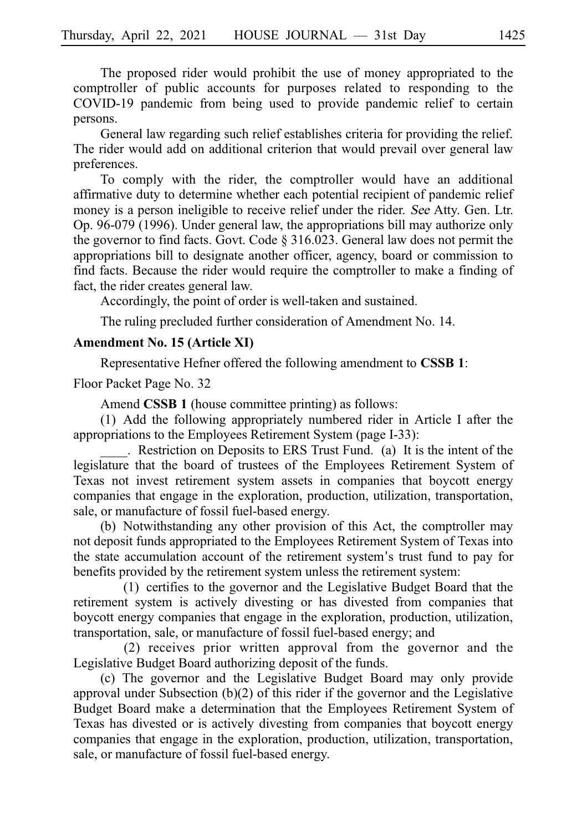The proposed rider would prohibit the use of money appropriated to the comptroller of public accounts for purposes related to responding to the COVID-19 pandemic from being used to provide pandemic relief to certain persons.

General law regarding such relief establishes criteria for providing the relief. The rider would add on additional criterion that would prevail over general law preferences.

To comply with the rider, the comptroller would have an additional affirmative duty to determine whether each potential recipient of pandemic relief money is a person ineligible to receive relief under the rider. See Atty. Gen. Ltr. Op. 96-079 (1996). Under general law, the appropriations bill may authorize only the governor to find facts. Govt. Code § 316.023. General law does not permit the appropriations bill to designate another officer, agency, board or commission to find facts. Because the rider would require the comptroller to make a finding of fact, the rider creates general law.

Accordingly, the point of order is well-taken and sustained.

The ruling precluded further consideration of Amendment No. 14.

### **Amendment No. 15 (Article XI)**

Representative Hefner offered the following amendment to **CSSBi1**:

Floor Packet Page No. 32

Amend **CSSB 1** (house committee printing) as follows:

 $(1)$  Add the following appropriately numbered rider in Article I after the appropriations to the Employees Retirement System (page I-33):

. Restriction on Deposits to ERS Trust Fund. (a) It is the intent of the legislature that the board of trustees of the Employees Retirement System of Texas not invest retirement system assets in companies that boycott energy companies that engage in the exploration, production, utilization, transportation, sale, or manufacture of fossil fuel-based energy.

(b) Notwithstanding any other provision of this Act, the comptroller may not deposit funds appropriated to the Employees Retirement System of Texas into the state accumulation account of the retirement system's trust fund to pay for benefits provided by the retirement system unless the retirement system:

 $(1)$  certifies to the governor and the Legislative Budget Board that the retirement system is actively divesting or has divested from companies that boycott energy companies that engage in the exploration, production, utilization, transportation, sale, or manufacture of fossil fuel-based energy; and

 $(2)$  receives prior written approval from the governor and the Legislative Budget Board authorizing deposit of the funds.

(c) The governor and the Legislative Budget Board may only provide approval under Subsection (b)(2) of this rider if the governor and the Legislative Budget Board make a determination that the Employees Retirement System of Texas has divested or is actively divesting from companies that boycott energy companies that engage in the exploration, production, utilization, transportation, sale, or manufacture of fossil fuel-based energy.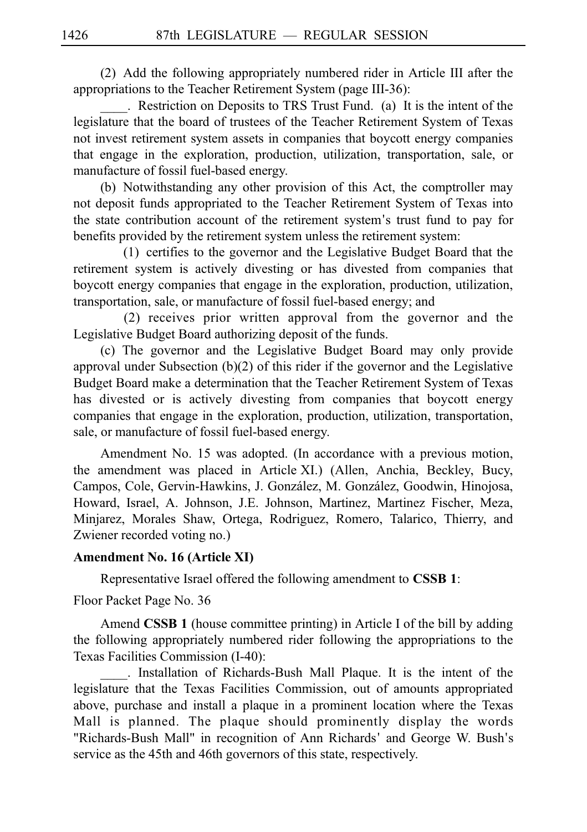(2) Add the following appropriately numbered rider in Article III after the appropriations to the Teacher Retirement System (page III-36):

. Restriction on Deposits to TRS Trust Fund. (a) It is the intent of the legislature that the board of trustees of the Teacher Retirement System of Texas not invest retirement system assets in companies that boycott energy companies that engage in the exploration, production, utilization, transportation, sale, or manufacture of fossil fuel-based energy.

(b) Notwithstanding any other provision of this Act, the comptroller may not deposit funds appropriated to the Teacher Retirement System of Texas into the state contribution account of the retirement system's trust fund to pay for benefits provided by the retirement system unless the retirement system:

 $(1)$  certifies to the governor and the Legislative Budget Board that the retirement system is actively divesting or has divested from companies that boycott energy companies that engage in the exploration, production, utilization, transportation, sale, or manufacture of fossil fuel-based energy; and

 $(2)$  receives prior written approval from the governor and the Legislative Budget Board authorizing deposit of the funds.

(c) The governor and the Legislative Budget Board may only provide approval under Subsection  $(b)(2)$  of this rider if the governor and the Legislative Budget Board make a determination that the Teacher Retirement System of Texas has divested or is actively divesting from companies that boycott energy companies that engage in the exploration, production, utilization, transportation, sale, or manufacture of fossil fuel-based energy.

Amendment No. 15 was adopted. (In accordance with a previous motion, the amendment was placed in Article XI.) (Allen, Anchia, Beckley, Bucy, Campos, Cole, Gervin-Hawkins, J. González, M. González, Goodwin, Hinojosa, Howard, Israel, A. Johnson, J.E. Johnson, Martinez, Martinez Fischer, Meza, Minjarez, Morales Shaw, Ortega, Rodriguez, Romero, Talarico, Thierry, and Zwiener recorded voting no.)

### **Amendment No. 16 (Article XI)**

Representative Israel offered the following amendment to **CSSBi1**:

Floor Packet Page No. 36

Amend **CSSB 1** (house committee printing) in Article I of the bill by adding the following appropriately numbered rider following the appropriations to the Texas Facilities Commission (I-40):

\_\_\_\_.iiInstallation of Richards-Bush Mall Plaque. It is the intent of the legislature that the Texas Facilities Commission, out of amounts appropriated above, purchase and install a plaque in a prominent location where the Texas Mall is planned. The plaque should prominently display the words "Richards-Bush Mall" in recognition of Ann Richards' and George W. Bush's service as the 45th and 46th governors of this state, respectively.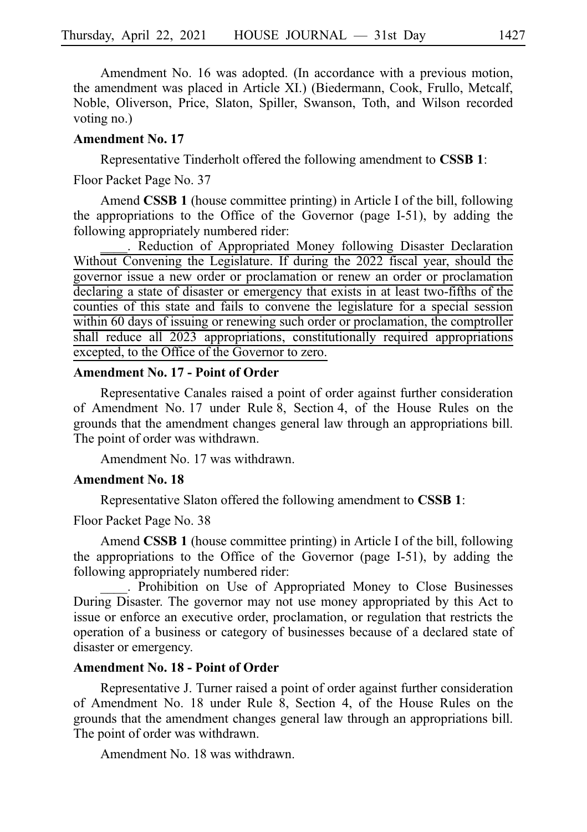Amendment No. 16 was adopted. (In accordance with a previous motion, the amendment was placed in Article XI.) (Biedermann, Cook, Frullo, Metcalf, Noble, Oliverson, Price, Slaton, Spiller, Swanson, Toth, and Wilson recorded voting no.)

### **Amendment No. 17**

Representative Tinderholt offered the following amendment to **CSSBi1**:

Floor Packet Page No. 37

Amend **CSSB 1** (house committee printing) in Article I of the bill, following the appropriations to the Office of the Governor (page I-51), by adding the following appropriately numbered rider:

Reduction of Appropriated Money following Disaster Declaration Without Convening the Legislature. If during the 2022 fiscal year, should the governor issue a new order or proclamation or renew an order or proclamation declaring a state of disaster or emergency that exists in at least two-fifths of the counties of this state and fails to convene the legislature for a special session within 60 days of issuing or renewing such order or proclamation, the comptroller shall reduce all 2023 appropriations, constitutionally required appropriations excepted, to the Office of the Governor to zero.

### **Amendment No. 17 - Point of Order**

Representative Canales raised a point of order against further consideration of Amendment No. 17 under Rule 8, Section 4, of the House Rules on the grounds that the amendment changes general law through an appropriations bill. The point of order was withdrawn.

Amendment No. 17 was withdrawn.

### **Amendment No. 18**

Representative Slaton offered the following amendment to **CSSBi1**:

Floor Packet Page No. 38

Amend **CSSB 1** (house committee printing) in Article I of the bill, following the appropriations to the Office of the Governor (page I-51), by adding the following appropriately numbered rider:

\_\_\_\_.iiProhibition on Use of Appropriated Money to Close Businesses During Disaster. The governor may not use money appropriated by this Act to issue or enforce an executive order, proclamation, or regulation that restricts the operation of a business or category of businesses because of a declared state of disaster or emergency.

### **Amendment No. 18 - Point of Order**

Representative J. Turner raised a point of order against further consideration of Amendment No. 18 under Rule 8, Section 4, of the House Rules on the grounds that the amendment changes general law through an appropriations bill. The point of order was withdrawn.

Amendment No. 18 was withdrawn.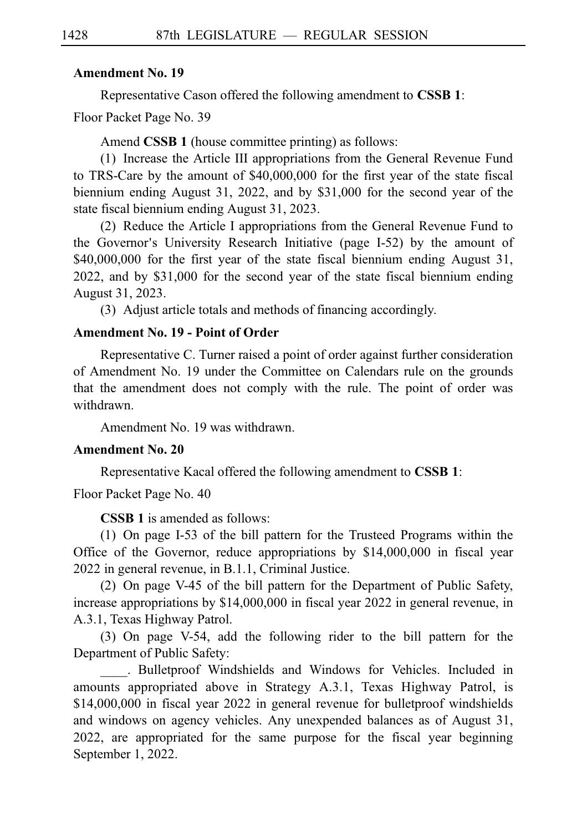### **Amendment No. 19**

Representative Cason offered the following amendment to **CSSBi1**:

Floor Packet Page No. 39

Amend **CSSB 1** (house committee printing) as follows:

(1) Increase the Article III appropriations from the General Revenue Fund to TRS-Care by the amount of \$40,000,000 for the first year of the state fiscal biennium ending August 31, 2022, and by \$31,000 for the second year of the state fiscal biennium ending August 31, 2023.

(2) Reduce the Article I appropriations from the General Revenue Fund to the Governor's University Research Initiative (page I-52) by the amount of \$40,000,000 for the first year of the state fiscal biennium ending August 31, 2022, and by \$31,000 for the second year of the state fiscal biennium ending August 31, 2023.

(3) Adjust article totals and methods of financing accordingly.

### **Amendment No. 19 - Point of Order**

Representative C. Turner raised a point of order against further consideration of Amendment No. 19 under the Committee on Calendars rule on the grounds that the amendment does not comply with the rule. The point of order was withdrawn.

Amendment No. 19 was withdrawn.

### **Amendment No. 20**

Representative Kacal offered the following amendment to **CSSBi1**:

Floor Packet Page No. 40

**CSSB 1** is amended as follows:

(1) On page I-53 of the bill pattern for the Trusteed Programs within the Office of the Governor, reduce appropriations by \$14,000,000 in fiscal year 2022 in general revenue, in B.1.1, Criminal Justice.

(2) On page V-45 of the bill pattern for the Department of Public Safety, increase appropriations by \$14,000,000 in fiscal year 2022 in general revenue, in A.3.1, Texas Highway Patrol.

(3) On page V-54, add the following rider to the bill pattern for the Department of Public Safety:

. Bulletproof Windshields and Windows for Vehicles. Included in amounts appropriated above in Strategy A.3.1, Texas Highway Patrol, is \$14,000,000 in fiscal year 2022 in general revenue for bulletproof windshields and windows on agency vehicles. Any unexpended balances as of August 31, 2022, are appropriated for the same purpose for the fiscal year beginning September 1, 2022.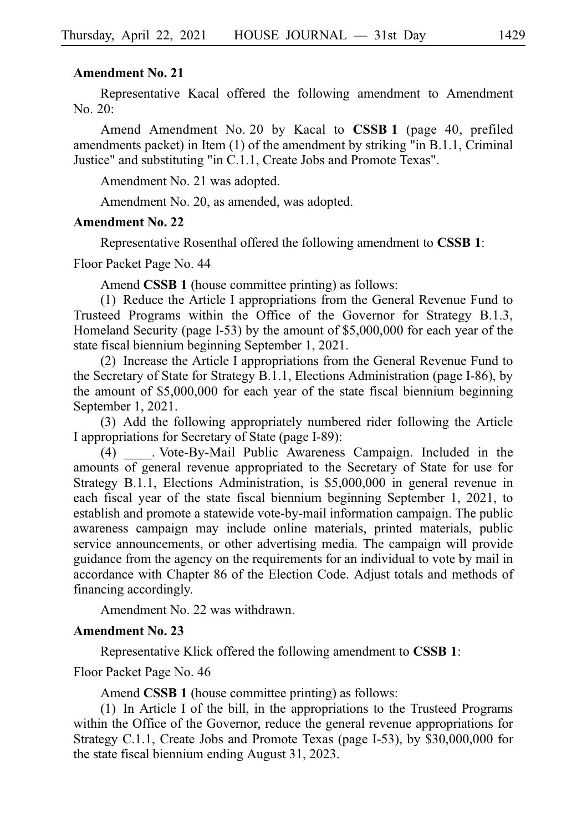### **Amendment No. 21**

Representative Kacal offered the following amendment to Amendment  $No. 20:$ 

Amend Amendment No. 20 by Kacal to **CSSB 1** (page 40, prefiled amendments packet) in Item (1) of the amendment by striking "in B.1.1, Criminal Justice" and substituting "in C.1.1, Create Jobs and Promote Texas".

Amendment No. 21 was adopted.

Amendment No. 20, as amended, was adopted.

### **Amendment No. 22**

Representative Rosenthal offered the following amendment to **CSSBi1**:

Floor Packet Page No. 44

Amend **CSSB 1** (house committee printing) as follows:

 $(1)$  Reduce the Article I appropriations from the General Revenue Fund to Trusteed Programs within the Office of the Governor for Strategy B.1.3, Homeland Security (page I-53) by the amount of \$5,000,000 for each year of the state fiscal biennium beginning September 1, 2021.

(2) Increase the Article I appropriations from the General Revenue Fund to the Secretary of State for Strategy B.1.1, Elections Administration (page I-86), by the amount of \$5,000,000 for each year of the state fiscal biennium beginning September 1, 2021.

(3) Add the following appropriately numbered rider following the Article I appropriations for Secretary of State (page I-89):

(4) Vote-By-Mail Public Awareness Campaign. Included in the amounts of general revenue appropriated to the Secretary of State for use for Strategy B.1.1, Elections Administration, is \$5,000,000 in general revenue in each fiscal year of the state fiscal biennium beginning September 1, 2021, to establish and promote a statewide vote-by-mail information campaign. The public awareness campaign may include online materials, printed materials, public service announcements, or other advertising media. The campaign will provide guidance from the agency on the requirements for an individual to vote by mail in accordance with Chapter 86 of the Election Code. Adjust totals and methods of financing accordingly.

Amendment No. 22 was withdrawn.

### **Amendment No. 23**

Representative Klick offered the following amendment to **CSSBi1**:

### Floor Packet Page No. 46

Amend **CSSB 1** (house committee printing) as follows:

(1) In Article I of the bill, in the appropriations to the Trusteed Programs within the Office of the Governor, reduce the general revenue appropriations for Strategy C.1.1, Create Jobs and Promote Texas (page I-53), by \$30,000,000 for the state fiscal biennium ending August 31, 2023.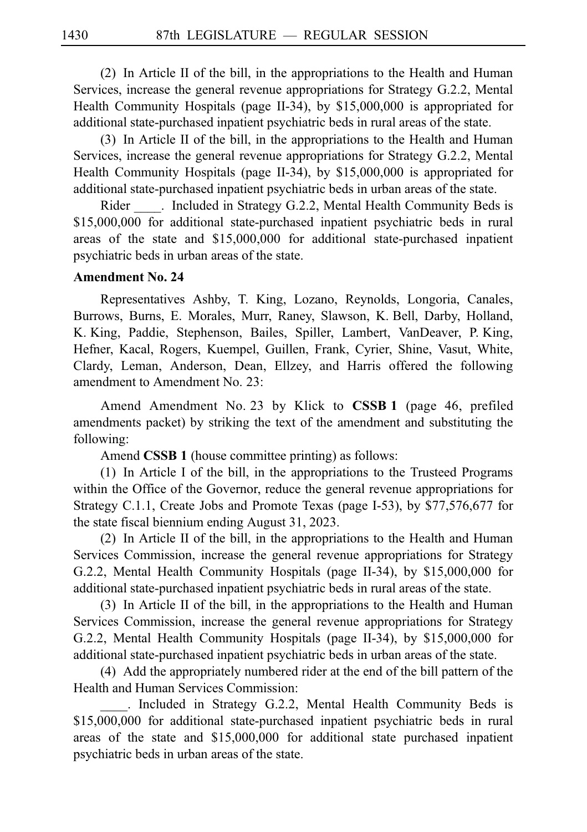$(2)$  In Article II of the bill, in the appropriations to the Health and Human Services, increase the general revenue appropriations for Strategy G.2.2, Mental Health Community Hospitals (page II-34), by \$15,000,000 is appropriated for additional state-purchased inpatient psychiatric beds in rural areas of the state.

(3) In Article II of the bill, in the appropriations to the Health and Human Services, increase the general revenue appropriations for Strategy G.2.2, Mental Health Community Hospitals (page II-34), by \$15,000,000 is appropriated for additional state-purchased inpatient psychiatric beds in urban areas of the state.

Rider . Included in Strategy G.2.2, Mental Health Community Beds is \$15,000,000 for additional state-purchased inpatient psychiatric beds in rural areas of the state and \$15,000,000 for additional state-purchased inpatient psychiatric beds in urban areas of the state.

### **Amendment No. 24**

Representatives Ashby, T. King, Lozano, Reynolds, Longoria, Canales, Burrows, Burns, E. Morales, Murr, Raney, Slawson, K. Bell, Darby, Holland, K. King, Paddie, Stephenson, Bailes, Spiller, Lambert, VanDeaver, P. King, Hefner, Kacal, Rogers, Kuempel, Guillen, Frank, Cyrier, Shine, Vasut, White, Clardy, Leman, Anderson, Dean, Ellzey, and Harris offered the following amendment to Amendment No. 23:

Amend Amendment No. 23 by Klick to **CSSB 1** (page 46, prefiled amendments packet) by striking the text of the amendment and substituting the following:

Amend **CSSB 1** (house committee printing) as follows:

 $(1)$  In Article I of the bill, in the appropriations to the Trusteed Programs within the Office of the Governor, reduce the general revenue appropriations for Strategy C.1.1, Create Jobs and Promote Texas (page I-53), by \$77,576,677 for the state fiscal biennium ending August 31, 2023.

 $(2)$  In Article II of the bill, in the appropriations to the Health and Human Services Commission, increase the general revenue appropriations for Strategy G.2.2, Mental Health Community Hospitals (page II-34), by \$15,000,000 for additional state-purchased inpatient psychiatric beds in rural areas of the state.

(3) In Article II of the bill, in the appropriations to the Health and Human Services Commission, increase the general revenue appropriations for Strategy G.2.2, Mental Health Community Hospitals (page II-34), by \$15,000,000 for additional state-purchased inpatient psychiatric beds in urban areas of the state.

(4) Add the appropriately numbered rider at the end of the bill pattern of the Health and Human Services Commission:

. Included in Strategy G.2.2, Mental Health Community Beds is \$15,000,000 for additional state-purchased inpatient psychiatric beds in rural areas of the state and \$15,000,000 for additional state purchased inpatient psychiatric beds in urban areas of the state.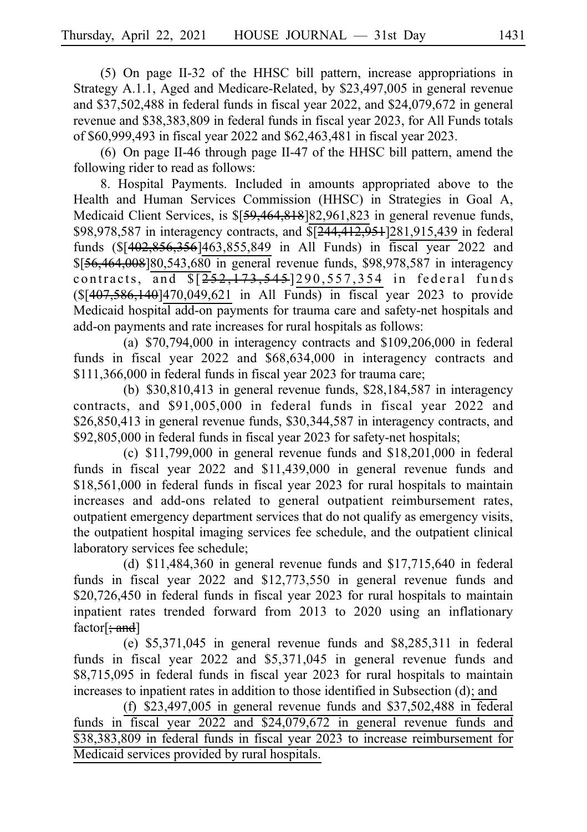$(5)$  On page II-32 of the HHSC bill pattern, increase appropriations in Strategy A.1.1, Aged and Medicare-Related, by \$23,497,005 in general revenue and \$37,502,488 in federal funds in fiscal year 2022, and \$24,079,672 in general revenue and \$38,383,809 in federal funds in fiscal year 2023, for All Funds totals of \$60,999,493 in fiscal year 2022 and \$62,463,481 in fiscal year 2023.

(6) On page II-46 through page II-47 of the HHSC bill pattern, amend the following rider to read as follows:

8. Hospital Payments. Included in amounts appropriated above to the Health and Human Services Commission (HHSC) in Strategies in Goal A, Medicaid Client Services, is \$[59,464,818]82,961,823 in general revenue funds, \$98,978,587 in interagency contracts, and  $\sqrt{244,412,951}$  [281,915,439 in federal funds (\$[402,856,356]463,855,849 in All Funds) in fiscal year 2022 and  $$156,464,008$  180,543,680 in general revenue funds, \$98,978,587 in interagency contracts, and  $\sqrt{252, 173, 545}$  290, 557, 354 in federal funds (\$[407,586,140]470,049,621 in All Funds) in fiscal year 2023 to provide Medicaid hospital add-on payments for trauma care and safety-net hospitals and add-on payments and rate increases for rural hospitals as follows:

(a)  $$70,794,000$  in interagency contracts and  $$109,206,000$  in federal funds in fiscal year 2022 and \$68,634,000 in interagency contracts and \$111,366,000 in federal funds in fiscal year 2023 for trauma care;

(b)  $$30,810,413$  in general revenue funds,  $$28,184,587$  in interagency contracts, and \$91,005,000 in federal funds in fiscal year 2022 and \$26,850,413 in general revenue funds, \$30,344,587 in interagency contracts, and \$92,805,000 in federal funds in fiscal year 2023 for safety-net hospitals;

(c)  $$11,799,000$  in general revenue funds and  $$18,201,000$  in federal funds in fiscal year 2022 and \$11,439,000 in general revenue funds and \$18,561,000 in federal funds in fiscal year 2023 for rural hospitals to maintain increases and add-ons related to general outpatient reimbursement rates, outpatient emergency department services that do not qualify as emergency visits, the outpatient hospital imaging services fee schedule, and the outpatient clinical laboratory services fee schedule;

(d)  $$11,484,360$  in general revenue funds and  $$17,715,640$  in federal funds in fiscal year 2022 and \$12,773,550 in general revenue funds and \$20,726,450 in federal funds in fiscal year 2023 for rural hospitals to maintain inpatient rates trended forward from 2013 to 2020 using an inflationary  $factor[\frac{1}{2}, \frac{1}{2}]$ 

(e)  $$5,371,045$  in general revenue funds and  $$8,285,311$  in federal funds in fiscal year 2022 and \$5,371,045 in general revenue funds and \$8,715,095 in federal funds in fiscal year 2023 for rural hospitals to maintain increases to inpatient rates in addition to those identified in Subsection (d); and

(f)  $$23,497,005$  in general revenue funds and  $$37,502,488$  in federal funds in fiscal year 2022 and \$24,079,672 in general revenue funds and \$38,383,809 in federal funds in fiscal year 2023 to increase reimbursement for Medicaid services provided by rural hospitals.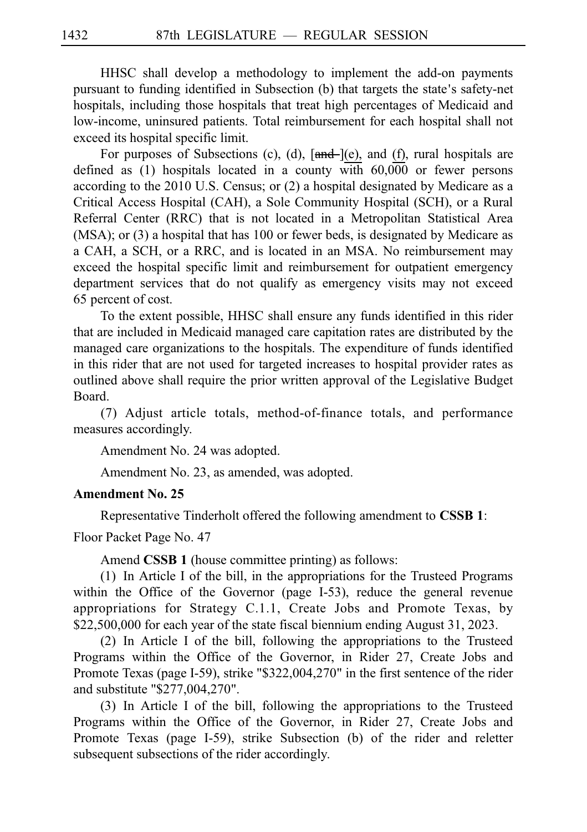HHSC shall develop a methodology to implement the add-on payments pursuant to funding identified in Subsection (b) that targets the state's safety-net hospitals, including those hospitals that treat high percentages of Medicaid and low-income, uninsured patients. Total reimbursement for each hospital shall not exceed its hospital specific limit.

For purposes of Subsections (c), (d),  $[\text{and} -](e)$ , and (f), rural hospitals are defined as (1) hospitals located in a county with 60,000 or fewer persons according to the 2010 U.S. Census; or (2) a hospital designated by Medicare as a Critical Access Hospital (CAH), a Sole Community Hospital (SCH), or a Rural Referral Center (RRC) that is not located in a Metropolitan Statistical Area (MSA); or (3) a hospital that has 100 or fewer beds, is designated by Medicare as a CAH, a SCH, or a RRC, and is located in an MSA. No reimbursement may exceed the hospital specific limit and reimbursement for outpatient emergency department services that do not qualify as emergency visits may not exceed 65 percent of cost.

To the extent possible, HHSC shall ensure any funds identified in this rider that are included in Medicaid managed care capitation rates are distributed by the managed care organizations to the hospitals. The expenditure of funds identified in this rider that are not used for targeted increases to hospital provider rates as outlined above shall require the prior written approval of the Legislative Budget Board.

(7) Adjust article totals, method-of-finance totals, and performance measures accordingly.

Amendment No. 24 was adopted.

Amendment No. 23, as amended, was adopted.

### **Amendment No. 25**

Representative Tinderholt offered the following amendment to **CSSBi1**:

Floor Packet Page No. 47

Amend **CSSB 1** (house committee printing) as follows:

 $(1)$  In Article I of the bill, in the appropriations for the Trusteed Programs within the Office of the Governor (page I-53), reduce the general revenue appropriations for Strategy C.1.1, Create Jobs and Promote Texas, by \$22,500,000 for each year of the state fiscal biennium ending August 31, 2023.

(2) In Article I of the bill, following the appropriations to the Trusteed Programs within the Office of the Governor, in Rider 27, Create Jobs and Promote Texas (page I-59), strike "\$322,004,270" in the first sentence of the rider and substitute "\$277,004,270".

(3) In Article I of the bill, following the appropriations to the Trusteed Programs within the Office of the Governor, in Rider 27, Create Jobs and Promote Texas (page I-59), strike Subsection (b) of the rider and reletter subsequent subsections of the rider accordingly.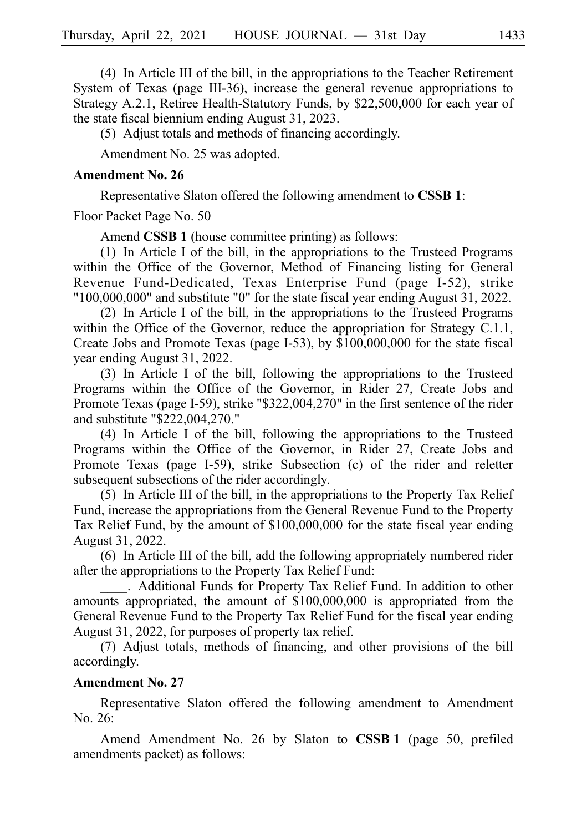$(4)$  In Article III of the bill, in the appropriations to the Teacher Retirement System of Texas (page III-36), increase the general revenue appropriations to Strategy A.2.1, Retiree Health-Statutory Funds, by \$22,500,000 for each year of the state fiscal biennium ending August 31, 2023.

(5) Adjust totals and methods of financing accordingly.

Amendment No. 25 was adopted.

### **Amendment No. 26**

Representative Slaton offered the following amendment to **CSSBi1**:

Floor Packet Page No. 50

Amend **CSSB 1** (house committee printing) as follows:

 $(1)$  In Article I of the bill, in the appropriations to the Trusteed Programs within the Office of the Governor, Method of Financing listing for General Revenue Fund-Dedicated, Texas Enterprise Fund (page I-52), strike "100,000,000" and substitute "0" for the state fiscal year ending August 31, 2022.

 $(2)$  In Article I of the bill, in the appropriations to the Trusteed Programs within the Office of the Governor, reduce the appropriation for Strategy C.1.1, Create Jobs and Promote Texas (page I-53), by \$100,000,000 for the state fiscal year ending August 31, 2022.

(3) In Article I of the bill, following the appropriations to the Trusteed Programs within the Office of the Governor, in Rider 27, Create Jobs and Promote Texas (page I-59), strike "\$322,004,270" in the first sentence of the rider and substitute "\$222,004,270."

 $(4)$  In Article I of the bill, following the appropriations to the Trusteed Programs within the Office of the Governor, in Rider 27, Create Jobs and Promote Texas (page I-59), strike Subsection (c) of the rider and reletter subsequent subsections of the rider accordingly.

 $(5)$  In Article III of the bill, in the appropriations to the Property Tax Relief Fund, increase the appropriations from the General Revenue Fund to the Property Tax Relief Fund, by the amount of \$100,000,000 for the state fiscal year ending August 31, 2022.

 $(6)$  In Article III of the bill, add the following appropriately numbered rider after the appropriations to the Property Tax Relief Fund:

\_\_\_\_.iiAdditional Funds for Property Tax Relief Fund. In addition to other amounts appropriated, the amount of \$100,000,000 is appropriated from the General Revenue Fund to the Property Tax Relief Fund for the fiscal year ending August 31, 2022, for purposes of property tax relief.

(7) Adjust totals, methods of financing, and other provisions of the bill accordingly.

### **Amendment No. 27**

Representative Slaton offered the following amendment to Amendment No. 26:

Amend Amendment No. 26 by Slaton to CSSB 1 (page 50, prefiled amendments packet) as follows: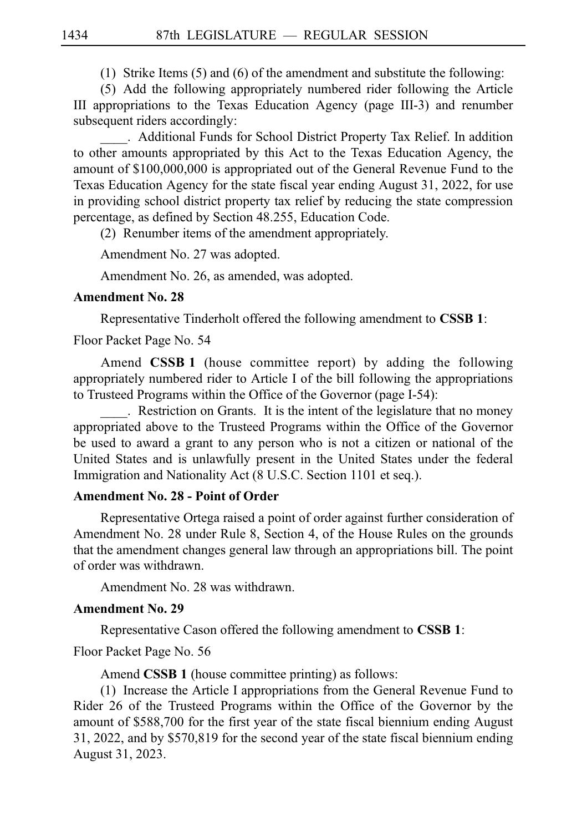(1) Strike Items  $(5)$  and  $(6)$  of the amendment and substitute the following:

(5) Add the following appropriately numbered rider following the Article III appropriations to the Texas Education Agency (page III-3) and renumber subsequent riders accordingly:

\_\_\_\_.iiAdditional Funds for School District Property Tax Relief. In addition to other amounts appropriated by this Act to the Texas Education Agency, the amount of \$100,000,000 is appropriated out of the General Revenue Fund to the Texas Education Agency for the state fiscal year ending August 31, 2022, for use in providing school district property tax relief by reducing the state compression percentage, as defined by Section 48.255, Education Code.

(2) Renumber items of the amendment appropriately.

Amendment No. 27 was adopted.

Amendment No. 26, as amended, was adopted.

### **Amendment No. 28**

Representative Tinderholt offered the following amendment to **CSSBi1**:

Floor Packet Page No. 54

Amend **CSSB 1** (house committee report) by adding the following appropriately numbered rider to Article I of the bill following the appropriations to Trusteed Programs within the Office of the Governor (page I-54):

. Restriction on Grants. It is the intent of the legislature that no money appropriated above to the Trusteed Programs within the Office of the Governor be used to award a grant to any person who is not a citizen or national of the United States and is unlawfully present in the United States under the federal Immigration and Nationality Act (8 U.S.C. Section 1101 et seq.).

### **Amendment No. 28 - Point of Order**

Representative Ortega raised a point of order against further consideration of Amendment No. 28 under Rule 8, Section 4, of the House Rules on the grounds that the amendment changes general law through an appropriations bill. The point of order was withdrawn.

Amendment No. 28 was withdrawn.

### **Amendment No. 29**

Representative Cason offered the following amendment to **CSSBi1**:

Floor Packet Page No. 56

Amend **CSSB 1** (house committee printing) as follows:

(1) Increase the Article I appropriations from the General Revenue Fund to Rider 26 of the Trusteed Programs within the Office of the Governor by the amount of \$588,700 for the first year of the state fiscal biennium ending August 31, 2022, and by \$570,819 for the second year of the state fiscal biennium ending August 31, 2023.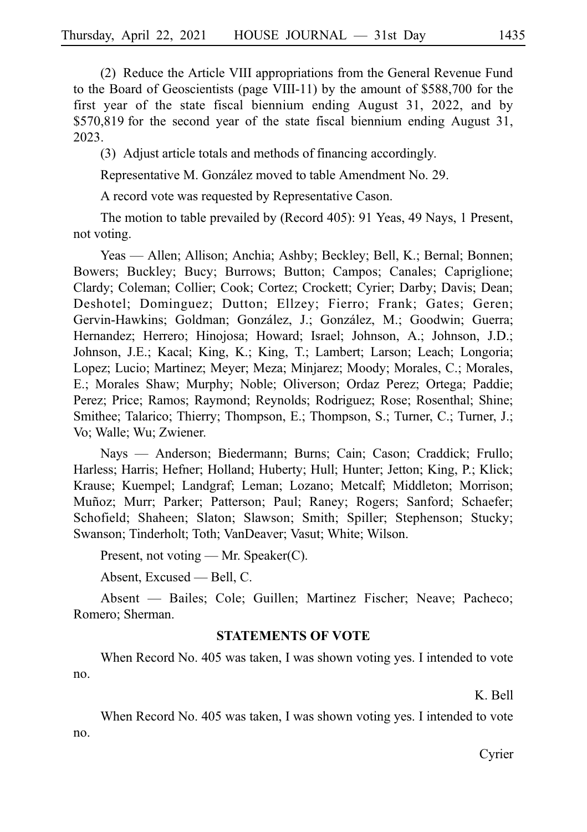(2) Reduce the Article VIII appropriations from the General Revenue Fund to the Board of Geoscientists (page VIII-11) by the amount of \$588,700 for the first year of the state fiscal biennium ending August 31, 2022, and by  $$570,819$  for the second year of the state fiscal biennium ending August 31, 2023.

(3) Adjust article totals and methods of financing accordingly.

Representative M. González moved to table Amendment No. 29.

A record vote was requested by Representative Cason.

The motion to table prevailed by (Record 405): 91 Yeas, 49 Nays, 1 Present, not voting.

Yeas — Allen; Allison; Anchia; Ashby; Beckley; Bell, K.; Bernal; Bonnen; Bowers; Buckley; Bucy; Burrows; Button; Campos; Canales; Capriglione; Clardy; Coleman; Collier; Cook; Cortez; Crockett; Cyrier; Darby; Davis; Dean; Deshotel; Dominguez; Dutton; Ellzey; Fierro; Frank; Gates; Geren; Gervin-Hawkins; Goldman; González, J.; González, M.; Goodwin; Guerra; Hernandez; Herrero; Hinojosa; Howard; Israel; Johnson, A.; Johnson, J.D.; Johnson, J.E.; Kacal; King, K.; King, T.; Lambert; Larson; Leach; Longoria; Lopez; Lucio; Martinez; Meyer; Meza; Minjarez; Moody; Morales, C.; Morales, E.; Morales Shaw; Murphy; Noble; Oliverson; Ordaz Perez; Ortega; Paddie; Perez; Price; Ramos; Raymond; Reynolds; Rodriguez; Rose; Rosenthal; Shine; Smithee; Talarico; Thierry; Thompson, E.; Thompson, S.; Turner, C.; Turner, J.; Vo; Walle; Wu; Zwiener.

Nays — Anderson; Biedermann; Burns; Cain; Cason; Craddick; Frullo; Harless; Harris; Hefner; Holland; Huberty; Hull; Hunter; Jetton; King, P.; Klick; Krause; Kuempel; Landgraf; Leman; Lozano; Metcalf; Middleton; Morrison; Muñoz; Murr; Parker; Patterson; Paul; Raney; Rogers; Sanford; Schaefer; Schofield; Shaheen; Slaton; Slawson; Smith; Spiller; Stephenson; Stucky; Swanson; Tinderholt; Toth; VanDeaver; Vasut; White; Wilson.

Present, not voting — Mr. Speaker(C).

Absent, Excused — Bell, C.

Absent — Bailes; Cole; Guillen; Martinez Fischer; Neave; Pacheco; Romero; Sherman.

### **STATEMENTS OF VOTE**

When Record No. 405 was taken, I was shown voting yes. I intended to vote no.

K. Bell

When Record No. 405 was taken, I was shown voting yes. I intended to vote no.

Cyrier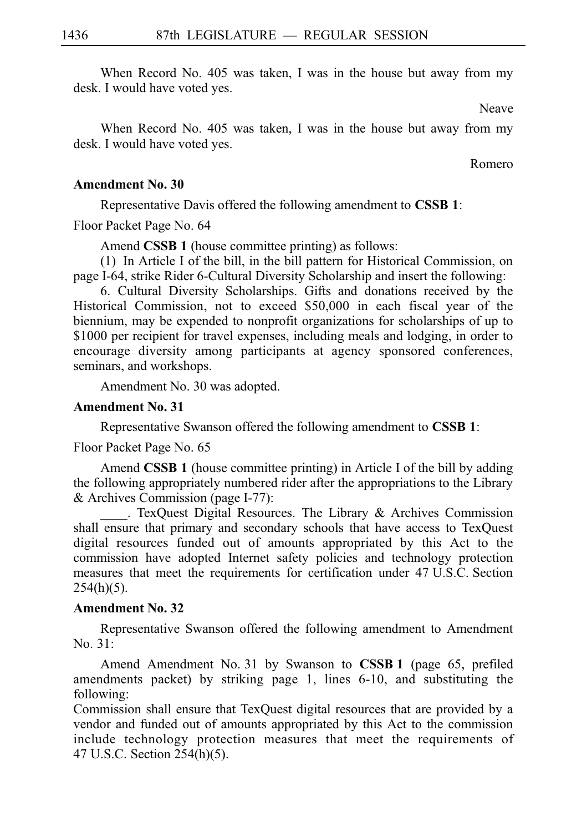When Record No. 405 was taken, I was in the house but away from my desk. I would have voted yes.

Neave

When Record No. 405 was taken, I was in the house but away from my desk. I would have voted yes.

Romero

### **Amendment No. 30**

Representative Davis offered the following amendment to **CSSBi1**:

Floor Packet Page No. 64

Amend **CSSB 1** (house committee printing) as follows:

(1) In Article I of the bill, in the bill pattern for Historical Commission, on page I-64, strike Rider 6-Cultural Diversity Scholarship and insert the following:

6. Cultural Diversity Scholarships. Gifts and donations received by the Historical Commission, not to exceed \$50,000 in each fiscal year of the biennium, may be expended to nonprofit organizations for scholarships of up to \$1000 per recipient for travel expenses, including meals and lodging, in order to encourage diversity among participants at agency sponsored conferences, seminars, and workshops.

Amendment No. 30 was adopted.

### **Amendment No. 31**

Representative Swanson offered the following amendment to **CSSBi1**:

Floor Packet Page No. 65

Amend **CSSB 1** (house committee printing) in Article I of the bill by adding the following appropriately numbered rider after the appropriations to the Library & Archives Commission (page I-77):

. TexQuest Digital Resources. The Library & Archives Commission shall ensure that primary and secondary schools that have access to TexQuest digital resources funded out of amounts appropriated by this Act to the commission have adopted Internet safety policies and technology protection measures that meet the requirements for certification under 47 U.S.C. Section  $254(h)(5)$ .

### **Amendment No. 32**

Representative Swanson offered the following amendment to Amendment  $No. 31:$ 

Amend Amendment No. 31 by Swanson to **CSSB 1** (page 65, prefiled amendments packet) by striking page 1, lines 6-10, and substituting the following:

Commission shall ensure that TexQuest digital resources that are provided by a vendor and funded out of amounts appropriated by this Act to the commission include technology protection measures that meet the requirements of 47 U.S.C. Section 254(h)(5).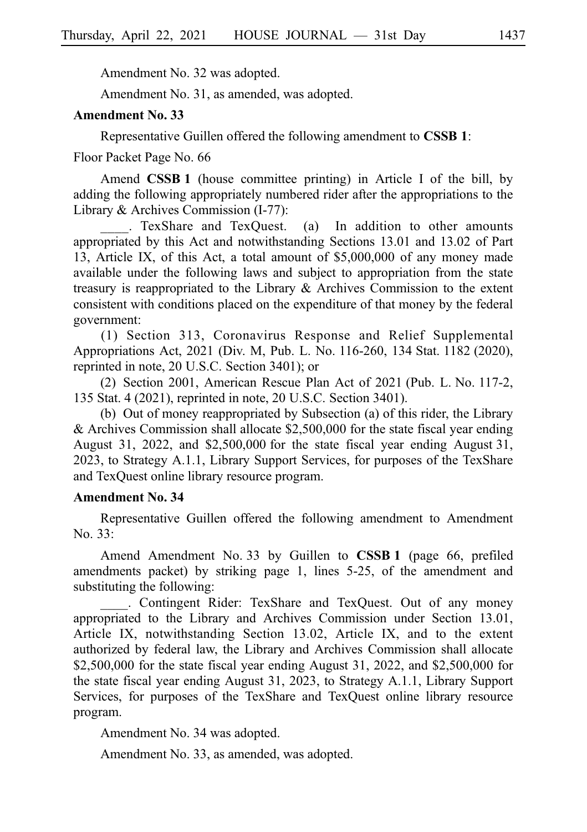Amendment No. 32 was adopted.

Amendment No. 31, as amended, was adopted.

#### **Amendment No. 33**

Representative Guillen offered the following amendment to **CSSBi1**:

Floor Packet Page No. 66

Amend **CSSB 1** (house committee printing) in Article I of the bill, by adding the following appropriately numbered rider after the appropriations to the Library & Archives Commission (I-77):

. TexShare and TexQuest. (a) In addition to other amounts appropriated by this Act and notwithstanding Sections 13.01 and 13.02 of Part 13, Article IX, of this Act, a total amount of \$5,000,000 of any money made available under the following laws and subject to appropriation from the state treasury is reappropriated to the Library & Archives Commission to the extent consistent with conditions placed on the expenditure of that money by the federal government:

(1) Section 313, Coronavirus Response and Relief Supplemental Appropriations Act, 2021 (Div. M, Pub. L. No. 116-260, 134 Stat. 1182 (2020), reprinted in note, 20 U.S.C. Section 3401); or

(2) Section 2001, American Rescue Plan Act of 2021 (Pub. L. No. 117-2, 135 Stat. 4 (2021), reprinted in note, 20 U.S.C. Section 3401).

(b) Out of money reappropriated by Subsection (a) of this rider, the Library & Archives Commission shall allocate  $$2,500,000$  for the state fiscal year ending August 31, 2022, and  $$2,500,000$  for the state fiscal year ending August 31, 2023, to Strategy A.1.1, Library Support Services, for purposes of the TexShare and TexQuest online library resource program.

#### **Amendment No. 34**

Representative Guillen offered the following amendment to Amendment No. 33:

Amend Amendment No. 33 by Guillen to **CSSB 1** (page 66, prefiled amendments packet) by striking page 1, lines 5-25, of the amendment and substituting the following:

\_\_\_\_. Contingent Rider: TexShare and TexQuest. Out of any money appropriated to the Library and Archives Commission under Section 13.01, Article IX, notwithstanding Section 13.02, Article IX, and to the extent authorized by federal law, the Library and Archives Commission shall allocate \$2,500,000 for the state fiscal year ending August 31, 2022, and \$2,500,000 for the state fiscal year ending August 31, 2023, to Strategy A.1.1, Library Support Services, for purposes of the TexShare and TexQuest online library resource program.

Amendment No. 34 was adopted.

Amendment No. 33, as amended, was adopted.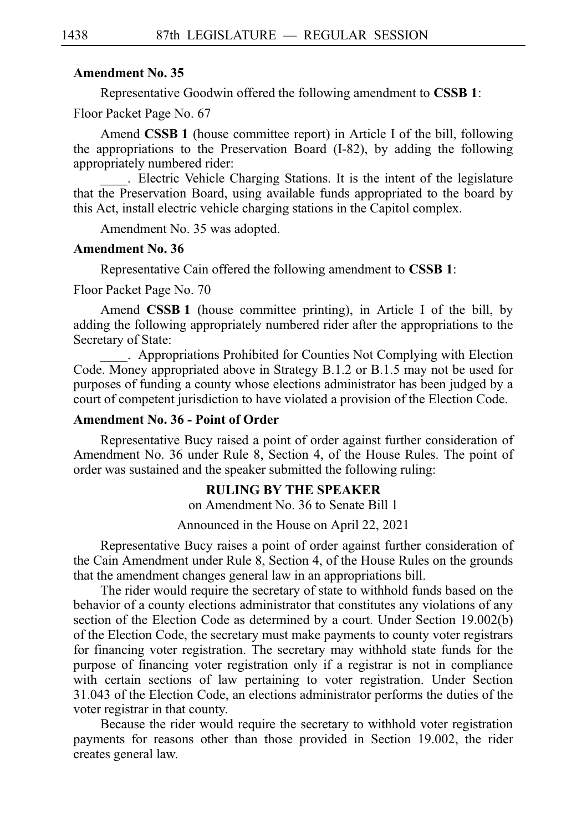#### **Amendment No. 35**

Representative Goodwin offered the following amendment to **CSSBi1**:

Floor Packet Page No. 67

Amend **CSSB 1** (house committee report) in Article I of the bill, following the appropriations to the Preservation Board (I-82), by adding the following appropriately numbered rider:

. Electric Vehicle Charging Stations. It is the intent of the legislature that the Preservation Board, using available funds appropriated to the board by this Act, install electric vehicle charging stations in the Capitol complex.

Amendment No. 35 was adopted.

#### **Amendment No. 36**

Representative Cain offered the following amendment to **CSSBi1**:

Floor Packet Page No. 70

Amend **CSSB 1** (house committee printing), in Article I of the bill, by adding the following appropriately numbered rider after the appropriations to the Secretary of State:

\_\_\_\_.iiAppropriations Prohibited for Counties Not Complying with Election Code. Money appropriated above in Strategy B.1.2 or B.1.5 may not be used for purposes of funding a county whose elections administrator has been judged by a court of competent jurisdiction to have violated a provision of the Election Code.

#### **Amendment No. 36 - Point of Order**

Representative Bucy raised a point of order against further consideration of Amendment No. 36 under Rule 8, Section 4, of the House Rules. The point of order was sustained and the speaker submitted the following ruling:

#### **RULING BY THE SPEAKER**

on Amendment No. 36 to Senate Bill 1

Announced in the House on April 22, 2021

Representative Bucy raises a point of order against further consideration of the Cain Amendment under Rule 8, Section 4, of the House Rules on the grounds that the amendment changes general law in an appropriations bill.

The rider would require the secretary of state to withhold funds based on the behavior of a county elections administrator that constitutes any violations of any section of the Election Code as determined by a court. Under Section 19.002(b) of the Election Code, the secretary must make payments to county voter registrars for financing voter registration. The secretary may withhold state funds for the purpose of financing voter registration only if a registrar is not in compliance with certain sections of law pertaining to voter registration. Under Section 31.043 of the Election Code, an elections administrator performs the duties of the voter registrar in that county.

Because the rider would require the secretary to withhold voter registration payments for reasons other than those provided in Section 19.002, the rider creates general law.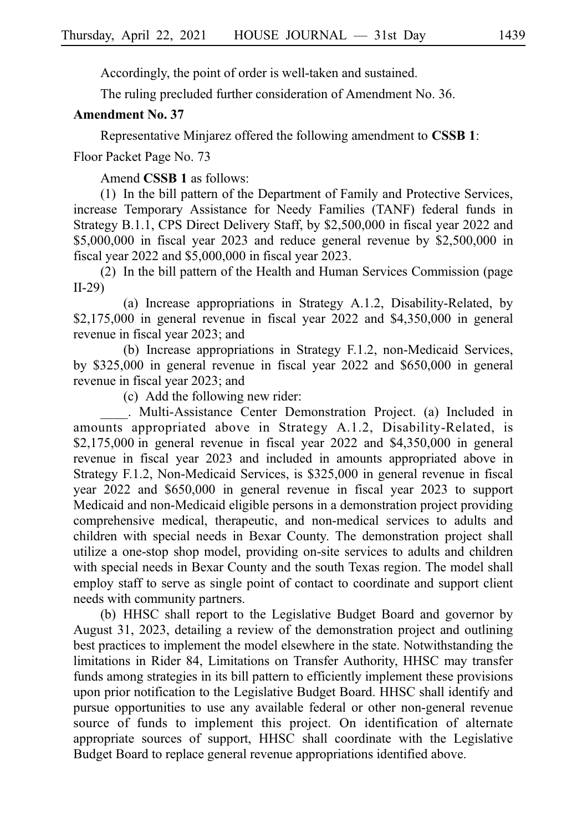Accordingly, the point of order is well-taken and sustained.

The ruling precluded further consideration of Amendment No. 36.

#### **Amendment No. 37**

Representative Minjarez offered the following amendment to **CSSB 1**:

Floor Packet Page No. 73

Amend **CSSB 1** as follows:

(1) In the bill pattern of the Department of Family and Protective Services, increase Temporary Assistance for Needy Families (TANF) federal funds in Strategy B.1.1, CPS Direct Delivery Staff, by \$2,500,000 in fiscal year 2022 and \$5,000,000 in fiscal year 2023 and reduce general revenue by \$2,500,000 in fiscal year 2022 and \$5,000,000 in fiscal year 2023.

 $(2)$  In the bill pattern of the Health and Human Services Commission (page) II-29)

(a) Increase appropriations in Strategy A.1.2, Disability-Related, by \$2,175,000 in general revenue in fiscal year 2022 and \$4,350,000 in general revenue in fiscal year 2023; and

(b) Increase appropriations in Strategy F.1.2, non-Medicaid Services, by \$325,000 in general revenue in fiscal year 2022 and \$650,000 in general revenue in fiscal year 2023; and

(c) Add the following new rider:

. Multi-Assistance Center Demonstration Project. (a) Included in amounts appropriated above in Strategy A.1.2, Disability-Related, is  $$2,175,000$  in general revenue in fiscal year 2022 and  $$4,350,000$  in general revenue in fiscal year 2023 and included in amounts appropriated above in Strategy F.1.2, Non-Medicaid Services, is \$325,000 in general revenue in fiscal year 2022 and \$650,000 in general revenue in fiscal year 2023 to support Medicaid and non-Medicaid eligible persons in a demonstration project providing comprehensive medical, therapeutic, and non-medical services to adults and children with special needs in Bexar County. The demonstration project shall utilize a one-stop shop model, providing on-site services to adults and children with special needs in Bexar County and the south Texas region. The model shall employ staff to serve as single point of contact to coordinate and support client needs with community partners.

(b) HHSC shall report to the Legislative Budget Board and governor by August 31, 2023, detailing a review of the demonstration project and outlining best practices to implement the model elsewhere in the state. Notwithstanding the limitations in Rider 84, Limitations on Transfer Authority, HHSC may transfer funds among strategies in its bill pattern to efficiently implement these provisions upon prior notification to the Legislative Budget Board. HHSC shall identify and pursue opportunities to use any available federal or other non-general revenue source of funds to implement this project. On identification of alternate appropriate sources of support, HHSC shall coordinate with the Legislative Budget Board to replace general revenue appropriations identified above.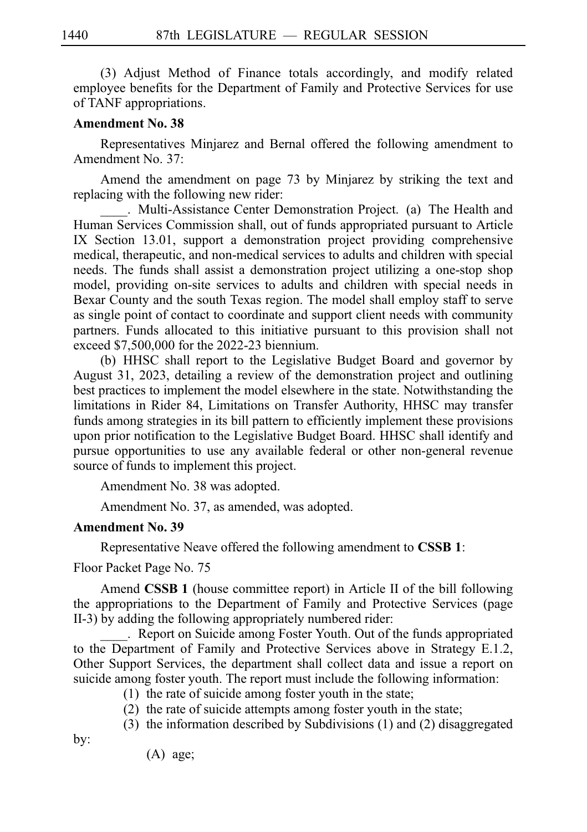(3) Adjust Method of Finance totals accordingly, and modify related employee benefits for the Department of Family and Protective Services for use of TANF appropriations.

#### **Amendment No. 38**

Representatives Minjarez and Bernal offered the following amendment to Amendment No. 37:

Amend the amendment on page 73 by Minjarez by striking the text and replacing with the following new rider:

. Multi-Assistance Center Demonstration Project. (a) The Health and Human Services Commission shall, out of funds appropriated pursuant to Article IX Section 13.01, support a demonstration project providing comprehensive medical, therapeutic, and non-medical services to adults and children with special needs. The funds shall assist a demonstration project utilizing a one-stop shop model, providing on-site services to adults and children with special needs in Bexar County and the south Texas region. The model shall employ staff to serve as single point of contact to coordinate and support client needs with community partners. Funds allocated to this initiative pursuant to this provision shall not exceed \$7,500,000 for the 2022-23 biennium.

(b) HHSC shall report to the Legislative Budget Board and governor by August 31, 2023, detailing a review of the demonstration project and outlining best practices to implement the model elsewhere in the state. Notwithstanding the limitations in Rider 84, Limitations on Transfer Authority, HHSC may transfer funds among strategies in its bill pattern to efficiently implement these provisions upon prior notification to the Legislative Budget Board. HHSC shall identify and pursue opportunities to use any available federal or other non-general revenue source of funds to implement this project.

Amendment No. 38 was adopted.

Amendment No. 37, as amended, was adopted.

#### **Amendment No. 39**

Representative Neave offered the following amendment to **CSSB 1**:

Floor Packet Page No. 75

Amend **CSSB 1** (house committee report) in Article II of the bill following the appropriations to the Department of Family and Protective Services (page II-3) by adding the following appropriately numbered rider:

. Report on Suicide among Foster Youth. Out of the funds appropriated to the Department of Family and Protective Services above in Strategy E.1.2, Other Support Services, the department shall collect data and issue a report on suicide among foster youth. The report must include the following information:

- $(1)$  the rate of suicide among foster youth in the state;
- $(2)$  the rate of suicide attempts among foster youth in the state;
- $(3)$  the information described by Subdivisions (1) and (2) disaggregated

by:

 $(A)$  age;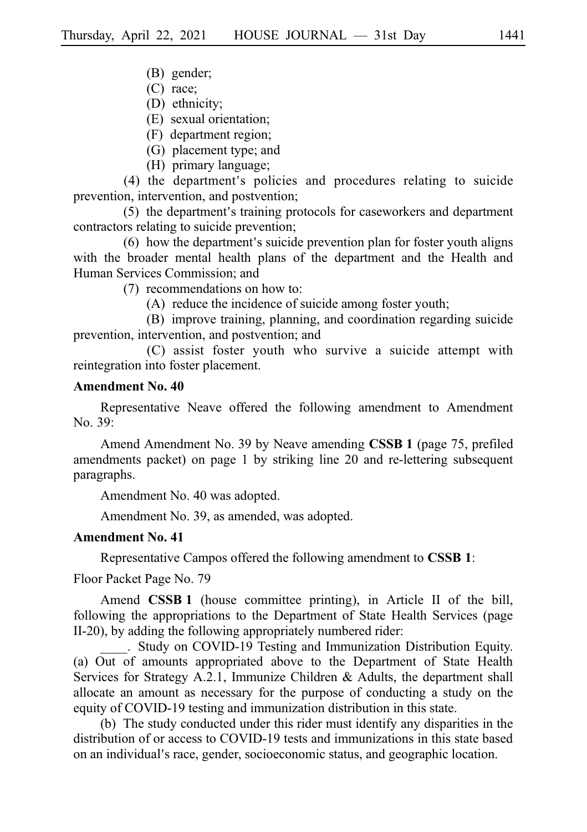- (B) gender;
- $(C)$  race;
- (D) ethnicity;
- (E) sexual orientation;
- (F) department region;
- (G) placement type; and
- (H) primary language;

(4) the department's policies and procedures relating to suicide prevention, intervention, and postvention;

 $(5)$  the department's training protocols for caseworkers and department contractors relating to suicide prevention;

 $(6)$  how the department's suicide prevention plan for foster youth aligns with the broader mental health plans of the department and the Health and Human Services Commission; and

 $(7)$  recommendations on how to:

 $(A)$  reduce the incidence of suicide among foster youth;

(B) improve training, planning, and coordination regarding suicide prevention, intervention, and postvention; and

(C) assist foster youth who survive a suicide attempt with reintegration into foster placement.

#### **Amendment No. 40**

Representative Neave offered the following amendment to Amendment No. 39:

Amend Amendment No. 39 by Neave amending **CSSB 1** (page 75, prefiled amendments packet) on page 1 by striking line 20 and re-lettering subsequent paragraphs.

Amendment No. 40 was adopted.

Amendment No. 39, as amended, was adopted.

#### **Amendment No. 41**

Representative Campos offered the following amendment to **CSSBi1**:

Floor Packet Page No. 79

Amend **CSSB 1** (house committee printing), in Article II of the bill, following the appropriations to the Department of State Health Services (page II-20), by adding the following appropriately numbered rider:

. Study on COVID-19 Testing and Immunization Distribution Equity. (a) Out of amounts appropriated above to the Department of State Health Services for Strategy A.2.1, Immunize Children & Adults, the department shall allocate an amount as necessary for the purpose of conducting a study on the equity of COVID-19 testing and immunization distribution in this state.

(b) The study conducted under this rider must identify any disparities in the distribution of or access to COVID-19 tests and immunizations in this state based on an individual's race, gender, socioeconomic status, and geographic location.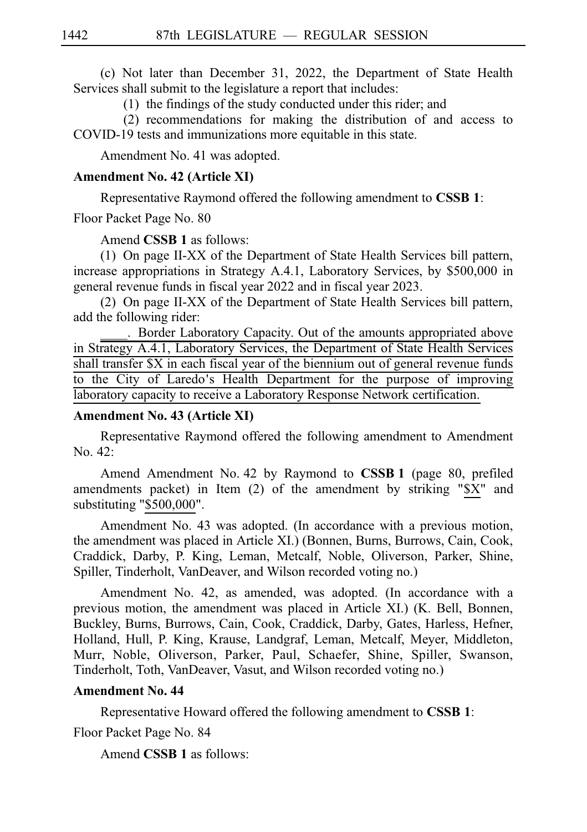(c) Not later than December 31, 2022, the Department of State Health Services shall submit to the legislature a report that includes:

 $(1)$  the findings of the study conducted under this rider; and

 $(2)$  recommendations for making the distribution of and access to COVID-19 tests and immunizations more equitable in this state.

Amendment No. 41 was adopted.

#### **Amendment No. 42 (Article XI)**

Representative Raymond offered the following amendment to **CSSBi1**:

Floor Packet Page No. 80

Amend **CSSB 1** as follows:

(1) On page II-XX of the Department of State Health Services bill pattern, increase appropriations in Strategy A.4.1, Laboratory Services, by \$500,000 in general revenue funds in fiscal year 2022 and in fiscal year 2023.

(2) On page II-XX of the Department of State Health Services bill pattern, add the following rider:

\_\_\_\_.iiBorder Laboratory Capacity. Out of the amounts appropriated above in Strategy A.4.1, Laboratory Services, the Department of State Health Services shall transfer \$X in each fiscal year of the biennium out of general revenue funds to the City of Laredo's Health Department for the purpose of improving laboratory capacity to receive a Laboratory Response Network certification.

### **Amendment No. 43 (Article XI)**

Representative Raymond offered the following amendment to Amendment No. 42:

Amend Amendment No. 42 by Raymond to **CSSB 1** (page 80, prefiled amendments packet) in Item (2) of the amendment by striking "\$X" and substituting "\$500,000".

Amendment No. 43 was adopted. (In accordance with a previous motion, the amendment was placed in Article XI.) (Bonnen, Burns, Burrows, Cain, Cook, Craddick, Darby, P. King, Leman, Metcalf, Noble, Oliverson, Parker, Shine, Spiller, Tinderholt, VanDeaver, and Wilson recorded voting no.)

Amendment No. 42, as amended, was adopted. (In accordance with a previous motion, the amendment was placed in Article XI.) (K. Bell, Bonnen, Buckley, Burns, Burrows, Cain, Cook, Craddick, Darby, Gates, Harless, Hefner, Holland, Hull, P. King, Krause, Landgraf, Leman, Metcalf, Meyer, Middleton, Murr, Noble, Oliverson, Parker, Paul, Schaefer, Shine, Spiller, Swanson, Tinderholt, Toth, VanDeaver, Vasut, and Wilson recorded voting no.)

#### **Amendment No. 44**

Representative Howard offered the following amendment to **CSSBi1**:

Floor Packet Page No. 84

Amend **CSSB 1** as follows: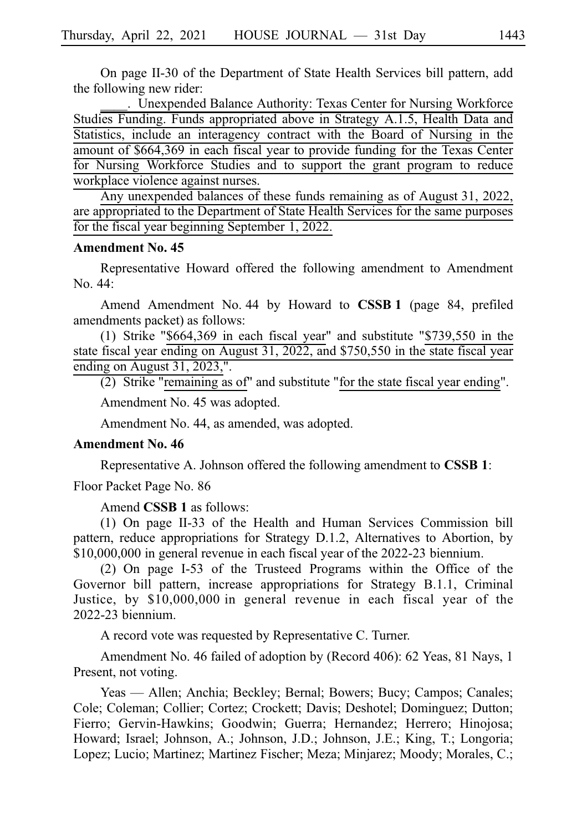On page II-30 of the Department of State Health Services bill pattern, add the following new rider:

\_\_\_\_.iiUnexpended Balance Authority: Texas Center for Nursing Workforce Studies Funding. Funds appropriated above in Strategy A.1.5, Health Data and Statistics, include an interagency contract with the Board of Nursing in the amount of \$664,369 in each fiscal year to provide funding for the Texas Center for Nursing Workforce Studies and to support the grant program to reduce workplace violence against nurses.

Any unexpended balances of these funds remaining as of August 31, 2022, are appropriated to the Department of State Health Services for the same purposes for the fiscal year beginning September 1, 2022.

#### **Amendment No. 45**

Representative Howard offered the following amendment to Amendment  $No. 44:$ 

Amend Amendment No. 44 by Howard to **CSSB 1** (page 84, prefiled amendments packet) as follows:

(1) Strike "\$664,369 in each fiscal year" and substitute "\$739,550 in the state fiscal year ending on August 31, 2022, and \$750,550 in the state fiscal year ending on August 31, 2023,".

 $(2)$  Strike "remaining as of" and substitute "for the state fiscal year ending". Amendment No. 45 was adopted.

Amendment No. 44, as amended, was adopted.

#### **Amendment No. 46**

Representative A. Johnson offered the following amendment to **CSSB 1**:

Floor Packet Page No. 86

Amend **CSSB 1** as follows:

 $(1)$  On page II-33 of the Health and Human Services Commission bill pattern, reduce appropriations for Strategy D.1.2, Alternatives to Abortion, by  $$10,000,000$  in general revenue in each fiscal year of the 2022-23 biennium.

 $(2)$  On page I-53 of the Trusteed Programs within the Office of the Governor bill pattern, increase appropriations for Strategy B.1.1, Criminal Justice, by \$10,000,000 in general revenue in each fiscal year of the  $2022-23$  biennium.

A record vote was requested by Representative C. Turner.

Amendment No. 46 failed of adoption by (Record 406): 62 Yeas, 81 Nays, 1 Present, not voting.

Yeas — Allen; Anchia; Beckley; Bernal; Bowers; Bucy; Campos; Canales; Cole; Coleman; Collier; Cortez; Crockett; Davis; Deshotel; Dominguez; Dutton; Fierro; Gervin-Hawkins; Goodwin; Guerra; Hernandez; Herrero; Hinojosa; Howard; Israel; Johnson, A.; Johnson, J.D.; Johnson, J.E.; King, T.; Longoria; Lopez; Lucio; Martinez; Martinez Fischer; Meza; Minjarez; Moody; Morales, C.;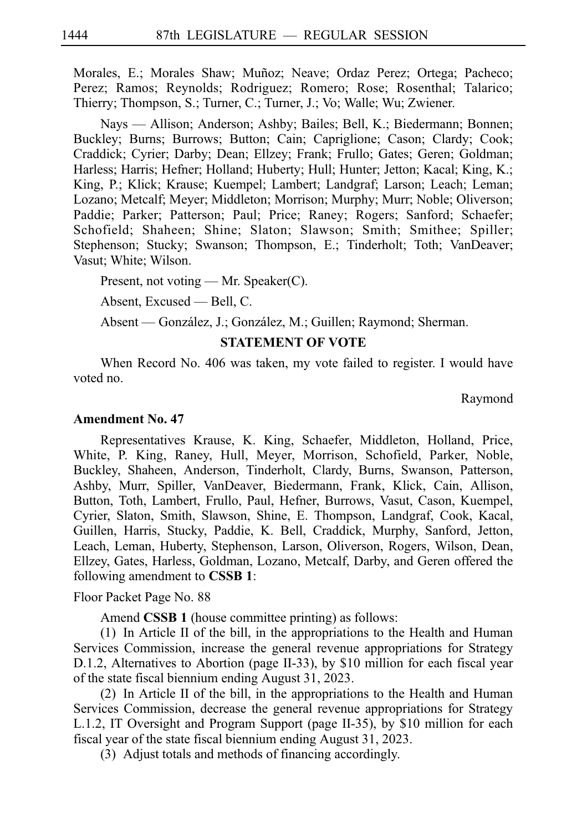Morales, E.; Morales Shaw; Muñoz; Neave; Ordaz Perez; Ortega; Pacheco; Perez; Ramos; Reynolds; Rodriguez; Romero; Rose; Rosenthal; Talarico; Thierry; Thompson, S.; Turner, C.; Turner, J.; Vo; Walle; Wu; Zwiener.

Nays — Allison; Anderson; Ashby; Bailes; Bell, K.; Biedermann; Bonnen; Buckley; Burns; Burrows; Button; Cain; Capriglione; Cason; Clardy; Cook; Craddick; Cyrier; Darby; Dean; Ellzey; Frank; Frullo; Gates; Geren; Goldman; Harless; Harris; Hefner; Holland; Huberty; Hull; Hunter; Jetton; Kacal; King, K.; King, P.; Klick; Krause; Kuempel; Lambert; Landgraf; Larson; Leach; Leman; Lozano; Metcalf; Meyer; Middleton; Morrison; Murphy; Murr; Noble; Oliverson; Paddie; Parker; Patterson; Paul; Price; Raney; Rogers; Sanford; Schaefer; Schofield; Shaheen; Shine; Slaton; Slawson; Smith; Smithee; Spiller; Stephenson; Stucky; Swanson; Thompson, E.; Tinderholt; Toth; VanDeaver; Vasut; White; Wilson.

Present, not voting — Mr. Speaker(C).

Absent, Excused — Bell, C.

Absent — González, J.; González, M.; Guillen; Raymond; Sherman.

#### **STATEMENT OF VOTE**

When Record No. 406 was taken, my vote failed to register. I would have voted no.

Raymond

#### **Amendment No. 47**

Representatives Krause, K. King, Schaefer, Middleton, Holland, Price, White, P. King, Raney, Hull, Meyer, Morrison, Schofield, Parker, Noble, Buckley, Shaheen, Anderson, Tinderholt, Clardy, Burns, Swanson, Patterson, Ashby, Murr, Spiller, VanDeaver, Biedermann, Frank, Klick, Cain, Allison, Button, Toth, Lambert, Frullo, Paul, Hefner, Burrows, Vasut, Cason, Kuempel, Cyrier, Slaton, Smith, Slawson, Shine, E. Thompson, Landgraf, Cook, Kacal, Guillen, Harris, Stucky, Paddie, K. Bell, Craddick, Murphy, Sanford, Jetton, Leach, Leman, Huberty, Stephenson, Larson, Oliverson, Rogers, Wilson, Dean, Ellzey, Gates, Harless, Goldman, Lozano, Metcalf, Darby, and Geren offered the following amendment to **CSSBi1**:

Floor Packet Page No. 88

Amend **CSSB 1** (house committee printing) as follows:

 $(1)$  In Article II of the bill, in the appropriations to the Health and Human Services Commission, increase the general revenue appropriations for Strategy D.1.2, Alternatives to Abortion (page II-33), by \$10 million for each fiscal year of the state fiscal biennium ending August 31, 2023.

(2) In Article II of the bill, in the appropriations to the Health and Human Services Commission, decrease the general revenue appropriations for Strategy L.1.2, IT Oversight and Program Support (page II-35), by \$10 million for each fiscal year of the state fiscal biennium ending August 31, 2023.

(3) Adjust totals and methods of financing accordingly.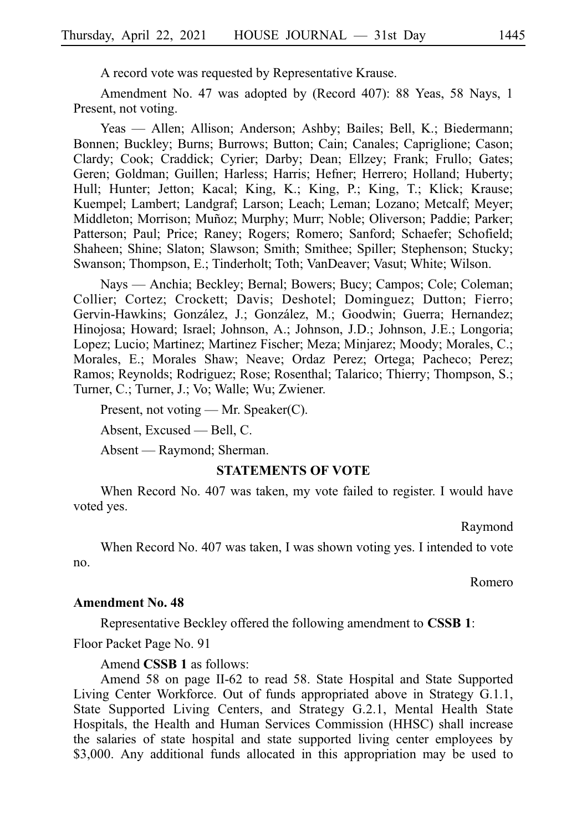A record vote was requested by Representative Krause.

Amendment No. 47 was adopted by (Record 407): 88 Yeas, 58 Nays, 1 Present, not voting.

Yeas — Allen; Allison; Anderson; Ashby; Bailes; Bell, K.; Biedermann; Bonnen; Buckley; Burns; Burrows; Button; Cain; Canales; Capriglione; Cason; Clardy; Cook; Craddick; Cyrier; Darby; Dean; Ellzey; Frank; Frullo; Gates; Geren; Goldman; Guillen; Harless; Harris; Hefner; Herrero; Holland; Huberty; Hull; Hunter; Jetton; Kacal; King, K.; King, P.; King, T.; Klick; Krause; Kuempel; Lambert; Landgraf; Larson; Leach; Leman; Lozano; Metcalf; Meyer; Middleton; Morrison; Muñoz; Murphy; Murr; Noble; Oliverson; Paddie; Parker; Patterson; Paul; Price; Raney; Rogers; Romero; Sanford; Schaefer; Schofield; Shaheen; Shine; Slaton; Slawson; Smith; Smithee; Spiller; Stephenson; Stucky; Swanson; Thompson, E.; Tinderholt; Toth; VanDeaver; Vasut; White; Wilson.

Nays — Anchia; Beckley; Bernal; Bowers; Bucy; Campos; Cole; Coleman; Collier; Cortez; Crockett; Davis; Deshotel; Dominguez; Dutton; Fierro; Gervin-Hawkins; González, J.; González, M.; Goodwin; Guerra; Hernandez; Hinojosa; Howard; Israel; Johnson, A.; Johnson, J.D.; Johnson, J.E.; Longoria; Lopez; Lucio; Martinez; Martinez Fischer; Meza; Minjarez; Moody; Morales, C.; Morales, E.; Morales Shaw; Neave; Ordaz Perez; Ortega; Pacheco; Perez; Ramos; Reynolds; Rodriguez; Rose; Rosenthal; Talarico; Thierry; Thompson, S.; Turner, C.; Turner, J.; Vo; Walle; Wu; Zwiener.

Present, not voting — Mr. Speaker(C).

Absent, Excused — Bell, C.

Absent — Raymond; Sherman.

#### **STATEMENTS OF VOTE**

When Record No. 407 was taken, my vote failed to register. I would have voted yes.

Raymond

When Record No. 407 was taken, I was shown voting yes. I intended to vote no.

Romero

#### **Amendment No. 48**

Representative Beckley offered the following amendment to **CSSBi1**:

Floor Packet Page No. 91

Amend **CSSB 1** as follows:

Amend 58 on page II-62 to read 58. State Hospital and State Supported Living Center Workforce. Out of funds appropriated above in Strategy G.1.1, State Supported Living Centers, and Strategy G.2.1, Mental Health State Hospitals, the Health and Human Services Commission (HHSC) shall increase the salaries of state hospital and state supported living center employees by \$3,000. Any additional funds allocated in this appropriation may be used to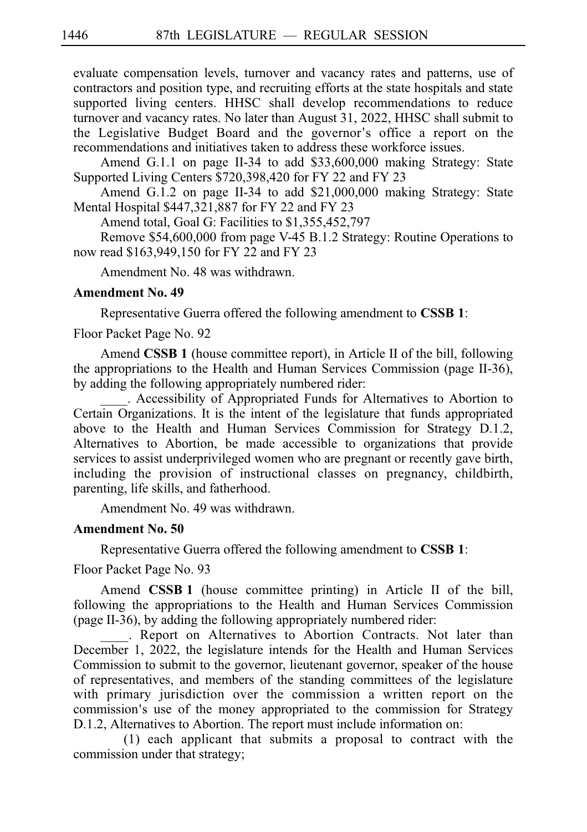evaluate compensation levels, turnover and vacancy rates and patterns, use of contractors and position type, and recruiting efforts at the state hospitals and state supported living centers. HHSC shall develop recommendations to reduce turnover and vacancy rates. No later than August 31, 2022, HHSC shall submit to the Legislative Budget Board and the governor ' s office a report on the recommendations and initiatives taken to address these workforce issues.

Amend G.1.1 on page II-34 to add \$33,600,000 making Strategy: State Supported Living Centers \$720,398,420 for FY 22 and FY 23

Amend G.1.2 on page II-34 to add \$21,000,000 making Strategy: State Mental Hospital \$447,321,887 for FY 22 and FY 23

Amend total, Goal G: Facilities to \$1,355,452,797

Remove \$54,600,000 from page V-45 B.1.2 Strategy: Routine Operations to now read \$163,949,150 for FY 22 and FY 23

Amendment No. 48 was withdrawn.

#### **Amendment No. 49**

Representative Guerra offered the following amendment to **CSSB 1**:

Floor Packet Page No. 92

Amend **CSSB 1** (house committee report), in Article II of the bill, following the appropriations to the Health and Human Services Commission (page II-36), by adding the following appropriately numbered rider:

\_\_\_\_. Accessibility of Appropriated Funds for Alternatives to Abortion to Certain Organizations. It is the intent of the legislature that funds appropriated above to the Health and Human Services Commission for Strategy D.1.2, Alternatives to Abortion, be made accessible to organizations that provide services to assist underprivileged women who are pregnant or recently gave birth, including the provision of instructional classes on pregnancy, childbirth, parenting, life skills, and fatherhood.

Amendment No. 49 was withdrawn.

#### **Amendment No. 50**

Representative Guerra offered the following amendment to **CSSBi1**:

Floor Packet Page No. 93

Amend **CSSB 1** (house committee printing) in Article II of the bill, following the appropriations to the Health and Human Services Commission (page II-36), by adding the following appropriately numbered rider:

. Report on Alternatives to Abortion Contracts. Not later than December 1, 2022, the legislature intends for the Health and Human Services Commission to submit to the governor, lieutenant governor, speaker of the house of representatives, and members of the standing committees of the legislature with primary jurisdiction over the commission a written report on the commission's use of the money appropriated to the commission for Strategy D.1.2, Alternatives to Abortion. The report must include information on:

 $(1)$  each applicant that submits a proposal to contract with the commission under that strategy;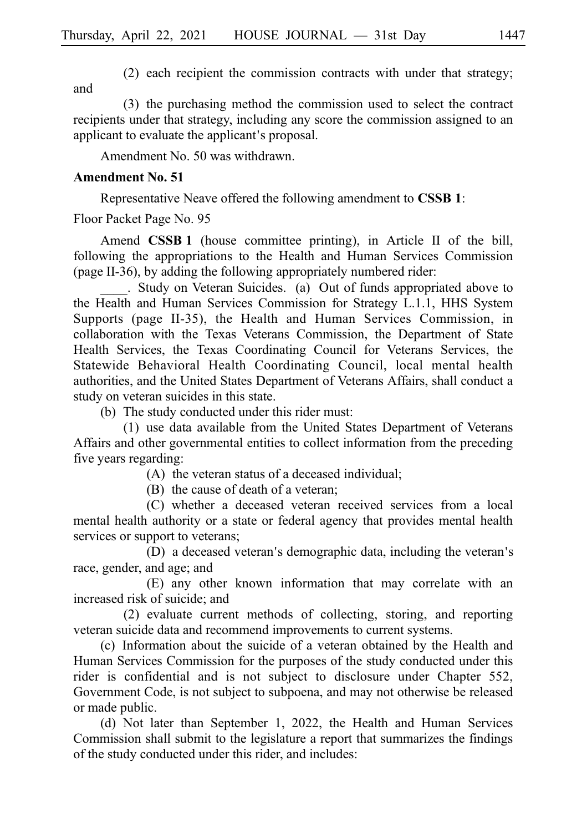$(2)$  each recipient the commission contracts with under that strategy; and

(3) the purchasing method the commission used to select the contract recipients under that strategy, including any score the commission assigned to an applicant to evaluate the applicant's proposal.

Amendment No. 50 was withdrawn.

#### **Amendment No. 51**

Representative Neave offered the following amendment to **CSSBi1**:

Floor Packet Page No. 95

Amend **CSSB 1** (house committee printing), in Article II of the bill, following the appropriations to the Health and Human Services Commission (page II-36), by adding the following appropriately numbered rider:

. Study on Veteran Suicides. (a) Out of funds appropriated above to the Health and Human Services Commission for Strategy L.1.1, HHS System Supports (page II-35), the Health and Human Services Commission, in collaboration with the Texas Veterans Commission, the Department of State Health Services, the Texas Coordinating Council for Veterans Services, the Statewide Behavioral Health Coordinating Council, local mental health authorities, and the United States Department of Veterans Affairs, shall conduct a study on veteran suicides in this state.

(b) The study conducted under this rider must:

(1) use data available from the United States Department of Veterans Affairs and other governmental entities to collect information from the preceding five years regarding:

 $(A)$  the veteran status of a deceased individual;

 $(B)$  the cause of death of a veteran;

(C) whether a deceased veteran received services from a local mental health authority or a state or federal agency that provides mental health services or support to veterans;

(D) a deceased veteran's demographic data, including the veteran's race, gender, and age; and

(E) any other known information that may correlate with an increased risk of suicide; and

 $(2)$  evaluate current methods of collecting, storing, and reporting veteran suicide data and recommend improvements to current systems.

(c) Information about the suicide of a veteran obtained by the Health and Human Services Commission for the purposes of the study conducted under this rider is confidential and is not subject to disclosure under Chapter 552, Government Code, is not subject to subpoena, and may not otherwise be released or made public.

(d) Not later than September 1, 2022, the Health and Human Services Commission shall submit to the legislature a report that summarizes the findings of the study conducted under this rider, and includes: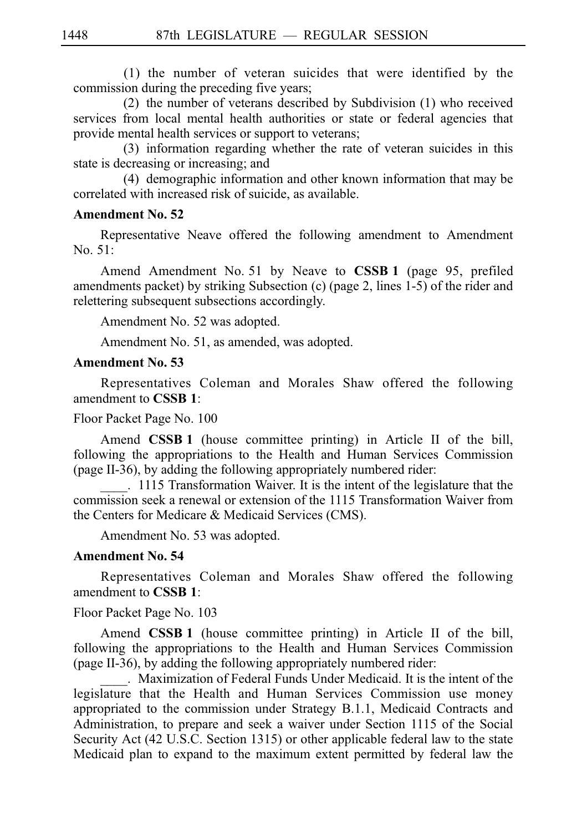$(1)$  the number of veteran suicides that were identified by the commission during the preceding five years;

(2) the number of veterans described by Subdivision  $(1)$  who received services from local mental health authorities or state or federal agencies that provide mental health services or support to veterans;

(3) information regarding whether the rate of veteran suicides in this state is decreasing or increasing; and

(4) demographic information and other known information that may be correlated with increased risk of suicide, as available.

#### **Amendment No. 52**

Representative Neave offered the following amendment to Amendment No. 51:

Amend Amendment No. 51 by Neave to **CSSB 1** (page 95, prefiled amendments packet) by striking Subsection (c) (page 2, lines 1-5) of the rider and relettering subsequent subsections accordingly.

Amendment No. 52 was adopted.

Amendment No. 51, as amended, was adopted.

#### **Amendment No. 53**

Representatives Coleman and Morales Shaw offered the following amendment to **CSSBi1**:

#### Floor Packet Page No. 100

Amend **CSSB 1** (house committee printing) in Article II of the bill, following the appropriations to the Health and Human Services Commission (page II-36), by adding the following appropriately numbered rider:

. 1115 Transformation Waiver. It is the intent of the legislature that the commission seek a renewal or extension of the 1115 Transformation Waiver from the Centers for Medicare & Medicaid Services (CMS).

Amendment No. 53 was adopted.

#### **Amendment No. 54**

Representatives Coleman and Morales Shaw offered the following amendment to **CSSBi1**:

Floor Packet Page No. 103

Amend **CSSB 1** (house committee printing) in Article II of the bill, following the appropriations to the Health and Human Services Commission (page II-36), by adding the following appropriately numbered rider:

\_\_\_\_.iiMaximization of Federal Funds Under Medicaid. It is the intent of the legislature that the Health and Human Services Commission use money appropriated to the commission under Strategy B.1.1, Medicaid Contracts and Administration, to prepare and seek a waiver under Section 1115 of the Social Security Act (42 U.S.C. Section 1315) or other applicable federal law to the state Medicaid plan to expand to the maximum extent permitted by federal law the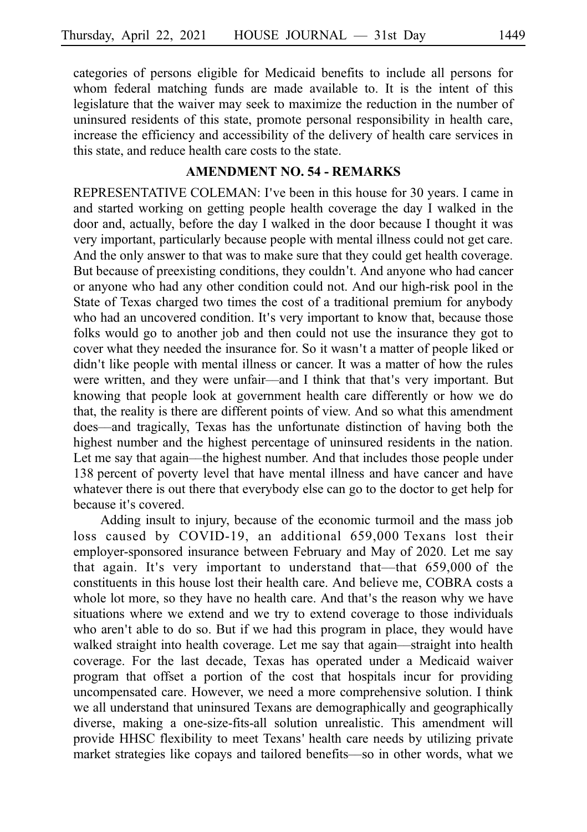categories of persons eligible for Medicaid benefits to include all persons for whom federal matching funds are made available to. It is the intent of this legislature that the waiver may seek to maximize the reduction in the number of uninsured residents of this state, promote personal responsibility in health care, increase the efficiency and accessibility of the delivery of health care services in this state, and reduce health care costs to the state.

#### **AMENDMENT NO. 54 - REMARKS**

REPRESENTATIVE COLEMAN: I've been in this house for 30 years. I came in and started working on getting people health coverage the day I walked in the door and, actually, before the day I walked in the door because I thought it was very important, particularly because people with mental illness could not get care. And the only answer to that was to make sure that they could get health coverage. But because of preexisting conditions, they couldn't. And anyone who had cancer or anyone who had any other condition could not. And our high-risk pool in the State of Texas charged two times the cost of a traditional premium for anybody who had an uncovered condition. It's very important to know that, because those folks would go to another job and then could not use the insurance they got to cover what they needed the insurance for. So it wasn't a matter of people liked or didn't like people with mental illness or cancer. It was a matter of how the rules were written, and they were unfair—and I think that that's very important. But knowing that people look at government health care differently or how we do that, the reality is there are different points of view. And so what this amendment does––and tragically, Texas has the unfortunate distinction of having both the highest number and the highest percentage of uninsured residents in the nation. Let me say that again––the highest number. And that includes those people under 138 percent of poverty level that have mental illness and have cancer and have whatever there is out there that everybody else can go to the doctor to get help for because it's covered.

Adding insult to injury, because of the economic turmoil and the mass job loss caused by  $COVID-19$ , an additional  $659,000$  Texans lost their employer-sponsored insurance between February and May of 2020. Let me say that again. It's very important to understand that—that 659,000 of the constituents in this house lost their health care. And believe me, COBRA costs a whole lot more, so they have no health care. And that's the reason why we have situations where we extend and we try to extend coverage to those individuals who aren't able to do so. But if we had this program in place, they would have walked straight into health coverage. Let me say that again-straight into health coverage. For the last decade, Texas has operated under a Medicaid waiver program that offset a portion of the cost that hospitals incur for providing uncompensated care. However, we need a more comprehensive solution. I think we all understand that uninsured Texans are demographically and geographically diverse, making a one-size-fits-all solution unrealistic. This amendment will provide HHSC flexibility to meet Texans' health care needs by utilizing private market strategies like copays and tailored benefits––so in other words, what we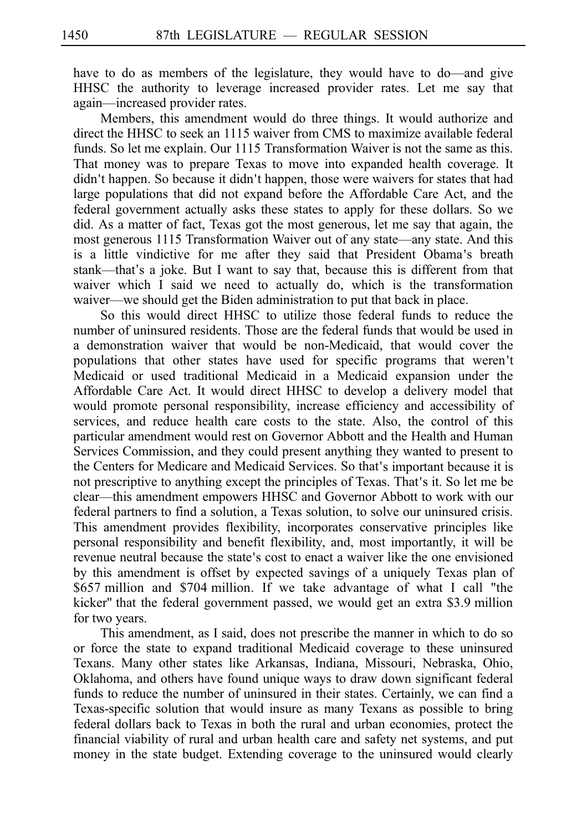have to do as members of the legislature, they would have to do––and give HHSC the authority to leverage increased provider rates. Let me say that again––increased provider rates.

Members, this amendment would do three things. It would authorize and direct the HHSC to seek an 1115 waiver from CMS to maximize available federal funds. So let me explain. Our  $1115$  Transformation Waiver is not the same as this. That money was to prepare Texas to move into expanded health coverage. It didn't happen. So because it didn't happen, those were waivers for states that had large populations that did not expand before the Affordable Care Act, and the federal government actually asks these states to apply for these dollars. So we did. As a matter of fact, Texas got the most generous, let me say that again, the most generous 1115 Transformation Waiver out of any state—any state. And this is a little vindictive for me after they said that President Obama's breath stank—that's a joke. But I want to say that, because this is different from that waiver which I said we need to actually do, which is the transformation waiver—we should get the Biden administration to put that back in place.

So this would direct HHSC to utilize those federal funds to reduce the number of uninsured residents. Those are the federal funds that would be used in a demonstration waiver that would be non-Medicaid, that would cover the populations that other states have used for specific programs that weren t' Medicaid or used traditional Medicaid in a Medicaid expansion under the Affordable Care Act. It would direct HHSC to develop a delivery model that would promote personal responsibility, increase efficiency and accessibility of services, and reduce health care costs to the state. Also, the control of this particular amendment would rest on Governor Abbott and the Health and Human Services Commission, and they could present anything they wanted to present to the Centers for Medicare and Medicaid Services. So that's important because it is not prescriptive to anything except the principles of Texas. That's it. So let me be clear––this amendment empowers HHSC and Governor Abbott to work with our federal partners to find a solution, a Texas solution, to solve our uninsured crisis. This amendment provides flexibility, incorporates conservative principles like personal responsibility and benefit flexibility, and, most importantly, it will be revenue neutral because the state's cost to enact a waiver like the one envisioned by this amendment is offset by expected savings of a uniquely Texas plan of \$657 million and \$704 million. If we take advantage of what I call "the kicker" that the federal government passed, we would get an extra \$3.9 million for two years.

This amendment, as I said, does not prescribe the manner in which to do so or force the state to expand traditional Medicaid coverage to these uninsured Texans. Many other states like Arkansas, Indiana, Missouri, Nebraska, Ohio, Oklahoma, and others have found unique ways to draw down significant federal funds to reduce the number of uninsured in their states. Certainly, we can find a Texas-specific solution that would insure as many Texans as possible to bring federal dollars back to Texas in both the rural and urban economies, protect the financial viability of rural and urban health care and safety net systems, and put money in the state budget. Extending coverage to the uninsured would clearly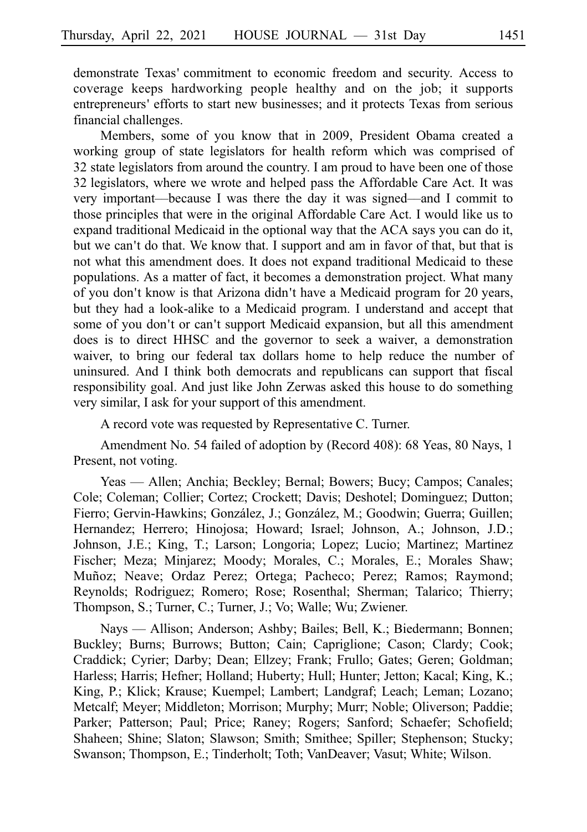demonstrate Texas' commitment to economic freedom and security. Access to coverage keeps hardworking people healthy and on the job; it supports entrepreneurs' efforts to start new businesses; and it protects Texas from serious financial challenges.

Members, some of you know that in 2009, President Obama created a working group of state legislators for health reform which was comprised of 32 state legislators from around the country. I am proud to have been one of those 32 legislators, where we wrote and helped pass the Affordable Care Act. It was very important––because I was there the day it was signed––and I commit to those principles that were in the original Affordable Care Act. I would like us to expand traditional Medicaid in the optional way that the ACA says you can do it, but we can't do that. We know that. I support and am in favor of that, but that is not what this amendment does. It does not expand traditional Medicaid to these populations. As a matter of fact, it becomes a demonstration project. What many of you don't know is that Arizona didn't have a Medicaid program for 20 years, but they had a look-alike to a Medicaid program. I understand and accept that some of you don't or can't support Medicaid expansion, but all this amendment does is to direct HHSC and the governor to seek a waiver, a demonstration waiver, to bring our federal tax dollars home to help reduce the number of uninsured. And I think both democrats and republicans can support that fiscal responsibility goal. And just like John Zerwas asked this house to do something very similar, I ask for your support of this amendment.

A record vote was requested by Representative C. Turner.

Amendment No. 54 failed of adoption by (Record 408): 68 Yeas, 80 Nays, 1 Present, not voting.

Yeas — Allen; Anchia; Beckley; Bernal; Bowers; Bucy; Campos; Canales; Cole; Coleman; Collier; Cortez; Crockett; Davis; Deshotel; Dominguez; Dutton; Fierro; Gervin-Hawkins; González, J.; González, M.; Goodwin; Guerra; Guillen; Hernandez; Herrero; Hinojosa; Howard; Israel; Johnson, A.; Johnson, J.D.; Johnson, J.E.; King, T.; Larson; Longoria; Lopez; Lucio; Martinez; Martinez Fischer; Meza; Minjarez; Moody; Morales, C.; Morales, E.; Morales Shaw; Muñoz; Neave; Ordaz Perez; Ortega; Pacheco; Perez; Ramos; Raymond; Reynolds; Rodriguez; Romero; Rose; Rosenthal; Sherman; Talarico; Thierry; Thompson, S.; Turner, C.; Turner, J.; Vo; Walle; Wu; Zwiener.

Nays — Allison; Anderson; Ashby; Bailes; Bell, K.; Biedermann; Bonnen; Buckley; Burns; Burrows; Button; Cain; Capriglione; Cason; Clardy; Cook; Craddick; Cyrier; Darby; Dean; Ellzey; Frank; Frullo; Gates; Geren; Goldman; Harless; Harris; Hefner; Holland; Huberty; Hull; Hunter; Jetton; Kacal; King, K.; King, P.; Klick; Krause; Kuempel; Lambert; Landgraf; Leach; Leman; Lozano; Metcalf; Meyer; Middleton; Morrison; Murphy; Murr; Noble; Oliverson; Paddie; Parker; Patterson; Paul; Price; Raney; Rogers; Sanford; Schaefer; Schofield; Shaheen; Shine; Slaton; Slawson; Smith; Smithee; Spiller; Stephenson; Stucky; Swanson; Thompson, E.; Tinderholt; Toth; VanDeaver; Vasut; White; Wilson.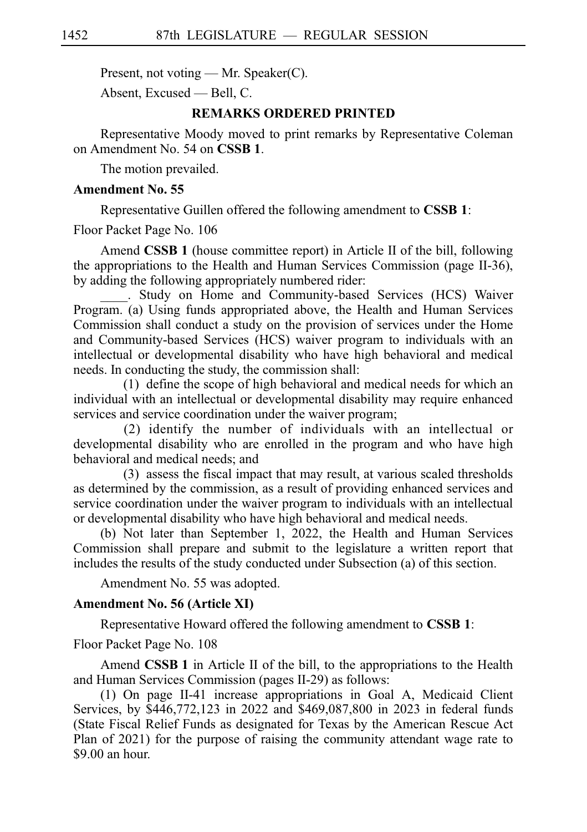Present, not voting — Mr. Speaker(C).

Absent, Excused — Bell, C.

#### **REMARKS ORDERED PRINTED**

Representative Moody moved to print remarks by Representative Coleman on Amendment No. 54 on **CSSB 1**.

The motion prevailed.

#### **Amendment No. 55**

Representative Guillen offered the following amendment to **CSSBi1**:

Floor Packet Page No. 106

Amend **CSSB 1** (house committee report) in Article II of the bill, following the appropriations to the Health and Human Services Commission (page II-36), by adding the following appropriately numbered rider:

\_\_\_\_. Study on Home and Community-based Services (HCS) Waiver Program. (a) Using funds appropriated above, the Health and Human Services Commission shall conduct a study on the provision of services under the Home and Community-based Services (HCS) waiver program to individuals with an intellectual or developmental disability who have high behavioral and medical needs. In conducting the study, the commission shall:

 $(1)$  define the scope of high behavioral and medical needs for which an individual with an intellectual or developmental disability may require enhanced services and service coordination under the waiver program;

(2) identify the number of individuals with an intellectual or developmental disability who are enrolled in the program and who have high behavioral and medical needs; and

(3) assess the fiscal impact that may result, at various scaled thresholds as determined by the commission, as a result of providing enhanced services and service coordination under the waiver program to individuals with an intellectual or developmental disability who have high behavioral and medical needs.

(b) Not later than September 1, 2022, the Health and Human Services Commission shall prepare and submit to the legislature a written report that includes the results of the study conducted under Subsection (a) of this section.

Amendment No. 55 was adopted.

#### **Amendment No. 56 (Article XI)**

Representative Howard offered the following amendment to **CSSBi1**:

Floor Packet Page No. 108

Amend **CSSB 1** in Article II of the bill, to the appropriations to the Health and Human Services Commission (pages II-29) as follows:

(1) On page II-41 increase appropriations in Goal A, Medicaid Client Services, by \$446,772,123 in 2022 and \$469,087,800 in 2023 in federal funds (State Fiscal Relief Funds as designated for Texas by the American Rescue Act Plan of 2021) for the purpose of raising the community attendant wage rate to \$9.00 an hour.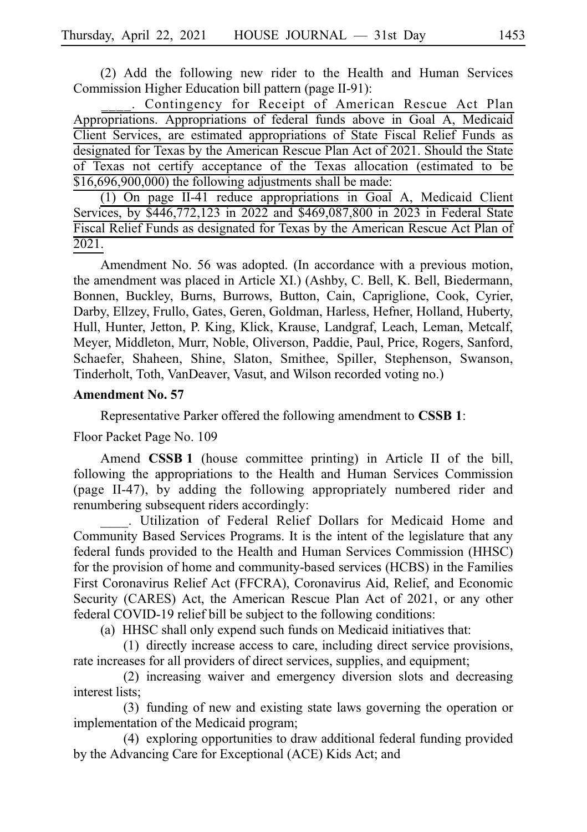(2) Add the following new rider to the Health and Human Services Commission Higher Education bill pattern (page II-91):

. Contingency for Receipt of American Rescue Act Plan Appropriations. Appropriations of federal funds above in Goal A, Medicaid Client Services, are estimated appropriations of State Fiscal Relief Funds as designated for Texas by the American Rescue Plan Act of 2021. Should the State of Texas not certify acceptance of the Texas allocation (estimated to be \$16,696,900,000) the following adjustments shall be made:

 $(1)$  On page II-41 reduce appropriations in Goal A, Medicaid Client Services, by \$446,772,123 in 2022 and \$469,087,800 in 2023 in Federal State Fiscal Relief Funds as designated for Texas by the American Rescue Act Plan of 2021.

Amendment No. 56 was adopted. (In accordance with a previous motion, the amendment was placed in Article XI.) (Ashby, C. Bell, K. Bell, Biedermann, Bonnen, Buckley, Burns, Burrows, Button, Cain, Capriglione, Cook, Cyrier, Darby, Ellzey, Frullo, Gates, Geren, Goldman, Harless, Hefner, Holland, Huberty, Hull, Hunter, Jetton, P. King, Klick, Krause, Landgraf, Leach, Leman, Metcalf, Meyer, Middleton, Murr, Noble, Oliverson, Paddie, Paul, Price, Rogers, Sanford, Schaefer, Shaheen, Shine, Slaton, Smithee, Spiller, Stephenson, Swanson, Tinderholt, Toth, VanDeaver, Vasut, and Wilson recorded voting no.)

#### **Amendment No. 57**

Representative Parker offered the following amendment to **CSSBi1**:

Floor Packet Page No. 109

Amend **CSSB 1** (house committee printing) in Article II of the bill, following the appropriations to the Health and Human Services Commission (page II-47), by adding the following appropriately numbered rider and renumbering subsequent riders accordingly:

\_\_\_\_. Utilization of Federal Relief Dollars for Medicaid Home and Community Based Services Programs. It is the intent of the legislature that any federal funds provided to the Health and Human Services Commission (HHSC) for the provision of home and community-based services (HCBS) in the Families First Coronavirus Relief Act (FFCRA), Coronavirus Aid, Relief, and Economic Security (CARES) Act, the American Rescue Plan Act of 2021, or any other federal COVID-19 relief bill be subject to the following conditions:

(a) HHSC shall only expend such funds on Medicaid initiatives that:

(1) directly increase access to care, including direct service provisions, rate increases for all providers of direct services, supplies, and equipment;

(2) increasing waiver and emergency diversion slots and decreasing interest lists;

(3) funding of new and existing state laws governing the operation or implementation of the Medicaid program;

(4) exploring opportunities to draw additional federal funding provided by the Advancing Care for Exceptional (ACE) Kids Act; and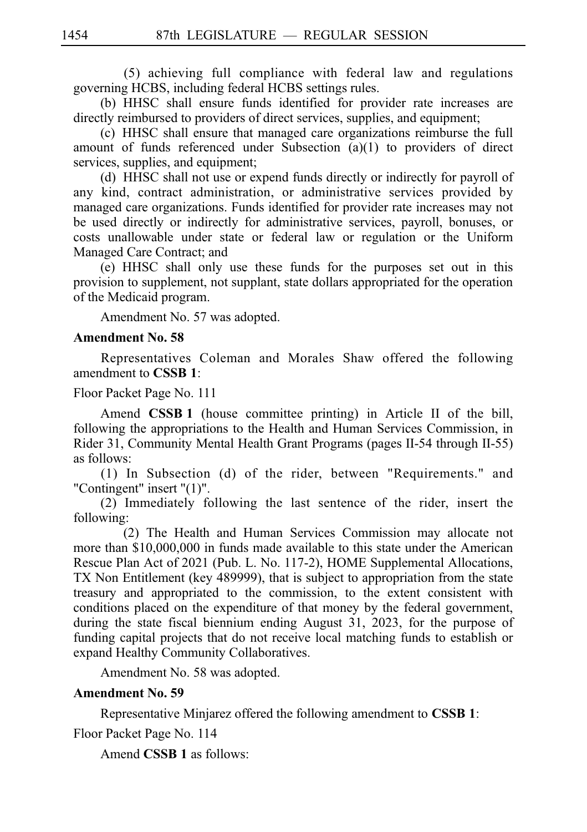$(5)$  achieving full compliance with federal law and regulations governing HCBS, including federal HCBS settings rules.

(b) HHSC shall ensure funds identified for provider rate increases are directly reimbursed to providers of direct services, supplies, and equipment;

(c) HHSC shall ensure that managed care organizations reimburse the full amount of funds referenced under Subsection (a)(1) to providers of direct services, supplies, and equipment;

(d) HHSC shall not use or expend funds directly or indirectly for payroll of any kind, contract administration, or administrative services provided by managed care organizations. Funds identified for provider rate increases may not be used directly or indirectly for administrative services, payroll, bonuses, or costs unallowable under state or federal law or regulation or the Uniform Managed Care Contract; and

(e) HHSC shall only use these funds for the purposes set out in this provision to supplement, not supplant, state dollars appropriated for the operation of the Medicaid program.

Amendment No. 57 was adopted.

#### **Amendment No. 58**

Representatives Coleman and Morales Shaw offered the following amendment to **CSSBi1**:

#### Floor Packet Page No. 111

Amend **CSSB 1** (house committee printing) in Article II of the bill, following the appropriations to the Health and Human Services Commission, in Rider 31, Community Mental Health Grant Programs (pages II-54 through II-55) as follows:

(1) In Subsection (d) of the rider, between "Requirements." and "Contingent" insert "(1)".

(2) Immediately following the last sentence of the rider, insert the following:

(2) The Health and Human Services Commission may allocate not more than \$10,000,000 in funds made available to this state under the American Rescue Plan Act of 2021 (Pub. L. No. 117-2), HOME Supplemental Allocations, TX Non Entitlement (key 489999), that is subject to appropriation from the state treasury and appropriated to the commission, to the extent consistent with conditions placed on the expenditure of that money by the federal government, during the state fiscal biennium ending August 31, 2023, for the purpose of funding capital projects that do not receive local matching funds to establish or expand Healthy Community Collaboratives.

Amendment No. 58 was adopted.

#### **Amendment No. 59**

Representative Minjarez offered the following amendment to **CSSBi1**:

Floor Packet Page No. 114

Amend **CSSB 1** as follows: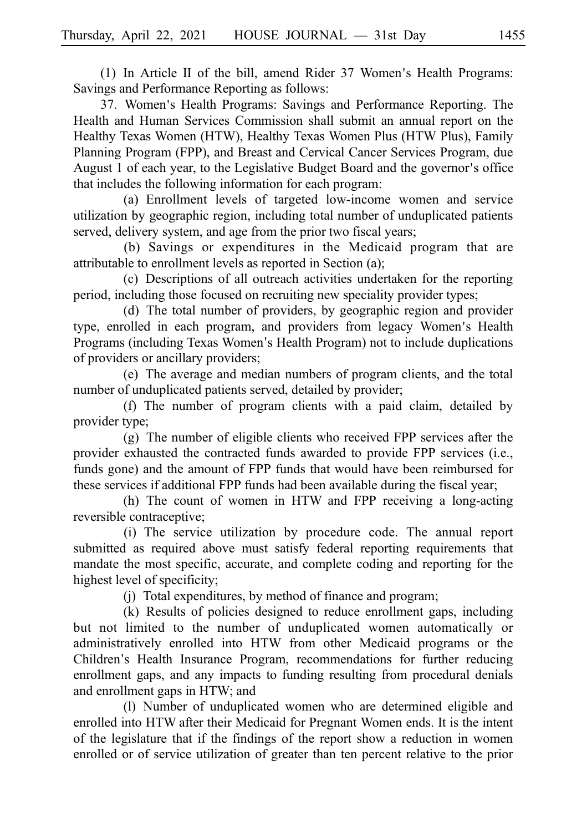(1) In Article II of the bill, amend Rider  $37$  Women's Health Programs: Savings and Performance Reporting as follows:

37. Women's Health Programs: Savings and Performance Reporting. The Health and Human Services Commission shall submit an annual report on the Healthy Texas Women (HTW), Healthy Texas Women Plus (HTW Plus), Family Planning Program (FPP), and Breast and Cervical Cancer Services Program, due August 1 of each year, to the Legislative Budget Board and the governor's office that includes the following information for each program:

(a) Enrollment levels of targeted low-income women and service utilization by geographic region, including total number of unduplicated patients served, delivery system, and age from the prior two fiscal years;

(b) Savings or expenditures in the Medicaid program that are attributable to enrollment levels as reported in Section (a);

(c) Descriptions of all outreach activities undertaken for the reporting period, including those focused on recruiting new speciality provider types;

(d) The total number of providers, by geographic region and provider type, enrolled in each program, and providers from legacy Women's Health Programs (including Texas Women's Health Program) not to include duplications of providers or ancillary providers;

(e) The average and median numbers of program clients, and the total number of unduplicated patients served, detailed by provider;

(f) The number of program clients with a paid claim, detailed by provider type;

 $(g)$  The number of eligible clients who received FPP services after the provider exhausted the contracted funds awarded to provide FPP services (i.e., funds gone) and the amount of FPP funds that would have been reimbursed for these services if additional FPP funds had been available during the fiscal year;

 $(h)$  The count of women in HTW and FPP receiving a long-acting reversible contraceptive;

(i) The service utilization by procedure code. The annual report submitted as required above must satisfy federal reporting requirements that mandate the most specific, accurate, and complete coding and reporting for the highest level of specificity;

(i) Total expenditures, by method of finance and program;

(k) Results of policies designed to reduce enrollment gaps, including but not limited to the number of unduplicated women automatically or administratively enrolled into HTW from other Medicaid programs or the Children's Health Insurance Program, recommendations for further reducing enrollment gaps, and any impacts to funding resulting from procedural denials and enrollment gaps in HTW; and

(l) Number of unduplicated women who are determined eligible and enrolled into HTW after their Medicaid for Pregnant Women ends. It is the intent of the legislature that if the findings of the report show a reduction in women enrolled or of service utilization of greater than ten percent relative to the prior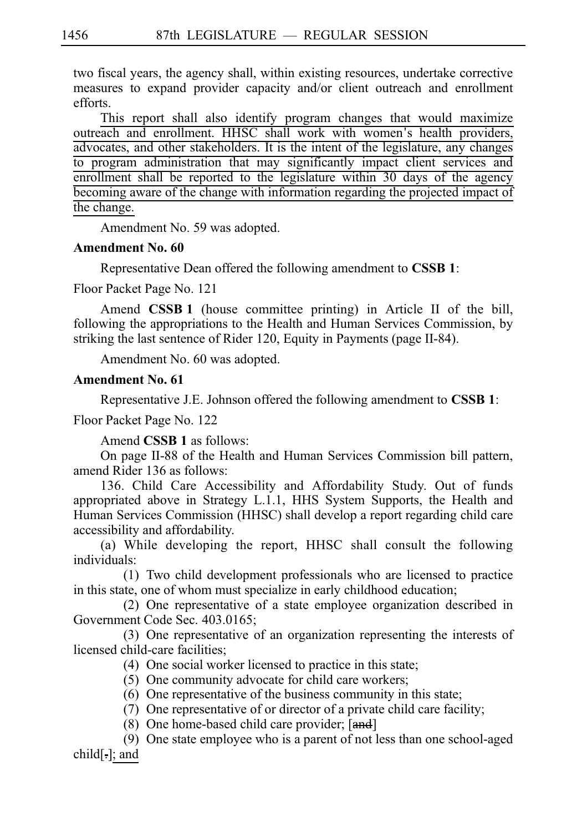two fiscal years, the agency shall, within existing resources, undertake corrective measures to expand provider capacity and/or client outreach and enrollment efforts.

This report shall also identify program changes that would maximize outreach and enrollment. HHSC shall work with women's health providers, advocates, and other stakeholders. It is the intent of the legislature, any changes to program administration that may significantly impact client services and enrollment shall be reported to the legislature within 30 days of the agency becoming aware of the change with information regarding the projected impact of the change.

Amendment No. 59 was adopted.

#### **Amendment No. 60**

Representative Dean offered the following amendment to **CSSBi1**:

Floor Packet Page No. 121

Amend **CSSB 1** (house committee printing) in Article II of the bill, following the appropriations to the Health and Human Services Commission, by striking the last sentence of Rider 120, Equity in Payments (page II-84).

Amendment No. 60 was adopted.

#### **Amendment No. 61**

Representative J.E. Johnson offered the following amendment to **CSSBi1**: Floor Packet Page No. 122

Amend **CSSB 1** as follows:

On page II-88 of the Health and Human Services Commission bill pattern, amend Rider 136 as follows:

136. Child Care Accessibility and Affordability Study. Out of funds appropriated above in Strategy L.1.1, HHS System Supports, the Health and Human Services Commission (HHSC) shall develop a report regarding child care accessibility and affordability.

(a) While developing the report, HHSC shall consult the following individuals:

 $(1)$  Two child development professionals who are licensed to practice in this state, one of whom must specialize in early childhood education;

(2) One representative of a state employee organization described in Government Code Sec. 403.0165;

(3) One representative of an organization representing the interests of licensed child-care facilities;

- $(4)$  One social worker licensed to practice in this state;
- $(5)$  One community advocate for child care workers;
- $(6)$  One representative of the business community in this state;
- $(7)$  One representative of or director of a private child care facility;
- (8) One home-based child care provider;  $[and]$

(9) One state employee who is a parent of not less than one school-aged child[.]; and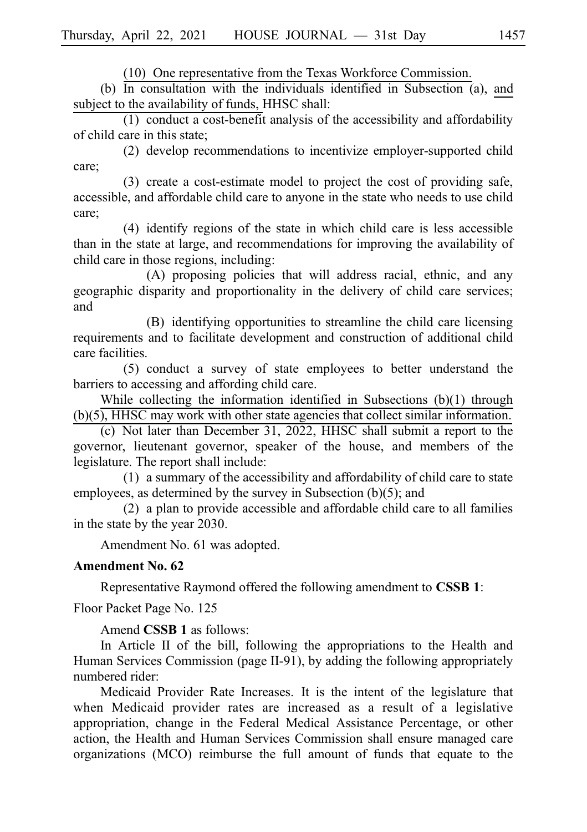$(10)$  One representative from the Texas Workforce Commission.

(b) In consultation with the individuals identified in Subsection  $\overline{a}$ , and subject to the availability of funds, HHSC shall:

 $(1)$  conduct a cost-benefit analysis of the accessibility and affordability of child care in this state;

(2) develop recommendations to incentivize employer-supported child care;

 $(3)$  create a cost-estimate model to project the cost of providing safe, accessible, and affordable child care to anyone in the state who needs to use child care;

 $(4)$  identify regions of the state in which child care is less accessible than in the state at large, and recommendations for improving the availability of child care in those regions, including:

(A) proposing policies that will address racial, ethnic, and any geographic disparity and proportionality in the delivery of child care services; and

(B) identifying opportunities to streamline the child care licensing requirements and to facilitate development and construction of additional child care facilities.

(5) conduct a survey of state employees to better understand the barriers to accessing and affording child care.

While collecting the information identified in Subsections (b)(1) through (b)(5), HHSC may work with other state agencies that collect similar information.

(c) Not later than December 31, 2022, HHSC shall submit a report to the governor, lieutenant governor, speaker of the house, and members of the legislature. The report shall include:

 $(1)$  a summary of the accessibility and affordability of child care to state employees, as determined by the survey in Subsection (b)(5); and

 $(2)$  a plan to provide accessible and affordable child care to all families in the state by the year 2030.

Amendment No. 61 was adopted.

#### **Amendment No. 62**

Representative Raymond offered the following amendment to **CSSBi1**:

Floor Packet Page No. 125

Amend **CSSB 1** as follows:

In Article II of the bill, following the appropriations to the Health and Human Services Commission (page II-91), by adding the following appropriately numbered rider:

Medicaid Provider Rate Increases. It is the intent of the legislature that when Medicaid provider rates are increased as a result of a legislative appropriation, change in the Federal Medical Assistance Percentage, or other action, the Health and Human Services Commission shall ensure managed care organizations (MCO) reimburse the full amount of funds that equate to the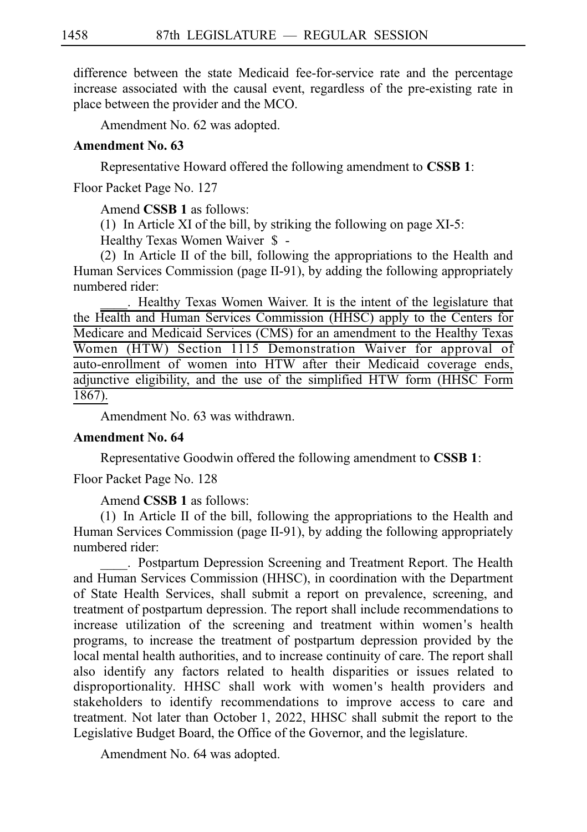difference between the state Medicaid fee-for-service rate and the percentage increase associated with the causal event, regardless of the pre-existing rate in place between the provider and the MCO.

Amendment No. 62 was adopted.

#### **Amendment No. 63**

Representative Howard offered the following amendment to **CSSBi1**:

Floor Packet Page No. 127

Amend **CSSB 1** as follows:

(1) In Article XI of the bill, by striking the following on page  $XI-5$ :

Healthy Texas Women Waiver \$-

(2) In Article II of the bill, following the appropriations to the Health and Human Services Commission (page II-91), by adding the following appropriately numbered rider:

```
____.iiHealthy Texas Women Waiver. It is the intent of the legislature that
the Health and Human Services Commission (HHSC) apply to the Centers for
Medicare and Medicaid Services (CMS) for an amendment to the Healthy Texas
Women (HTW) Section 1115 Demonstration Waiver for approval of
auto-enrollment of women into HTW after their Medicaid coverage ends,
adjunctive eligibility, and the use of the simplified HTW form (HHSC Form
1867).
```
Amendment No. 63 was withdrawn.

### **Amendment No. 64**

Representative Goodwin offered the following amendment to **CSSBi1**:

Floor Packet Page No. 128

Amend **CSSB 1** as follows:

(1) In Article II of the bill, following the appropriations to the Health and Human Services Commission (page II-91), by adding the following appropriately numbered rider:

. Postpartum Depression Screening and Treatment Report. The Health and Human Services Commission (HHSC), in coordination with the Department of State Health Services, shall submit a report on prevalence, screening, and treatment of postpartum depression. The report shall include recommendations to increase utilization of the screening and treatment within women's health programs, to increase the treatment of postpartum depression provided by the local mental health authorities, and to increase continuity of care. The report shall also identify any factors related to health disparities or issues related to disproportionality. HHSC shall work with women ' s health providers and stakeholders to identify recommendations to improve access to care and treatment. Not later than October 1, 2022, HHSC shall submit the report to the Legislative Budget Board, the Office of the Governor, and the legislature.

Amendment No. 64 was adopted.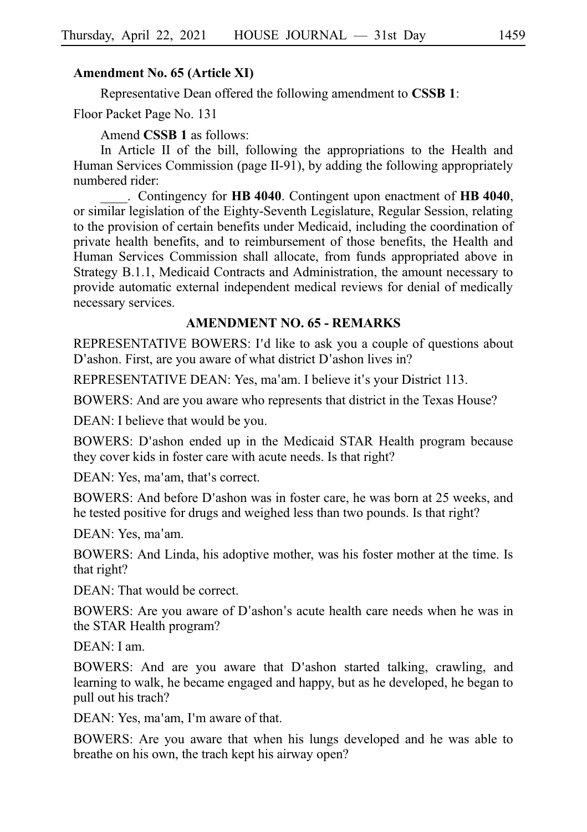#### **Amendment No. 65 (Article XI)**

Representative Dean offered the following amendment to **CSSBi1**:

Floor Packet Page No. 131

Amend **CSSB 1** as follows:

In Article II of the bill, following the appropriations to the Health and Human Services Commission (page II-91), by adding the following appropriately numbered rider:

\_\_\_\_.iiContingency for **HBi4040**. Contingent upon enactment of **HBi4040**, or similar legislation of the Eighty-Seventh Legislature, Regular Session, relating to the provision of certain benefits under Medicaid, including the coordination of private health benefits, and to reimbursement of those benefits, the Health and Human Services Commission shall allocate, from funds appropriated above in Strategy B.1.1, Medicaid Contracts and Administration, the amount necessary to provide automatic external independent medical reviews for denial of medically necessary services.

#### **AMENDMENT NO. 65 - REMARKS**

REPRESENTATIVE BOWERS: I'd like to ask you a couple of questions about D'ashon. First, are you aware of what district D'ashon lives in?

REPRESENTATIVE DEAN: Yes, ma'am. I believe it's your District 113.

BOWERS: And are you aware who represents that district in the Texas House?

DEAN: I believe that would be you.

BOWERS: D'ashon ended up in the Medicaid STAR Health program because they cover kids in foster care with acute needs. Is that right?

DEAN: Yes, ma'am, that's correct.

BOWERS: And before D'ashon was in foster care, he was born at 25 weeks, and he tested positive for drugs and weighed less than two pounds. Is that right?

DEAN: Yes, ma'am.

BOWERS: And Linda, his adoptive mother, was his foster mother at the time. Is that right?

DEAN: That would be correct.

BOWERS: Are you aware of D'ashon's acute health care needs when he was in the STAR Health program?

DEAN: I am.

BOWERS: And are you aware that D'ashon started talking, crawling, and learning to walk, he became engaged and happy, but as he developed, he began to pull out his trach?

DEAN: Yes, ma'am, I'm aware of that.

BOWERS: Are you aware that when his lungs developed and he was able to breathe on his own, the trach kept his airway open?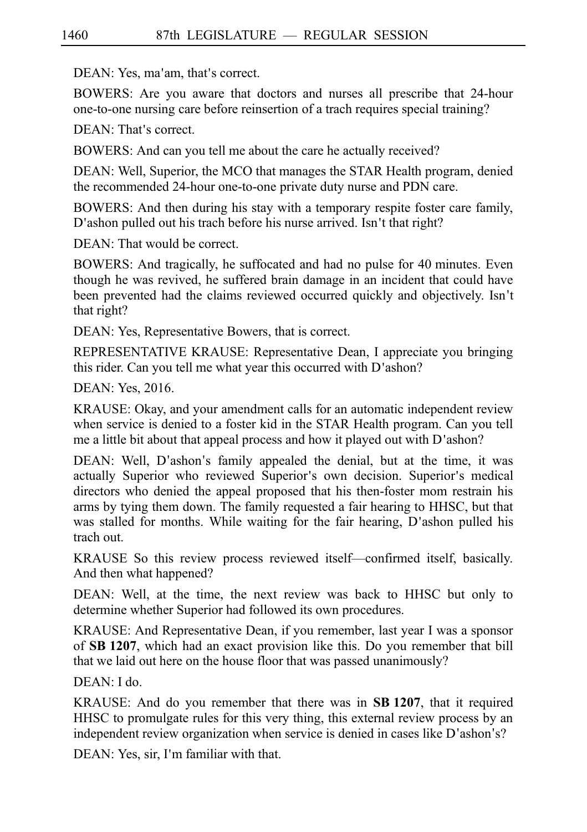DEAN: Yes, ma'am, that's correct.

BOWERS: Are you aware that doctors and nurses all prescribe that 24-hour one-to-one nursing care before reinsertion of a trach requires special training?

DEAN: That's correct.

BOWERS: And can you tell me about the care he actually received?

DEAN: Well, Superior, the MCO that manages the STAR Health program, denied the recommended 24-hour one-to-one private duty nurse and PDN care.

BOWERS: And then during his stay with a temporary respite foster care family, D'ashon pulled out his trach before his nurse arrived. Isn't that right?

DEAN: That would be correct.

BOWERS: And tragically, he suffocated and had no pulse for 40 minutes. Even though he was revived, he suffered brain damage in an incident that could have been prevented had the claims reviewed occurred quickly and objectively. Isn't that right?

DEAN: Yes, Representative Bowers, that is correct.

REPRESENTATIVE KRAUSE: Representative Dean, I appreciate you bringing this rider. Can you tell me what year this occurred with D'ashon?

DEAN: Yes, 2016.

KRAUSE: Okay, and your amendment calls for an automatic independent review when service is denied to a foster kid in the STAR Health program. Can you tell me a little bit about that appeal process and how it played out with  $D'$  ashon?

DEAN: Well, D'ashon's family appealed the denial, but at the time, it was actually Superior who reviewed Superior's own decision. Superior's medical directors who denied the appeal proposed that his then-foster mom restrain his arms by tying them down. The family requested a fair hearing to HHSC, but that was stalled for months. While waiting for the fair hearing, D'ashon pulled his trach out.

KRAUSE So this review process reviewed itself––confirmed itself, basically. And then what happened?

DEAN: Well, at the time, the next review was back to HHSC but only to determine whether Superior had followed its own procedures.

KRAUSE: And Representative Dean, if you remember, last year I was a sponsor of **SBi1207**, which had an exact provision like this. Do you remember that bill that we laid out here on the house floor that was passed unanimously?

DEAN: I do.

KRAUSE: And do you remember that there was in **SB 1207**, that it required HHSC to promulgate rules for this very thing, this external review process by an independent review organization when service is denied in cases like D'ashon's?

DEAN: Yes, sir, I'm familiar with that.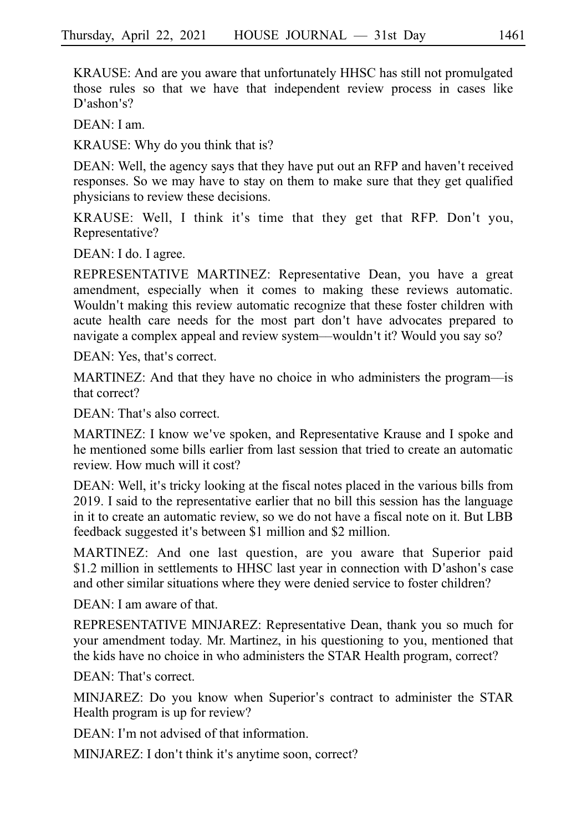KRAUSE: And are you aware that unfortunately HHSC has still not promulgated those rules so that we have that independent review process in cases like D'ashon's?

DEAN: I am.

KRAUSE: Why do you think that is?

DEAN: Well, the agency says that they have put out an RFP and haven't received responses. So we may have to stay on them to make sure that they get qualified physicians to review these decisions.

KRAUSE: Well, I think it's time that they get that RFP. Don't you, Representative?

DEAN: I do. I agree.

REPRESENTATIVE MARTINEZ: Representative Dean, you have a great amendment, especially when it comes to making these reviews automatic. Wouldn't making this review automatic recognize that these foster children with acute health care needs for the most part don't have advocates prepared to navigate a complex appeal and review system—wouldn't it? Would you say so?

DEAN: Yes, that's correct.

MARTINEZ: And that they have no choice in who administers the program––is that correct?

DEAN: That's also correct.

MARTINEZ: I know we've spoken, and Representative Krause and I spoke and he mentioned some bills earlier from last session that tried to create an automatic review. How much will it cost?

DEAN: Well, it's tricky looking at the fiscal notes placed in the various bills from 2019. I said to the representative earlier that no bill this session has the language in it to create an automatic review, so we do not have a fiscal note on it. But LBB feedback suggested it's between \$1 million and \$2 million.

MARTINEZ: And one last question, are you aware that Superior paid \$1.2 million in settlements to HHSC last year in connection with D'ashon's case and other similar situations where they were denied service to foster children?

DEAN: I am aware of that.

REPRESENTATIVE MINJAREZ: Representative Dean, thank you so much for your amendment today. Mr. Martinez, in his questioning to you, mentioned that the kids have no choice in who administers the STAR Health program, correct?

DEAN: That's correct.

MINJAREZ: Do you know when Superior's contract to administer the STAR Health program is up for review?

DEAN: I'm not advised of that information.

MINJAREZ: I don't think it's anytime soon, correct?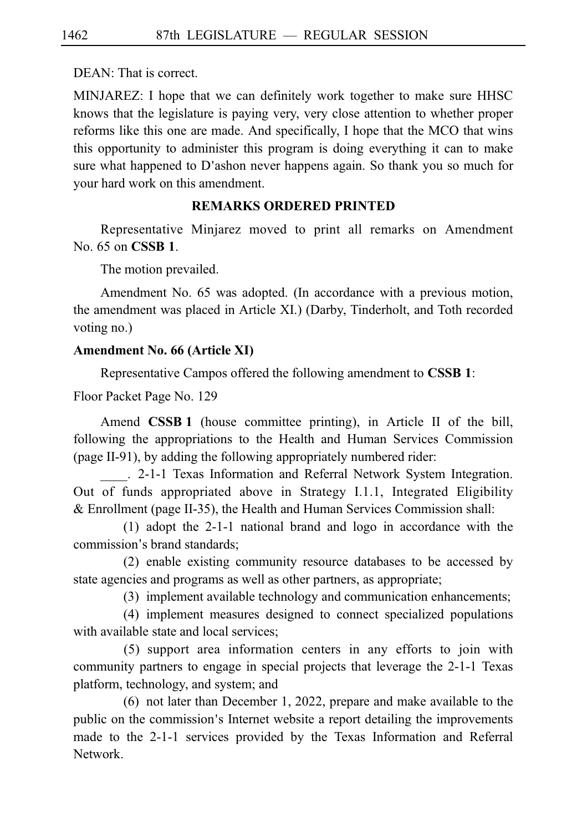DEAN: That is correct.

MINJAREZ: I hope that we can definitely work together to make sure HHSC knows that the legislature is paying very, very close attention to whether proper reforms like this one are made. And specifically, I hope that the MCO that wins this opportunity to administer this program is doing everything it can to make sure what happened to D'ashon never happens again. So thank you so much for your hard work on this amendment.

#### **REMARKS ORDERED PRINTED**

Representative Minjarez moved to print all remarks on Amendment No. 65 on **CSSB 1**.

The motion prevailed.

Amendment No. 65 was adopted. (In accordance with a previous motion, the amendment was placed in Article XI.) (Darby, Tinderholt, and Toth recorded voting no.)

#### **Amendment No. 66 (Article XI)**

Representative Campos offered the following amendment to **CSSBi1**:

Floor Packet Page No. 129

Amend **CSSB 1** (house committee printing), in Article II of the bill, following the appropriations to the Health and Human Services Commission (page II-91), by adding the following appropriately numbered rider:

. 2-1-1 Texas Information and Referral Network System Integration. Out of funds appropriated above in Strategy I.1.1, Integrated Eligibility  $&$  Enrollment (page II-35), the Health and Human Services Commission shall:

 $(1)$  adopt the 2-1-1 national brand and logo in accordance with the commission's brand standards;

 $(2)$  enable existing community resource databases to be accessed by state agencies and programs as well as other partners, as appropriate;

(3) implement available technology and communication enhancements;

(4) implement measures designed to connect specialized populations with available state and local services;

(5) support area information centers in any efforts to join with community partners to engage in special projects that leverage the 2-1-1 Texas platform, technology, and system; and

 $(6)$  not later than December 1, 2022, prepare and make available to the public on the commission's Internet website a report detailing the improvements made to the 2-1-1 services provided by the Texas Information and Referral Network.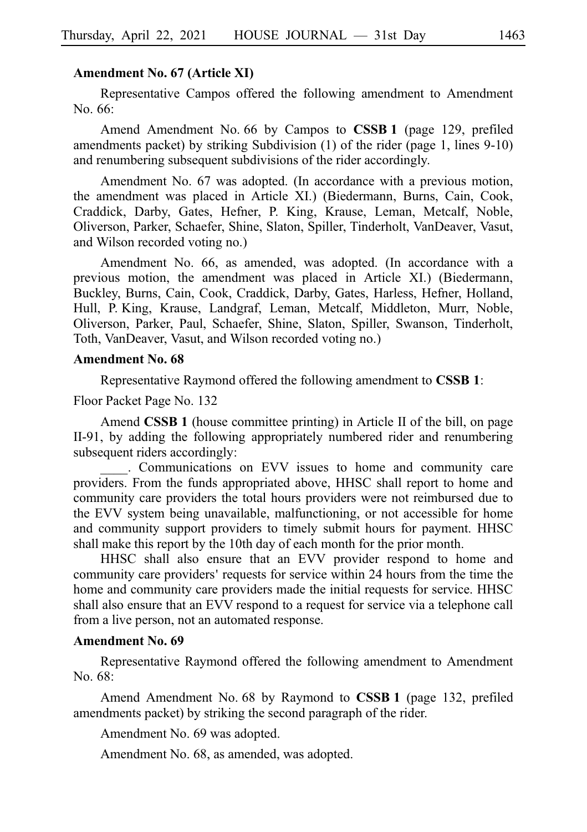#### **Amendment No. 67 (Article XI)**

Representative Campos offered the following amendment to Amendment  $No.66:$ 

Amend Amendment No. 66 by Campos to **CSSB 1** (page 129, prefiled amendments packet) by striking Subdivision (1) of the rider (page 1, lines 9-10) and renumbering subsequent subdivisions of the rider accordingly.

Amendment No. 67 was adopted. (In accordance with a previous motion, the amendment was placed in Article XI.) (Biedermann, Burns, Cain, Cook, Craddick, Darby, Gates, Hefner, P. King, Krause, Leman, Metcalf, Noble, Oliverson, Parker, Schaefer, Shine, Slaton, Spiller, Tinderholt, VanDeaver, Vasut, and Wilson recorded voting no.)

Amendment No. 66, as amended, was adopted. (In accordance with a previous motion, the amendment was placed in Article XI.) (Biedermann, Buckley, Burns, Cain, Cook, Craddick, Darby, Gates, Harless, Hefner, Holland, Hull, P. King, Krause, Landgraf, Leman, Metcalf, Middleton, Murr, Noble, Oliverson, Parker, Paul, Schaefer, Shine, Slaton, Spiller, Swanson, Tinderholt, Toth, VanDeaver, Vasut, and Wilson recorded voting no.)

#### **Amendment No. 68**

Representative Raymond offered the following amendment to **CSSBi1**:

Floor Packet Page No. 132

Amend **CSSB 1** (house committee printing) in Article II of the bill, on page II-91, by adding the following appropriately numbered rider and renumbering subsequent riders accordingly:

. Communications on EVV issues to home and community care providers. From the funds appropriated above, HHSC shall report to home and community care providers the total hours providers were not reimbursed due to the EVV system being unavailable, malfunctioning, or not accessible for home and community support providers to timely submit hours for payment. HHSC shall make this report by the 10th day of each month for the prior month.

HHSC shall also ensure that an EVV provider respond to home and community care providers' requests for service within 24 hours from the time the home and community care providers made the initial requests for service. HHSC shall also ensure that an EVV respond to a request for service via a telephone call from a live person, not an automated response.

#### **Amendment No. 69**

Representative Raymond offered the following amendment to Amendment No. 68:

Amend Amendment No. 68 by Raymond to **CSSB 1** (page 132, prefiled amendments packet) by striking the second paragraph of the rider.

Amendment No. 69 was adopted.

Amendment No. 68, as amended, was adopted.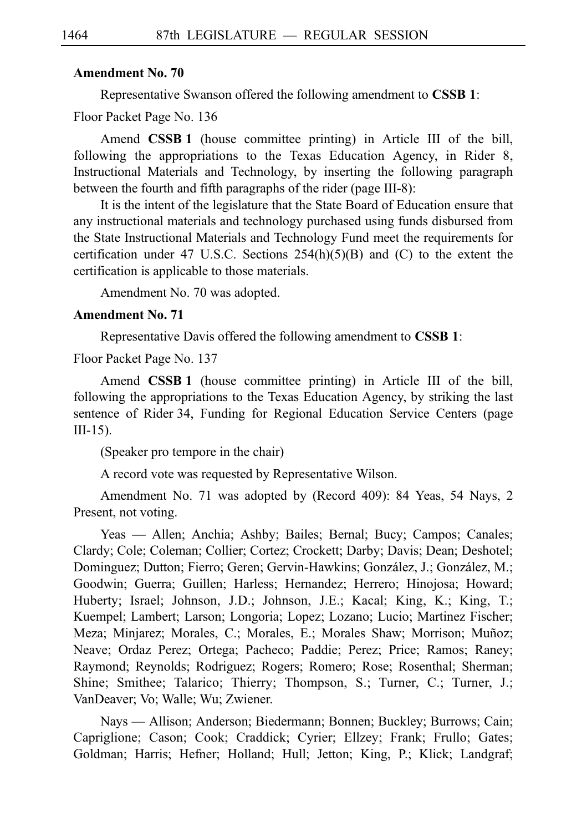#### **Amendment No. 70**

Representative Swanson offered the following amendment to **CSSB 1**:

Floor Packet Page No. 136

Amend **CSSB 1** (house committee printing) in Article III of the bill, following the appropriations to the Texas Education Agency, in Rider 8, Instructional Materials and Technology, by inserting the following paragraph between the fourth and fifth paragraphs of the rider (page III-8):

It is the intent of the legislature that the State Board of Education ensure that any instructional materials and technology purchased using funds disbursed from the State Instructional Materials and Technology Fund meet the requirements for certification under 47 U.S.C. Sections  $254(h)(5)(B)$  and (C) to the extent the certification is applicable to those materials.

Amendment No. 70 was adopted.

#### **Amendment No. 71**

Representative Davis offered the following amendment to **CSSBi1**:

Floor Packet Page No. 137

Amend **CSSB 1** (house committee printing) in Article III of the bill, following the appropriations to the Texas Education Agency, by striking the last sentence of Rider 34, Funding for Regional Education Service Centers (page III-15).

(Speaker pro tempore in the chair)

A record vote was requested by Representative Wilson.

Amendment No. 71 was adopted by (Record 409): 84 Yeas, 54 Nays, 2 Present, not voting.

Yeas — Allen; Anchia; Ashby; Bailes; Bernal; Bucy; Campos; Canales; Clardy; Cole; Coleman; Collier; Cortez; Crockett; Darby; Davis; Dean; Deshotel; Dominguez; Dutton; Fierro; Geren; Gervin-Hawkins; González, J.; González, M.; Goodwin; Guerra; Guillen; Harless; Hernandez; Herrero; Hinojosa; Howard; Huberty; Israel; Johnson, J.D.; Johnson, J.E.; Kacal; King, K.; King, T.; Kuempel; Lambert; Larson; Longoria; Lopez; Lozano; Lucio; Martinez Fischer; Meza; Minjarez; Morales, C.; Morales, E.; Morales Shaw; Morrison; Muñoz; Neave; Ordaz Perez; Ortega; Pacheco; Paddie; Perez; Price; Ramos; Raney; Raymond; Reynolds; Rodriguez; Rogers; Romero; Rose; Rosenthal; Sherman; Shine; Smithee; Talarico; Thierry; Thompson, S.; Turner, C.; Turner, J.; VanDeaver; Vo; Walle; Wu; Zwiener.

Nays — Allison; Anderson; Biedermann; Bonnen; Buckley; Burrows; Cain; Capriglione; Cason; Cook; Craddick; Cyrier; Ellzey; Frank; Frullo; Gates; Goldman; Harris; Hefner; Holland; Hull; Jetton; King, P.; Klick; Landgraf;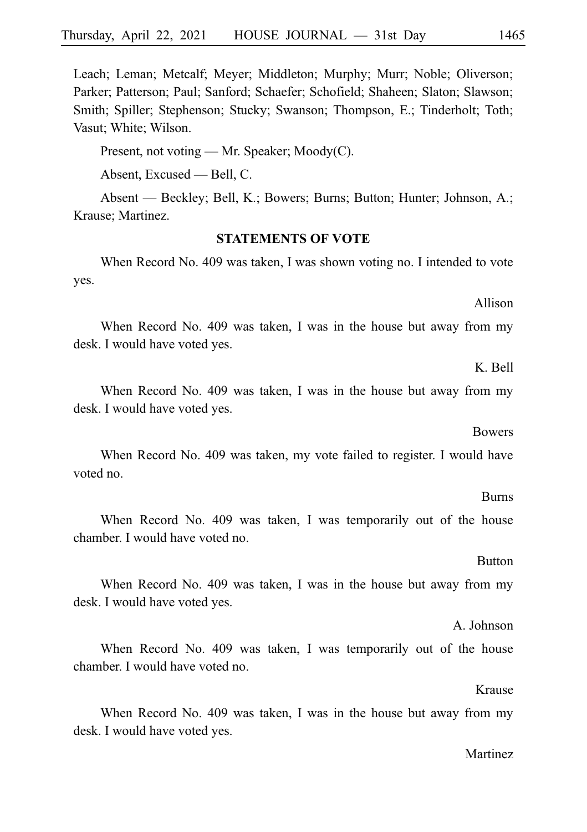Leach; Leman; Metcalf; Meyer; Middleton; Murphy; Murr; Noble; Oliverson; Parker; Patterson; Paul; Sanford; Schaefer; Schofield; Shaheen; Slaton; Slawson; Smith; Spiller; Stephenson; Stucky; Swanson; Thompson, E.; Tinderholt; Toth; Vasut; White; Wilson.

Present, not voting — Mr. Speaker; Moody(C).

Absent, Excused — Bell, C.

Absent — Beckley; Bell, K.; Bowers; Burns; Button; Hunter; Johnson, A.; Krause; Martinez.

#### **STATEMENTS OF VOTE**

When Record No. 409 was taken, I was shown voting no. I intended to vote yes.

When Record No. 409 was taken, I was in the house but away from my desk. I would have voted yes.

When Record No. 409 was taken, I was in the house but away from my desk. I would have voted yes.

When Record No. 409 was taken, my vote failed to register. I would have voted no.

When Record No. 409 was taken, I was temporarily out of the house chamber. I would have voted no.

When Record No. 409 was taken, I was in the house but away from my desk. I would have voted yes.

When Record No. 409 was taken, I was temporarily out of the house chamber. I would have voted no.

When Record No. 409 was taken, I was in the house but away from my desk. I would have voted yes.

#### Martinez

## **Bowers**

#### **Burns**

Krause

A. Johnson

# **Button**

### Allison

K. Bell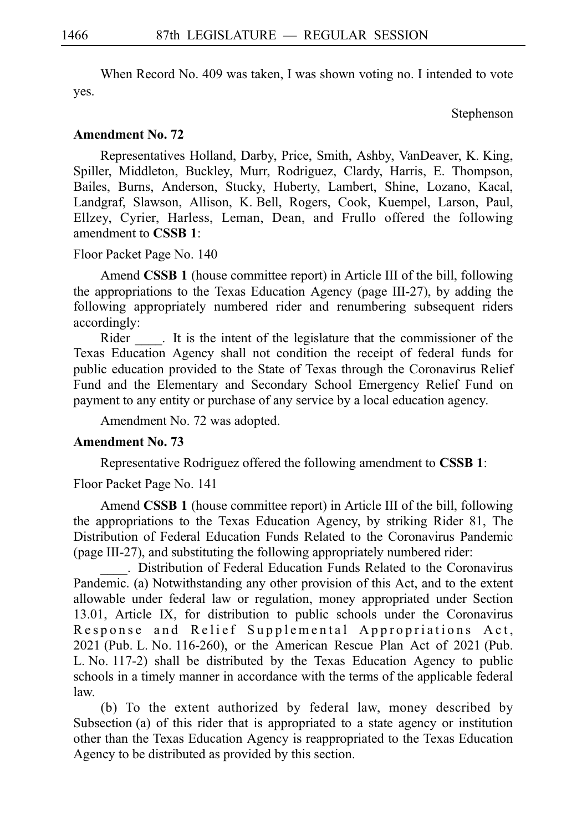When Record No. 409 was taken, I was shown voting no. I intended to vote yes.

Stephenson

#### **Amendment No. 72**

Representatives Holland, Darby, Price, Smith, Ashby, VanDeaver, K. King, Spiller, Middleton, Buckley, Murr, Rodriguez, Clardy, Harris, E. Thompson, Bailes, Burns, Anderson, Stucky, Huberty, Lambert, Shine, Lozano, Kacal, Landgraf, Slawson, Allison, K. Bell, Rogers, Cook, Kuempel, Larson, Paul, Ellzey, Cyrier, Harless, Leman, Dean, and Frullo offered the following amendment to **CSSBi1**:

Floor Packet Page No. 140

Amend **CSSB 1** (house committee report) in Article III of the bill, following the appropriations to the Texas Education Agency (page III-27), by adding the following appropriately numbered rider and renumbering subsequent riders accordingly:

Rider  $\cdot$ . It is the intent of the legislature that the commissioner of the Texas Education Agency shall not condition the receipt of federal funds for public education provided to the State of Texas through the Coronavirus Relief Fund and the Elementary and Secondary School Emergency Relief Fund on payment to any entity or purchase of any service by a local education agency.

Amendment No. 72 was adopted.

#### **Amendment No. 73**

Representative Rodriguez offered the following amendment to **CSSBi1**:

Floor Packet Page No. 141

Amend **CSSB 1** (house committee report) in Article III of the bill, following the appropriations to the Texas Education Agency, by striking Rider 81, The Distribution of Federal Education Funds Related to the Coronavirus Pandemic (page III-27), and substituting the following appropriately numbered rider:

\_\_\_\_.iiDistribution of Federal Education Funds Related to the Coronavirus Pandemic. (a) Notwithstanding any other provision of this Act, and to the extent allowable under federal law or regulation, money appropriated under Section 13.01, Article IX, for distribution to public schools under the Coronavirus Response and Relief Supplemental Appropriations Act, 2021 (Pub. L. No. 116-260), or the American Rescue Plan Act of 2021 (Pub. L. No. 117-2) shall be distributed by the Texas Education Agency to public schools in a timely manner in accordance with the terms of the applicable federal law.

(b) To the extent authorized by federal law, money described by Subsection (a) of this rider that is appropriated to a state agency or institution other than the Texas Education Agency is reappropriated to the Texas Education Agency to be distributed as provided by this section.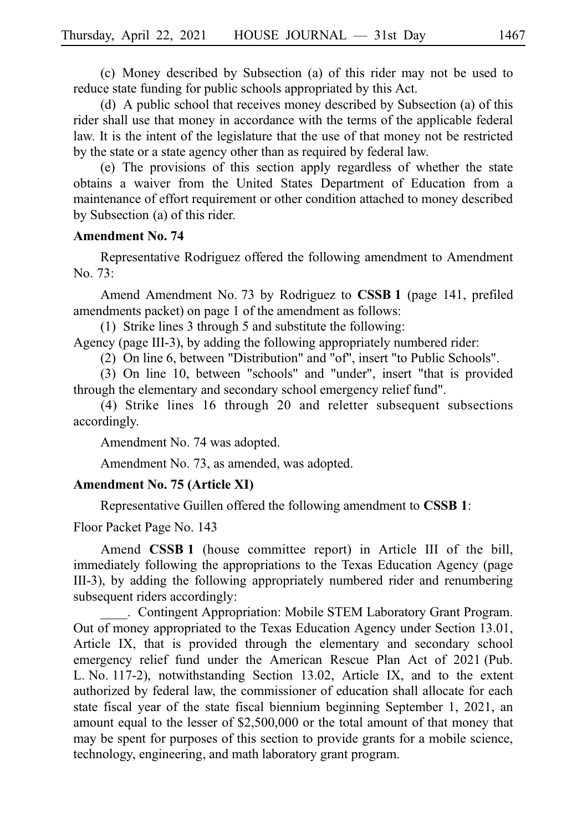(c) Money described by Subsection (a) of this rider may not be used to reduce state funding for public schools appropriated by this Act.

(d) A public school that receives money described by Subsection (a) of this rider shall use that money in accordance with the terms of the applicable federal law. It is the intent of the legislature that the use of that money not be restricted by the state or a state agency other than as required by federal law.

 $(e)$  The provisions of this section apply regardless of whether the state obtains a waiver from the United States Department of Education from a maintenance of effort requirement or other condition attached to money described by Subsection (a) of this rider.

#### **Amendment No. 74**

Representative Rodriguez offered the following amendment to Amendment No. 73:

Amend Amendment No. 73 by Rodriguez to **CSSB 1** (page 141, prefiled amendments packet) on page 1 of the amendment as follows:

(1) Strike lines 3 through 5 and substitute the following:

Agency (page III-3), by adding the following appropriately numbered rider:

(2) On line 6, between "Distribution" and "of", insert "to Public Schools".

(3) On line 10, between "schools" and "under", insert "that is provided through the elementary and secondary school emergency relief fund".

(4) Strike lines  $16$  through  $20$  and reletter subsequent subsections accordingly.

Amendment No. 74 was adopted.

Amendment No. 73, as amended, was adopted.

#### **Amendment No. 75 (Article XI)**

Representative Guillen offered the following amendment to **CSSB 1**:

Floor Packet Page No. 143

Amend **CSSB<sub>1</sub>** (house committee report) in Article III of the bill, immediately following the appropriations to the Texas Education Agency (page III-3), by adding the following appropriately numbered rider and renumbering subsequent riders accordingly:

. Contingent Appropriation: Mobile STEM Laboratory Grant Program. Out of money appropriated to the Texas Education Agency under Section 13.01, Article IX, that is provided through the elementary and secondary school emergency relief fund under the American Rescue Plan Act of 2021 (Pub. L. No. 117-2), notwithstanding Section 13.02, Article IX, and to the extent authorized by federal law, the commissioner of education shall allocate for each state fiscal year of the state fiscal biennium beginning September 1, 2021, an amount equal to the lesser of \$2,500,000 or the total amount of that money that may be spent for purposes of this section to provide grants for a mobile science, technology, engineering, and math laboratory grant program.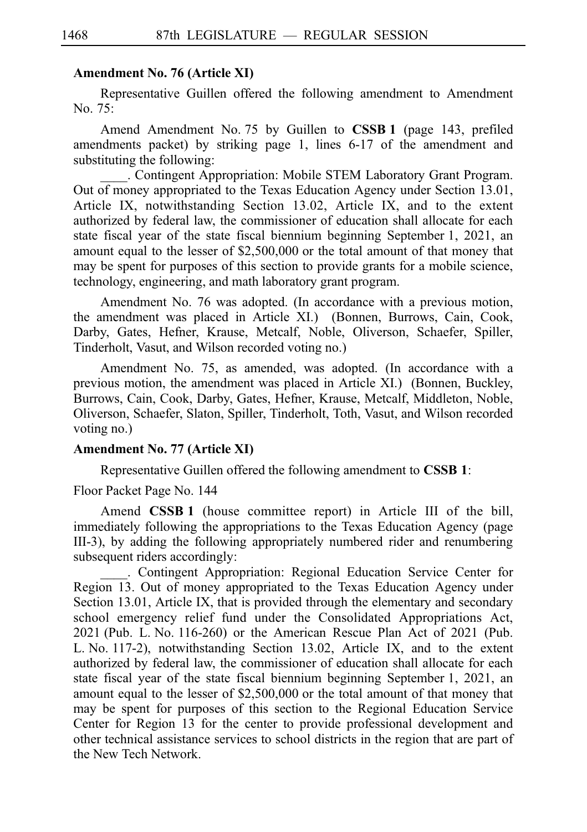#### **Amendment No. 76 (Article XI)**

Representative Guillen offered the following amendment to Amendment No.  $75:$ 

Amend Amendment No. 75 by Guillen to **CSSB 1** (page 143, prefiled amendments packet) by striking page 1, lines 6-17 of the amendment and substituting the following:

\_\_\_\_. Contingent Appropriation: Mobile STEM Laboratory Grant Program. Out of money appropriated to the Texas Education Agency under Section 13.01, Article IX, notwithstanding Section 13.02, Article IX, and to the extent authorized by federal law, the commissioner of education shall allocate for each state fiscal year of the state fiscal biennium beginning September 1, 2021, an amount equal to the lesser of \$2,500,000 or the total amount of that money that may be spent for purposes of this section to provide grants for a mobile science, technology, engineering, and math laboratory grant program.

Amendment No. 76 was adopted. (In accordance with a previous motion, the amendment was placed in Article XI.) (Bonnen, Burrows, Cain, Cook, Darby, Gates, Hefner, Krause, Metcalf, Noble, Oliverson, Schaefer, Spiller, Tinderholt, Vasut, and Wilson recorded voting no.)

Amendment No. 75, as amended, was adopted. (In accordance with a previous motion, the amendment was placed in Article XI.) (Bonnen, Buckley, Burrows, Cain, Cook, Darby, Gates, Hefner, Krause, Metcalf, Middleton, Noble, Oliverson, Schaefer, Slaton, Spiller, Tinderholt, Toth, Vasut, and Wilson recorded voting no.)

#### **Amendment No. 77 (Article XI)**

Representative Guillen offered the following amendment to **CSSBi1**:

Floor Packet Page No. 144

Amend **CSSB 1** (house committee report) in Article III of the bill, immediately following the appropriations to the Texas Education Agency (page III-3), by adding the following appropriately numbered rider and renumbering subsequent riders accordingly:

. Contingent Appropriation: Regional Education Service Center for Region 13. Out of money appropriated to the Texas Education Agency under Section 13.01, Article IX, that is provided through the elementary and secondary school emergency relief fund under the Consolidated Appropriations Act,  $2021$  (Pub. L. No. 116-260) or the American Rescue Plan Act of 2021 (Pub. L. No.  $117-2$ ), notwithstanding Section 13.02, Article IX, and to the extent authorized by federal law, the commissioner of education shall allocate for each state fiscal year of the state fiscal biennium beginning September 1, 2021, an amount equal to the lesser of \$2,500,000 or the total amount of that money that may be spent for purposes of this section to the Regional Education Service Center for Region 13 for the center to provide professional development and other technical assistance services to school districts in the region that are part of the New Tech Network.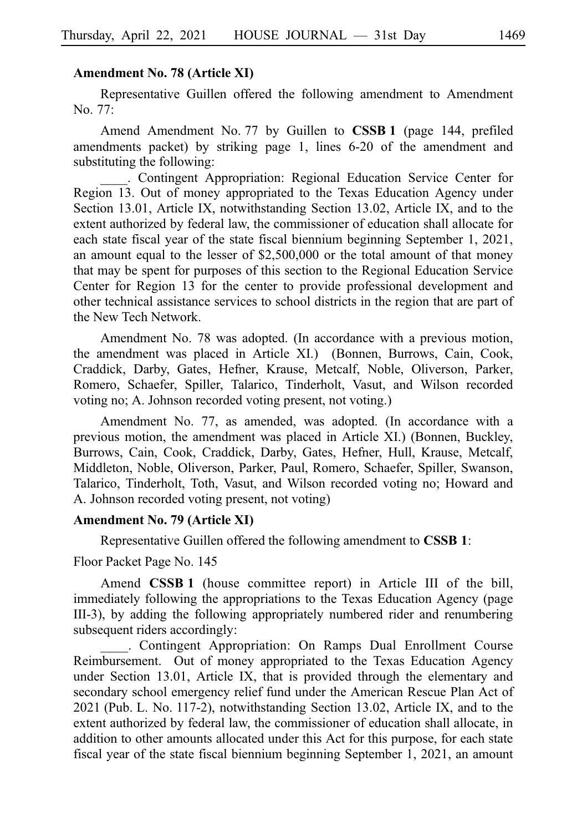#### **Amendment No. 78 (Article XI)**

Representative Guillen offered the following amendment to Amendment No. 77:

Amend Amendment No. 77 by Guillen to **CSSB 1** (page 144, prefiled amendments packet) by striking page 1, lines 6-20 of the amendment and substituting the following:

. Contingent Appropriation: Regional Education Service Center for Region 13. Out of money appropriated to the Texas Education Agency under Section 13.01, Article IX, notwithstanding Section 13.02, Article IX, and to the extent authorized by federal law, the commissioner of education shall allocate for each state fiscal year of the state fiscal biennium beginning September 1, 2021, an amount equal to the lesser of \$2,500,000 or the total amount of that money that may be spent for purposes of this section to the Regional Education Service Center for Region 13 for the center to provide professional development and other technical assistance services to school districts in the region that are part of the New Tech Network.

Amendment No. 78 was adopted. (In accordance with a previous motion, the amendment was placed in Article XI.) (Bonnen, Burrows, Cain, Cook, Craddick, Darby, Gates, Hefner, Krause, Metcalf, Noble, Oliverson, Parker, Romero, Schaefer, Spiller, Talarico, Tinderholt, Vasut, and Wilson recorded voting no; A. Johnson recorded voting present, not voting.)

Amendment No. 77, as amended, was adopted. (In accordance with a previous motion, the amendment was placed in Article XI.) (Bonnen, Buckley, Burrows, Cain, Cook, Craddick, Darby, Gates, Hefner, Hull, Krause, Metcalf, Middleton, Noble, Oliverson, Parker, Paul, Romero, Schaefer, Spiller, Swanson, Talarico, Tinderholt, Toth, Vasut, and Wilson recorded voting no; Howard and A. Johnson recorded voting present, not voting)

#### **Amendment No. 79 (Article XI)**

Representative Guillen offered the following amendment to **CSSBi1**:

Floor Packet Page No. 145

Amend **CSSB<sub>1</sub>** (house committee report) in Article III of the bill, immediately following the appropriations to the Texas Education Agency (page III-3), by adding the following appropriately numbered rider and renumbering subsequent riders accordingly:

. Contingent Appropriation: On Ramps Dual Enrollment Course Reimbursement. Out of money appropriated to the Texas Education Agency under Section 13.01, Article IX, that is provided through the elementary and secondary school emergency relief fund under the American Rescue Plan Act of 2021 (Pub. L. No. 117-2), notwithstanding Section 13.02, Article IX, and to the extent authorized by federal law, the commissioner of education shall allocate, in addition to other amounts allocated under this Act for this purpose, for each state fiscal year of the state fiscal biennium beginning September 1, 2021, an amount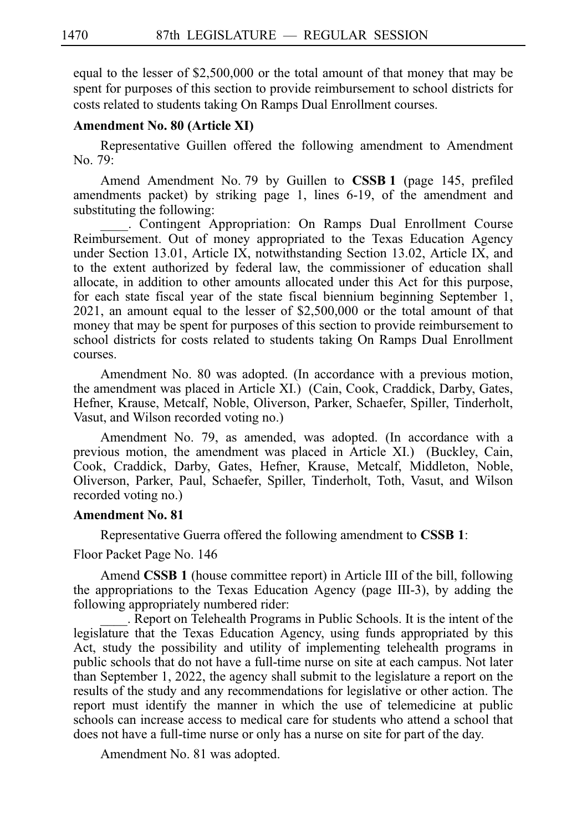equal to the lesser of \$2,500,000 or the total amount of that money that may be spent for purposes of this section to provide reimbursement to school districts for costs related to students taking On Ramps Dual Enrollment courses.

#### **Amendment No. 80 (Article XI)**

Representative Guillen offered the following amendment to Amendment No. 79:

Amend Amendment No. 79 by Guillen to **CSSB 1** (page 145, prefiled amendments packet) by striking page 1, lines 6-19, of the amendment and substituting the following:

. Contingent Appropriation: On Ramps Dual Enrollment Course Reimbursement. Out of money appropriated to the Texas Education Agency under Section 13.01, Article IX, notwithstanding Section 13.02, Article IX, and to the extent authorized by federal law, the commissioner of education shall allocate, in addition to other amounts allocated under this Act for this purpose, for each state fiscal year of the state fiscal biennium beginning September 1, 2021, an amount equal to the lesser of \$2,500,000 or the total amount of that money that may be spent for purposes of this section to provide reimbursement to school districts for costs related to students taking On Ramps Dual Enrollment courses.

Amendment No. 80 was adopted. (In accordance with a previous motion, the amendment was placed in Article XI.) (Cain, Cook, Craddick, Darby, Gates, Hefner, Krause, Metcalf, Noble, Oliverson, Parker, Schaefer, Spiller, Tinderholt, Vasut, and Wilson recorded voting no.)

Amendment No. 79, as amended, was adopted. (In accordance with a previous motion, the amendment was placed in Article XI.) (Buckley, Cain, Cook, Craddick, Darby, Gates, Hefner, Krause, Metcalf, Middleton, Noble, Oliverson, Parker, Paul, Schaefer, Spiller, Tinderholt, Toth, Vasut, and Wilson recorded voting no.)

#### **Amendment No. 81**

Representative Guerra offered the following amendment to **CSSBi1**:

Floor Packet Page No. 146

Amend **CSSB 1** (house committee report) in Article III of the bill, following the appropriations to the Texas Education Agency (page III-3), by adding the following appropriately numbered rider:

\_\_\_\_. Report on Telehealth Programs in Public Schools. It is the intent of the legislature that the Texas Education Agency, using funds appropriated by this Act, study the possibility and utility of implementing telehealth programs in public schools that do not have a full-time nurse on site at each campus. Not later than September 1, 2022, the agency shall submit to the legislature a report on the results of the study and any recommendations for legislative or other action. The report must identify the manner in which the use of telemedicine at public schools can increase access to medical care for students who attend a school that does not have a full-time nurse or only has a nurse on site for part of the day.

Amendment No. 81 was adopted.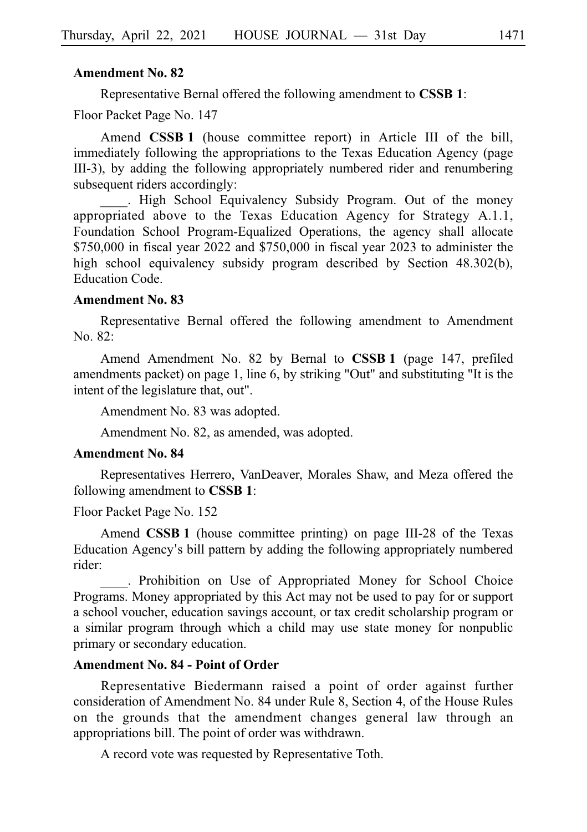#### **Amendment No. 82**

Representative Bernal offered the following amendment to **CSSBi1**:

Floor Packet Page No. 147

Amend **CSSB<sub>1</sub>** (house committee report) in Article III of the bill, immediately following the appropriations to the Texas Education Agency (page III-3), by adding the following appropriately numbered rider and renumbering subsequent riders accordingly:

. High School Equivalency Subsidy Program. Out of the money appropriated above to the Texas Education Agency for Strategy A.1.1, Foundation School Program-Equalized Operations, the agency shall allocate \$750,000 in fiscal year 2022 and \$750,000 in fiscal year 2023 to administer the high school equivalency subsidy program described by Section 48.302(b), Education Code.

#### **Amendment No. 83**

Representative Bernal offered the following amendment to Amendment  $No. 82:$ 

Amend Amendment No. 82 by Bernal to **CSSB 1** (page 147, prefiled amendments packet) on page 1, line 6, by striking "Out" and substituting "It is the intent of the legislature that, out".

Amendment No. 83 was adopted.

Amendment No. 82, as amended, was adopted.

#### **Amendment No. 84**

Representatives Herrero, VanDeaver, Morales Shaw, and Meza offered the following amendment to **CSSBi1**:

Floor Packet Page No. 152

Amend **CSSB 1** (house committee printing) on page III-28 of the Texas Education Agency s bill pattern by adding the following appropriately numbered ' rider:

. Prohibition on Use of Appropriated Money for School Choice Programs. Money appropriated by this Act may not be used to pay for or support a school voucher, education savings account, or tax credit scholarship program or a similar program through which a child may use state money for nonpublic primary or secondary education.

#### **Amendment No. 84 - Point of Order**

Representative Biedermann raised a point of order against further consideration of Amendment No. 84 under Rule 8, Section 4, of the House Rules on the grounds that the amendment changes general law through an appropriations bill. The point of order was withdrawn.

A record vote was requested by Representative Toth.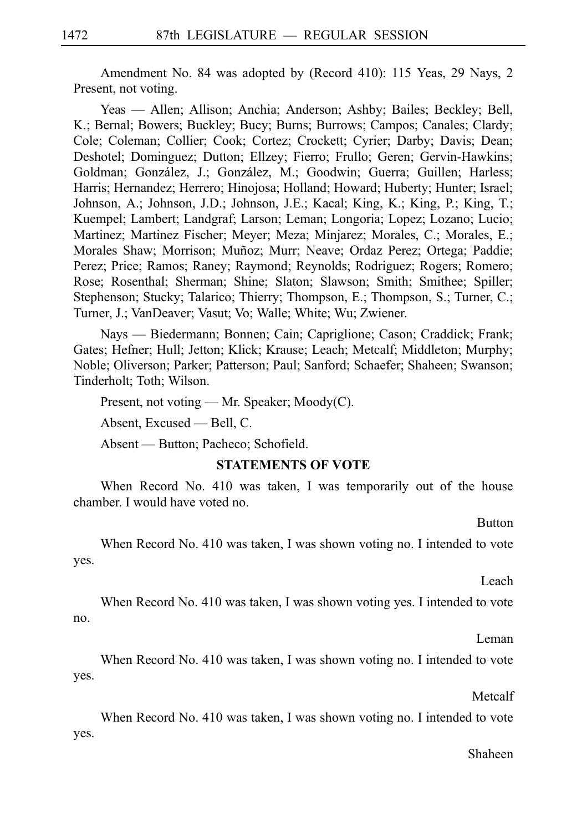Amendment No. 84 was adopted by (Record 410): 115 Yeas, 29 Nays, 2 Present, not voting.

Yeas — Allen; Allison; Anchia; Anderson; Ashby; Bailes; Beckley; Bell, K.; Bernal; Bowers; Buckley; Bucy; Burns; Burrows; Campos; Canales; Clardy; Cole; Coleman; Collier; Cook; Cortez; Crockett; Cyrier; Darby; Davis; Dean; Deshotel; Dominguez; Dutton; Ellzey; Fierro; Frullo; Geren; Gervin-Hawkins; Goldman; González, J.; González, M.; Goodwin; Guerra; Guillen; Harless; Harris; Hernandez; Herrero; Hinojosa; Holland; Howard; Huberty; Hunter; Israel; Johnson, A.; Johnson, J.D.; Johnson, J.E.; Kacal; King, K.; King, P.; King, T.; Kuempel; Lambert; Landgraf; Larson; Leman; Longoria; Lopez; Lozano; Lucio; Martinez; Martinez Fischer; Meyer; Meza; Minjarez; Morales, C.; Morales, E.; Morales Shaw; Morrison; Muñoz; Murr; Neave; Ordaz Perez; Ortega; Paddie; Perez; Price; Ramos; Raney; Raymond; Reynolds; Rodriguez; Rogers; Romero; Rose; Rosenthal; Sherman; Shine; Slaton; Slawson; Smith; Smithee; Spiller; Stephenson; Stucky; Talarico; Thierry; Thompson, E.; Thompson, S.; Turner, C.; Turner, J.; VanDeaver; Vasut; Vo; Walle; White; Wu; Zwiener.

Nays — Biedermann; Bonnen; Cain; Capriglione; Cason; Craddick; Frank; Gates; Hefner; Hull; Jetton; Klick; Krause; Leach; Metcalf; Middleton; Murphy; Noble; Oliverson; Parker; Patterson; Paul; Sanford; Schaefer; Shaheen; Swanson; Tinderholt; Toth; Wilson.

Present, not voting — Mr. Speaker; Moody(C). Absent, Excused — Bell, C.

Absent — Button; Pacheco; Schofield.

#### **STATEMENTS OF VOTE**

When Record No. 410 was taken, I was temporarily out of the house chamber. I would have voted no.

Button

When Record No. 410 was taken, I was shown voting no. I intended to vote yes.

Leach

When Record No. 410 was taken, I was shown voting yes. I intended to vote no.

Leman

When Record No. 410 was taken, I was shown voting no. I intended to vote yes.

Metcalf

When Record No. 410 was taken, I was shown voting no. I intended to vote yes.

Shaheen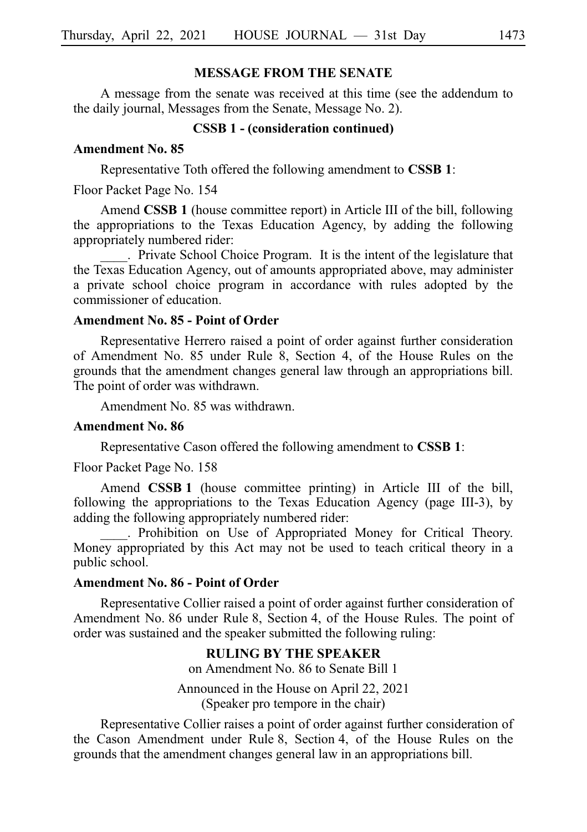# **MESSAGE FROM THE SENATE**

A message from the senate was received at this time (see the addendum to the daily journal, Messages from the Senate, Message No. 2).

### **CSSB 1 - (consideration continued)**

# **Amendment No. 85**

Representative Toth offered the following amendment to **CSSBi1**:

Floor Packet Page No. 154

Amend **CSSB 1** (house committee report) in Article III of the bill, following the appropriations to the Texas Education Agency, by adding the following appropriately numbered rider:

. Private School Choice Program. It is the intent of the legislature that the Texas Education Agency, out of amounts appropriated above, may administer a private school choice program in accordance with rules adopted by the commissioner of education.

# **Amendment No. 85 - Point of Order**

Representative Herrero raised a point of order against further consideration of Amendment No. 85 under Rule 8, Section 4, of the House Rules on the grounds that the amendment changes general law through an appropriations bill. The point of order was withdrawn.

Amendment No. 85 was withdrawn.

### **Amendment No. 86**

Representative Cason offered the following amendment to **CSSBi1**:

Floor Packet Page No. 158

Amend **CSSB 1** (house committee printing) in Article III of the bill, following the appropriations to the Texas Education Agency (page III-3), by adding the following appropriately numbered rider:

. Prohibition on Use of Appropriated Money for Critical Theory. Money appropriated by this Act may not be used to teach critical theory in a public school.

# **Amendment No. 86 - Point of Order**

Representative Collier raised a point of order against further consideration of Amendment No. 86 under Rule 8, Section 4, of the House Rules. The point of order was sustained and the speaker submitted the following ruling:

# **RULING BY THE SPEAKER**

on Amendment No. 86 to Senate Bill 1

Announced in the House on April 22, 2021 (Speaker pro tempore in the chair)

Representative Collier raises a point of order against further consideration of the Cason Amendment under Rule 8, Section 4, of the House Rules on the grounds that the amendment changes general law in an appropriations bill.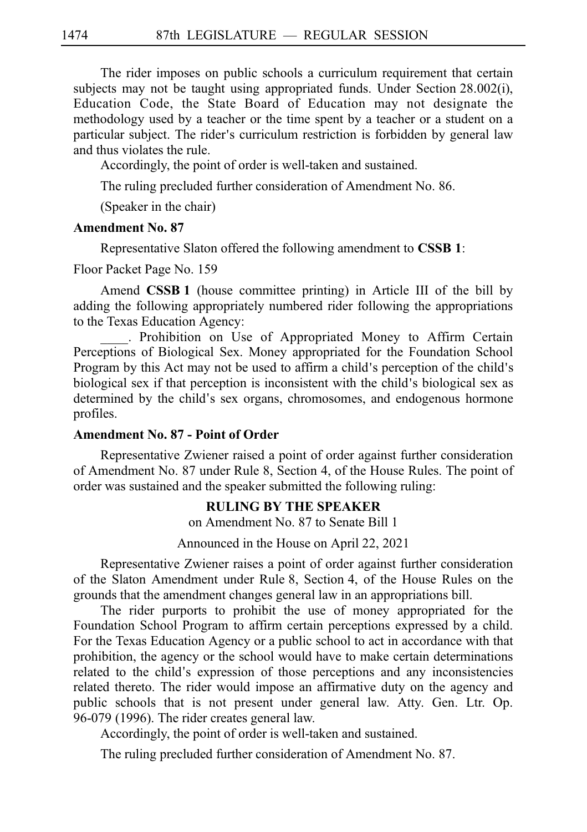The rider imposes on public schools a curriculum requirement that certain subjects may not be taught using appropriated funds. Under Section 28.002(i), Education Code, the State Board of Education may not designate the methodology used by a teacher or the time spent by a teacher or a student on a particular subject. The rider's curriculum restriction is forbidden by general law and thus violates the rule.

Accordingly, the point of order is well-taken and sustained.

The ruling precluded further consideration of Amendment No. 86.

(Speaker in the chair)

# **Amendment No. 87**

Representative Slaton offered the following amendment to **CSSB 1**:

Floor Packet Page No. 159

Amend **CSSB<sub>1</sub>** (house committee printing) in Article III of the bill by adding the following appropriately numbered rider following the appropriations to the Texas Education Agency:

. Prohibition on Use of Appropriated Money to Affirm Certain Perceptions of Biological Sex. Money appropriated for the Foundation School Program by this Act may not be used to affirm a child's perception of the child's biological sex if that perception is inconsistent with the child's biological sex as determined by the child's sex organs, chromosomes, and endogenous hormone profiles.

# **Amendment No. 87 - Point of Order**

Representative Zwiener raised a point of order against further consideration of Amendment No. 87 under Rule 8, Section 4, of the House Rules. The point of order was sustained and the speaker submitted the following ruling:

## **RULING BY THE SPEAKER**

on Amendment No. 87 to Senate Bill 1

Announced in the House on April 22, 2021

Representative Zwiener raises a point of order against further consideration of the Slaton Amendment under Rule 8, Section 4, of the House Rules on the grounds that the amendment changes general law in an appropriations bill.

The rider purports to prohibit the use of money appropriated for the Foundation School Program to affirm certain perceptions expressed by a child. For the Texas Education Agency or a public school to act in accordance with that prohibition, the agency or the school would have to make certain determinations related to the child's expression of those perceptions and any inconsistencies related thereto. The rider would impose an affirmative duty on the agency and public schools that is not present under general law. Atty. Gen. Ltr. Op. 96-079 (1996). The rider creates general law.

Accordingly, the point of order is well-taken and sustained.

The ruling precluded further consideration of Amendment No. 87.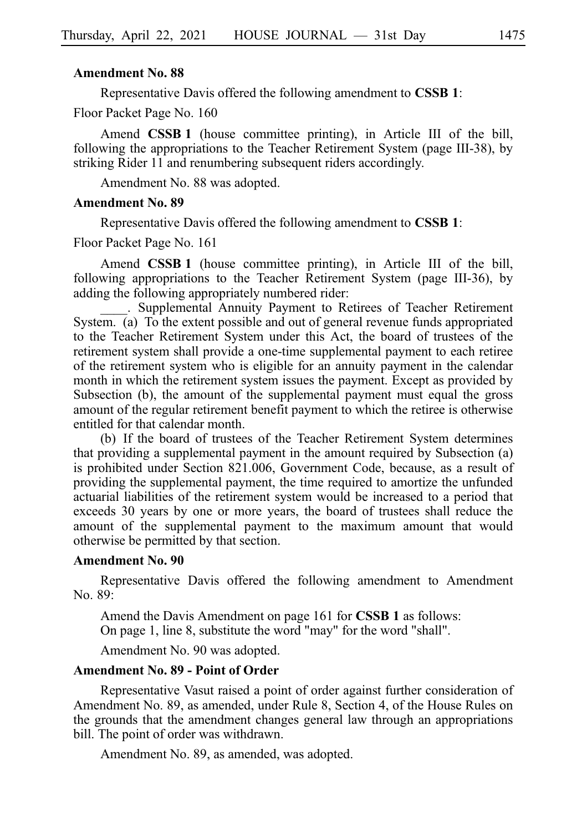Representative Davis offered the following amendment to **CSSBi1**:

Floor Packet Page No. 160

Amend **CSSB 1** (house committee printing), in Article III of the bill, following the appropriations to the Teacher Retirement System (page III-38), by striking Rider 11 and renumbering subsequent riders accordingly.

Amendment No. 88 was adopted.

#### **Amendment No. 89**

Representative Davis offered the following amendment to **CSSBi1**:

Floor Packet Page No. 161

Amend **CSSB 1** (house committee printing), in Article III of the bill, following appropriations to the Teacher Retirement System (page III-36), by adding the following appropriately numbered rider:

\_\_\_\_.iiSupplemental Annuity Payment to Retirees of Teacher Retirement System. (a) To the extent possible and out of general revenue funds appropriated to the Teacher Retirement System under this Act, the board of trustees of the retirement system shall provide a one-time supplemental payment to each retiree of the retirement system who is eligible for an annuity payment in the calendar month in which the retirement system issues the payment. Except as provided by Subsection (b), the amount of the supplemental payment must equal the gross amount of the regular retirement benefit payment to which the retiree is otherwise entitled for that calendar month.

(b) If the board of trustees of the Teacher Retirement System determines that providing a supplemental payment in the amount required by Subsection (a) is prohibited under Section 821.006, Government Code, because, as a result of providing the supplemental payment, the time required to amortize the unfunded actuarial liabilities of the retirement system would be increased to a period that exceeds 30 years by one or more years, the board of trustees shall reduce the amount of the supplemental payment to the maximum amount that would otherwise be permitted by that section.

#### **Amendment No. 90**

Representative Davis offered the following amendment to Amendment No. 89:

Amend the Davis Amendment on page 161 for **CSSB 1** as follows:

On page 1, line 8, substitute the word "may" for the word "shall".

Amendment No. 90 was adopted.

## **Amendment No. 89 - Point of Order**

Representative Vasut raised a point of order against further consideration of Amendment No. 89, as amended, under Rule 8, Section 4, of the House Rules on the grounds that the amendment changes general law through an appropriations bill. The point of order was withdrawn.

Amendment No. 89, as amended, was adopted.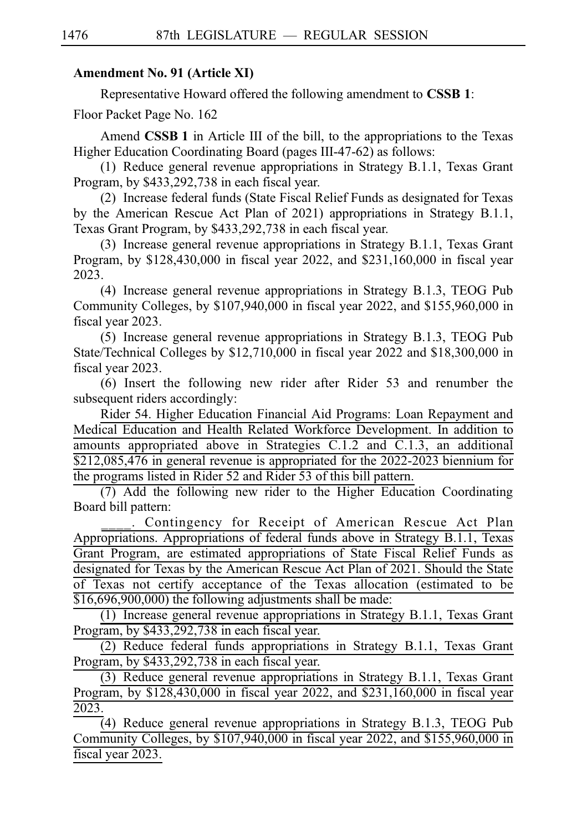# **Amendment No. 91 (Article XI)**

Representative Howard offered the following amendment to **CSSB 1**:

Floor Packet Page No. 162

Amend **CSSB 1** in Article III of the bill, to the appropriations to the Texas Higher Education Coordinating Board (pages III-47-62) as follows:

(1) Reduce general revenue appropriations in Strategy B.1.1, Texas Grant Program, by \$433,292,738 in each fiscal year.

(2) Increase federal funds (State Fiscal Relief Funds as designated for Texas by the American Rescue Act Plan of 2021) appropriations in Strategy B.1.1, Texas Grant Program, by \$433,292,738 in each fiscal year.

(3) Increase general revenue appropriations in Strategy B.1.1, Texas Grant Program, by \$128,430,000 in fiscal year 2022, and \$231,160,000 in fiscal year 2023.

(4) Increase general revenue appropriations in Strategy B.1.3, TEOG Pub Community Colleges, by \$107,940,000 in fiscal year 2022, and \$155,960,000 in fiscal year 2023.

 $(5)$  Increase general revenue appropriations in Strategy B.1.3, TEOG Pub State/Technical Colleges by \$12,710,000 in fiscal year 2022 and \$18,300,000 in fiscal year 2023.

 $(6)$  Insert the following new rider after Rider 53 and renumber the subsequent riders accordingly:

Rider 54. Higher Education Financial Aid Programs: Loan Repayment and Medical Education and Health Related Workforce Development. In addition to amounts appropriated above in Strategies C.1.2 and C.1.3, an additional  $$212,085,476$  in general revenue is appropriated for the  $2022-2023$  biennium for the programs listed in Rider 52 and Rider 53 of this bill pattern.

 $(7)$  Add the following new rider to the Higher Education Coordinating Board bill pattern:

. Contingency for Receipt of American Rescue Act Plan Appropriations. Appropriations of federal funds above in Strategy B.1.1, Texas Grant Program, are estimated appropriations of State Fiscal Relief Funds as designated for Texas by the American Rescue Act Plan of 2021. Should the State of Texas not certify acceptance of the Texas allocation (estimated to be \$16,696,900,000) the following adjustments shall be made:

 $(1)$  Increase general revenue appropriations in Strategy B.1.1, Texas Grant Program, by \$433,292,738 in each fiscal year.

(2) Reduce federal funds appropriations in Strategy B.1.1, Texas Grant Program, by \$433,292,738 in each fiscal year.

(3) Reduce general revenue appropriations in Strategy B.1.1, Texas Grant Program, by \$128,430,000 in fiscal year 2022, and \$231,160,000 in fiscal year 2023.

(4) Reduce general revenue appropriations in Strategy B.1.3, TEOG Pub Community Colleges, by \$107,940,000 in fiscal year 2022, and \$155,960,000 in fiscal year 2023.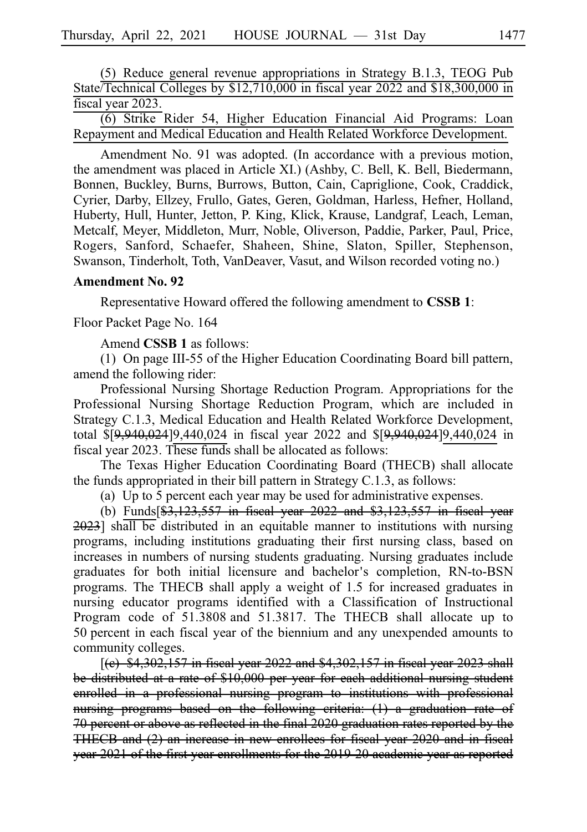$(5)$  Reduce general revenue appropriations in Strategy B.1.3, TEOG Pub State/Technical Colleges by \$12,710,000 in fiscal year 2022 and \$18,300,000 in fiscal year 2023.

(6) Strike Rider 54, Higher Education Financial Aid Programs: Loan Repayment and Medical Education and Health Related Workforce Development.

Amendment No. 91 was adopted. (In accordance with a previous motion, the amendment was placed in Article XI.) (Ashby, C. Bell, K. Bell, Biedermann, Bonnen, Buckley, Burns, Burrows, Button, Cain, Capriglione, Cook, Craddick, Cyrier, Darby, Ellzey, Frullo, Gates, Geren, Goldman, Harless, Hefner, Holland, Huberty, Hull, Hunter, Jetton, P. King, Klick, Krause, Landgraf, Leach, Leman, Metcalf, Meyer, Middleton, Murr, Noble, Oliverson, Paddie, Parker, Paul, Price, Rogers, Sanford, Schaefer, Shaheen, Shine, Slaton, Spiller, Stephenson, Swanson, Tinderholt, Toth, VanDeaver, Vasut, and Wilson recorded voting no.)

### **Amendment No. 92**

Representative Howard offered the following amendment to **CSSBi1**:

Floor Packet Page No. 164

Amend **CSSB 1** as follows:

(1) On page III-55 of the Higher Education Coordinating Board bill pattern, amend the following rider:

Professional Nursing Shortage Reduction Program. Appropriations for the Professional Nursing Shortage Reduction Program, which are included in Strategy C.1.3, Medical Education and Health Related Workforce Development, total \$[9,940,024]9,440,024 in fiscal year 2022 and \$[9,940,024]9,440,024 in fiscal year 2023. These funds shall be allocated as follows:

The Texas Higher Education Coordinating Board (THECB) shall allocate the funds appropriated in their bill pattern in Strategy C.1.3, as follows:

(a) Up to 5 percent each year may be used for administrative expenses.

(b) Funds $\sqrt{83,123,557}$  in fiscal year 2022 and \$3,123,557 in fiscal year 2023] shall be distributed in an equitable manner to institutions with nursing programs, including institutions graduating their first nursing class, based on increases in numbers of nursing students graduating. Nursing graduates include graduates for both initial licensure and bachelor's completion, RN-to-BSN programs. The THECB shall apply a weight of 1.5 for increased graduates in nursing educator programs identified with a Classification of Instructional Program code of 51.3808 and 51.3817. The THECB shall allocate up to 50 percent in each fiscal year of the biennium and any unexpended amounts to community colleges.

 $[$ (e) \$4,302,157 in fiscal year 2022 and \$4,302,157 in fiscal year 2023 shall be distributed at a rate of \$10,000 per year for each additional nursing student enrolled in a professional nursing program to institutions with professional nursing programs based on the following criteria: (1) a graduation rate of 70 percent or above as reflected in the final 2020 graduation rates reported by the THECB and (2) an increase in new enrollees for fiscal year 2020 and in fiscal year 2021 of the first year enrollments for the 2019-20 academic year as reported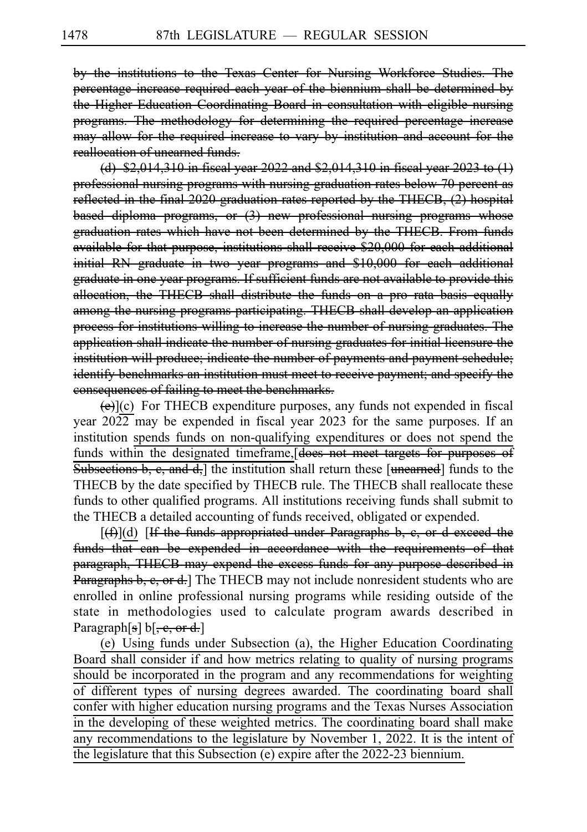by the institutions to the Texas Center for Nursing Workforce Studies. The percentage increase required each year of the biennium shall be determined by the Higher Education Coordinating Board in consultation with eligible nursing programs. The methodology for determining the required percentage increase may allow for the required increase to vary by institution and account for the reallocation of unearned funds.

(d)  $$2,014,310$  in fiscal year 2022 and  $$2,014,310$  in fiscal year 2023 to (1) professional nursing programs with nursing graduation rates below 70 percent as reflected in the final 2020 graduation rates reported by the THECB, (2) hospital based diploma programs, or (3) new professional nursing programs whose graduation rates which have not been determined by the THECB. From funds available for that purpose, institutions shall receive \$20,000 for each additional initial RN graduate in two year programs and \$10,000 for each additional graduate in one year programs. If sufficient funds are not available to provide this allocation, the THECB shall distribute the funds on a pro rata basis equally among the nursing programs participating. THECB shall develop an application process for institutions willing to increase the number of nursing graduates. The application shall indicate the number of nursing graduates for initial licensure the institution will produce; indicate the number of payments and payment schedule; identify benchmarks an institution must meet to receive payment; and specify the consequences of failing to meet the benchmarks.

 $(e)$ ](c) For THECB expenditure purposes, any funds not expended in fiscal year  $2022$  may be expended in fiscal year 2023 for the same purposes. If an institution spends funds on non-qualifying expenditures or does not spend the funds within the designated timeframe, does not meet targets for purposes of  $\overline{\text{Subsections b, e, and d}}$  the institution shall return these [unearned] funds to the THECB by the date specified by THECB rule. The THECB shall reallocate these funds to other qualified programs. All institutions receiving funds shall submit to the THECB a detailed accounting of funds received, obligated or expended.

 $[(f)(d)$  If the funds appropriated under Paragraphs b, e, or d exceed the funds that can be expended in accordance with the requirements of that paragraph, THECB may expend the excess funds for any purpose described in Paragraphs b, e, or d. The THECB may not include nonresident students who are enrolled in online professional nursing programs while residing outside of the state in methodologies used to calculate program awards described in Paragraph[s]  $\mathbf{b}[\text{, e, or d.}]$ 

(e) Using funds under Subsection (a), the Higher Education Coordinating Board shall consider if and how metrics relating to quality of nursing programs should be incorporated in the program and any recommendations for weighting of different types of nursing degrees awarded. The coordinating board shall confer with higher education nursing programs and the Texas Nurses Association in the developing of these weighted metrics. The coordinating board shall make any recommendations to the legislature by November 1, 2022. It is the intent of the legislature that this Subsection (e) expire after the 2022-23 biennium.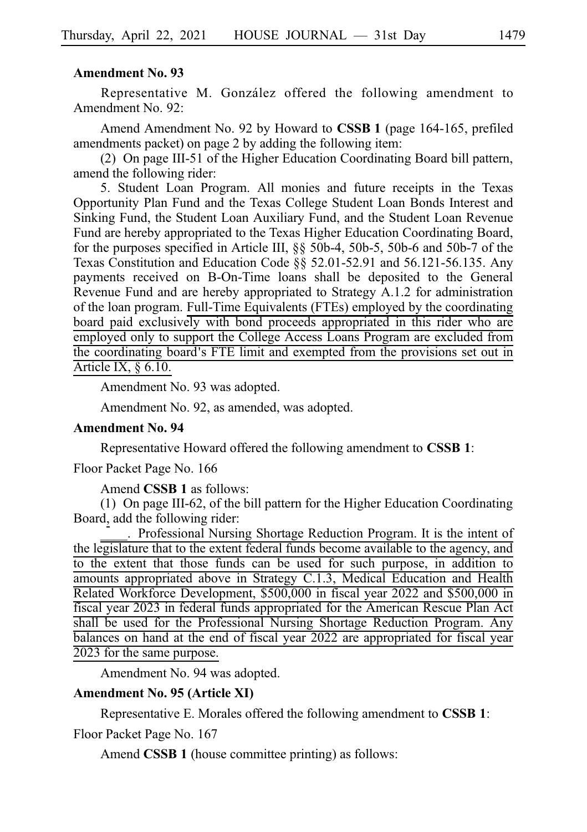Representative M. González offered the following amendment to Amendment No. 92:

Amend Amendment No. 92 by Howard to **CSSBi1** (page 164-165, prefiled amendments packet) on page 2 by adding the following item:

(2) On page III-51 of the Higher Education Coordinating Board bill pattern, amend the following rider:

5. Student Loan Program. All monies and future receipts in the Texas Opportunity Plan Fund and the Texas College Student Loan Bonds Interest and Sinking Fund, the Student Loan Auxiliary Fund, and the Student Loan Revenue Fund are hereby appropriated to the Texas Higher Education Coordinating Board, for the purposes specified in Article III, §§ 50b-4, 50b-5, 50b-6 and 50b-7 of the Texas Constitution and Education Code §§ 52.01-52.91 and 56.121-56.135. Any payments received on B-On-Time loans shall be deposited to the General Revenue Fund and are hereby appropriated to Strategy A.1.2 for administration of the loan program. Full-Time Equivalents (FTEs) employed by the coordinating board paid exclusively with bond proceeds appropriated in this rider who are employed only to support the College Access Loans Program are excluded from the coordinating board's FTE limit and exempted from the provisions set out in Article IX, § 6.10.

Amendment No. 93 was adopted.

Amendment No. 92, as amended, was adopted.

# **Amendment No. 94**

Representative Howard offered the following amendment to **CSSBi1**:

Floor Packet Page No. 166

Amend **CSSB 1** as follows:

(1) On page III-62, of the bill pattern for the Higher Education Coordinating Board, add the following rider:

. Professional Nursing Shortage Reduction Program. It is the intent of the legislature that to the extent federal funds become available to the agency, and to the extent that those funds can be used for such purpose, in addition to amounts appropriated above in Strategy C.1.3, Medical Education and Health Related Workforce Development, \$500,000 in fiscal year 2022 and \$500,000 in fiscal year 2023 in federal funds appropriated for the American Rescue Plan Act shall be used for the Professional Nursing Shortage Reduction Program. Any balances on hand at the end of fiscal year 2022 are appropriated for fiscal year 2023 for the same purpose.

Amendment No. 94 was adopted.

## **Amendment No. 95 (Article XI)**

Representative E. Morales offered the following amendment to **CSSBi1**:

Floor Packet Page No. 167

Amend **CSSB 1** (house committee printing) as follows: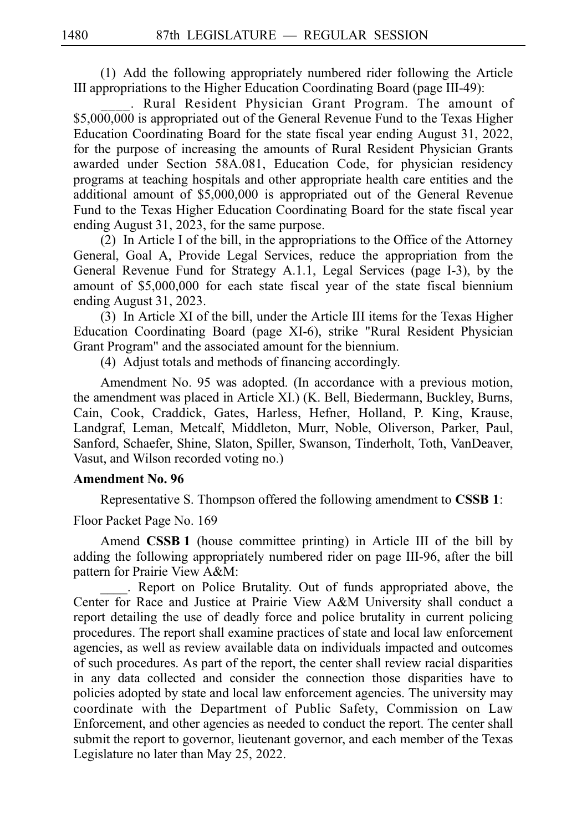$(1)$  Add the following appropriately numbered rider following the Article III appropriations to the Higher Education Coordinating Board (page III-49):

. Rural Resident Physician Grant Program. The amount of \$5,000,000 is appropriated out of the General Revenue Fund to the Texas Higher Education Coordinating Board for the state fiscal year ending August 31, 2022, for the purpose of increasing the amounts of Rural Resident Physician Grants awarded under Section 58A.081, Education Code, for physician residency programs at teaching hospitals and other appropriate health care entities and the additional amount of \$5,000,000 is appropriated out of the General Revenue Fund to the Texas Higher Education Coordinating Board for the state fiscal year ending August 31, 2023, for the same purpose.

(2) In Article I of the bill, in the appropriations to the Office of the Attorney General, Goal A, Provide Legal Services, reduce the appropriation from the General Revenue Fund for Strategy A.1.1, Legal Services (page I-3), by the amount of \$5,000,000 for each state fiscal year of the state fiscal biennium ending August 31, 2023.

(3) In Article XI of the bill, under the Article III items for the Texas Higher Education Coordinating Board (page XI-6), strike "Rural Resident Physician Grant Program" and the associated amount for the biennium.

(4) Adjust totals and methods of financing accordingly.

Amendment No. 95 was adopted. (In accordance with a previous motion, the amendment was placed in Article XI.) (K. Bell, Biedermann, Buckley, Burns, Cain, Cook, Craddick, Gates, Harless, Hefner, Holland, P. King, Krause, Landgraf, Leman, Metcalf, Middleton, Murr, Noble, Oliverson, Parker, Paul, Sanford, Schaefer, Shine, Slaton, Spiller, Swanson, Tinderholt, Toth, VanDeaver, Vasut, and Wilson recorded voting no.)

### **Amendment No. 96**

Representative S. Thompson offered the following amendment to **CSSBi1**:

Floor Packet Page No. 169

Amend **CSSB 1** (house committee printing) in Article III of the bill by adding the following appropriately numbered rider on page III-96, after the bill pattern for Prairie View A&M:

. Report on Police Brutality. Out of funds appropriated above, the Center for Race and Justice at Prairie View A&M University shall conduct a report detailing the use of deadly force and police brutality in current policing procedures. The report shall examine practices of state and local law enforcement agencies, as well as review available data on individuals impacted and outcomes of such procedures. As part of the report, the center shall review racial disparities in any data collected and consider the connection those disparities have to policies adopted by state and local law enforcement agencies. The university may coordinate with the Department of Public Safety, Commission on Law Enforcement, and other agencies as needed to conduct the report. The center shall submit the report to governor, lieutenant governor, and each member of the Texas Legislature no later than May 25, 2022.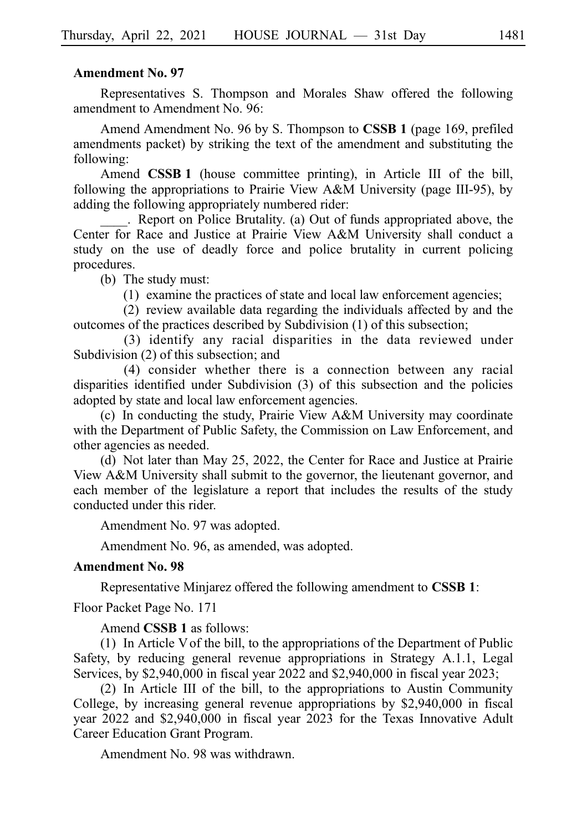Representatives S. Thompson and Morales Shaw offered the following amendment to Amendment No. 96:

Amend Amendment No. 96 by S. Thompson to **CSSB 1** (page 169, prefiled amendments packet) by striking the text of the amendment and substituting the following:

Amend **CSSB 1** (house committee printing), in Article III of the bill, following the appropriations to Prairie View A&M University (page III-95), by adding the following appropriately numbered rider:

. Report on Police Brutality. (a) Out of funds appropriated above, the Center for Race and Justice at Prairie View A&M University shall conduct a study on the use of deadly force and police brutality in current policing procedures.

(b) The study must:

 $(1)$  examine the practices of state and local law enforcement agencies;

 $(2)$  review available data regarding the individuals affected by and the outcomes of the practices described by Subdivision (1) of this subsection;

(3) identify any racial disparities in the data reviewed under Subdivision (2) of this subsection; and

 $(4)$  consider whether there is a connection between any racial disparities identified under Subdivision (3) of this subsection and the policies adopted by state and local law enforcement agencies.

(c) In conducting the study, Prairie View A&M University may coordinate with the Department of Public Safety, the Commission on Law Enforcement, and other agencies as needed.

(d) Not later than May 25, 2022, the Center for Race and Justice at Prairie View A&M University shall submit to the governor, the lieutenant governor, and each member of the legislature a report that includes the results of the study conducted under this rider.

Amendment No. 97 was adopted.

Amendment No. 96, as amended, was adopted.

# **Amendment No. 98**

Representative Minjarez offered the following amendment to **CSSBi1**:

Floor Packet Page No. 171

## Amend **CSSB 1** as follows:

(1) In Article V of the bill, to the appropriations of the Department of Public Safety, by reducing general revenue appropriations in Strategy A.1.1, Legal Services, by \$2,940,000 in fiscal year 2022 and \$2,940,000 in fiscal year 2023;

 $(2)$  In Article III of the bill, to the appropriations to Austin Community College, by increasing general revenue appropriations by \$2,940,000 in fiscal year 2022 and \$2,940,000 in fiscal year 2023 for the Texas Innovative Adult Career Education Grant Program.

Amendment No. 98 was withdrawn.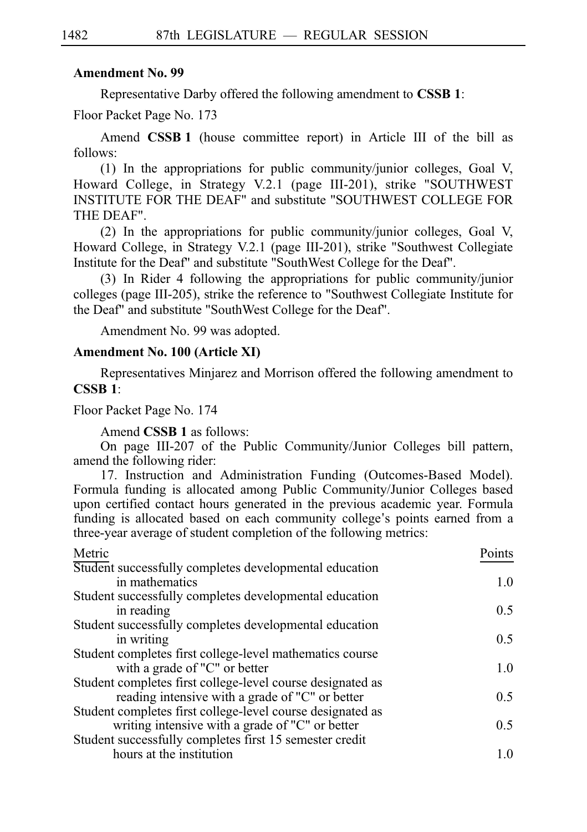Representative Darby offered the following amendment to **CSSBi1**:

Floor Packet Page No. 173

Amend **CSSB 1** (house committee report) in Article III of the bill as follows:

(1) In the appropriations for public community/junior colleges, Goal V, Howard College, in Strategy V.2.1 (page III-201), strike "SOUTHWEST INSTITUTE FOR THE DEAF" and substitute "SOUTHWEST COLLEGE FOR THE DEAF".

(2) In the appropriations for public community/junior colleges, Goal V, Howard College, in Strategy V.2.1 (page III-201), strike "Southwest Collegiate Institute for the Deaf" and substitute "SouthWest College for the Deaf".

 $(3)$  In Rider 4 following the appropriations for public community/junior colleges (page III-205), strike the reference to "Southwest Collegiate Institute for the Deaf" and substitute "SouthWest College for the Deaf".

Amendment No. 99 was adopted.

## **Amendment No. 100 (Article XI)**

Representatives Minjarez and Morrison offered the following amendment to **CSSBi1**:

Floor Packet Page No. 174

Amend **CSSB 1** as follows:

On page III-207 of the Public Community/Junior Colleges bill pattern, amend the following rider:

17. Instruction and Administration Funding (Outcomes-Based Model). Formula funding is allocated among Public Community/Junior Colleges based upon certified contact hours generated in the previous academic year. Formula funding is allocated based on each community college's points earned from a three-year average of student completion of the following metrics:

| Points |
|--------|
|        |
| 1.0    |
|        |
| 0.5    |
|        |
| 0.5    |
|        |
| 1.0    |
|        |
| 0.5    |
|        |
| 0.5    |
|        |
| 1.0    |
|        |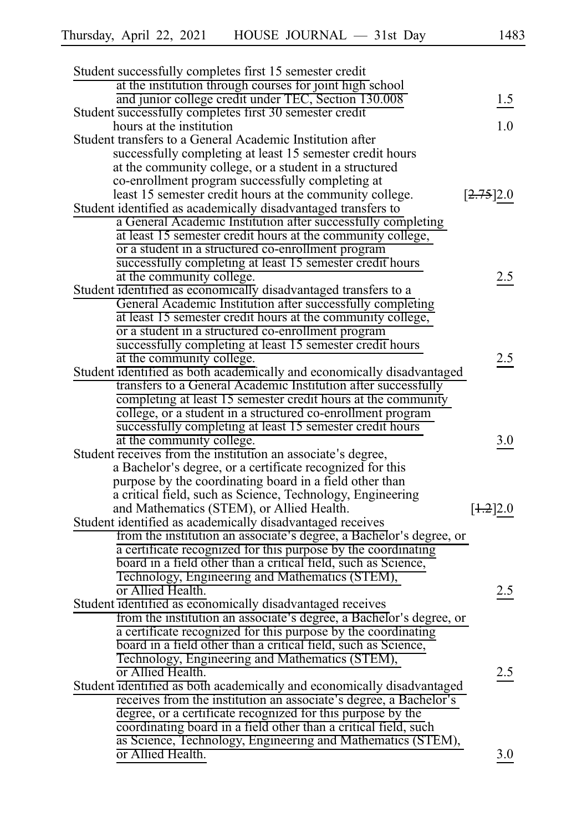| Student successfully completes first 15 semester credit                                                                         |           |
|---------------------------------------------------------------------------------------------------------------------------------|-----------|
| at the institution through courses for joint high school                                                                        |           |
| and junior college credit under TEC, Section 130.008                                                                            | 1.5       |
| Student successfully completes first 30 semester credit                                                                         | 1.0       |
| hours at the institution                                                                                                        |           |
| Student transfers to a General Academic Institution after                                                                       |           |
| successfully completing at least 15 semester credit hours                                                                       |           |
| at the community college, or a student in a structured                                                                          |           |
| co-enrollment program successfully completing at                                                                                |           |
| least 15 semester credit hours at the community college.                                                                        | [2.75]2.0 |
| Student identified as academically disadvantaged transfers to                                                                   |           |
| a General Academic Institution after successfully completing                                                                    |           |
| at least 15 semester credit hours at the community college,                                                                     |           |
| or a student in a structured co-enrollment program                                                                              |           |
| successfully completing at least 15 semester credit hours                                                                       |           |
| at the community college.                                                                                                       | 2.5       |
| Student identified as economically disadvantaged transfers to a                                                                 |           |
| General Academic Institution after successfully completing                                                                      |           |
| at least 15 semester credit hours at the community college,                                                                     |           |
| or a student in a structured co-enrollment program                                                                              |           |
| successfully completing at least 15 semester credit hours                                                                       |           |
| at the community college.                                                                                                       | 2.5       |
| Student identified as both academically and economically disadvantaged                                                          |           |
| transfers to a General Academic Institution after successfully                                                                  |           |
| completing at least 15 semester credit hours at the community                                                                   |           |
| college, or a student in a structured co-enrollment program                                                                     |           |
| successfully completing at least 15 semester credit hours                                                                       |           |
| at the community college.                                                                                                       | 3.0       |
| Student receives from the institution an associate's degree,                                                                    |           |
| a Bachelor's degree, or a certificate recognized for this                                                                       |           |
| purpose by the coordinating board in a field other than                                                                         |           |
| a critical field, such as Science, Technology, Engineering                                                                      |           |
| and Mathematics (STEM), or Allied Health.                                                                                       | [4.2]2.0  |
| Student identified as academically disadvantaged receives                                                                       |           |
| from the institution an associate's degree, a Bachelor's degree, or                                                             |           |
| a certificate recognized for this purpose by the coordinating<br>board in a field other than a critical field, such as Science, |           |
| Technology, Engineering and Mathematics (STEM),                                                                                 |           |
| or Allied Health.                                                                                                               |           |
| Student identified as economically disadvantaged receives                                                                       | 2.5       |
| from the institution an associate's degree, a Bachelor's degree, or                                                             |           |
| a certificate recognized for this purpose by the coordinating                                                                   |           |
| board in a field other than a critical field, such as Science,                                                                  |           |
| Technology, Engineering and Mathematics (STEM),                                                                                 |           |
| or Allied Health.                                                                                                               | 2.5       |
| Student identified as both academically and economically disadvantaged                                                          |           |
| receives from the institution an associate's degree, a Bachelor's                                                               |           |
| degree, or a certificate recognized for this purpose by the                                                                     |           |
| coordinating board in a field other than a critical field, such                                                                 |           |
| as Science, Technology, Engineering and Mathematics (STEM),                                                                     |           |
| or Allied Health.                                                                                                               | 3.0       |
|                                                                                                                                 |           |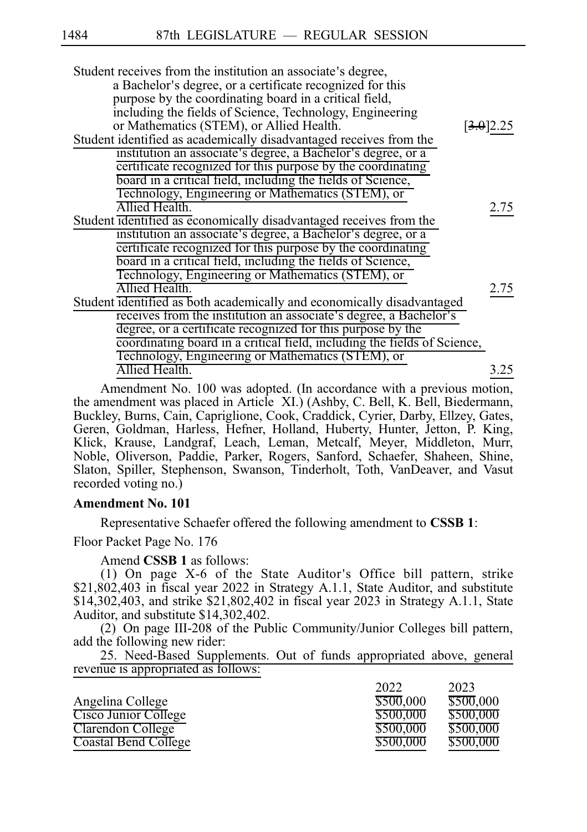| Student receives from the institution an associate's degree,             |           |
|--------------------------------------------------------------------------|-----------|
| a Bachelor's degree, or a certificate recognized for this                |           |
| purpose by the coordinating board in a critical field,                   |           |
| including the fields of Science, Technology, Engineering                 |           |
| or Mathematics (STEM), or Allied Health.                                 | [3.0]2.25 |
| Student identified as academically disadvantaged receives from the       |           |
| institution an associate's degree, a Bachelor's degree, or a             |           |
| certificate recognized for this purpose by the coordinating              |           |
| board in a critical field, including the fields of Science,              |           |
| Technology, Engineering or Mathematics (STEM), or                        |           |
| Allied Health.                                                           | 2.75      |
| Student identified as economically disadvantaged receives from the       |           |
| institution an associate's degree, a Bachelor's degree, or a             |           |
| certificate recognized for this purpose by the coordinating              |           |
| board in a critical field, including the fields of Science,              |           |
| Technology, Engineering or Mathematics (STEM), or                        |           |
| Allied Health.                                                           | 2.75      |
| Student identified as both academically and economically disadvantaged   |           |
| receives from the institution an associate's degree, a Bachelor's        |           |
| degree, or a certificate recognized for this purpose by the              |           |
| coordinating board in a critical field, including the fields of Science, |           |
| Technology, Engineering or Mathematics (STEM), or                        |           |
| Allied Health.                                                           | 3.25      |
|                                                                          |           |

Amendment No. 100 was adopted. (In accordance with a previous motion, the amendment was placed in Article XI.) (Ashby, C. Bell, K. Bell, Biedermann, Buckley, Burns, Cain, Capriglione, Cook, Craddick, Cyrier, Darby, Ellzey, Gates, Geren, Goldman, Harless, Hefner, Holland, Huberty, Hunter, Jetton, P. King, Klick, Krause, Landgraf, Leach, Leman, Metcalf, Meyer, Middleton, Murr, Noble, Oliverson, Paddie, Parker, Rogers, Sanford, Schaefer, Shaheen, Shine, Slaton, Spiller, Stephenson, Swanson, Tinderholt, Toth, VanDeaver, and Vasut recorded voting no.)

# **Amendment No. 101**

Representative Schaefer offered the following amendment to **CSSBi1**:

Floor Packet Page No. 176

Amend **CSSB 1** as follows:

(1) On page X-6 of the State Auditor's Office bill pattern, strike \$21,802,403 in fiscal year 2022 in Strategy A.1.1, State Auditor, and substitute \$14,302,403, and strike \$21,802,402 in fiscal year 2023 in Strategy A.1.1, State Auditor, and substitute \$14,302,402.

(2) On page III-208 of the Public Community/Junior Colleges bill pattern, add the following new rider:

25. Need-Based Supplements. Out of funds appropriated above, general revenue is appropriated as follows:

|                             | 2022      | 2023      |
|-----------------------------|-----------|-----------|
| Angelina College            | \$500,000 | \$500,000 |
| Cisco Junior College        | \$500,000 | \$500,000 |
| Clarendon College           | \$500,000 | \$500,000 |
| <b>Coastal Bend College</b> | \$500,000 | \$500,000 |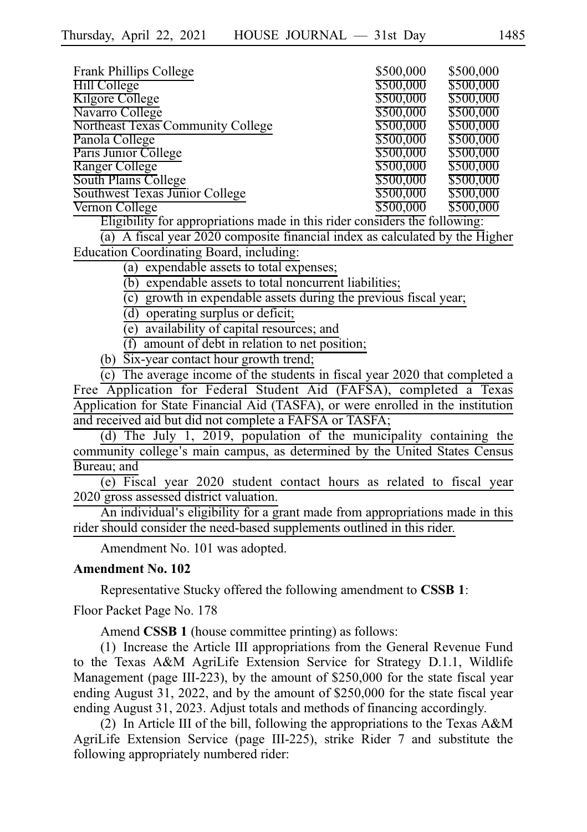| Frank Phillips College                                                             | \$500,000 | \$500,000 |
|------------------------------------------------------------------------------------|-----------|-----------|
| Hill College                                                                       | \$500,000 | \$500,000 |
| Kilgore College                                                                    | \$500,000 | \$500,000 |
| Navarro College                                                                    | \$500,000 | \$500,000 |
| Northeast Texas Community College                                                  | \$500,000 | \$500,000 |
| Panola College                                                                     | \$500,000 | \$500,000 |
| Paris Junior College                                                               | \$500,000 | \$500,000 |
| Ranger College                                                                     | \$500,000 | \$500,000 |
| South Plains College                                                               | \$500,000 | \$500,000 |
| Southwest Texas Junior College                                                     | \$500,000 | \$500,000 |
| Vernon College                                                                     | \$500,000 | \$500,000 |
| $\Gamma$ ligibility for appropriations mode in this nider considers the following: |           |           |

Eligibility for appropriations made in this rider considers the following:

 $\overline{a}$ ) A fiscal year 2020 composite financial index as calculated by the Higher Education Coordinating Board, including:

(a) expendable assets to total expenses;

 $(b)$  expendable assets to total noncurrent liabilities;

 $(c)$  growth in expendable assets during the previous fiscal year;

 $(d)$  operating surplus or deficit;

 $\overline{e}$ ) availability of capital resources; and

 $(f)$  amount of debt in relation to net position;

(b)  $\overline{Six}$ -year contact hour growth trend;

 $\overline{c}$ ) The average income of the students in fiscal year 2020 that completed a Free Application for Federal Student Aid (FAFSA), completed a Texas Application for State Financial Aid (TASFA), or were enrolled in the institution and received aid but did not complete a FAFSA or TASFA;

(d) The July 1, 2019, population of the municipality containing the community college's main campus, as determined by the United States Census Bureau; and

(e) Fiscal year 2020 student contact hours as related to fiscal year 2020 gross assessed district valuation.

An individual's eligibility for a grant made from appropriations made in this rider should consider the need-based supplements outlined in this rider.

Amendment No. 101 was adopted.

### **Amendment No. 102**

Representative Stucky offered the following amendment to **CSSBi1**:

Floor Packet Page No. 178

Amend **CSSB 1** (house committee printing) as follows:

(1) Increase the Article III appropriations from the General Revenue Fund to the Texas A&M AgriLife Extension Service for Strategy D.1.1, Wildlife Management (page III-223), by the amount of \$250,000 for the state fiscal year ending August 31, 2022, and by the amount of \$250,000 for the state fiscal year ending August 31, 2023. Adjust totals and methods of financing accordingly.

(2) In Article III of the bill, following the appropriations to the Texas A&M AgriLife Extension Service (page III-225), strike Rider 7 and substitute the following appropriately numbered rider: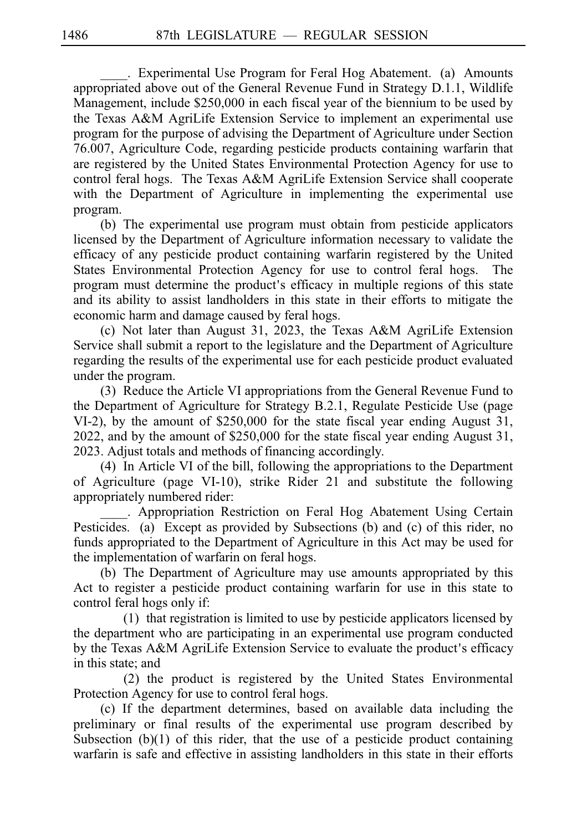. Experimental Use Program for Feral Hog Abatement. (a) Amounts appropriated above out of the General Revenue Fund in Strategy D.1.1, Wildlife Management, include \$250,000 in each fiscal year of the biennium to be used by the Texas A&M AgriLife Extension Service to implement an experimental use program for the purpose of advising the Department of Agriculture under Section 76.007, Agriculture Code, regarding pesticide products containing warfarin that are registered by the United States Environmental Protection Agency for use to control feral hogs. The Texas A&M AgriLife Extension Service shall cooperate with the Department of Agriculture in implementing the experimental use program.

(b) The experimental use program must obtain from pesticide applicators licensed by the Department of Agriculture information necessary to validate the efficacy of any pesticide product containing warfarin registered by the United States Environmental Protection Agency for use to control feral hogs. The program must determine the product's efficacy in multiple regions of this state and its ability to assist landholders in this state in their efforts to mitigate the economic harm and damage caused by feral hogs.

(c) Not later than August 31, 2023, the Texas A&M AgriLife Extension Service shall submit a report to the legislature and the Department of Agriculture regarding the results of the experimental use for each pesticide product evaluated under the program.

(3) Reduce the Article VI appropriations from the General Revenue Fund to the Department of Agriculture for Strategy B.2.1, Regulate Pesticide Use (page VI-2), by the amount of \$250,000 for the state fiscal year ending August 31, 2022, and by the amount of \$250,000 for the state fiscal year ending August 31, 2023. Adjust totals and methods of financing accordingly.

(4) In Article VI of the bill, following the appropriations to the Department of Agriculture (page VI-10), strike Rider 21 and substitute the following appropriately numbered rider:

. Appropriation Restriction on Feral Hog Abatement Using Certain Pesticides. (a) Except as provided by Subsections (b) and (c) of this rider, no funds appropriated to the Department of Agriculture in this Act may be used for the implementation of warfarin on feral hogs.

(b) The Department of Agriculture may use amounts appropriated by this Act to register a pesticide product containing warfarin for use in this state to control feral hogs only if:

 $(1)$  that registration is limited to use by pesticide applicators licensed by the department who are participating in an experimental use program conducted by the Texas A&M AgriLife Extension Service to evaluate the product's efficacy in this state; and

 $(2)$  the product is registered by the United States Environmental Protection Agency for use to control feral hogs.

(c) If the department determines, based on available data including the preliminary or final results of the experimental use program described by Subsection (b)(1) of this rider, that the use of a pesticide product containing warfarin is safe and effective in assisting landholders in this state in their efforts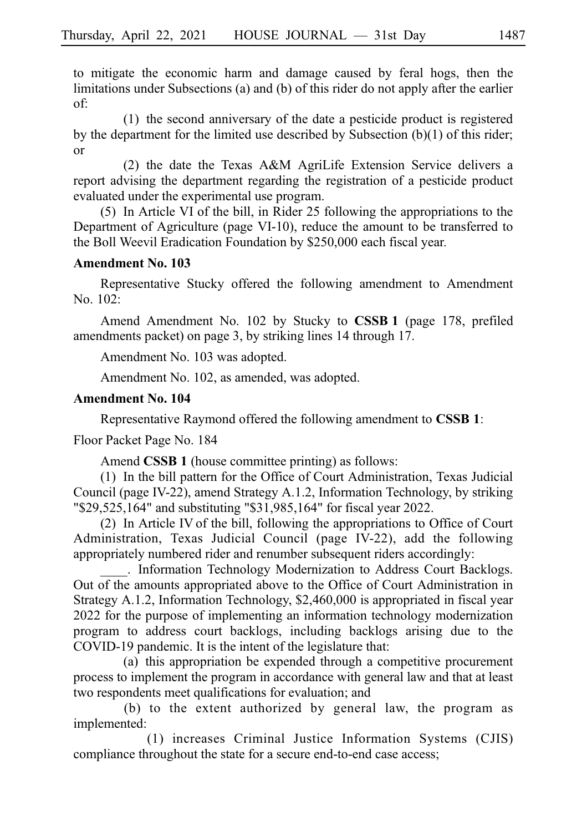to mitigate the economic harm and damage caused by feral hogs, then the limitations under Subsections (a) and (b) of this rider do not apply after the earlier of:

 $(1)$  the second anniversary of the date a pesticide product is registered by the department for the limited use described by Subsection (b)(1) of this rider; or

(2) the date the Texas A&M AgriLife Extension Service delivers a report advising the department regarding the registration of a pesticide product evaluated under the experimental use program.

 $(5)$  In Article VI of the bill, in Rider 25 following the appropriations to the Department of Agriculture (page VI-10), reduce the amount to be transferred to the Boll Weevil Eradication Foundation by \$250,000 each fiscal year.

# **Amendment No. 103**

Representative Stucky offered the following amendment to Amendment No. 102:

Amend Amendment No. 102 by Stucky to **CSSB 1** (page 178, prefiled amendments packet) on page 3, by striking lines 14 through 17.

Amendment No. 103 was adopted.

Amendment No. 102, as amended, was adopted.

### **Amendment No. 104**

Representative Raymond offered the following amendment to **CSSBi1**:

Floor Packet Page No. 184

Amend **CSSB 1** (house committee printing) as follows:

 $(1)$  In the bill pattern for the Office of Court Administration, Texas Judicial Council (page IV-22), amend Strategy A.1.2, Information Technology, by striking "\$29,525,164" and substituting "\$31,985,164" for fiscal year 2022.

 $(2)$  In Article IV of the bill, following the appropriations to Office of Court Administration, Texas Judicial Council (page IV-22), add the following appropriately numbered rider and renumber subsequent riders accordingly:

. Information Technology Modernization to Address Court Backlogs. Out of the amounts appropriated above to the Office of Court Administration in Strategy A.1.2, Information Technology, \$2,460,000 is appropriated in fiscal year 2022 for the purpose of implementing an information technology modernization program to address court backlogs, including backlogs arising due to the COVID-19 pandemic. It is the intent of the legislature that:

(a) this appropriation be expended through a competitive procurement process to implement the program in accordance with general law and that at least two respondents meet qualifications for evaluation; and

(b) to the extent authorized by general law, the program as implemented:

(1) increases Criminal Justice Information Systems (CJIS) compliance throughout the state for a secure end-to-end case access;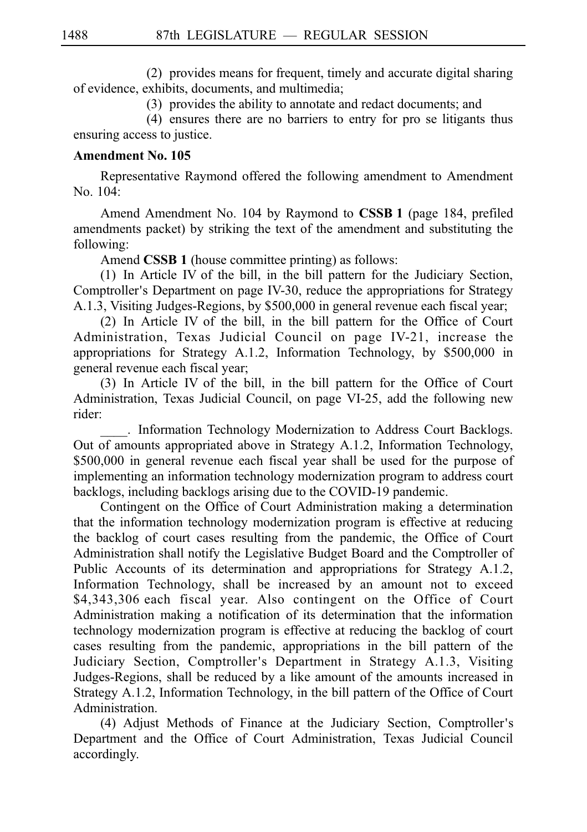(2) provides means for frequent, timely and accurate digital sharing of evidence, exhibits, documents, and multimedia;

(3) provides the ability to annotate and redact documents; and

 $(4)$  ensures there are no barriers to entry for pro se litigants thus ensuring access to justice.

# **Amendment No. 105**

Representative Raymond offered the following amendment to Amendment No. 104:

Amend Amendment No. 104 by Raymond to CSSB 1 (page 184, prefiled amendments packet) by striking the text of the amendment and substituting the following:

Amend **CSSB 1** (house committee printing) as follows:

(1) In Article IV of the bill, in the bill pattern for the Judiciary Section, Comptroller's Department on page IV-30, reduce the appropriations for Strategy A.1.3, Visiting Judges-Regions, by \$500,000 in general revenue each fiscal year;

(2) In Article IV of the bill, in the bill pattern for the Office of Court Administration, Texas Judicial Council on page IV-21, increase the appropriations for Strategy A.1.2, Information Technology, by \$500,000 in general revenue each fiscal year;

 $(3)$  In Article IV of the bill, in the bill pattern for the Office of Court Administration, Texas Judicial Council, on page VI-25, add the following new rider:

. Information Technology Modernization to Address Court Backlogs. Out of amounts appropriated above in Strategy A.1.2, Information Technology, \$500,000 in general revenue each fiscal year shall be used for the purpose of implementing an information technology modernization program to address court backlogs, including backlogs arising due to the COVID-19 pandemic.

Contingent on the Office of Court Administration making a determination that the information technology modernization program is effective at reducing the backlog of court cases resulting from the pandemic, the Office of Court Administration shall notify the Legislative Budget Board and the Comptroller of Public Accounts of its determination and appropriations for Strategy A.1.2, Information Technology, shall be increased by an amount not to exceed \$4,343,306 each fiscal year. Also contingent on the Office of Court Administration making a notification of its determination that the information technology modernization program is effective at reducing the backlog of court cases resulting from the pandemic, appropriations in the bill pattern of the Judiciary Section, Comptroller's Department in Strategy A.1.3, Visiting Judges-Regions, shall be reduced by a like amount of the amounts increased in Strategy A.1.2, Information Technology, in the bill pattern of the Office of Court Administration.

(4) Adjust Methods of Finance at the Judiciary Section, Comptroller's Department and the Office of Court Administration, Texas Judicial Council accordingly.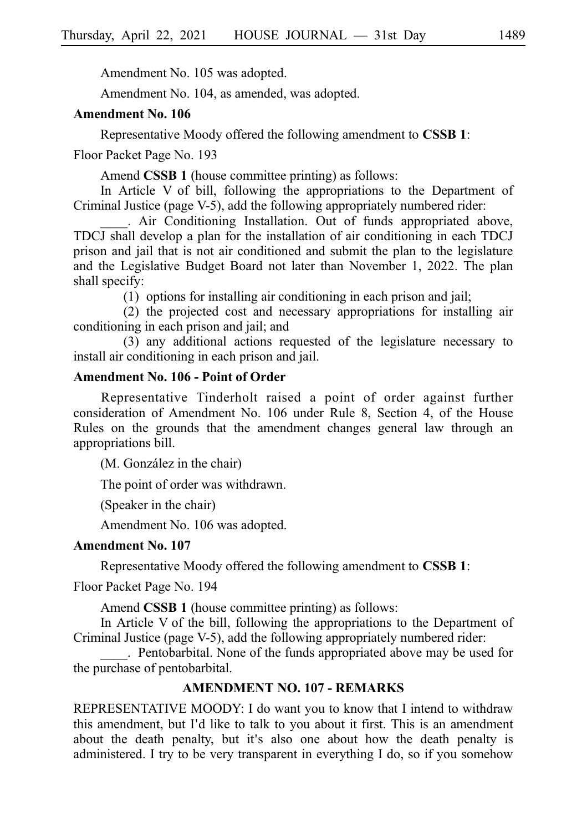Amendment No. 105 was adopted.

Amendment No. 104, as amended, was adopted.

## **Amendment No. 106**

Representative Moody offered the following amendment to **CSSBi1**:

Floor Packet Page No. 193

Amend **CSSB 1** (house committee printing) as follows:

In Article V of bill, following the appropriations to the Department of Criminal Justice (page V-5), add the following appropriately numbered rider:

. Air Conditioning Installation. Out of funds appropriated above, TDCJ shall develop a plan for the installation of air conditioning in each TDCJ prison and jail that is not air conditioned and submit the plan to the legislature and the Legislative Budget Board not later than November 1, 2022. The plan shall specify:

 $(1)$  options for installing air conditioning in each prison and jail;

 $(2)$  the projected cost and necessary appropriations for installing air conditioning in each prison and jail; and

(3) any additional actions requested of the legislature necessary to install air conditioning in each prison and jail.

## **Amendment No. 106 - Point of Order**

Representative Tinderholt raised a point of order against further consideration of Amendment No. 106 under Rule 8, Section 4, of the House Rules on the grounds that the amendment changes general law through an appropriations bill.

(M. González in the chair)

The point of order was withdrawn.

(Speaker in the chair)

Amendment No. 106 was adopted.

### **Amendment No. 107**

Representative Moody offered the following amendment to **CSSBi1**:

Floor Packet Page No. 194

Amend **CSSB 1** (house committee printing) as follows:

In Article V of the bill, following the appropriations to the Department of Criminal Justice (page V-5), add the following appropriately numbered rider:

. Pentobarbital. None of the funds appropriated above may be used for the purchase of pentobarbital.

# **AMENDMENT NO. 107 - REMARKS**

REPRESENTATIVE MOODY: I do want you to know that I intend to withdraw this amendment, but I'd like to talk to you about it first. This is an amendment about the death penalty, but it's also one about how the death penalty is administered. I try to be very transparent in everything I do, so if you somehow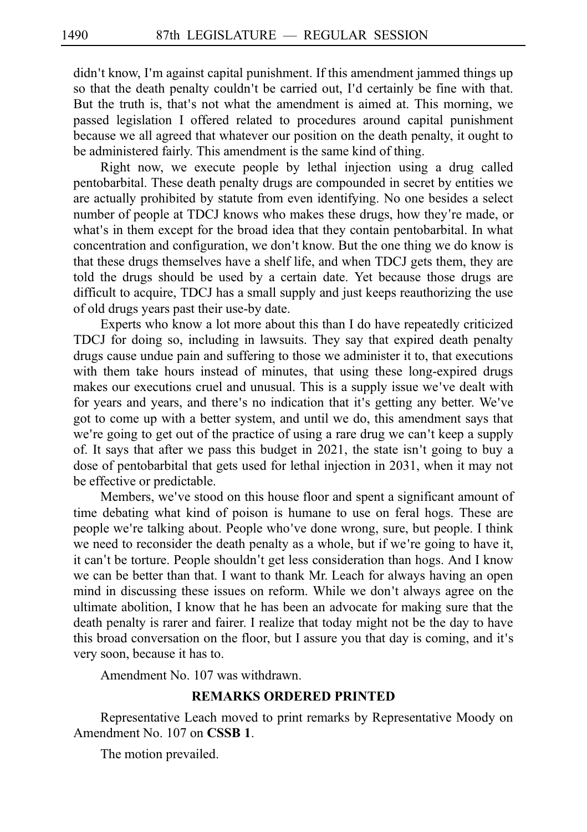didn't know, I'm against capital punishment. If this amendment jammed things up so that the death penalty couldn't be carried out, I'd certainly be fine with that. But the truth is, that's not what the amendment is aimed at. This morning, we passed legislation I offered related to procedures around capital punishment because we all agreed that whatever our position on the death penalty, it ought to be administered fairly. This amendment is the same kind of thing.

Right now, we execute people by lethal injection using a drug called pentobarbital. These death penalty drugs are compounded in secret by entities we are actually prohibited by statute from even identifying. No one besides a select number of people at TDCJ knows who makes these drugs, how they're made, or what's in them except for the broad idea that they contain pentobarbital. In what concentration and configuration, we don't know. But the one thing we do know is that these drugs themselves have a shelf life, and when TDCJ gets them, they are told the drugs should be used by a certain date. Yet because those drugs are difficult to acquire, TDCJ has a small supply and just keeps reauthorizing the use of old drugs years past their use-by date.

Experts who know a lot more about this than I do have repeatedly criticized TDCJ for doing so, including in lawsuits. They say that expired death penalty drugs cause undue pain and suffering to those we administer it to, that executions with them take hours instead of minutes, that using these long-expired drugs makes our executions cruel and unusual. This is a supply issue we've dealt with for years and years, and there's no indication that it's getting any better. We've got to come up with a better system, and until we do, this amendment says that we're going to get out of the practice of using a rare drug we can't keep a supply of. It says that after we pass this budget in 2021, the state isn't going to buy a dose of pentobarbital that gets used for lethal injection in 2031, when it may not be effective or predictable.

Members, we've stood on this house floor and spent a significant amount of time debating what kind of poison is humane to use on feral hogs. These are people we're talking about. People who've done wrong, sure, but people. I think we need to reconsider the death penalty as a whole, but if we're going to have it, it can't be torture. People shouldn't get less consideration than hogs. And I know we can be better than that. I want to thank Mr. Leach for always having an open mind in discussing these issues on reform. While we don't always agree on the ultimate abolition, I know that he has been an advocate for making sure that the death penalty is rarer and fairer. I realize that today might not be the day to have this broad conversation on the floor, but I assure you that day is coming, and it's very soon, because it has to.

Amendment No. 107 was withdrawn.

# **REMARKS ORDERED PRINTED**

Representative Leach moved to print remarks by Representative Moody on Amendment No. 107 on **CSSB 1**.

The motion prevailed.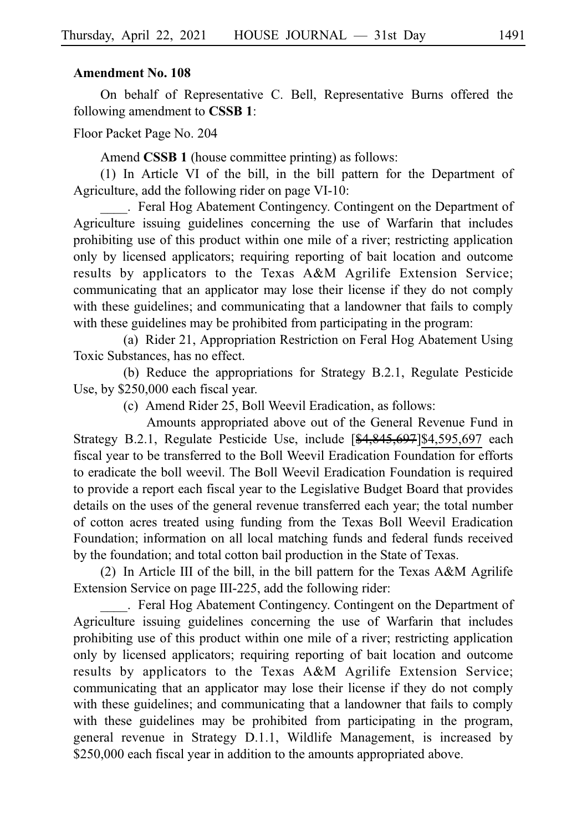On behalf of Representative C. Bell, Representative Burns offered the following amendment to **CSSBi1**:

Floor Packet Page No. 204

Amend **CSSB 1** (house committee printing) as follows:

 $(1)$  In Article VI of the bill, in the bill pattern for the Department of Agriculture, add the following rider on page VI-10:

. Feral Hog Abatement Contingency. Contingent on the Department of Agriculture issuing guidelines concerning the use of Warfarin that includes prohibiting use of this product within one mile of a river; restricting application only by licensed applicators; requiring reporting of bait location and outcome results by applicators to the Texas A&M Agrilife Extension Service; communicating that an applicator may lose their license if they do not comply with these guidelines; and communicating that a landowner that fails to comply with these guidelines may be prohibited from participating in the program:

(a) Rider 21, Appropriation Restriction on Feral Hog Abatement Using Toxic Substances, has no effect.

(b) Reduce the appropriations for Strategy B.2.1, Regulate Pesticide Use, by \$250,000 each fiscal year.

(c) Amend Rider 25, Boll Weevil Eradication, as follows:

Amounts appropriated above out of the General Revenue Fund in Strategy B.2.1, Regulate Pesticide Use, include [\$4,845,697]\$4,595,697 each fiscal year to be transferred to the Boll Weevil Eradication Foundation for efforts to eradicate the boll weevil. The Boll Weevil Eradication Foundation is required to provide a report each fiscal year to the Legislative Budget Board that provides details on the uses of the general revenue transferred each year; the total number of cotton acres treated using funding from the Texas Boll Weevil Eradication Foundation; information on all local matching funds and federal funds received by the foundation; and total cotton bail production in the State of Texas.

(2) In Article III of the bill, in the bill pattern for the Texas A&M Agrilife Extension Service on page III-225, add the following rider:

\_\_\_\_.iiFeral Hog Abatement Contingency. Contingent on the Department of Agriculture issuing guidelines concerning the use of Warfarin that includes prohibiting use of this product within one mile of a river; restricting application only by licensed applicators; requiring reporting of bait location and outcome results by applicators to the Texas A&M Agrilife Extension Service; communicating that an applicator may lose their license if they do not comply with these guidelines; and communicating that a landowner that fails to comply with these guidelines may be prohibited from participating in the program, general revenue in Strategy D.1.1, Wildlife Management, is increased by \$250,000 each fiscal year in addition to the amounts appropriated above.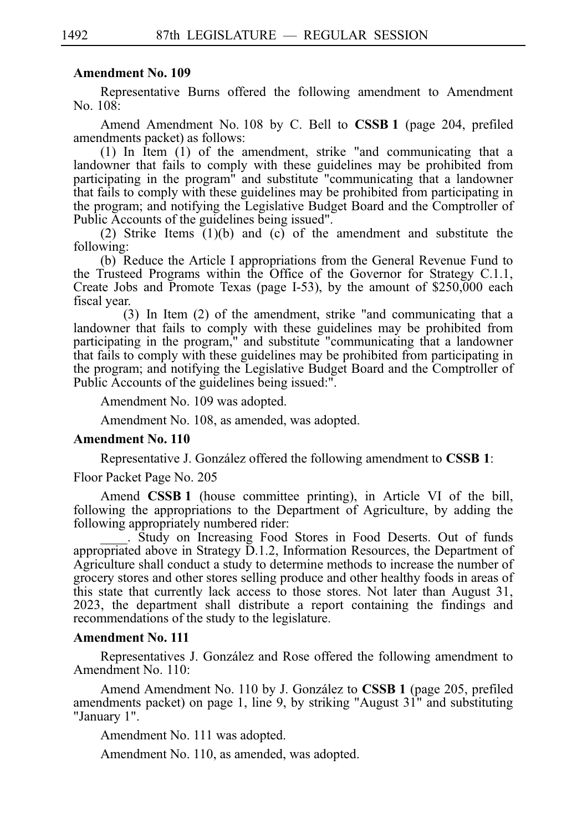Representative Burns offered the following amendment to Amendment No. 108:

Amend Amendment No. 108 by C. Bell to **CSSB 1** (page 204, prefiled amendments packet) as follows:

 $(1)$  In Item  $(1)$  of the amendment, strike "and communicating that a landowner that fails to comply with these guidelines may be prohibited from participating in the program" and substitute "communicating that a landowner that fails to comply with these guidelines may be prohibited from participating in the program; and notifying the Legislative Budget Board and the Comptroller of Public Accounts of the guidelines being issued".

(2) Strike Items  $(1)(b)$  and  $(c)$  of the amendment and substitute the following:

(b) Reduce the Article I appropriations from the General Revenue Fund to the Trusteed Programs within the Office of the Governor for Strategy C.1.1, Create Jobs and Promote Texas (page I-53), by the amount of \$250,000 each fiscal year.

 $(3)$  In Item  $(2)$  of the amendment, strike "and communicating that a landowner that fails to comply with these guidelines may be prohibited from participating in the program," and substitute "communicating that a landowner that fails to comply with these guidelines may be prohibited from participating in the program; and notifying the Legislative Budget Board and the Comptroller of Public Accounts of the guidelines being issued:".

Amendment No. 109 was adopted.

Amendment No. 108, as amended, was adopted.

### **Amendment No. 110**

Representative J. González offered the following amendment to **CSSB 1**:

Floor Packet Page No. 205

Amend **CSSB 1** (house committee printing), in Article VI of the bill, following the appropriations to the Department of Agriculture, by adding the following appropriately numbered rider:

Study on Increasing Food Stores in Food Deserts. Out of funds appropriated above in Strategy D.1.2, Information Resources, the Department of Agriculture shall conduct a study to determine methods to increase the number of grocery stores and other stores selling produce and other healthy foods in areas of this state that currently lack access to those stores. Not later than August 31, 2023, the department shall distribute a report containing the findings and recommendations of the study to the legislature.

### **Amendment No. 111**

Representatives J. González and Rose offered the following amendment to Amendment No. 110:

Amend Amendment No. 110 by J. González to **CSSB 1** (page 205, prefiled amendments packet) on page 1, line 9, by striking "August 31" and substituting "January 1".

Amendment No. 111 was adopted.

Amendment No. 110, as amended, was adopted.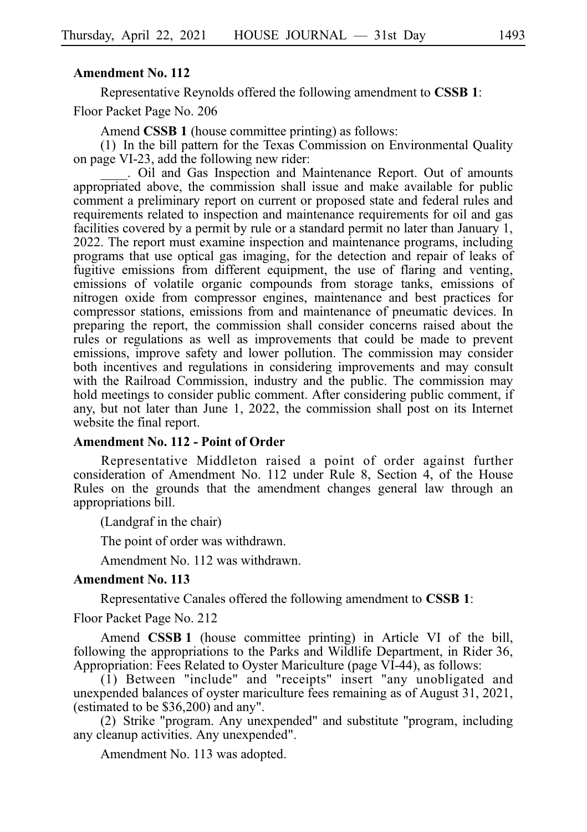Representative Reynolds offered the following amendment to **CSSBi1**:

Floor Packet Page No. 206

Amend **CSSB 1** (house committee printing) as follows:

 $(1)$  In the bill pattern for the Texas Commission on Environmental Quality on page VI-23, add the following new rider:

. Oil and Gas Inspection and Maintenance Report. Out of amounts appropriated above, the commission shall issue and make available for public comment a preliminary report on current or proposed state and federal rules and requirements related to inspection and maintenance requirements for oil and gas facilities covered by a permit by rule or a standard permit no later than January 1, 2022. The report must examine inspection and maintenance programs, including programs that use optical gas imaging, for the detection and repair of leaks of fugitive emissions from different equipment, the use of flaring and venting, emissions of volatile organic compounds from storage tanks, emissions of nitrogen oxide from compressor engines, maintenance and best practices for compressor stations, emissions from and maintenance of pneumatic devices. In preparing the report, the commission shall consider concerns raised about the rules or regulations as well as improvements that could be made to prevent emissions, improve safety and lower pollution. The commission may consider both incentives and regulations in considering improvements and may consult with the Railroad Commission, industry and the public. The commission may hold meetings to consider public comment. After considering public comment, if any, but not later than June 1, 2022, the commission shall post on its Internet website the final report.

## **Amendment No. 112 - Point of Order**

Representative Middleton raised a point of order against further consideration of Amendment No. 112 under Rule 8, Section 4, of the House Rules on the grounds that the amendment changes general law through an appropriations bill.

(Landgraf in the chair)

The point of order was withdrawn.

Amendment No. 112 was withdrawn.

#### **Amendment No. 113**

Representative Canales offered the following amendment to **CSSBi1**:

Floor Packet Page No. 212

Amend **CSSB 1** (house committee printing) in Article VI of the bill, following the appropriations to the Parks and Wildlife Department, in Rider 36, Appropriation: Fees Related to Oyster Mariculture (page VI-44), as follows:

(1) Between "include" and "receipts" insert "any unobligated and unexpended balances of oyster mariculture fees remaining as of August 31, 2021, (estimated to be \$36,200) and any".

(2) Strike "program. Any unexpended" and substitute "program, including any cleanup activities. Any unexpended".

Amendment No. 113 was adopted.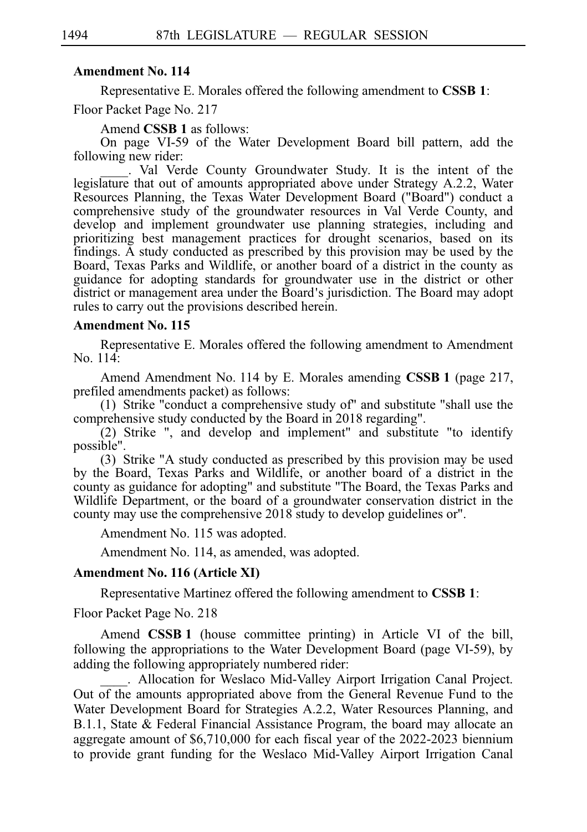Representative E. Morales offered the following amendment to **CSSBi1**:

Floor Packet Page No. 217

Amend **CSSB 1** as follows:

On page VI-59 of the Water Development Board bill pattern, add the following new rider:

\_\_\_\_.iiVal Verde County Groundwater Study. It is the intent of the legislature that out of amounts appropriated above under Strategy A.2.2, Water Resources Planning, the Texas Water Development Board ("Board") conduct a comprehensive study of the groundwater resources in Val Verde County, and develop and implement groundwater use planning strategies, including and prioritizing best management practices for drought scenarios, based on its findings. A study conducted as prescribed by this provision may be used by the Board, Texas Parks and Wildlife, or another board of a district in the county as guidance for adopting standards for groundwater use in the district or other district or management area under the Board's jurisdiction. The Board may adopt rules to carry out the provisions described herein.

# **Amendment No. 115**

Representative E. Morales offered the following amendment to Amendment No. 114:

Amend Amendment No. 114 by E. Morales amending **CSSB 1** (page 217, prefiled amendments packet) as follows:

(1) Strike "conduct a comprehensive study of" and substitute "shall use the comprehensive study conducted by the Board in 2018 regarding".

 $(2)$  Strike ", and develop and implement" and substitute "to identify possible".

(3) Strike "A study conducted as prescribed by this provision may be used by the Board, Texas Parks and Wildlife, or another board of a district in the county as guidance for adopting" and substitute "The Board, the Texas Parks and Wildlife Department, or the board of a groundwater conservation district in the county may use the comprehensive 2018 study to develop guidelines or".

Amendment No. 115 was adopted.

Amendment No. 114, as amended, was adopted.

### **Amendment No. 116 (Article XI)**

Representative Martinez offered the following amendment to **CSSB 1**:

Floor Packet Page No. 218

Amend **CSSB 1** (house committee printing) in Article VI of the bill, following the appropriations to the Water Development Board (page VI-59), by adding the following appropriately numbered rider:

. Allocation for Weslaco Mid-Valley Airport Irrigation Canal Project. Out of the amounts appropriated above from the General Revenue Fund to the Water Development Board for Strategies A.2.2, Water Resources Planning, and B.1.1, State  $\&$  Federal Financial Assistance Program, the board may allocate an aggregate amount of \$6,710,000 for each fiscal year of the 2022-2023 biennium to provide grant funding for the Weslaco Mid-Valley Airport Irrigation Canal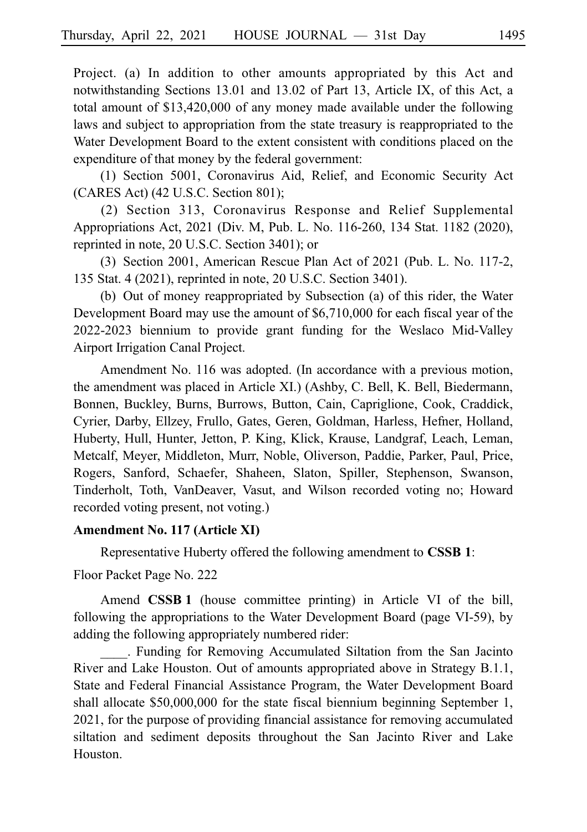Project. (a) In addition to other amounts appropriated by this Act and notwithstanding Sections 13.01 and 13.02 of Part 13, Article IX, of this Act, a total amount of \$13,420,000 of any money made available under the following laws and subject to appropriation from the state treasury is reappropriated to the Water Development Board to the extent consistent with conditions placed on the expenditure of that money by the federal government:

(1) Section 5001, Coronavirus Aid, Relief, and Economic Security Act (CARES Act) (42 U.S.C. Section 801);

(2) Section 313, Coronavirus Response and Relief Supplemental Appropriations Act, 2021 (Div. M, Pub. L. No. 116-260, 134 Stat. 1182 (2020), reprinted in note, 20 U.S.C. Section 3401); or

(3) Section 2001, American Rescue Plan Act of 2021 (Pub. L. No. 117-2, 135 Stat. 4 (2021), reprinted in note, 20 U.S.C. Section 3401).

(b) Out of money reappropriated by Subsection (a) of this rider, the Water Development Board may use the amount of \$6,710,000 for each fiscal year of the 2022-2023 biennium to provide grant funding for the Weslaco Mid-Valley Airport Irrigation Canal Project.

Amendment No. 116 was adopted. (In accordance with a previous motion, the amendment was placed in Article XI.) (Ashby, C. Bell, K. Bell, Biedermann, Bonnen, Buckley, Burns, Burrows, Button, Cain, Capriglione, Cook, Craddick, Cyrier, Darby, Ellzey, Frullo, Gates, Geren, Goldman, Harless, Hefner, Holland, Huberty, Hull, Hunter, Jetton, P. King, Klick, Krause, Landgraf, Leach, Leman, Metcalf, Meyer, Middleton, Murr, Noble, Oliverson, Paddie, Parker, Paul, Price, Rogers, Sanford, Schaefer, Shaheen, Slaton, Spiller, Stephenson, Swanson, Tinderholt, Toth, VanDeaver, Vasut, and Wilson recorded voting no; Howard recorded voting present, not voting.)

### **Amendment No. 117 (Article XI)**

Representative Huberty offered the following amendment to **CSSBi1**:

Floor Packet Page No. 222

Amend **CSSB 1** (house committee printing) in Article VI of the bill, following the appropriations to the Water Development Board (page VI-59), by adding the following appropriately numbered rider:

\_\_\_\_. Funding for Removing Accumulated Siltation from the San Jacinto River and Lake Houston. Out of amounts appropriated above in Strategy B.1.1, State and Federal Financial Assistance Program, the Water Development Board shall allocate \$50,000,000 for the state fiscal biennium beginning September 1, 2021, for the purpose of providing financial assistance for removing accumulated siltation and sediment deposits throughout the San Jacinto River and Lake Houston.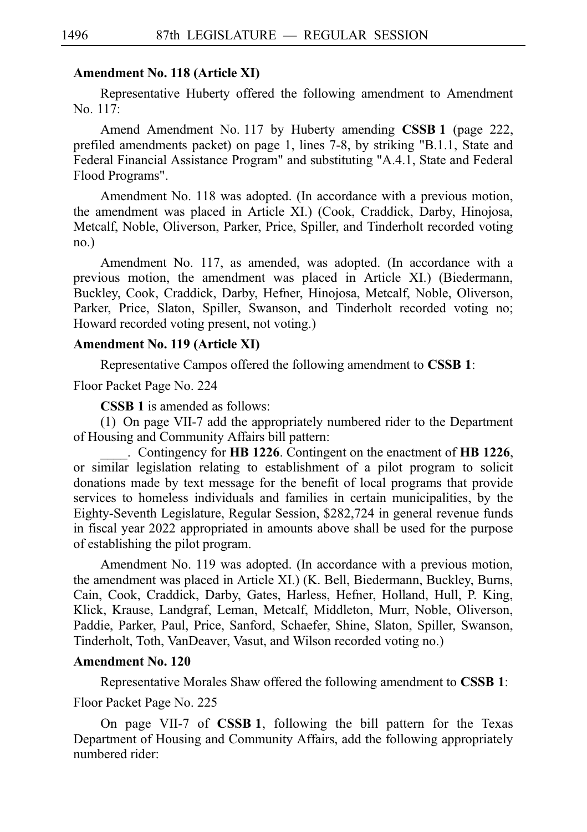### **Amendment No. 118 (Article XI)**

Representative Huberty offered the following amendment to Amendment  $No. 117:$ 

Amend Amendment No. 117 by Huberty amending **CSSB 1** (page 222, prefiled amendments packet) on page 1, lines 7-8, by striking "B.1.1, State and Federal Financial Assistance Program" and substituting "A.4.1, State and Federal Flood Programs".

Amendment No. 118 was adopted. (In accordance with a previous motion, the amendment was placed in Article XI.) (Cook, Craddick, Darby, Hinojosa, Metcalf, Noble, Oliverson, Parker, Price, Spiller, and Tinderholt recorded voting no.)

Amendment No. 117, as amended, was adopted. (In accordance with a previous motion, the amendment was placed in Article XI.) (Biedermann, Buckley, Cook, Craddick, Darby, Hefner, Hinojosa, Metcalf, Noble, Oliverson, Parker, Price, Slaton, Spiller, Swanson, and Tinderholt recorded voting no; Howard recorded voting present, not voting.)

## **Amendment No. 119 (Article XI)**

Representative Campos offered the following amendment to **CSSBi1**:

Floor Packet Page No. 224

**CSSB 1** is amended as follows:

(1) On page VII-7 add the appropriately numbered rider to the Department of Housing and Community Affairs bill pattern:

\_\_\_\_.iiContingency for **HBi1226**. Contingent on the enactment of **HBi1226**, or similar legislation relating to establishment of a pilot program to solicit donations made by text message for the benefit of local programs that provide services to homeless individuals and families in certain municipalities, by the Eighty-Seventh Legislature, Regular Session, \$282,724 in general revenue funds in fiscal year 2022 appropriated in amounts above shall be used for the purpose of establishing the pilot program.

Amendment No. 119 was adopted. (In accordance with a previous motion, the amendment was placed in Article XI.) (K. Bell, Biedermann, Buckley, Burns, Cain, Cook, Craddick, Darby, Gates, Harless, Hefner, Holland, Hull, P. King, Klick, Krause, Landgraf, Leman, Metcalf, Middleton, Murr, Noble, Oliverson, Paddie, Parker, Paul, Price, Sanford, Schaefer, Shine, Slaton, Spiller, Swanson, Tinderholt, Toth, VanDeaver, Vasut, and Wilson recorded voting no.)

# **Amendment No. 120**

Representative Morales Shaw offered the following amendment to **CSSBi1**: Floor Packet Page No. 225

On page VII-7 of **CSSBi1**, following the bill pattern for the Texas Department of Housing and Community Affairs, add the following appropriately numbered rider: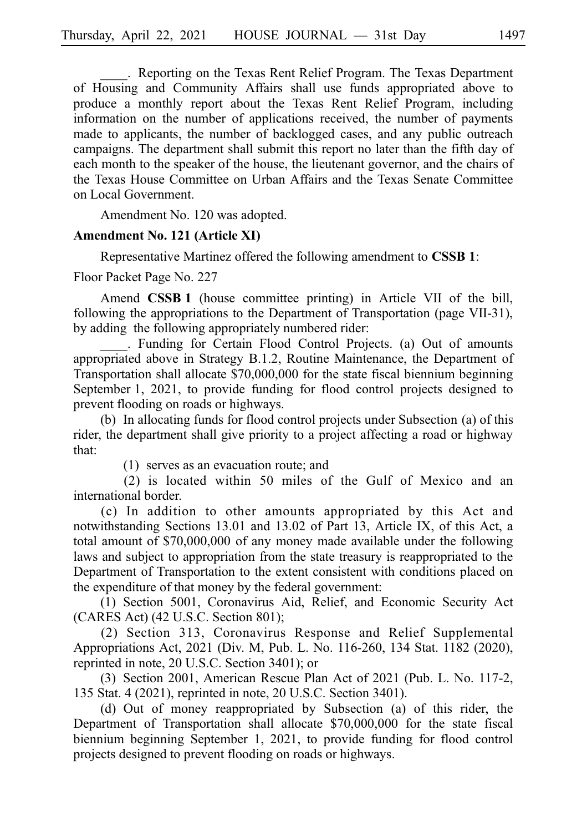. Reporting on the Texas Rent Relief Program. The Texas Department of Housing and Community Affairs shall use funds appropriated above to produce a monthly report about the Texas Rent Relief Program, including information on the number of applications received, the number of payments made to applicants, the number of backlogged cases, and any public outreach campaigns. The department shall submit this report no later than the fifth day of each month to the speaker of the house, the lieutenant governor, and the chairs of the Texas House Committee on Urban Affairs and the Texas Senate Committee on Local Government.

Amendment No. 120 was adopted.

### **Amendment No. 121 (Article XI)**

Representative Martinez offered the following amendment to **CSSBi1**:

Floor Packet Page No. 227

Amend **CSSB 1** (house committee printing) in Article VII of the bill, following the appropriations to the Department of Transportation (page VII-31), by adding the following appropriately numbered rider:

. Funding for Certain Flood Control Projects. (a) Out of amounts appropriated above in Strategy B.1.2, Routine Maintenance, the Department of Transportation shall allocate \$70,000,000 for the state fiscal biennium beginning September 1, 2021, to provide funding for flood control projects designed to prevent flooding on roads or highways.

(b) In allocating funds for flood control projects under Subsection (a) of this rider, the department shall give priority to a project affecting a road or highway that:

 $(1)$  serves as an evacuation route; and

 $(2)$  is located within 50 miles of the Gulf of Mexico and an international border.

(c) In addition to other amounts appropriated by this Act and notwithstanding Sections 13.01 and 13.02 of Part 13, Article IX, of this Act, a total amount of \$70,000,000 of any money made available under the following laws and subject to appropriation from the state treasury is reappropriated to the Department of Transportation to the extent consistent with conditions placed on the expenditure of that money by the federal government:

(1) Section 5001, Coronavirus Aid, Relief, and Economic Security Act (CARES Act) (42 U.S.C. Section 801);

(2) Section 313, Coronavirus Response and Relief Supplemental Appropriations Act, 2021 (Div. M, Pub. L. No. 116-260, 134 Stat. 1182 (2020), reprinted in note, 20 U.S.C. Section 3401); or

(3) Section 2001, American Rescue Plan Act of 2021 (Pub. L. No. 117-2, 135 Stat. 4 (2021), reprinted in note, 20 U.S.C. Section 3401).

(d) Out of money reappropriated by Subsection (a) of this rider, the Department of Transportation shall allocate \$70,000,000 for the state fiscal biennium beginning September 1, 2021, to provide funding for flood control projects designed to prevent flooding on roads or highways.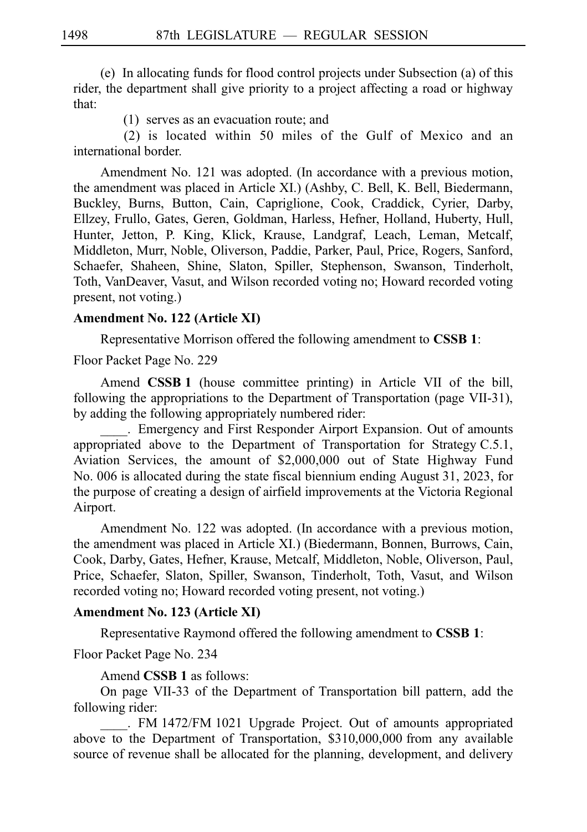$(e)$  In allocating funds for flood control projects under Subsection (a) of this rider, the department shall give priority to a project affecting a road or highway that:

 $(1)$  serves as an evacuation route; and

 $(2)$  is located within 50 miles of the Gulf of Mexico and an international border.

Amendment No. 121 was adopted. (In accordance with a previous motion, the amendment was placed in Article XI.) (Ashby, C. Bell, K. Bell, Biedermann, Buckley, Burns, Button, Cain, Capriglione, Cook, Craddick, Cyrier, Darby, Ellzey, Frullo, Gates, Geren, Goldman, Harless, Hefner, Holland, Huberty, Hull, Hunter, Jetton, P. King, Klick, Krause, Landgraf, Leach, Leman, Metcalf, Middleton, Murr, Noble, Oliverson, Paddie, Parker, Paul, Price, Rogers, Sanford, Schaefer, Shaheen, Shine, Slaton, Spiller, Stephenson, Swanson, Tinderholt, Toth, VanDeaver, Vasut, and Wilson recorded voting no; Howard recorded voting present, not voting.)

# **Amendment No. 122 (Article XI)**

Representative Morrison offered the following amendment to **CSSBi1**:

Floor Packet Page No. 229

Amend **CSSB 1** (house committee printing) in Article VII of the bill, following the appropriations to the Department of Transportation (page VII-31), by adding the following appropriately numbered rider:

. Emergency and First Responder Airport Expansion. Out of amounts appropriated above to the Department of Transportation for Strategy C.5.1, Aviation Services, the amount of \$2,000,000 out of State Highway Fund No. 006 is allocated during the state fiscal biennium ending August 31, 2023, for the purpose of creating a design of airfield improvements at the Victoria Regional Airport.

Amendment No. 122 was adopted. (In accordance with a previous motion, the amendment was placed in Article XI.) (Biedermann, Bonnen, Burrows, Cain, Cook, Darby, Gates, Hefner, Krause, Metcalf, Middleton, Noble, Oliverson, Paul, Price, Schaefer, Slaton, Spiller, Swanson, Tinderholt, Toth, Vasut, and Wilson recorded voting no; Howard recorded voting present, not voting.)

## **Amendment No. 123 (Article XI)**

Representative Raymond offered the following amendment to **CSSBi1**:

Floor Packet Page No. 234

Amend **CSSB 1** as follows:

On page VII-33 of the Department of Transportation bill pattern, add the following rider:

. FM 1472/FM 1021 Upgrade Project. Out of amounts appropriated above to the Department of Transportation,  $$310,000,000$  from any available source of revenue shall be allocated for the planning, development, and delivery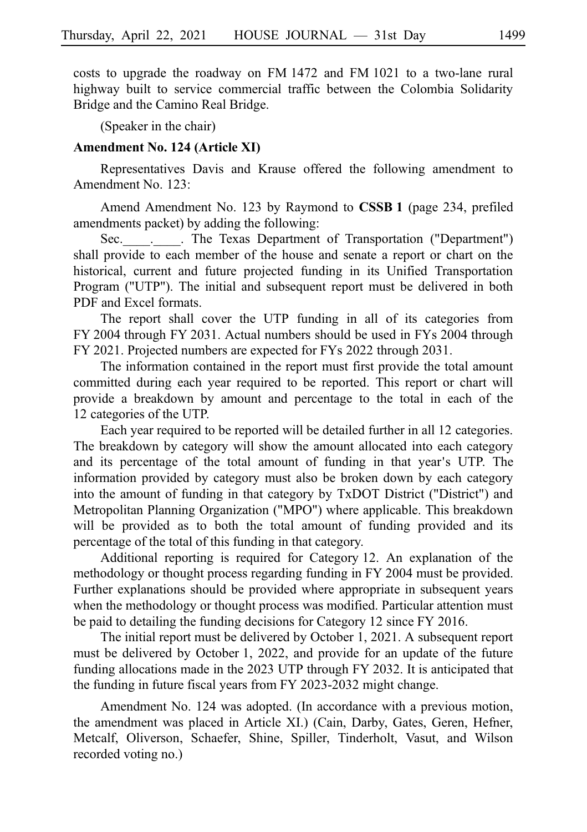costs to upgrade the roadway on FM 1472 and FM 1021 to a two-lane rural highway built to service commercial traffic between the Colombia Solidarity Bridge and the Camino Real Bridge.

(Speaker in the chair)

### **Amendment No. 124 (Article XI)**

Representatives Davis and Krause offered the following amendment to Amendment No. 123:

Amend Amendment No. 123 by Raymond to **CSSB 1** (page 234, prefiled amendments packet) by adding the following:

Sec. . . The Texas Department of Transportation ("Department") shall provide to each member of the house and senate a report or chart on the historical, current and future projected funding in its Unified Transportation Program ("UTP"). The initial and subsequent report must be delivered in both PDF and Excel formats.

The report shall cover the UTP funding in all of its categories from  $FY$  2004 through  $FY$  2031. Actual numbers should be used in  $FY$ s 2004 through FY 2021. Projected numbers are expected for FYs 2022 through 2031.

The information contained in the report must first provide the total amount committed during each year required to be reported. This report or chart will provide a breakdown by amount and percentage to the total in each of the 12 categories of the UTP.

Each year required to be reported will be detailed further in all 12 categories. The breakdown by category will show the amount allocated into each category and its percentage of the total amount of funding in that year's UTP. The information provided by category must also be broken down by each category into the amount of funding in that category by TxDOT District ("District") and Metropolitan Planning Organization ("MPO") where applicable. This breakdown will be provided as to both the total amount of funding provided and its percentage of the total of this funding in that category.

Additional reporting is required for Category 12. An explanation of the methodology or thought process regarding funding in FY 2004 must be provided. Further explanations should be provided where appropriate in subsequent years when the methodology or thought process was modified. Particular attention must be paid to detailing the funding decisions for Category 12 since FY 2016.

The initial report must be delivered by October 1, 2021. A subsequent report must be delivered by October 1, 2022, and provide for an update of the future funding allocations made in the  $2023$  UTP through FY 2032. It is anticipated that the funding in future fiscal years from FY 2023-2032 might change.

Amendment No. 124 was adopted. (In accordance with a previous motion, the amendment was placed in Article XI.) (Cain, Darby, Gates, Geren, Hefner, Metcalf, Oliverson, Schaefer, Shine, Spiller, Tinderholt, Vasut, and Wilson recorded voting no.)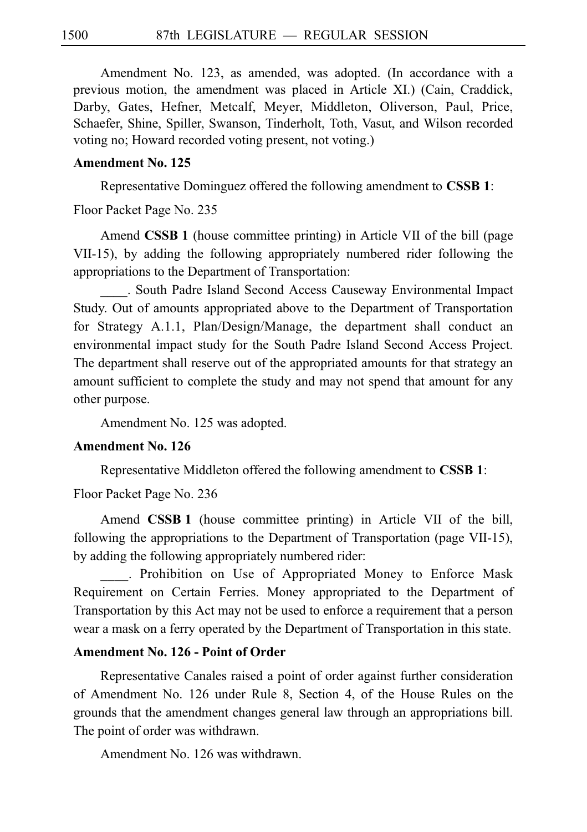Amendment No. 123, as amended, was adopted. (In accordance with a previous motion, the amendment was placed in Article XI.) (Cain, Craddick, Darby, Gates, Hefner, Metcalf, Meyer, Middleton, Oliverson, Paul, Price, Schaefer, Shine, Spiller, Swanson, Tinderholt, Toth, Vasut, and Wilson recorded voting no; Howard recorded voting present, not voting.)

# **Amendment No. 125**

Representative Dominguez offered the following amendment to **CSSBi1**:

Floor Packet Page No. 235

Amend **CSSB 1** (house committee printing) in Article VII of the bill (page VII-15), by adding the following appropriately numbered rider following the appropriations to the Department of Transportation:

\_\_\_\_. South Padre Island Second Access Causeway Environmental Impact Study. Out of amounts appropriated above to the Department of Transportation for Strategy A.1.1, Plan/Design/Manage, the department shall conduct an environmental impact study for the South Padre Island Second Access Project. The department shall reserve out of the appropriated amounts for that strategy an amount sufficient to complete the study and may not spend that amount for any other purpose.

Amendment No. 125 was adopted.

### **Amendment No. 126**

Representative Middleton offered the following amendment to **CSSBi1**:

Floor Packet Page No. 236

Amend **CSSB 1** (house committee printing) in Article VII of the bill, following the appropriations to the Department of Transportation (page VII-15), by adding the following appropriately numbered rider:

. Prohibition on Use of Appropriated Money to Enforce Mask Requirement on Certain Ferries. Money appropriated to the Department of Transportation by this Act may not be used to enforce a requirement that a person wear a mask on a ferry operated by the Department of Transportation in this state.

# **Amendment No. 126 - Point of Order**

Representative Canales raised a point of order against further consideration of Amendment No. 126 under Rule 8, Section 4, of the House Rules on the grounds that the amendment changes general law through an appropriations bill. The point of order was withdrawn.

Amendment No. 126 was withdrawn.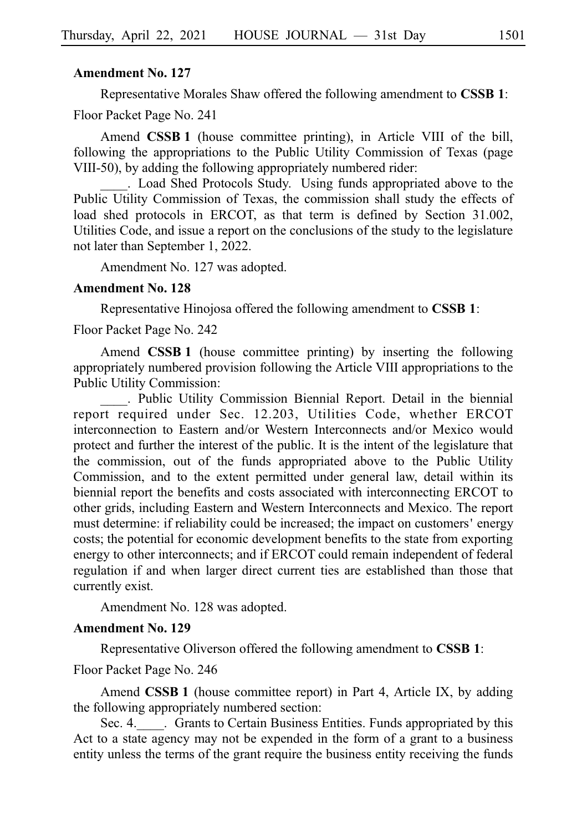Representative Morales Shaw offered the following amendment to **CSSBi1**:

Floor Packet Page No. 241

Amend **CSSB 1** (house committee printing), in Article VIII of the bill, following the appropriations to the Public Utility Commission of Texas (page VIII-50), by adding the following appropriately numbered rider:

. Load Shed Protocols Study. Using funds appropriated above to the Public Utility Commission of Texas, the commission shall study the effects of load shed protocols in ERCOT, as that term is defined by Section 31.002, Utilities Code, and issue a report on the conclusions of the study to the legislature not later than September 1, 2022.

Amendment No. 127 was adopted.

### **Amendment No. 128**

Representative Hinojosa offered the following amendment to **CSSBi1**:

Floor Packet Page No. 242

Amend **CSSB 1** (house committee printing) by inserting the following appropriately numbered provision following the Article VIII appropriations to the Public Utility Commission:

. Public Utility Commission Biennial Report. Detail in the biennial report required under Sec. 12.203, Utilities Code, whether ERCOT interconnection to Eastern and/or Western Interconnects and/or Mexico would protect and further the interest of the public. It is the intent of the legislature that the commission, out of the funds appropriated above to the Public Utility Commission, and to the extent permitted under general law, detail within its biennial report the benefits and costs associated with interconnecting ERCOT to other grids, including Eastern and Western Interconnects and Mexico. The report must determine: if reliability could be increased; the impact on customers' energy costs; the potential for economic development benefits to the state from exporting energy to other interconnects; and if ERCOT could remain independent of federal regulation if and when larger direct current ties are established than those that currently exist.

Amendment No. 128 was adopted.

## **Amendment No. 129**

Representative Oliverson offered the following amendment to **CSSBi1**:

### Floor Packet Page No. 246

Amend **CSSB 1** (house committee report) in Part 4, Article IX, by adding the following appropriately numbered section:

Sec. 4. Crants to Certain Business Entities. Funds appropriated by this Act to a state agency may not be expended in the form of a grant to a business entity unless the terms of the grant require the business entity receiving the funds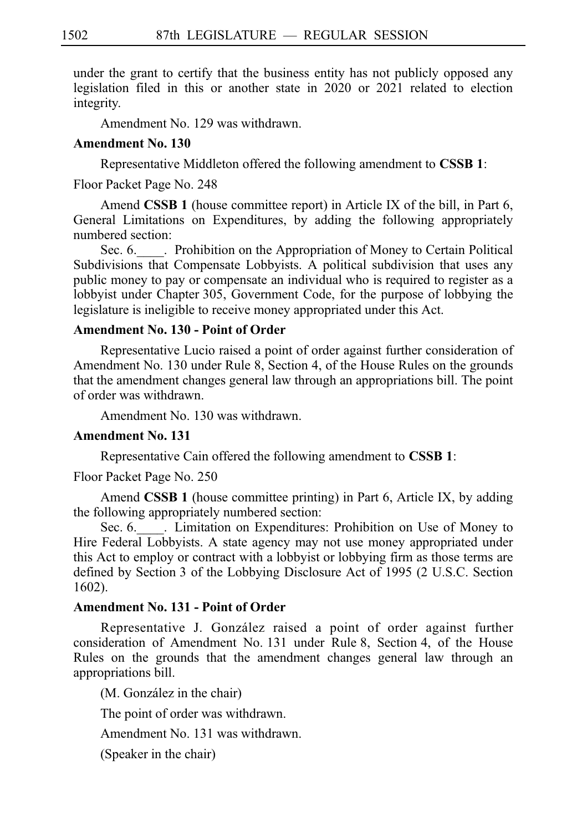under the grant to certify that the business entity has not publicly opposed any legislation filed in this or another state in 2020 or 2021 related to election integrity.

Amendment No. 129 was withdrawn.

### **Amendment No. 130**

Representative Middleton offered the following amendment to CSSB 1:

Floor Packet Page No. 248

Amend **CSSB 1** (house committee report) in Article IX of the bill, in Part 6, General Limitations on Expenditures, by adding the following appropriately numbered section:

Sec. 6. Let prohibition on the Appropriation of Money to Certain Political Subdivisions that Compensate Lobbyists. A political subdivision that uses any public money to pay or compensate an individual who is required to register as a lobbyist under Chapter 305, Government Code, for the purpose of lobbying the legislature is ineligible to receive money appropriated under this Act.

# **Amendment No. 130 - Point of Order**

Representative Lucio raised a point of order against further consideration of Amendment No. 130 under Rule 8, Section 4, of the House Rules on the grounds that the amendment changes general law through an appropriations bill. The point of order was withdrawn.

Amendment No. 130 was withdrawn.

# **Amendment No. 131**

Representative Cain offered the following amendment to **CSSB 1**:

Floor Packet Page No. 250

Amend **CSSB 1** (house committee printing) in Part 6, Article IX, by adding the following appropriately numbered section:

Sec. 6. Limitation on Expenditures: Prohibition on Use of Money to Hire Federal Lobbyists. A state agency may not use money appropriated under this Act to employ or contract with a lobbyist or lobbying firm as those terms are defined by Section 3 of the Lobbying Disclosure Act of 1995 (2 U.S.C. Section 1602).

# **Amendment No. 131 - Point of Order**

Representative J. González raised a point of order against further consideration of Amendment No. 131 under Rule 8, Section 4, of the House Rules on the grounds that the amendment changes general law through an appropriations bill.

(M. González in the chair)

The point of order was withdrawn.

Amendment No. 131 was withdrawn.

(Speaker in the chair)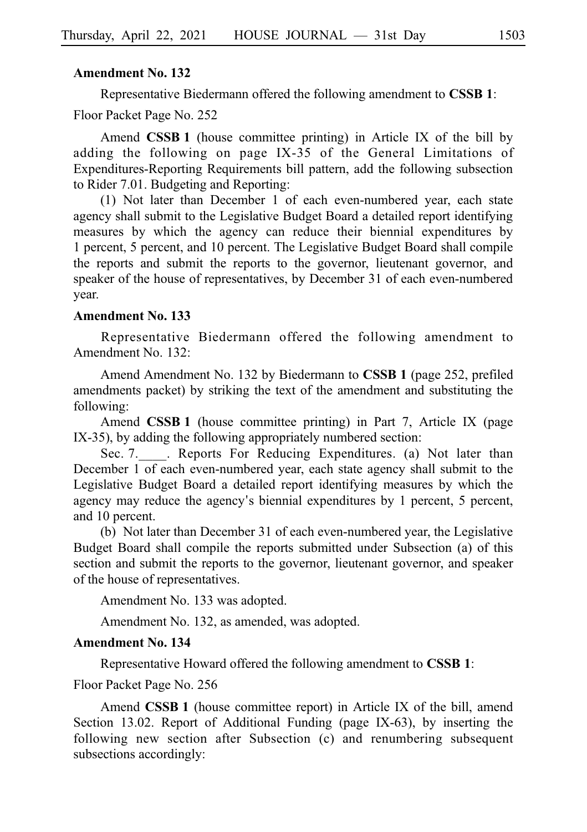Representative Biedermann offered the following amendment to **CSSBi1**: Floor Packet Page No. 252

Amend **CSSB 1** (house committee printing) in Article IX of the bill by adding the following on page IX-35 of the General Limitations of Expenditures-Reporting Requirements bill pattern, add the following subsection to Rider 7.01. Budgeting and Reporting:

(1) Not later than December 1 of each even-numbered year, each state agency shall submit to the Legislative Budget Board a detailed report identifying measures by which the agency can reduce their biennial expenditures by 1 percent, 5 percent, and 10 percent. The Legislative Budget Board shall compile the reports and submit the reports to the governor, lieutenant governor, and speaker of the house of representatives, by December 31 of each even-numbered year.

## **Amendment No. 133**

Representative Biedermann offered the following amendment to Amendment No. 132:

Amend Amendment No. 132 by Biedermann to **CSSB 1** (page 252, prefiled amendments packet) by striking the text of the amendment and substituting the following:

Amend **CSSB 1** (house committee printing) in Part 7, Article IX (page IX-35), by adding the following appropriately numbered section:

Sec. 7. L. Reports For Reducing Expenditures. (a) Not later than December 1 of each even-numbered year, each state agency shall submit to the Legislative Budget Board a detailed report identifying measures by which the agency may reduce the agency's biennial expenditures by 1 percent, 5 percent, and 10 percent.

(b) Not later than December 31 of each even-numbered year, the Legislative Budget Board shall compile the reports submitted under Subsection (a) of this section and submit the reports to the governor, lieutenant governor, and speaker of the house of representatives.

Amendment No. 133 was adopted.

Amendment No. 132, as amended, was adopted.

#### **Amendment No. 134**

Representative Howard offered the following amendment to **CSSBi1**:

Floor Packet Page No. 256

Amend **CSSB 1** (house committee report) in Article IX of the bill, amend Section 13.02. Report of Additional Funding (page IX-63), by inserting the following new section after Subsection (c) and renumbering subsequent subsections accordingly: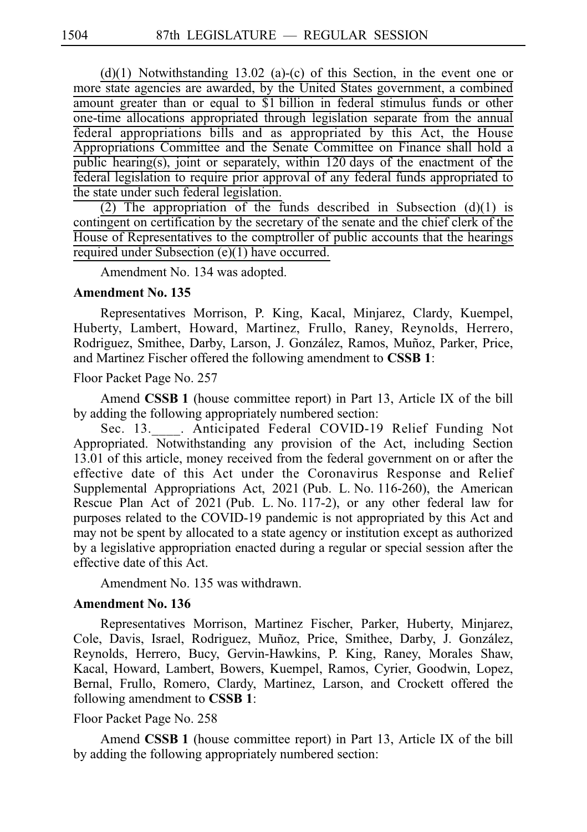$(d)(1)$  Notwithstanding 13.02 (a)-(c) of this Section, in the event one or more state agencies are awarded, by the United States government, a combined amount greater than or equal to \$1 billion in federal stimulus funds or other one-time allocations appropriated through legislation separate from the annual federal appropriations bills and as appropriated by this Act, the House Appropriations Committee and the Senate Committee on Finance shall hold a  $pubic$  hearing(s), joint or separately, within 120 days of the enactment of the federal legislation to require prior approval of any federal funds appropriated to the state under such federal legislation.

(2) The appropriation of the funds described in Subsection (d)(1) is contingent on certification by the secretary of the senate and the chief clerk of the House of Representatives to the comptroller of public accounts that the hearings required under Subsection (e)(1) have occurred.

Amendment No. 134 was adopted.

### **Amendment No. 135**

Representatives Morrison, P. King, Kacal, Minjarez, Clardy, Kuempel, Huberty, Lambert, Howard, Martinez, Frullo, Raney, Reynolds, Herrero, Rodriguez, Smithee, Darby, Larson, J. González, Ramos, Muñoz, Parker, Price, and Martinez Fischer offered the following amendment to **CSSB 1**:

Floor Packet Page No. 257

Amend **CSSB 1** (house committee report) in Part 13, Article IX of the bill by adding the following appropriately numbered section:

Sec. 13. . Anticipated Federal COVID-19 Relief Funding Not Appropriated. Notwithstanding any provision of the Act, including Section 13.01 of this article, money received from the federal government on or after the effective date of this Act under the Coronavirus Response and Relief Supplemental Appropriations Act,  $2021$  (Pub. L. No. 116-260), the American Rescue Plan Act of 2021 (Pub. L. No. 117-2), or any other federal law for purposes related to the COVID-19 pandemic is not appropriated by this Act and may not be spent by allocated to a state agency or institution except as authorized by a legislative appropriation enacted during a regular or special session after the effective date of this Act.

Amendment No. 135 was withdrawn.

# **Amendment No. 136**

Representatives Morrison, Martinez Fischer, Parker, Huberty, Minjarez, Cole, Davis, Israel, Rodriguez, Muñoz, Price, Smithee, Darby, J. González, Reynolds, Herrero, Bucy, Gervin-Hawkins, P. King, Raney, Morales Shaw, Kacal, Howard, Lambert, Bowers, Kuempel, Ramos, Cyrier, Goodwin, Lopez, Bernal, Frullo, Romero, Clardy, Martinez, Larson, and Crockett offered the following amendment to **CSSBi1**:

### Floor Packet Page No. 258

Amend **CSSBi1** (house committee report) in Part 13, Article IX of the bill by adding the following appropriately numbered section: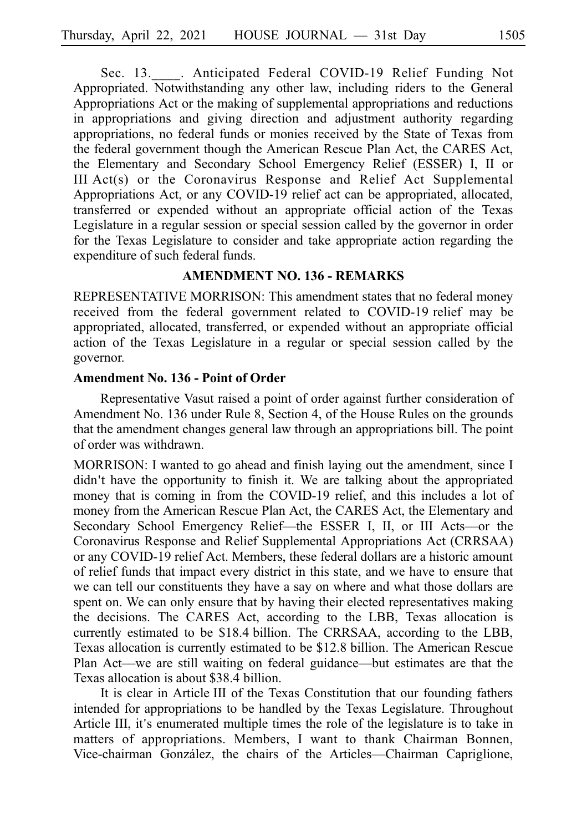Sec. 13. . Anticipated Federal COVID-19 Relief Funding Not Appropriated. Notwithstanding any other law, including riders to the General Appropriations Act or the making of supplemental appropriations and reductions in appropriations and giving direction and adjustment authority regarding appropriations, no federal funds or monies received by the State of Texas from the federal government though the American Rescue Plan Act, the CARES Act, the Elementary and Secondary School Emergency Relief (ESSER) I, II or III  $Act(s)$  or the Coronavirus Response and Relief  $Act$  Supplemental Appropriations Act, or any COVID-19 relief act can be appropriated, allocated, transferred or expended without an appropriate official action of the Texas Legislature in a regular session or special session called by the governor in order for the Texas Legislature to consider and take appropriate action regarding the expenditure of such federal funds.

## **AMENDMENT NO. 136 - REMARKS**

REPRESENTATIVE MORRISON: This amendment states that no federal money received from the federal government related to COVID-19 relief may be appropriated, allocated, transferred, or expended without an appropriate official action of the Texas Legislature in a regular or special session called by the governor.

# **Amendment No. 136 - Point of Order**

Representative Vasut raised a point of order against further consideration of Amendment No. 136 under Rule 8, Section 4, of the House Rules on the grounds that the amendment changes general law through an appropriations bill. The point of order was withdrawn.

MORRISON: I wanted to go ahead and finish laying out the amendment, since I didn't have the opportunity to finish it. We are talking about the appropriated money that is coming in from the COVID-19 relief, and this includes a lot of money from the American Rescue Plan Act, the CARES Act, the Elementary and Secondary School Emergency Relief––the ESSER I, II, or III Acts––or the Coronavirus Response and Relief Supplemental Appropriations Act (CRRSAA) or any COVID-19 relief Act. Members, these federal dollars are a historic amount of relief funds that impact every district in this state, and we have to ensure that we can tell our constituents they have a say on where and what those dollars are spent on. We can only ensure that by having their elected representatives making the decisions. The CARES Act, according to the LBB, Texas allocation is currently estimated to be \$18.4 billion. The CRRSAA, according to the LBB, Texas allocation is currently estimated to be \$12.8 billion. The American Rescue Plan Act––we are still waiting on federal guidance––but estimates are that the Texas allocation is about \$38.4 billion.

It is clear in Article III of the Texas Constitution that our founding fathers intended for appropriations to be handled by the Texas Legislature. Throughout Article III, it's enumerated multiple times the role of the legislature is to take in matters of appropriations. Members, I want to thank Chairman Bonnen, Vice-chairman González, the chairs of the Articles—Chairman Capriglione,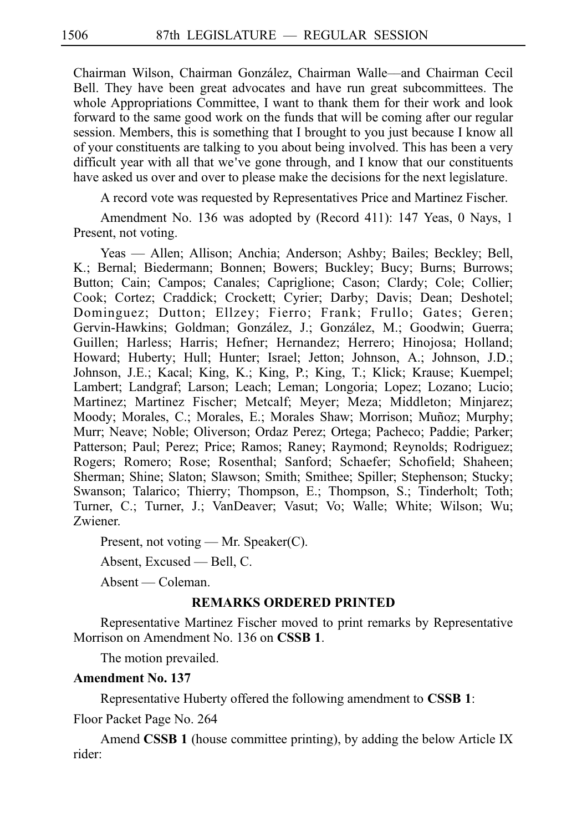Chairman Wilson, Chairman Gonza´lez, Chairman Walle––and Chairman Cecil Bell. They have been great advocates and have run great subcommittees. The whole Appropriations Committee, I want to thank them for their work and look forward to the same good work on the funds that will be coming after our regular session. Members, this is something that I brought to you just because I know all of your constituents are talking to you about being involved. This has been a very difficult year with all that we've gone through, and I know that our constituents have asked us over and over to please make the decisions for the next legislature.

A record vote was requested by Representatives Price and Martinez Fischer.

Amendment No. 136 was adopted by (Record 411): 147 Yeas, 0 Nays, 1 Present, not voting.

Yeas — Allen; Allison; Anchia; Anderson; Ashby; Bailes; Beckley; Bell, K.; Bernal; Biedermann; Bonnen; Bowers; Buckley; Bucy; Burns; Burrows; Button; Cain; Campos; Canales; Capriglione; Cason; Clardy; Cole; Collier; Cook; Cortez; Craddick; Crockett; Cyrier; Darby; Davis; Dean; Deshotel; Dominguez; Dutton; Ellzey; Fierro; Frank; Frullo; Gates; Geren; Gervin-Hawkins; Goldman; González, J.; González, M.; Goodwin; Guerra; Guillen; Harless; Harris; Hefner; Hernandez; Herrero; Hinojosa; Holland; Howard; Huberty; Hull; Hunter; Israel; Jetton; Johnson, A.; Johnson, J.D.; Johnson, J.E.; Kacal; King, K.; King, P.; King, T.; Klick; Krause; Kuempel; Lambert; Landgraf; Larson; Leach; Leman; Longoria; Lopez; Lozano; Lucio; Martinez; Martinez Fischer; Metcalf; Meyer; Meza; Middleton; Minjarez; Moody; Morales, C.; Morales, E.; Morales Shaw; Morrison; Muñoz; Murphy; Murr; Neave; Noble; Oliverson; Ordaz Perez; Ortega; Pacheco; Paddie; Parker; Patterson; Paul; Perez; Price; Ramos; Raney; Raymond; Reynolds; Rodriguez; Rogers; Romero; Rose; Rosenthal; Sanford; Schaefer; Schofield; Shaheen; Sherman; Shine; Slaton; Slawson; Smith; Smithee; Spiller; Stephenson; Stucky; Swanson; Talarico; Thierry; Thompson, E.; Thompson, S.; Tinderholt; Toth; Turner, C.; Turner, J.; VanDeaver; Vasut; Vo; Walle; White; Wilson; Wu; Zwiener.

Present, not voting — Mr. Speaker(C).

Absent, Excused — Bell, C.

Absent — Coleman.

### **REMARKS ORDERED PRINTED**

Representative Martinez Fischer moved to print remarks by Representative Morrison on Amendment No. 136 on **CSSB 1**.

The motion prevailed.

## **Amendment No. 137**

Representative Huberty offered the following amendment to **CSSBi1**:

Floor Packet Page No. 264

Amend **CSSB 1** (house committee printing), by adding the below Article IX rider: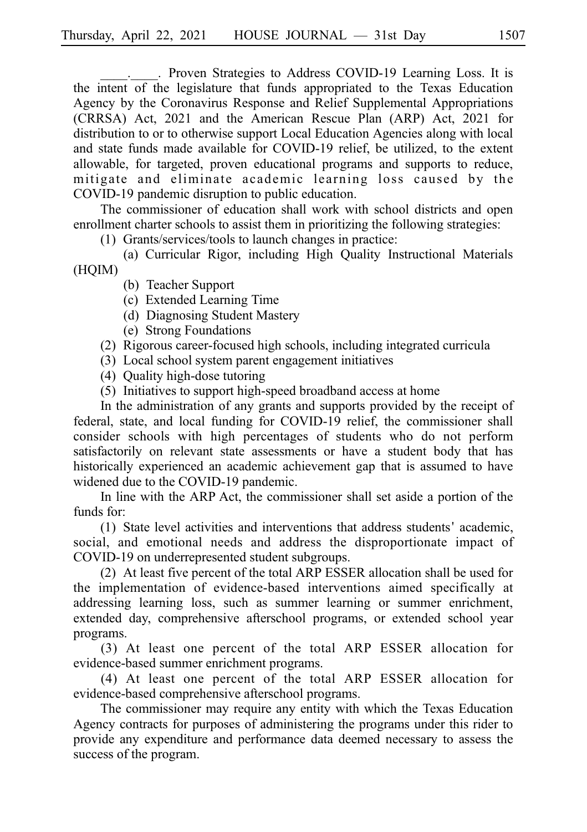. Proven Strategies to Address COVID-19 Learning Loss. It is the intent of the legislature that funds appropriated to the Texas Education Agency by the Coronavirus Response and Relief Supplemental Appropriations (CRRSA) Act, 2021 and the American Rescue Plan (ARP) Act, 2021 for distribution to or to otherwise support Local Education Agencies along with local and state funds made available for COVID-19 relief, be utilized, to the extent allowable, for targeted, proven educational programs and supports to reduce, mitigate and eliminate academic learning loss caused by the COVID-19 pandemic disruption to public education.

The commissioner of education shall work with school districts and open enrollment charter schools to assist them in prioritizing the following strategies:

(1) Grants/services/tools to launch changes in practice:

(a) Curricular Rigor, including High Quality Instructional Materials (HQIM)

- (b) Teacher Support
- (c) Extended Learning Time
- (d) Diagnosing Student Mastery
- (e) Strong Foundations
- (2) Rigorous career-focused high schools, including integrated curricula
- (3) Local school system parent engagement initiatives
- (4) Quality high-dose tutoring
- (5) Initiatives to support high-speed broadband access at home

In the administration of any grants and supports provided by the receipt of federal, state, and local funding for COVID-19 relief, the commissioner shall consider schools with high percentages of students who do not perform satisfactorily on relevant state assessments or have a student body that has historically experienced an academic achievement gap that is assumed to have widened due to the COVID-19 pandemic.

In line with the ARP Act, the commissioner shall set aside a portion of the funds for:

 $(1)$  State level activities and interventions that address students' academic, social, and emotional needs and address the disproportionate impact of COVID-19 on underrepresented student subgroups.

(2) At least five percent of the total ARP ESSER allocation shall be used for the implementation of evidence-based interventions aimed specifically at addressing learning loss, such as summer learning or summer enrichment, extended day, comprehensive afterschool programs, or extended school year programs.

(3) At least one percent of the total ARP ESSER allocation for evidence-based summer enrichment programs.

(4) At least one percent of the total ARP ESSER allocation for evidence-based comprehensive afterschool programs.

The commissioner may require any entity with which the Texas Education Agency contracts for purposes of administering the programs under this rider to provide any expenditure and performance data deemed necessary to assess the success of the program.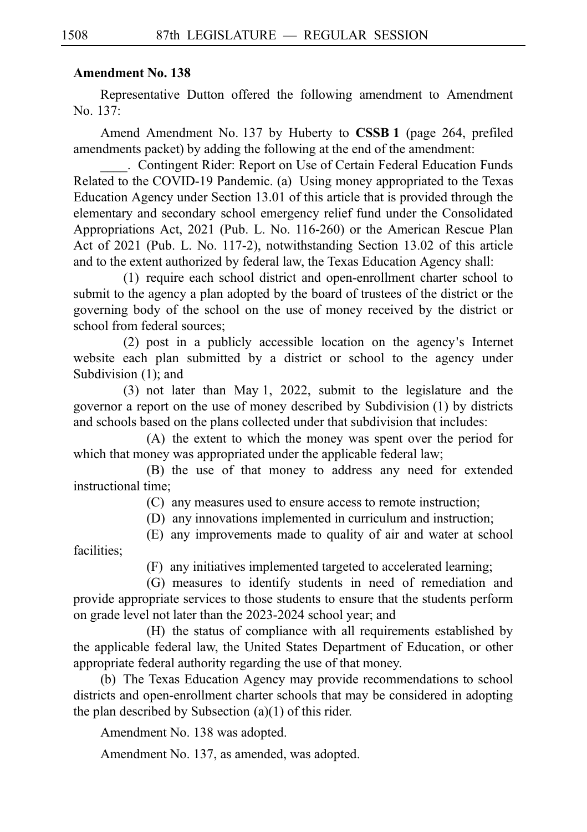Representative Dutton offered the following amendment to Amendment No. 137:

Amend Amendment No. 137 by Huberty to **CSSB 1** (page 264, prefiled amendments packet) by adding the following at the end of the amendment:

. Contingent Rider: Report on Use of Certain Federal Education Funds Related to the COVID-19 Pandemic. (a) Using money appropriated to the Texas Education Agency under Section 13.01 of this article that is provided through the elementary and secondary school emergency relief fund under the Consolidated Appropriations Act, 2021 (Pub. L. No. 116-260) or the American Rescue Plan Act of 2021 (Pub. L. No. 117-2), notwithstanding Section 13.02 of this article and to the extent authorized by federal law, the Texas Education Agency shall:

 $(1)$  require each school district and open-enrollment charter school to submit to the agency a plan adopted by the board of trustees of the district or the governing body of the school on the use of money received by the district or school from federal sources;

 $(2)$  post in a publicly accessible location on the agency's Internet website each plan submitted by a district or school to the agency under Subdivision  $(1)$ ; and

 $(3)$  not later than May 1, 2022, submit to the legislature and the governor a report on the use of money described by Subdivision  $(1)$  by districts and schools based on the plans collected under that subdivision that includes:

 $(A)$  the extent to which the money was spent over the period for which that money was appropriated under the applicable federal law;

(B) the use of that money to address any need for extended instructional time;

(C) any measures used to ensure access to remote instruction;

(D) any innovations implemented in curriculum and instruction;

(E) any improvements made to quality of air and water at school facilities;

(F) any initiatives implemented targeted to accelerated learning;

(G) measures to identify students in need of remediation and provide appropriate services to those students to ensure that the students perform on grade level not later than the 2023-2024 school year; and

(H) the status of compliance with all requirements established by the applicable federal law, the United States Department of Education, or other appropriate federal authority regarding the use of that money.

(b) The Texas Education Agency may provide recommendations to school districts and open-enrollment charter schools that may be considered in adopting the plan described by Subsection  $(a)(1)$  of this rider.

Amendment No. 138 was adopted.

Amendment No. 137, as amended, was adopted.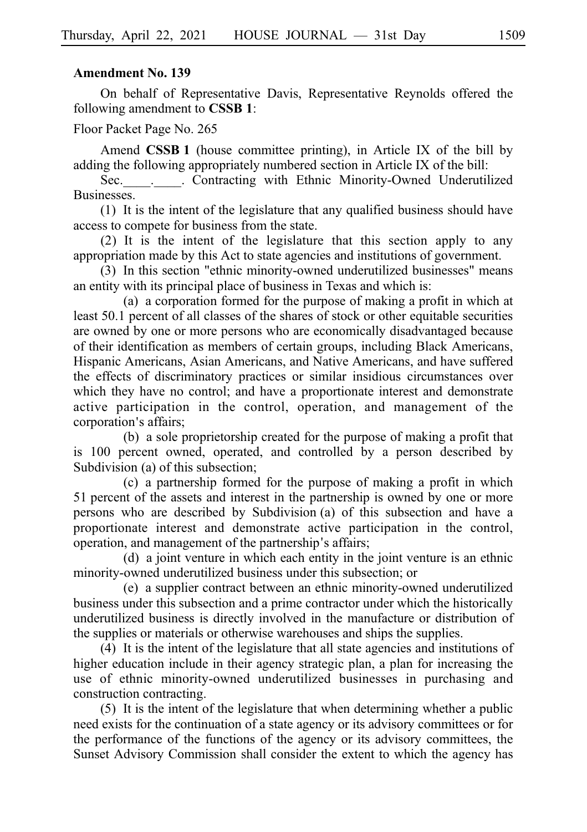#### **Amendment No. 139**

On behalf of Representative Davis, Representative Reynolds offered the following amendment to **CSSBi1**:

Floor Packet Page No. 265

Amend **CSSB 1** (house committee printing), in Article IX of the bill by adding the following appropriately numbered section in Article IX of the bill:

Sec. . . Contracting with Ethnic Minority-Owned Underutilized Businesses.

 $(1)$  It is the intent of the legislature that any qualified business should have access to compete for business from the state.

(2) It is the intent of the legislature that this section apply to any appropriation made by this Act to state agencies and institutions of government.

(3) In this section "ethnic minority-owned underutilized businesses" means an entity with its principal place of business in Texas and which is:

 $(a)$  a corporation formed for the purpose of making a profit in which at least 50.1 percent of all classes of the shares of stock or other equitable securities are owned by one or more persons who are economically disadvantaged because of their identification as members of certain groups, including Black Americans, Hispanic Americans, Asian Americans, and Native Americans, and have suffered the effects of discriminatory practices or similar insidious circumstances over which they have no control; and have a proportionate interest and demonstrate active participation in the control, operation, and management of the corporation's affairs;

(b) a sole proprietorship created for the purpose of making a profit that is 100 percent owned, operated, and controlled by a person described by Subdivision (a) of this subsection;

(c) a partnership formed for the purpose of making a profit in which 51 percent of the assets and interest in the partnership is owned by one or more persons who are described by Subdivision (a) of this subsection and have a proportionate interest and demonstrate active participation in the control, operation, and management of the partnership's affairs;

(d) a joint venture in which each entity in the joint venture is an ethnic minority-owned underutilized business under this subsection; or

(e) a supplier contract between an ethnic minority-owned underutilized business under this subsection and a prime contractor under which the historically underutilized business is directly involved in the manufacture or distribution of the supplies or materials or otherwise warehouses and ships the supplies.

 $(4)$  It is the intent of the legislature that all state agencies and institutions of higher education include in their agency strategic plan, a plan for increasing the use of ethnic minority-owned underutilized businesses in purchasing and construction contracting.

 $(5)$  It is the intent of the legislature that when determining whether a public need exists for the continuation of a state agency or its advisory committees or for the performance of the functions of the agency or its advisory committees, the Sunset Advisory Commission shall consider the extent to which the agency has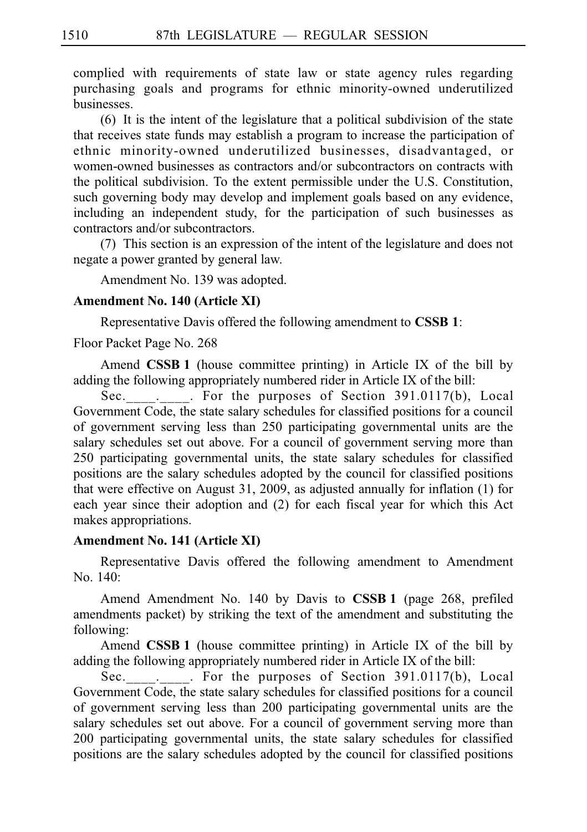complied with requirements of state law or state agency rules regarding purchasing goals and programs for ethnic minority-owned underutilized businesses.

 $(6)$  It is the intent of the legislature that a political subdivision of the state that receives state funds may establish a program to increase the participation of ethnic minority-owned underutilized businesses, disadvantaged, or women-owned businesses as contractors and/or subcontractors on contracts with the political subdivision. To the extent permissible under the U.S. Constitution, such governing body may develop and implement goals based on any evidence, including an independent study, for the participation of such businesses as contractors and/or subcontractors.

 $(7)$  This section is an expression of the intent of the legislature and does not negate a power granted by general law.

Amendment No. 139 was adopted.

### **Amendment No. 140 (Article XI)**

Representative Davis offered the following amendment to CSSB 1:

Floor Packet Page No. 268

Amend **CSSB 1** (house committee printing) in Article IX of the bill by adding the following appropriately numbered rider in Article IX of the bill:

Sec. . . For the purposes of Section 391.0117(b), Local Government Code, the state salary schedules for classified positions for a council of government serving less than 250 participating governmental units are the salary schedules set out above. For a council of government serving more than 250 participating governmental units, the state salary schedules for classified positions are the salary schedules adopted by the council for classified positions that were effective on August 31, 2009, as adjusted annually for inflation (1) for each year since their adoption and (2) for each fiscal year for which this Act makes appropriations.

## **Amendment No. 141 (Article XI)**

Representative Davis offered the following amendment to Amendment No. 140:

Amend Amendment No. 140 by Davis to **CSSB 1** (page 268, prefiled amendments packet) by striking the text of the amendment and substituting the following:

Amend **CSSB 1** (house committee printing) in Article IX of the bill by adding the following appropriately numbered rider in Article IX of the bill:

Sec. . . . For the purposes of Section 391.0117(b), Local Government Code, the state salary schedules for classified positions for a council of government serving less than 200 participating governmental units are the salary schedules set out above. For a council of government serving more than 200 participating governmental units, the state salary schedules for classified positions are the salary schedules adopted by the council for classified positions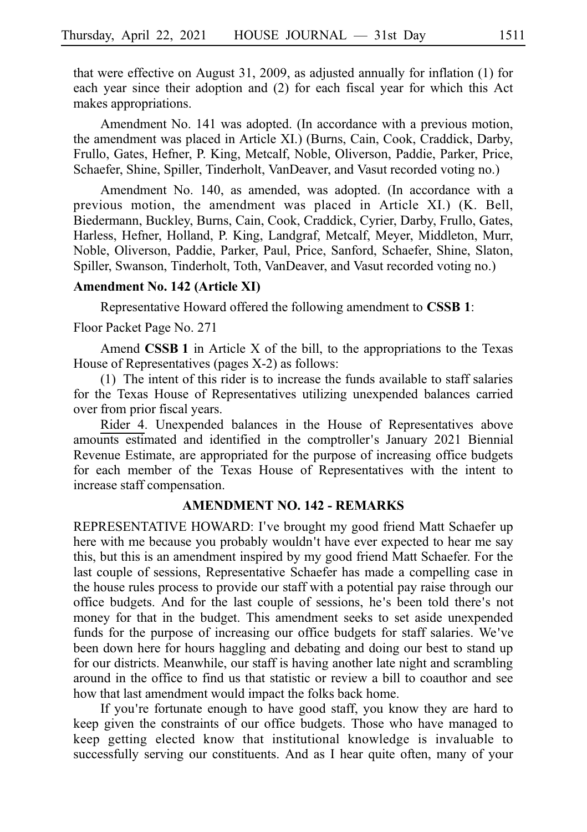that were effective on August 31, 2009, as adjusted annually for inflation (1) for each year since their adoption and (2) for each fiscal year for which this Act makes appropriations.

Amendment No. 141 was adopted. (In accordance with a previous motion, the amendment was placed in Article XI.) (Burns, Cain, Cook, Craddick, Darby, Frullo, Gates, Hefner, P. King, Metcalf, Noble, Oliverson, Paddie, Parker, Price, Schaefer, Shine, Spiller, Tinderholt, VanDeaver, and Vasut recorded voting no.)

Amendment No. 140, as amended, was adopted. (In accordance with a previous motion, the amendment was placed in Article XI.) (K. Bell, Biedermann, Buckley, Burns, Cain, Cook, Craddick, Cyrier, Darby, Frullo, Gates, Harless, Hefner, Holland, P. King, Landgraf, Metcalf, Meyer, Middleton, Murr, Noble, Oliverson, Paddie, Parker, Paul, Price, Sanford, Schaefer, Shine, Slaton, Spiller, Swanson, Tinderholt, Toth, VanDeaver, and Vasut recorded voting no.)

#### **Amendment No. 142 (Article XI)**

Representative Howard offered the following amendment to **CSSBi1**:

Floor Packet Page No. 271

Amend **CSSB 1** in Article X of the bill, to the appropriations to the Texas House of Representatives (pages X-2) as follows:

 $(1)$  The intent of this rider is to increase the funds available to staff salaries for the Texas House of Representatives utilizing unexpended balances carried over from prior fiscal years.

Rider 4. Unexpended balances in the House of Representatives above amounts estimated and identified in the comptroller's January 2021 Biennial Revenue Estimate, are appropriated for the purpose of increasing office budgets for each member of the Texas House of Representatives with the intent to increase staff compensation.

## **AMENDMENT NO. 142 - REMARKS**

REPRESENTATIVE HOWARD: I've brought my good friend Matt Schaefer up here with me because you probably wouldn't have ever expected to hear me say this, but this is an amendment inspired by my good friend Matt Schaefer. For the last couple of sessions, Representative Schaefer has made a compelling case in the house rules process to provide our staff with a potential pay raise through our office budgets. And for the last couple of sessions, he's been told there's not money for that in the budget. This amendment seeks to set aside unexpended funds for the purpose of increasing our office budgets for staff salaries. We ve' been down here for hours haggling and debating and doing our best to stand up for our districts. Meanwhile, our staff is having another late night and scrambling around in the office to find us that statistic or review a bill to coauthor and see how that last amendment would impact the folks back home.

If you're fortunate enough to have good staff, you know they are hard to keep given the constraints of our office budgets. Those who have managed to keep getting elected know that institutional knowledge is invaluable to successfully serving our constituents. And as I hear quite often, many of your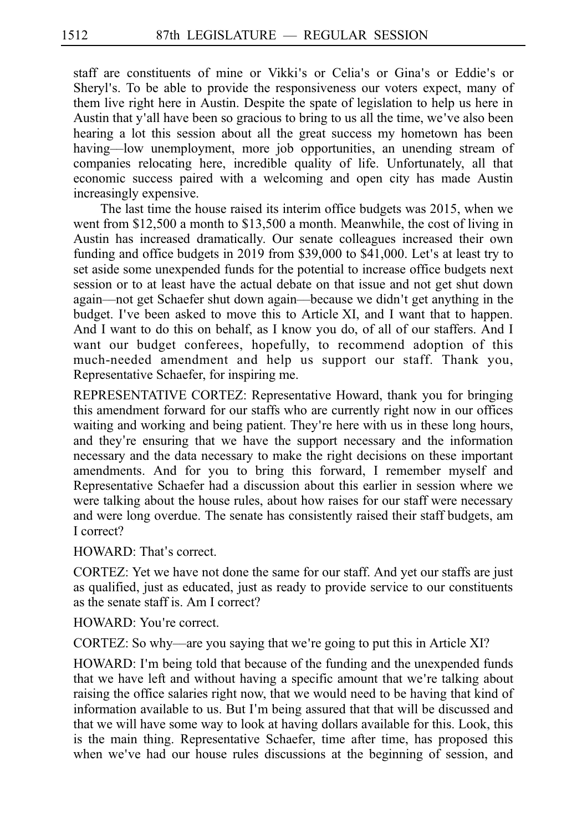staff are constituents of mine or Vikki's or Celia's or Gina's or Eddie's or Sheryl's. To be able to provide the responsiveness our voters expect, many of them live right here in Austin. Despite the spate of legislation to help us here in Austin that y'all have been so gracious to bring to us all the time, we've also been hearing a lot this session about all the great success my hometown has been having––low unemployment, more job opportunities, an unending stream of companies relocating here, incredible quality of life. Unfortunately, all that economic success paired with a welcoming and open city has made Austin increasingly expensive.

The last time the house raised its interim office budgets was 2015, when we went from  $$12,500$  a month to  $$13,500$  a month. Meanwhile, the cost of living in Austin has increased dramatically. Our senate colleagues increased their own funding and office budgets in 2019 from  $$39,000$  to  $$41,000$ . Let's at least try to set aside some unexpended funds for the potential to increase office budgets next session or to at least have the actual debate on that issue and not get shut down again—not get Schaefer shut down again—because we didn't get anything in the budget. I've been asked to move this to Article XI, and I want that to happen. And I want to do this on behalf, as I know you do, of all of our staffers. And I want our budget conferees, hopefully, to recommend adoption of this much-needed amendment and help us support our staff. Thank you, Representative Schaefer, for inspiring me.

REPRESENTATIVE CORTEZ: Representative Howard, thank you for bringing this amendment forward for our staffs who are currently right now in our offices waiting and working and being patient. They're here with us in these long hours, and they're ensuring that we have the support necessary and the information necessary and the data necessary to make the right decisions on these important amendments. And for you to bring this forward, I remember myself and Representative Schaefer had a discussion about this earlier in session where we were talking about the house rules, about how raises for our staff were necessary and were long overdue. The senate has consistently raised their staff budgets, am I correct?

HOWARD: That's correct.

CORTEZ: Yet we have not done the same for our staff. And yet our staffs are just as qualified, just as educated, just as ready to provide service to our constituents as the senate staff is. Am I correct?

HOWARD: You're correct.

CORTEZ: So why—are you saying that we're going to put this in Article XI?

HOWARD: I'm being told that because of the funding and the unexpended funds that we have left and without having a specific amount that we're talking about raising the office salaries right now, that we would need to be having that kind of information available to us. But I'm being assured that that will be discussed and that we will have some way to look at having dollars available for this. Look, this is the main thing. Representative Schaefer, time after time, has proposed this when we've had our house rules discussions at the beginning of session, and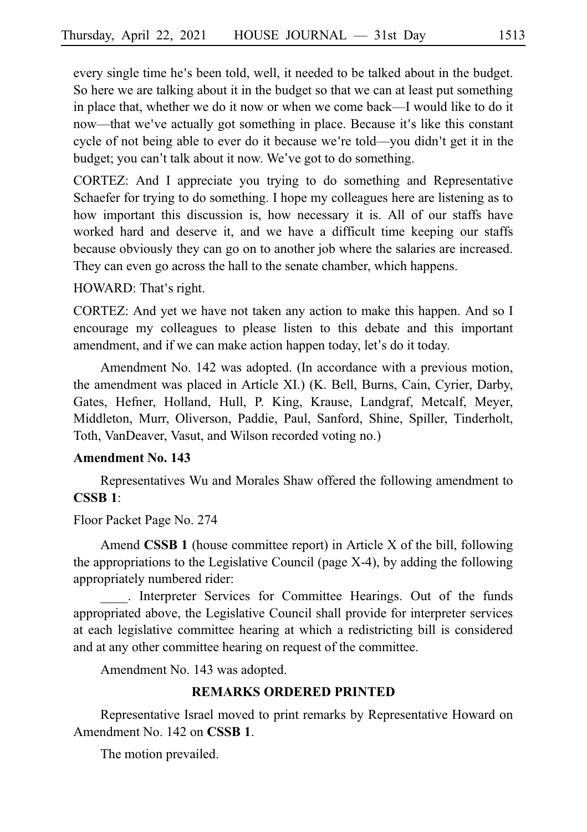every single time he's been told, well, it needed to be talked about in the budget. So here we are talking about it in the budget so that we can at least put something in place that, whether we do it now or when we come back––I would like to do it now—that we've actually got something in place. Because it's like this constant cycle of not being able to ever do it because we're told—you didn't get it in the budget; you can't talk about it now. We've got to do something.

CORTEZ: And I appreciate you trying to do something and Representative Schaefer for trying to do something. I hope my colleagues here are listening as to how important this discussion is, how necessary it is. All of our staffs have worked hard and deserve it, and we have a difficult time keeping our staffs because obviously they can go on to another job where the salaries are increased. They can even go across the hall to the senate chamber, which happens.

HOWARD: That's right.

CORTEZ: And yet we have not taken any action to make this happen. And so I encourage my colleagues to please listen to this debate and this important amendment, and if we can make action happen today, let's do it today.

Amendment No. 142 was adopted. (In accordance with a previous motion, the amendment was placed in Article XI.) (K. Bell, Burns, Cain, Cyrier, Darby, Gates, Hefner, Holland, Hull, P. King, Krause, Landgraf, Metcalf, Meyer, Middleton, Murr, Oliverson, Paddie, Paul, Sanford, Shine, Spiller, Tinderholt, Toth, VanDeaver, Vasut, and Wilson recorded voting no.)

## **Amendment No. 143**

Representatives Wu and Morales Shaw offered the following amendment to **CSSBi1**:

Floor Packet Page No. 274

Amend **CSSB 1** (house committee report) in Article X of the bill, following the appropriations to the Legislative Council (page X-4), by adding the following appropriately numbered rider:

\_\_\_\_. Interpreter Services for Committee Hearings. Out of the funds appropriated above, the Legislative Council shall provide for interpreter services at each legislative committee hearing at which a redistricting bill is considered and at any other committee hearing on request of the committee.

Amendment No. 143 was adopted.

## **REMARKS ORDERED PRINTED**

Representative Israel moved to print remarks by Representative Howard on Amendment No. 142 on **CSSB 1**.

The motion prevailed.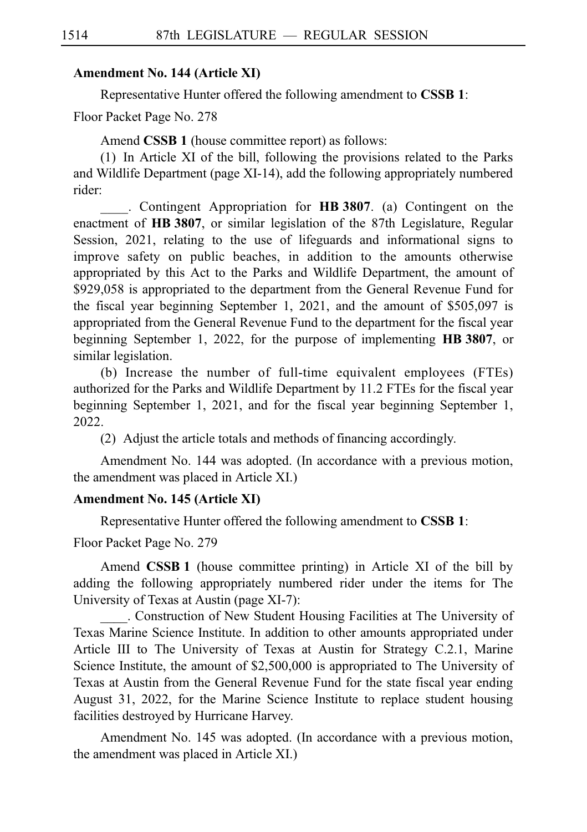### **Amendment No. 144 (Article XI)**

Representative Hunter offered the following amendment to **CSSB 1**:

Floor Packet Page No. 278

Amend **CSSB 1** (house committee report) as follows:

(1) In Article XI of the bill, following the provisions related to the Parks and Wildlife Department (page XI-14), add the following appropriately numbered rider:

\_\_\_\_.iiContingent Appropriation for **HBi3807**. (a) Contingent on the enactment of HB 3807, or similar legislation of the 87th Legislature, Regular Session, 2021, relating to the use of lifeguards and informational signs to improve safety on public beaches, in addition to the amounts otherwise appropriated by this Act to the Parks and Wildlife Department, the amount of \$929,058 is appropriated to the department from the General Revenue Fund for the fiscal year beginning September 1, 2021, and the amount of \$505,097 is appropriated from the General Revenue Fund to the department for the fiscal year beginning September 1, 2022, for the purpose of implementing HB 3807, or similar legislation.

(b) Increase the number of full-time equivalent employees (FTEs) authorized for the Parks and Wildlife Department by 11.2 FTEs for the fiscal year beginning September 1, 2021, and for the fiscal year beginning September 1, 2022.

(2) Adjust the article totals and methods of financing accordingly.

Amendment No. 144 was adopted. (In accordance with a previous motion, the amendment was placed in Article XI.)

## **Amendment No. 145 (Article XI)**

Representative Hunter offered the following amendment to **CSSBi1**:

#### Floor Packet Page No. 279

Amend **CSSB 1** (house committee printing) in Article XI of the bill by adding the following appropriately numbered rider under the items for The University of Texas at Austin (page XI-7):

\_\_\_\_. Construction of New Student Housing Facilities at The University of Texas Marine Science Institute. In addition to other amounts appropriated under Article III to The University of Texas at Austin for Strategy C.2.1, Marine Science Institute, the amount of \$2,500,000 is appropriated to The University of Texas at Austin from the General Revenue Fund for the state fiscal year ending August 31, 2022, for the Marine Science Institute to replace student housing facilities destroyed by Hurricane Harvey.

Amendment No. 145 was adopted. (In accordance with a previous motion, the amendment was placed in Article XI.)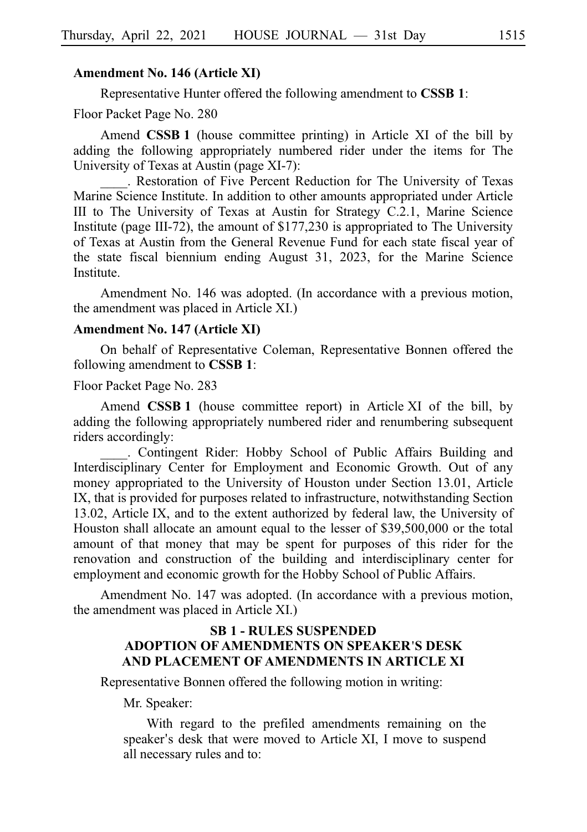#### **Amendment No. 146 (Article XI)**

Representative Hunter offered the following amendment to **CSSBi1**:

Floor Packet Page No. 280

Amend **CSSB 1** (house committee printing) in Article XI of the bill by adding the following appropriately numbered rider under the items for The University of Texas at Austin (page XI-7):

\_\_\_\_. Restoration of Five Percent Reduction for The University of Texas Marine Science Institute. In addition to other amounts appropriated under Article III to The University of Texas at Austin for Strategy C.2.1, Marine Science Institute (page III-72), the amount of \$177,230 is appropriated to The University of Texas at Austin from the General Revenue Fund for each state fiscal year of the state fiscal biennium ending August 31, 2023, for the Marine Science Institute.

Amendment No. 146 was adopted. (In accordance with a previous motion, the amendment was placed in Article XI.)

#### **Amendment No. 147 (Article XI)**

On behalf of Representative Coleman, Representative Bonnen offered the following amendment to **CSSBi1**:

Floor Packet Page No. 283

Amend **CSSB 1** (house committee report) in Article XI of the bill, by adding the following appropriately numbered rider and renumbering subsequent riders accordingly:

. Contingent Rider: Hobby School of Public Affairs Building and Interdisciplinary Center for Employment and Economic Growth. Out of any money appropriated to the University of Houston under Section 13.01, Article IX, that is provided for purposes related to infrastructure, notwithstanding Section 13.02, Article IX, and to the extent authorized by federal law, the University of Houston shall allocate an amount equal to the lesser of \$39,500,000 or the total amount of that money that may be spent for purposes of this rider for the renovation and construction of the building and interdisciplinary center for employment and economic growth for the Hobby School of Public Affairs.

Amendment No. 147 was adopted. (In accordance with a previous motion, the amendment was placed in Article XI.)

## **SBi1 - RULES SUSPENDED ADOPTION OF AMENDMENTS ON SPEAKER S DESK** ' **AND PLACEMENT OF AMENDMENTS IN ARTICLE XI**

Representative Bonnen offered the following motion in writing:

Mr. Speaker:

With regard to the prefiled amendments remaining on the speaker's desk that were moved to Article XI, I move to suspend all necessary rules and to: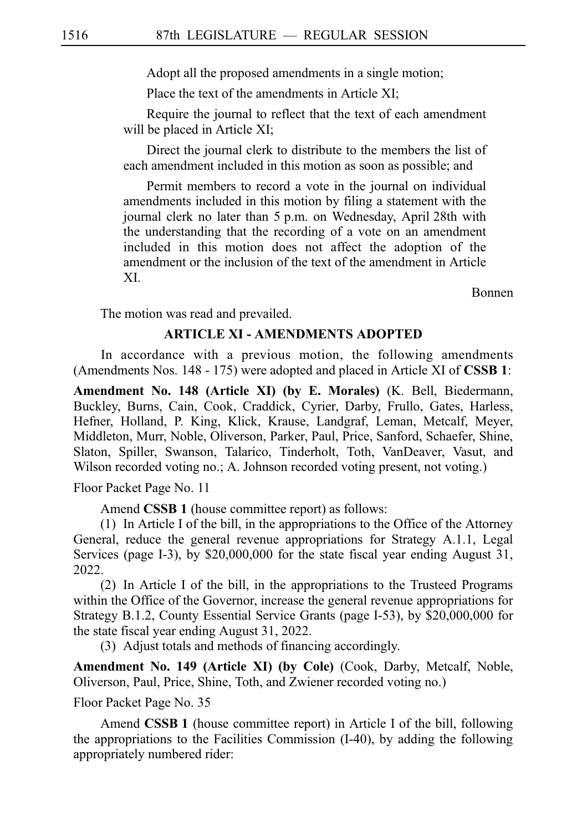Adopt all the proposed amendments in a single motion;

Place the text of the amendments in Article XI:

Require the journal to reflect that the text of each amendment will be placed in Article XI;

Direct the journal clerk to distribute to the members the list of each amendment included in this motion as soon as possible; and

Permit members to record a vote in the journal on individual amendments included in this motion by filing a statement with the journal clerk no later than 5 p.m. on Wednesday, April 28th with the understanding that the recording of a vote on an amendment included in this motion does not affect the adoption of the amendment or the inclusion of the text of the amendment in Article XI.

Bonnen

The motion was read and prevailed.

#### **ARTICLE XI - AMENDMENTS ADOPTED**

In accordance with a previous motion, the following amendments (Amendments Nos. 148 - 175) were adopted and placed in Article XI of **CSSB 1**:

**Amendment No. 148 (Article XI) (by E. Morales)** (K. Bell, Biedermann, Buckley, Burns, Cain, Cook, Craddick, Cyrier, Darby, Frullo, Gates, Harless, Hefner, Holland, P. King, Klick, Krause, Landgraf, Leman, Metcalf, Meyer, Middleton, Murr, Noble, Oliverson, Parker, Paul, Price, Sanford, Schaefer, Shine, Slaton, Spiller, Swanson, Talarico, Tinderholt, Toth, VanDeaver, Vasut, and Wilson recorded voting no.; A. Johnson recorded voting present, not voting.)

Floor Packet Page No. 11

Amend **CSSB 1** (house committee report) as follows:

 $(1)$  In Article I of the bill, in the appropriations to the Office of the Attorney General, reduce the general revenue appropriations for Strategy A.1.1, Legal Services (page I-3), by \$20,000,000 for the state fiscal year ending August 31, 2022.

 $(2)$  In Article I of the bill, in the appropriations to the Trusteed Programs within the Office of the Governor, increase the general revenue appropriations for Strategy B.1.2, County Essential Service Grants (page I-53), by \$20,000,000 for the state fiscal year ending August 31, 2022.

(3) Adjust totals and methods of financing accordingly.

**Amendment No. 149 (Article XI) (by Cole)** (Cook, Darby, Metcalf, Noble, Oliverson, Paul, Price, Shine, Toth, and Zwiener recorded voting no.)

Floor Packet Page No. 35

Amend **CSSB 1** (house committee report) in Article I of the bill, following the appropriations to the Facilities Commission (I-40), by adding the following appropriately numbered rider: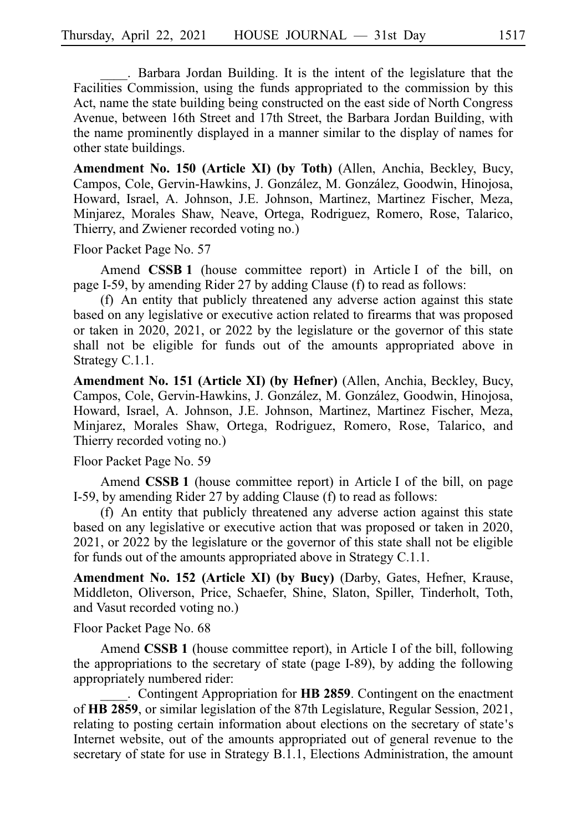. Barbara Jordan Building. It is the intent of the legislature that the Facilities Commission, using the funds appropriated to the commission by this Act, name the state building being constructed on the east side of North Congress Avenue, between 16th Street and 17th Street, the Barbara Jordan Building, with the name prominently displayed in a manner similar to the display of names for other state buildings.

**Amendment No. 150 (Article XI) (by Toth)** (Allen, Anchia, Beckley, Bucy, Campos, Cole, Gervin-Hawkins, J. González, M. González, Goodwin, Hinojosa, Howard, Israel, A. Johnson, J.E. Johnson, Martinez, Martinez Fischer, Meza, Minjarez, Morales Shaw, Neave, Ortega, Rodriguez, Romero, Rose, Talarico, Thierry, and Zwiener recorded voting no.)

Floor Packet Page No. 57

Amend **CSSB 1** (house committee report) in Article I of the bill, on page I-59, by amending Rider 27 by adding Clause (f) to read as follows:

 $(f)$  An entity that publicly threatened any adverse action against this state based on any legislative or executive action related to firearms that was proposed or taken in 2020, 2021, or 2022 by the legislature or the governor of this state shall not be eligible for funds out of the amounts appropriated above in Strategy C.1.1.

**Amendment No. 151 (Article XI) (by Hefner)** (Allen, Anchia, Beckley, Bucy, Campos, Cole, Gervin-Hawkins, J. González, M. González, Goodwin, Hinojosa, Howard, Israel, A. Johnson, J.E. Johnson, Martinez, Martinez Fischer, Meza, Minjarez, Morales Shaw, Ortega, Rodriguez, Romero, Rose, Talarico, and Thierry recorded voting no.)

Floor Packet Page No. 59

Amend **CSSB 1** (house committee report) in Article I of the bill, on page I-59, by amending Rider 27 by adding Clause (f) to read as follows:

 $(f)$  An entity that publicly threatened any adverse action against this state based on any legislative or executive action that was proposed or taken in 2020, 2021, or 2022 by the legislature or the governor of this state shall not be eligible for funds out of the amounts appropriated above in Strategy C.1.1.

**Amendment No. 152 (Article XI) (by Bucy)** (Darby, Gates, Hefner, Krause, Middleton, Oliverson, Price, Schaefer, Shine, Slaton, Spiller, Tinderholt, Toth, and Vasut recorded voting no.)

Floor Packet Page No. 68

Amend **CSSB 1** (house committee report), in Article I of the bill, following the appropriations to the secretary of state (page I-89), by adding the following appropriately numbered rider:

. Contingent Appropriation for **HB 2859**. Contingent on the enactment of **HBi2859**, or similar legislation of the 87th Legislature, Regular Session, 2021, relating to posting certain information about elections on the secretary of state's Internet website, out of the amounts appropriated out of general revenue to the secretary of state for use in Strategy B.1.1, Elections Administration, the amount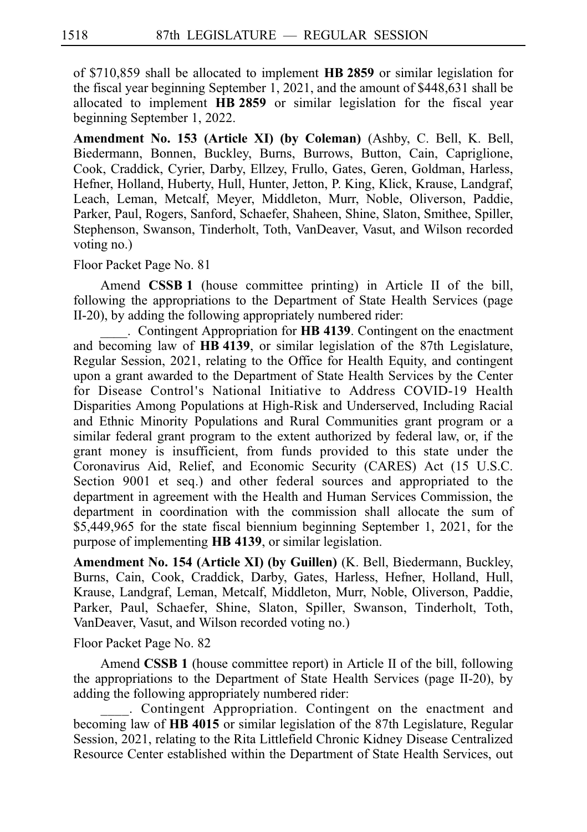of \$710,859 shall be allocated to implement **HBi2859** or similar legislation for the fiscal year beginning September 1, 2021, and the amount of  $$448,631$  shall be allocated to implement **HB 2859** or similar legislation for the fiscal year beginning September 1, 2022.

**Amendment No. 153 (Article XI) (by Coleman)** (Ashby, C. Bell, K. Bell, Biedermann, Bonnen, Buckley, Burns, Burrows, Button, Cain, Capriglione, Cook, Craddick, Cyrier, Darby, Ellzey, Frullo, Gates, Geren, Goldman, Harless, Hefner, Holland, Huberty, Hull, Hunter, Jetton, P. King, Klick, Krause, Landgraf, Leach, Leman, Metcalf, Meyer, Middleton, Murr, Noble, Oliverson, Paddie, Parker, Paul, Rogers, Sanford, Schaefer, Shaheen, Shine, Slaton, Smithee, Spiller, Stephenson, Swanson, Tinderholt, Toth, VanDeaver, Vasut, and Wilson recorded voting no.)

Floor Packet Page No. 81

Amend **CSSB 1** (house committee printing) in Article II of the bill, following the appropriations to the Department of State Health Services (page II-20), by adding the following appropriately numbered rider:

. Contingent Appropriation for **HB 4139**. Contingent on the enactment and becoming law of **HBi4139**, or similar legislation of the 87th Legislature, Regular Session, 2021, relating to the Office for Health Equity, and contingent upon a grant awarded to the Department of State Health Services by the Center for Disease Control's National Initiative to Address COVID-19 Health Disparities Among Populations at High-Risk and Underserved, Including Racial and Ethnic Minority Populations and Rural Communities grant program or a similar federal grant program to the extent authorized by federal law, or, if the grant money is insufficient, from funds provided to this state under the Coronavirus Aid, Relief, and Economic Security (CARES) Act (15 U.S.C. Section 9001 et seq.) and other federal sources and appropriated to the department in agreement with the Health and Human Services Commission, the department in coordination with the commission shall allocate the sum of \$5,449,965 for the state fiscal biennium beginning September 1, 2021, for the purpose of implementing HB 4139, or similar legislation.

**Amendment No. 154 (Article XI) (by Guillen)** (K. Bell, Biedermann, Buckley, Burns, Cain, Cook, Craddick, Darby, Gates, Harless, Hefner, Holland, Hull, Krause, Landgraf, Leman, Metcalf, Middleton, Murr, Noble, Oliverson, Paddie, Parker, Paul, Schaefer, Shine, Slaton, Spiller, Swanson, Tinderholt, Toth, VanDeaver, Vasut, and Wilson recorded voting no.)

Floor Packet Page No. 82

Amend **CSSBi1** (house committee report) in Article II of the bill, following the appropriations to the Department of State Health Services (page II-20), by adding the following appropriately numbered rider:

. Contingent Appropriation. Contingent on the enactment and becoming law of HB 4015 or similar legislation of the 87th Legislature, Regular Session, 2021, relating to the Rita Littlefield Chronic Kidney Disease Centralized Resource Center established within the Department of State Health Services, out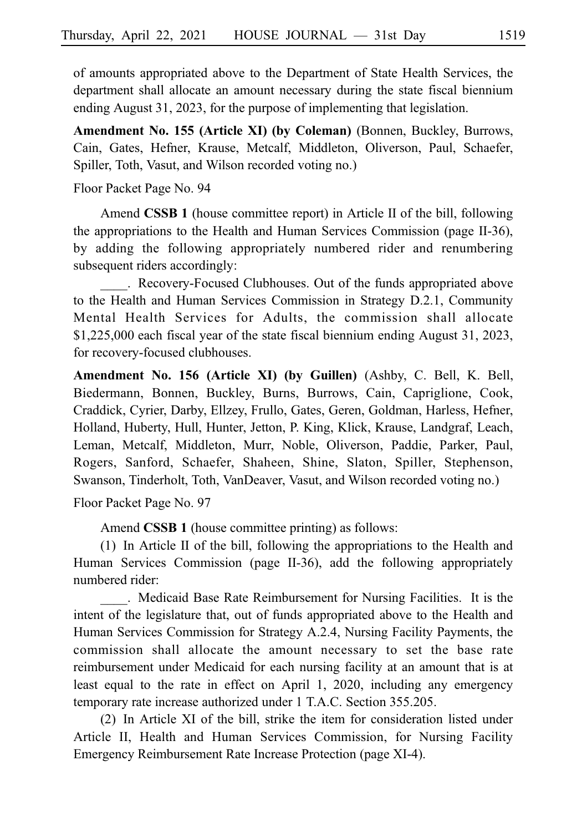of amounts appropriated above to the Department of State Health Services, the department shall allocate an amount necessary during the state fiscal biennium ending August 31, 2023, for the purpose of implementing that legislation.

**Amendment No. 155 (Article XI) (by Coleman)** (Bonnen, Buckley, Burrows, Cain, Gates, Hefner, Krause, Metcalf, Middleton, Oliverson, Paul, Schaefer, Spiller, Toth, Vasut, and Wilson recorded voting no.)

Floor Packet Page No. 94

Amend **CSSBi1** (house committee report) in Article II of the bill, following the appropriations to the Health and Human Services Commission (page II-36), by adding the following appropriately numbered rider and renumbering subsequent riders accordingly:

. Recovery-Focused Clubhouses. Out of the funds appropriated above to the Health and Human Services Commission in Strategy D.2.1, Community Mental Health Services for Adults, the commission shall allocate  $$1,225,000$  each fiscal year of the state fiscal biennium ending August 31, 2023, for recovery-focused clubhouses.

**Amendment No. 156 (Article XI) (by Guillen)** (Ashby, C. Bell, K. Bell, Biedermann, Bonnen, Buckley, Burns, Burrows, Cain, Capriglione, Cook, Craddick, Cyrier, Darby, Ellzey, Frullo, Gates, Geren, Goldman, Harless, Hefner, Holland, Huberty, Hull, Hunter, Jetton, P. King, Klick, Krause, Landgraf, Leach, Leman, Metcalf, Middleton, Murr, Noble, Oliverson, Paddie, Parker, Paul, Rogers, Sanford, Schaefer, Shaheen, Shine, Slaton, Spiller, Stephenson, Swanson, Tinderholt, Toth, VanDeaver, Vasut, and Wilson recorded voting no.)

Floor Packet Page No. 97

Amend **CSSB 1** (house committee printing) as follows:

 $(1)$  In Article II of the bill, following the appropriations to the Health and Human Services Commission (page II-36), add the following appropriately numbered rider:

. Medicaid Base Rate Reimbursement for Nursing Facilities. It is the intent of the legislature that, out of funds appropriated above to the Health and Human Services Commission for Strategy A.2.4, Nursing Facility Payments, the commission shall allocate the amount necessary to set the base rate reimbursement under Medicaid for each nursing facility at an amount that is at least equal to the rate in effect on April 1, 2020, including any emergency temporary rate increase authorized under 1 T.A.C. Section 355.205.

 $(2)$  In Article XI of the bill, strike the item for consideration listed under Article II, Health and Human Services Commission, for Nursing Facility Emergency Reimbursement Rate Increase Protection (page XI-4).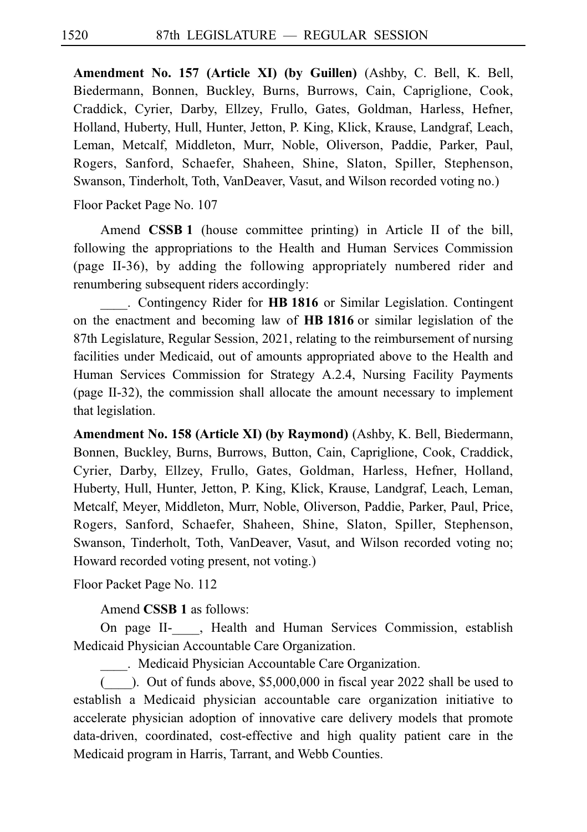**Amendment No. 157 (Article XI) (by Guillen)** (Ashby, C. Bell, K. Bell, Biedermann, Bonnen, Buckley, Burns, Burrows, Cain, Capriglione, Cook, Craddick, Cyrier, Darby, Ellzey, Frullo, Gates, Goldman, Harless, Hefner, Holland, Huberty, Hull, Hunter, Jetton, P. King, Klick, Krause, Landgraf, Leach, Leman, Metcalf, Middleton, Murr, Noble, Oliverson, Paddie, Parker, Paul, Rogers, Sanford, Schaefer, Shaheen, Shine, Slaton, Spiller, Stephenson, Swanson, Tinderholt, Toth, VanDeaver, Vasut, and Wilson recorded voting no.)

Floor Packet Page No. 107

Amend **CSSB 1** (house committee printing) in Article II of the bill, following the appropriations to the Health and Human Services Commission (page II-36), by adding the following appropriately numbered rider and renumbering subsequent riders accordingly:

. Contingency Rider for **HB 1816** or Similar Legislation. Contingent on the enactment and becoming law of HB 1816 or similar legislation of the 87th Legislature, Regular Session, 2021, relating to the reimbursement of nursing facilities under Medicaid, out of amounts appropriated above to the Health and Human Services Commission for Strategy A.2.4, Nursing Facility Payments (page II-32), the commission shall allocate the amount necessary to implement that legislation.

**Amendment No. 158 (Article XI) (by Raymond)** (Ashby, K. Bell, Biedermann, Bonnen, Buckley, Burns, Burrows, Button, Cain, Capriglione, Cook, Craddick, Cyrier, Darby, Ellzey, Frullo, Gates, Goldman, Harless, Hefner, Holland, Huberty, Hull, Hunter, Jetton, P. King, Klick, Krause, Landgraf, Leach, Leman, Metcalf, Meyer, Middleton, Murr, Noble, Oliverson, Paddie, Parker, Paul, Price, Rogers, Sanford, Schaefer, Shaheen, Shine, Slaton, Spiller, Stephenson, Swanson, Tinderholt, Toth, VanDeaver, Vasut, and Wilson recorded voting no; Howard recorded voting present, not voting.)

Floor Packet Page No. 112

Amend **CSSB 1** as follows:

On page II- , Health and Human Services Commission, establish Medicaid Physician Accountable Care Organization.

. Medicaid Physician Accountable Care Organization.

 $($ . Out of funds above, \$5,000,000 in fiscal year 2022 shall be used to establish a Medicaid physician accountable care organization initiative to accelerate physician adoption of innovative care delivery models that promote data-driven, coordinated, cost-effective and high quality patient care in the Medicaid program in Harris, Tarrant, and Webb Counties.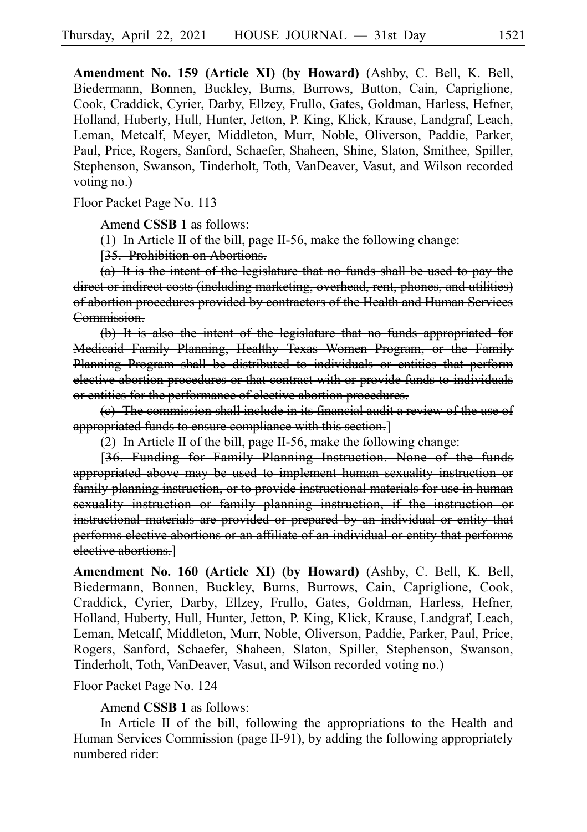**Amendment No. 159 (Article XI) (by Howard)** (Ashby, C. Bell, K. Bell, Biedermann, Bonnen, Buckley, Burns, Burrows, Button, Cain, Capriglione, Cook, Craddick, Cyrier, Darby, Ellzey, Frullo, Gates, Goldman, Harless, Hefner, Holland, Huberty, Hull, Hunter, Jetton, P. King, Klick, Krause, Landgraf, Leach, Leman, Metcalf, Meyer, Middleton, Murr, Noble, Oliverson, Paddie, Parker, Paul, Price, Rogers, Sanford, Schaefer, Shaheen, Shine, Slaton, Smithee, Spiller, Stephenson, Swanson, Tinderholt, Toth, VanDeaver, Vasut, and Wilson recorded voting no.)

Floor Packet Page No. 113

Amend **CSSB 1** as follows:

(1) In Article II of the bill, page II-56, make the following change:

[35. Prohibition on Abortions.

 $(a)$  It is the intent of the legislature that no funds shall be used to pay the direct or indirect costs (including marketing, overhead, rent, phones, and utilities) of abortion procedures provided by contractors of the Health and Human Services Commission.

 $(b)$  It is also the intent of the legislature that no funds appropriated for Medicaid Family Planning, Healthy Texas Women Program, or the Family Planning Program shall be distributed to individuals or entities that perform elective abortion procedures or that contract with or provide funds to individuals or entities for the performance of elective abortion procedures.

(e) The commission shall include in its financial audit a review of the use of appropriated funds to ensure compliance with this section.]

(2) In Article II of the bill, page II-56, make the following change:

[36. Funding for Family Planning Instruction. None of the funds appropriated above may be used to implement human sexuality instruction or family planning instruction, or to provide instructional materials for use in human sexuality instruction or family planning instruction, if the instruction or instructional materials are provided or prepared by an individual or entity that performs elective abortions or an affiliate of an individual or entity that performs elective abortions.]

**Amendment No. 160 (Article XI) (by Howard)** (Ashby, C. Bell, K. Bell, Biedermann, Bonnen, Buckley, Burns, Burrows, Cain, Capriglione, Cook, Craddick, Cyrier, Darby, Ellzey, Frullo, Gates, Goldman, Harless, Hefner, Holland, Huberty, Hull, Hunter, Jetton, P. King, Klick, Krause, Landgraf, Leach, Leman, Metcalf, Middleton, Murr, Noble, Oliverson, Paddie, Parker, Paul, Price, Rogers, Sanford, Schaefer, Shaheen, Slaton, Spiller, Stephenson, Swanson, Tinderholt, Toth, VanDeaver, Vasut, and Wilson recorded voting no.)

Floor Packet Page No. 124

Amend **CSSB 1** as follows:

In Article II of the bill, following the appropriations to the Health and Human Services Commission (page II-91), by adding the following appropriately numbered rider: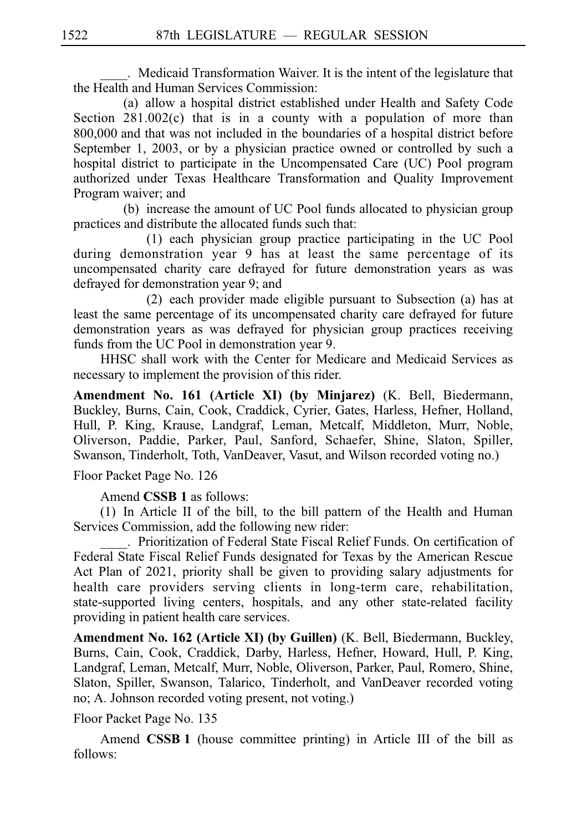. Medicaid Transformation Waiver. It is the intent of the legislature that the Health and Human Services Commission:

(a) allow a hospital district established under Health and Safety Code Section  $281.002(c)$  that is in a county with a population of more than  $800,000$  and that was not included in the boundaries of a hospital district before September 1, 2003, or by a physician practice owned or controlled by such a hospital district to participate in the Uncompensated Care (UC) Pool program authorized under Texas Healthcare Transformation and Quality Improvement Program waiver; and

(b) increase the amount of UC Pool funds allocated to physician group practices and distribute the allocated funds such that:

 $(1)$  each physician group practice participating in the UC Pool during demonstration year 9 has at least the same percentage of its uncompensated charity care defrayed for future demonstration years as was defrayed for demonstration year 9; and

(2) each provider made eligible pursuant to Subsection (a) has at least the same percentage of its uncompensated charity care defrayed for future demonstration years as was defrayed for physician group practices receiving funds from the UC Pool in demonstration year 9.

HHSC shall work with the Center for Medicare and Medicaid Services as necessary to implement the provision of this rider.

**Amendment No. 161 (Article XI) (by Minjarez)** (K. Bell, Biedermann, Buckley, Burns, Cain, Cook, Craddick, Cyrier, Gates, Harless, Hefner, Holland, Hull, P. King, Krause, Landgraf, Leman, Metcalf, Middleton, Murr, Noble, Oliverson, Paddie, Parker, Paul, Sanford, Schaefer, Shine, Slaton, Spiller, Swanson, Tinderholt, Toth, VanDeaver, Vasut, and Wilson recorded voting no.)

Floor Packet Page No. 126

Amend **CSSB 1** as follows:

 $(1)$  In Article II of the bill, to the bill pattern of the Health and Human Services Commission, add the following new rider:

\_\_\_\_.iiPrioritization of Federal State Fiscal Relief Funds. On certification of Federal State Fiscal Relief Funds designated for Texas by the American Rescue Act Plan of 2021, priority shall be given to providing salary adjustments for health care providers serving clients in long-term care, rehabilitation, state-supported living centers, hospitals, and any other state-related facility providing in patient health care services.

**Amendment No. 162 (Article XI) (by Guillen)** (K. Bell, Biedermann, Buckley, Burns, Cain, Cook, Craddick, Darby, Harless, Hefner, Howard, Hull, P. King, Landgraf, Leman, Metcalf, Murr, Noble, Oliverson, Parker, Paul, Romero, Shine, Slaton, Spiller, Swanson, Talarico, Tinderholt, and VanDeaver recorded voting no; A. Johnson recorded voting present, not voting.)

Floor Packet Page No. 135

Amend **CSSB 1** (house committee printing) in Article III of the bill as follows: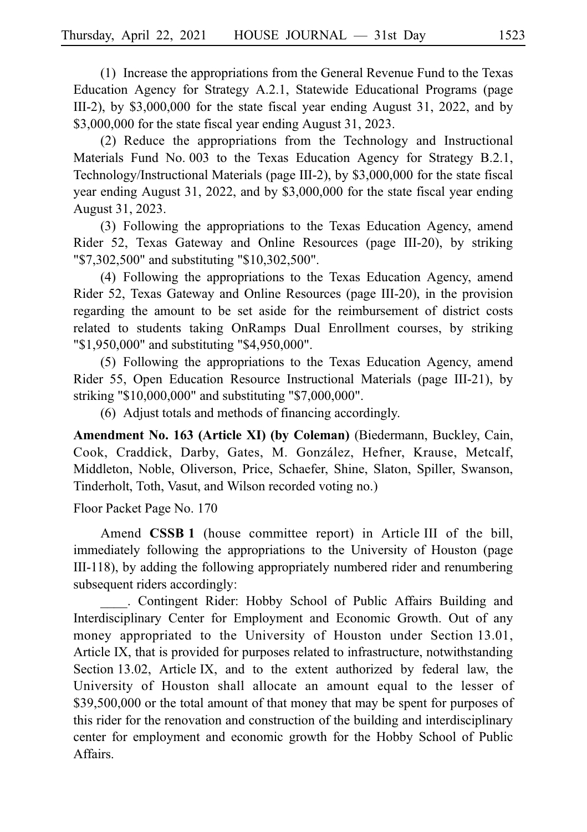$(1)$  Increase the appropriations from the General Revenue Fund to the Texas Education Agency for Strategy A.2.1, Statewide Educational Programs (page III-2), by \$3,000,000 for the state fiscal year ending August 31, 2022, and by \$3,000,000 for the state fiscal year ending August 31, 2023.

(2) Reduce the appropriations from the Technology and Instructional Materials Fund No. 003 to the Texas Education Agency for Strategy B.2.1, Technology/Instructional Materials (page III-2), by \$3,000,000 for the state fiscal year ending August 31, 2022, and by \$3,000,000 for the state fiscal year ending August 31, 2023.

(3) Following the appropriations to the Texas Education Agency, amend Rider 52, Texas Gateway and Online Resources (page III-20), by striking "\$7,302,500" and substituting "\$10,302,500".

(4) Following the appropriations to the Texas Education Agency, amend Rider 52, Texas Gateway and Online Resources (page III-20), in the provision regarding the amount to be set aside for the reimbursement of district costs related to students taking OnRamps Dual Enrollment courses, by striking "\$1,950,000" and substituting "\$4,950,000".

(5) Following the appropriations to the Texas Education Agency, amend Rider 55, Open Education Resource Instructional Materials (page III-21), by striking "\$10,000,000" and substituting "\$7,000,000".

(6) Adjust totals and methods of financing accordingly.

**Amendment No. 163 (Article XI) (by Coleman)** (Biedermann, Buckley, Cain, Cook, Craddick, Darby, Gates, M. González, Hefner, Krause, Metcalf, Middleton, Noble, Oliverson, Price, Schaefer, Shine, Slaton, Spiller, Swanson, Tinderholt, Toth, Vasut, and Wilson recorded voting no.)

Floor Packet Page No. 170

Amend **CSSB<sub>1</sub>** (house committee report) in Article<sub>III</sub> of the bill, immediately following the appropriations to the University of Houston (page III-118), by adding the following appropriately numbered rider and renumbering subsequent riders accordingly:

. Contingent Rider: Hobby School of Public Affairs Building and Interdisciplinary Center for Employment and Economic Growth. Out of any money appropriated to the University of Houston under Section 13.01, Article IX, that is provided for purposes related to infrastructure, notwithstanding Section 13.02, Article IX, and to the extent authorized by federal law, the University of Houston shall allocate an amount equal to the lesser of \$39,500,000 or the total amount of that money that may be spent for purposes of this rider for the renovation and construction of the building and interdisciplinary center for employment and economic growth for the Hobby School of Public Affairs.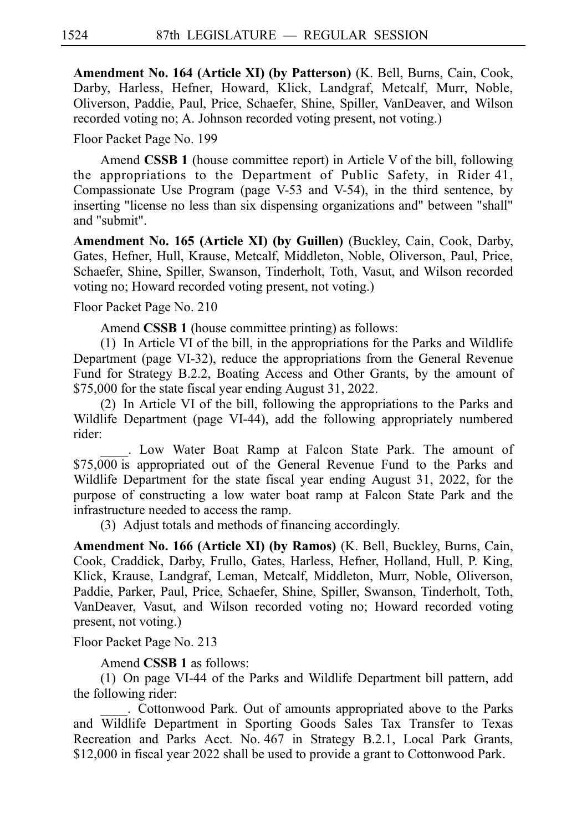**Amendment No. 164 (Article XI) (by Patterson)** (K. Bell, Burns, Cain, Cook, Darby, Harless, Hefner, Howard, Klick, Landgraf, Metcalf, Murr, Noble, Oliverson, Paddie, Paul, Price, Schaefer, Shine, Spiller, VanDeaver, and Wilson recorded voting no; A. Johnson recorded voting present, not voting.)

Floor Packet Page No. 199

Amend **CSSB 1** (house committee report) in Article V of the bill, following the appropriations to the Department of Public Safety, in Rider 41, Compassionate Use Program (page V-53 and V-54), in the third sentence, by inserting "license no less than six dispensing organizations and" between "shall" and "submit".

**Amendment No. 165 (Article XI) (by Guillen)** (Buckley, Cain, Cook, Darby, Gates, Hefner, Hull, Krause, Metcalf, Middleton, Noble, Oliverson, Paul, Price, Schaefer, Shine, Spiller, Swanson, Tinderholt, Toth, Vasut, and Wilson recorded voting no; Howard recorded voting present, not voting.)

Floor Packet Page No. 210

Amend **CSSB 1** (house committee printing) as follows:

 $(1)$  In Article VI of the bill, in the appropriations for the Parks and Wildlife Department (page VI-32), reduce the appropriations from the General Revenue Fund for Strategy B.2.2, Boating Access and Other Grants, by the amount of \$75,000 for the state fiscal year ending August 31, 2022.

(2) In Article VI of the bill, following the appropriations to the Parks and Wildlife Department (page VI-44), add the following appropriately numbered rider:

. Low Water Boat Ramp at Falcon State Park. The amount of \$75,000 is appropriated out of the General Revenue Fund to the Parks and Wildlife Department for the state fiscal year ending August 31, 2022, for the purpose of constructing a low water boat ramp at Falcon State Park and the infrastructure needed to access the ramp.

(3) Adjust totals and methods of financing accordingly.

**Amendment No. 166 (Article XI) (by Ramos)** (K. Bell, Buckley, Burns, Cain, Cook, Craddick, Darby, Frullo, Gates, Harless, Hefner, Holland, Hull, P. King, Klick, Krause, Landgraf, Leman, Metcalf, Middleton, Murr, Noble, Oliverson, Paddie, Parker, Paul, Price, Schaefer, Shine, Spiller, Swanson, Tinderholt, Toth, VanDeaver, Vasut, and Wilson recorded voting no; Howard recorded voting present, not voting.)

Floor Packet Page No. 213

Amend **CSSB 1** as follows:

(1) On page VI-44 of the Parks and Wildlife Department bill pattern, add the following rider:

. Cottonwood Park. Out of amounts appropriated above to the Parks and Wildlife Department in Sporting Goods Sales Tax Transfer to Texas Recreation and Parks Acct. No. 467 in Strategy B.2.1, Local Park Grants, \$12,000 in fiscal year 2022 shall be used to provide a grant to Cottonwood Park.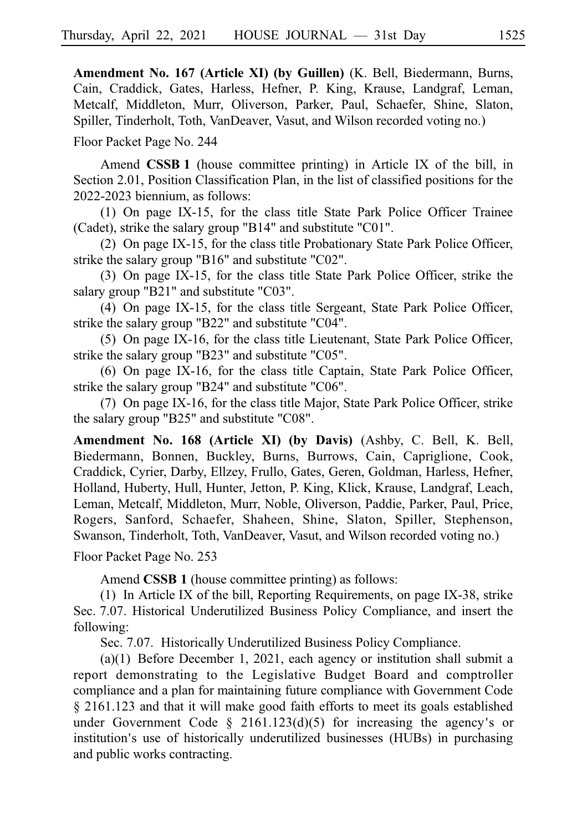**Amendment No. 167 (Article XI) (by Guillen)** (K. Bell, Biedermann, Burns, Cain, Craddick, Gates, Harless, Hefner, P. King, Krause, Landgraf, Leman, Metcalf, Middleton, Murr, Oliverson, Parker, Paul, Schaefer, Shine, Slaton, Spiller, Tinderholt, Toth, VanDeaver, Vasut, and Wilson recorded voting no.)

Floor Packet Page No. 244

Amend **CSSB<sub>1</sub>** (house committee printing) in Article IX of the bill, in Section 2.01, Position Classification Plan, in the list of classified positions for the 2022-2023 biennium, as follows:

(1) On page IX-15, for the class title State Park Police Officer Trainee (Cadet), strike the salary group "B14" and substitute "C01".

(2) On page IX-15, for the class title Probationary State Park Police Officer, strike the salary group "B16" and substitute "C02".

(3) On page IX-15, for the class title State Park Police Officer, strike the salary group "B21" and substitute "C03".

(4) On page IX-15, for the class title Sergeant, State Park Police Officer, strike the salary group "B22" and substitute "C04".

 $(5)$  On page IX-16, for the class title Lieutenant, State Park Police Officer, strike the salary group "B23" and substitute "C05".

(6) On page IX-16, for the class title Captain, State Park Police Officer, strike the salary group "B24" and substitute "C06".

(7) On page IX-16, for the class title Major, State Park Police Officer, strike the salary group "B25" and substitute "C08".

**Amendment No. 168 (Article XI) (by Davis)** (Ashby, C. Bell, K. Bell, Biedermann, Bonnen, Buckley, Burns, Burrows, Cain, Capriglione, Cook, Craddick, Cyrier, Darby, Ellzey, Frullo, Gates, Geren, Goldman, Harless, Hefner, Holland, Huberty, Hull, Hunter, Jetton, P. King, Klick, Krause, Landgraf, Leach, Leman, Metcalf, Middleton, Murr, Noble, Oliverson, Paddie, Parker, Paul, Price, Rogers, Sanford, Schaefer, Shaheen, Shine, Slaton, Spiller, Stephenson, Swanson, Tinderholt, Toth, VanDeaver, Vasut, and Wilson recorded voting no.)

Floor Packet Page No. 253

Amend **CSSB 1** (house committee printing) as follows:

(1) In Article IX of the bill, Reporting Requirements, on page IX-38, strike Sec. 7.07. Historical Underutilized Business Policy Compliance, and insert the following:

Sec. 7.07. Historically Underutilized Business Policy Compliance.

(a) $(1)$  Before December 1, 2021, each agency or institution shall submit a report demonstrating to the Legislative Budget Board and comptroller compliance and a plan for maintaining future compliance with Government Code § 2161.123 and that it will make good faith efforts to meet its goals established under Government Code  $\S$  2161.123(d)(5) for increasing the agency's or institution's use of historically underutilized businesses (HUBs) in purchasing and public works contracting.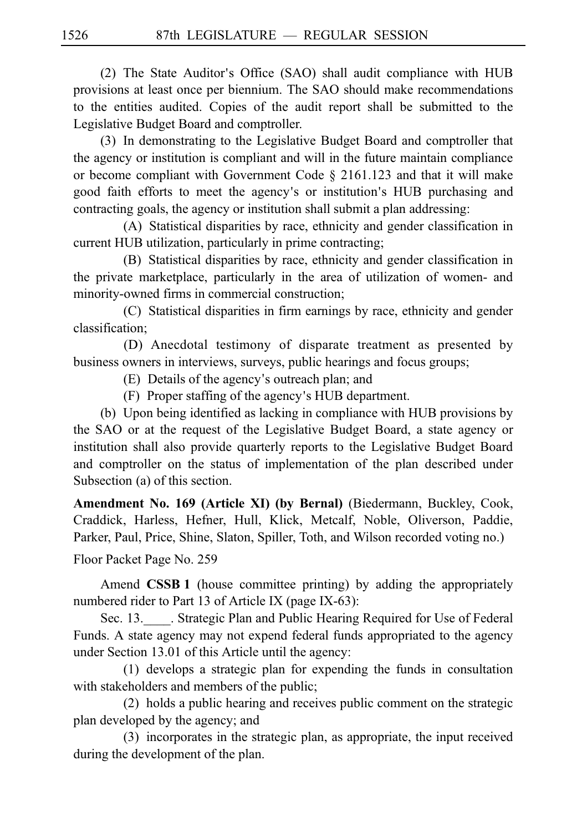(2) The State Auditor's Office (SAO) shall audit compliance with  $HUB$ provisions at least once per biennium. The SAO should make recommendations to the entities audited. Copies of the audit report shall be submitted to the Legislative Budget Board and comptroller.

(3) In demonstrating to the Legislative Budget Board and comptroller that the agency or institution is compliant and will in the future maintain compliance or become compliant with Government Code § 2161.123 and that it will make good faith efforts to meet the agency's or institution's HUB purchasing and contracting goals, the agency or institution shall submit a plan addressing:

(A) Statistical disparities by race, ethnicity and gender classification in current HUB utilization, particularly in prime contracting;

(B) Statistical disparities by race, ethnicity and gender classification in the private marketplace, particularly in the area of utilization of women- and minority-owned firms in commercial construction;

(C) Statistical disparities in firm earnings by race, ethnicity and gender classification;

(D) Anecdotal testimony of disparate treatment as presented by business owners in interviews, surveys, public hearings and focus groups;

(E) Details of the agency's outreach plan; and

 $(F)$  Proper staffing of the agency's HUB department.

(b) Upon being identified as lacking in compliance with HUB provisions by the SAO or at the request of the Legislative Budget Board, a state agency or institution shall also provide quarterly reports to the Legislative Budget Board and comptroller on the status of implementation of the plan described under Subsection (a) of this section.

**Amendment No. 169 (Article XI) (by Bernal)** (Biedermann, Buckley, Cook, Craddick, Harless, Hefner, Hull, Klick, Metcalf, Noble, Oliverson, Paddie, Parker, Paul, Price, Shine, Slaton, Spiller, Toth, and Wilson recorded voting no.)

Floor Packet Page No. 259

Amend **CSSB 1** (house committee printing) by adding the appropriately numbered rider to Part 13 of Article IX (page IX-63):

Sec. 13. Strategic Plan and Public Hearing Required for Use of Federal Funds. A state agency may not expend federal funds appropriated to the agency under Section 13.01 of this Article until the agency:

 $(1)$  develops a strategic plan for expending the funds in consultation with stakeholders and members of the public;

(2) holds a public hearing and receives public comment on the strategic plan developed by the agency; and

(3) incorporates in the strategic plan, as appropriate, the input received during the development of the plan.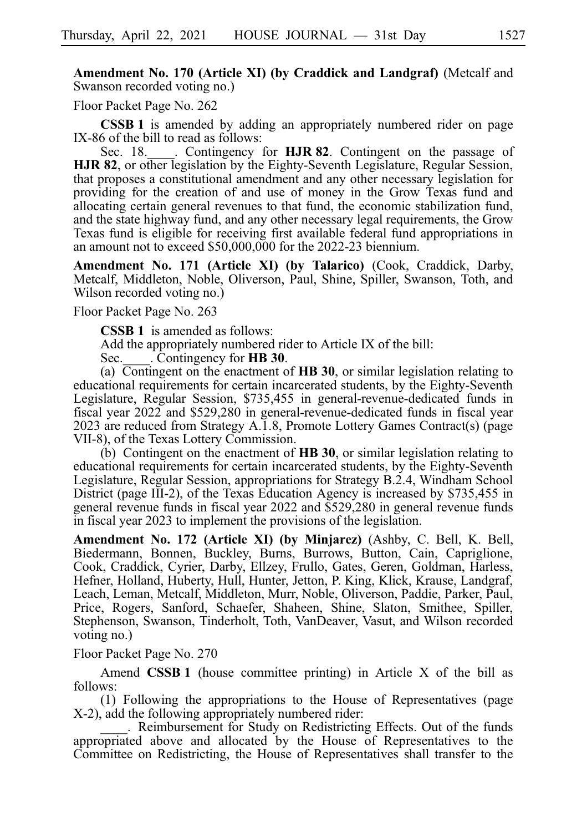**Amendment No. 170 (Article XI) (by Craddick and Landgraf)** (Metcalf and Swanson recorded voting no.)

Floor Packet Page No. 262

**CSSB 1** is amended by adding an appropriately numbered rider on page IX-86 of the bill to read as follows:<br>Sec. 18. Contingency

Sec. 18. Contingency for **HJR 82**. Contingent on the passage of **HJR 82.** or other legislation by the Eighty-Seventh Legislature, Regular Session, that proposes a constitutional amendment and any other necessary legislation for providing for the creation of and use of money in the Grow Texas fund and allocating certain general revenues to that fund, the economic stabilization fund, and the state highway fund, and any other necessary legal requirements, the Grow Texas fund is eligible for receiving first available federal fund appropriations in an amount not to exceed \$50,000,000 for the 2022-23 biennium.

**Amendment No. 171 (Article XI) (by Talarico)** (Cook, Craddick, Darby, Metcalf, Middleton, Noble, Oliverson, Paul, Shine, Spiller, Swanson, Toth, and Wilson recorded voting no.)

Floor Packet Page No. 263

**CSSB 1** is amended as follows:

Add the appropriately numbered rider to Article IX of the bill:

Sec. Contingency for **HB 30**.

(a)  $\overline{\text{Contingent}}$  on the enactment of **HB 30**, or similar legislation relating to educational requirements for certain incarcerated students, by the Eighty-Seventh Legislature, Regular Session, \$735,455 in general-revenue-dedicated funds in fiscal year 2022 and \$529,280 in general-revenue-dedicated funds in fiscal year 2023 are reduced from Strategy A.1.8, Promote Lottery Games Contract(s) (page VII-8), of the Texas Lottery Commission.

(b) Contingent on the enactment of **HB 30**, or similar legislation relating to educational requirements for certain incarcerated students, by the Eighty-Seventh Legislature, Regular Session, appropriations for Strategy B.2.4, Windham School District (page III-2), of the Texas Education Agency is increased by \$735,455 in general revenue funds in fiscal year 2022 and \$529,280 in general revenue funds in fiscal year 2023 to implement the provisions of the legislation.

**Amendment No. 172 (Article XI) (by Minjarez)** (Ashby, C. Bell, K. Bell, Biedermann, Bonnen, Buckley, Burns, Burrows, Button, Cain, Capriglione, Cook, Craddick, Cyrier, Darby, Ellzey, Frullo, Gates, Geren, Goldman, Harless, Hefner, Holland, Huberty, Hull, Hunter, Jetton, P. King, Klick, Krause, Landgraf, Leach, Leman, Metcalf, Middleton, Murr, Noble, Oliverson, Paddie, Parker, Paul, Price, Rogers, Sanford, Schaefer, Shaheen, Shine, Slaton, Smithee, Spiller, Stephenson, Swanson, Tinderholt, Toth, VanDeaver, Vasut, and Wilson recorded voting no.)

#### Floor Packet Page No. 270

Amend **CSSB 1** (house committee printing) in Article X of the bill as follows:

 $(1)$  Following the appropriations to the House of Representatives (page X-2), add the following appropriately numbered rider:

. Reimbursement for Study on Redistricting Effects. Out of the funds appropriated above and allocated by the House of Representatives to the Committee on Redistricting, the House of Representatives shall transfer to the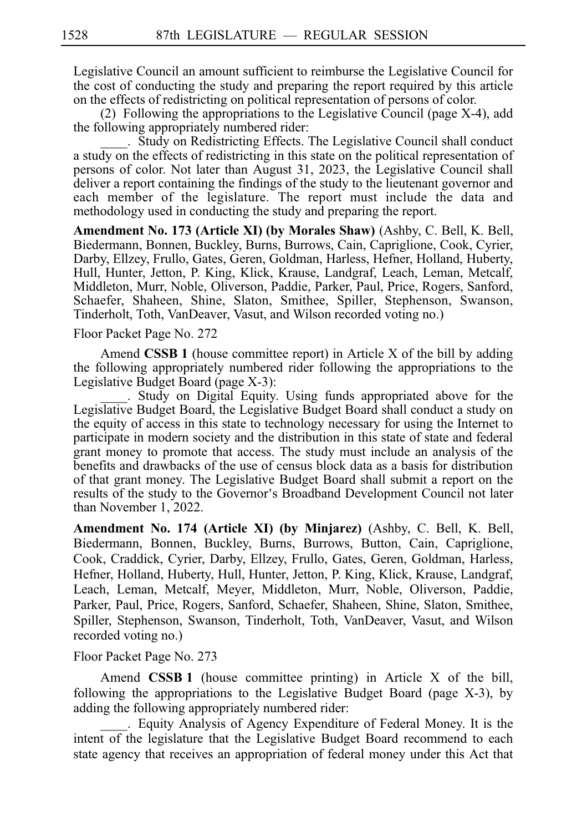Legislative Council an amount sufficient to reimburse the Legislative Council for the cost of conducting the study and preparing the report required by this article on the effects of redistricting on political representation of persons of color.

(2) Following the appropriations to the Legislative Council (page  $X-4$ ), add the following appropriately numbered rider:

. Study on Redistricting Effects. The Legislative Council shall conduct a study on the effects of redistricting in this state on the political representation of persons of color. Not later than August 31, 2023, the Legislative Council shall deliver a report containing the findings of the study to the lieutenant governor and each member of the legislature. The report must include the data and methodology used in conducting the study and preparing the report.

**Amendment No. 173 (Article XI) (by Morales Shaw)** (Ashby, C. Bell, K. Bell, Biedermann, Bonnen, Buckley, Burns, Burrows, Cain, Capriglione, Cook, Cyrier, Darby, Ellzey, Frullo, Gates, Geren, Goldman, Harless, Hefner, Holland, Huberty, Hull, Hunter, Jetton, P. King, Klick, Krause, Landgraf, Leach, Leman, Metcalf, Middleton, Murr, Noble, Oliverson, Paddie, Parker, Paul, Price, Rogers, Sanford, Schaefer, Shaheen, Shine, Slaton, Smithee, Spiller, Stephenson, Swanson, Tinderholt, Toth, VanDeaver, Vasut, and Wilson recorded voting no.)

Floor Packet Page No. 272

Amend **CSSB 1** (house committee report) in Article X of the bill by adding the following appropriately numbered rider following the appropriations to the Legislative Budget Board (page X-3):

. Study on Digital Equity. Using funds appropriated above for the Legislative Budget Board, the Legislative Budget Board shall conduct a study on the equity of access in this state to technology necessary for using the Internet to participate in modern society and the distribution in this state of state and federal grant money to promote that access. The study must include an analysis of the benefits and drawbacks of the use of census block data as a basis for distribution of that grant money. The Legislative Budget Board shall submit a report on the results of the study to the Governor's Broadband Development Council not later than November 1, 2022.

**Amendment No. 174 (Article XI) (by Minjarez)** (Ashby, C. Bell, K. Bell, Biedermann, Bonnen, Buckley, Burns, Burrows, Button, Cain, Capriglione, Cook, Craddick, Cyrier, Darby, Ellzey, Frullo, Gates, Geren, Goldman, Harless, Hefner, Holland, Huberty, Hull, Hunter, Jetton, P. King, Klick, Krause, Landgraf, Leach, Leman, Metcalf, Meyer, Middleton, Murr, Noble, Oliverson, Paddie, Parker, Paul, Price, Rogers, Sanford, Schaefer, Shaheen, Shine, Slaton, Smithee, Spiller, Stephenson, Swanson, Tinderholt, Toth, VanDeaver, Vasut, and Wilson recorded voting no.)

## Floor Packet Page No. 273

Amend **CSSB 1** (house committee printing) in Article X of the bill, following the appropriations to the Legislative Budget Board (page X-3), by adding the following appropriately numbered rider:

. Equity Analysis of Agency Expenditure of Federal Money. It is the intent of the legislature that the Legislative Budget Board recommend to each state agency that receives an appropriation of federal money under this Act that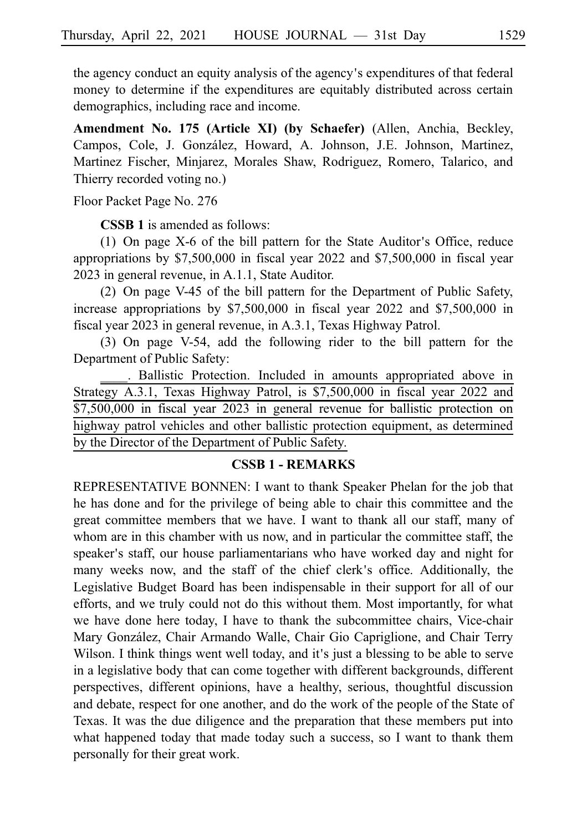the agency conduct an equity analysis of the agency's expenditures of that federal money to determine if the expenditures are equitably distributed across certain demographics, including race and income.

**Amendment No. 175 (Article XI) (by Schaefer)** (Allen, Anchia, Beckley, Campos, Cole, J. González, Howard, A. Johnson, J.E. Johnson, Martinez, Martinez Fischer, Minjarez, Morales Shaw, Rodriguez, Romero, Talarico, and Thierry recorded voting no.)

Floor Packet Page No. 276

**CSSB 1** is amended as follows:

(1) On page  $X$ -6 of the bill pattern for the State Auditor's Office, reduce appropriations by \$7,500,000 in fiscal year 2022 and \$7,500,000 in fiscal year 2023 in general revenue, in A.1.1, State Auditor.

(2) On page V-45 of the bill pattern for the Department of Public Safety, increase appropriations by \$7,500,000 in fiscal year 2022 and \$7,500,000 in fiscal year 2023 in general revenue, in A.3.1, Texas Highway Patrol.

(3) On page V-54, add the following rider to the bill pattern for the Department of Public Safety:

. Ballistic Protection. Included in amounts appropriated above in Strategy A.3.1, Texas Highway Patrol, is \$7,500,000 in fiscal year 2022 and \$7,500,000 in fiscal year 2023 in general revenue for ballistic protection on highway patrol vehicles and other ballistic protection equipment, as determined by the Director of the Department of Public Safety.

## **CSSB 1 - REMARKS**

REPRESENTATIVE BONNEN: I want to thank Speaker Phelan for the job that he has done and for the privilege of being able to chair this committee and the great committee members that we have. I want to thank all our staff, many of whom are in this chamber with us now, and in particular the committee staff, the speaker's staff, our house parliamentarians who have worked day and night for many weeks now, and the staff of the chief clerk's office. Additionally, the Legislative Budget Board has been indispensable in their support for all of our efforts, and we truly could not do this without them. Most importantly, for what we have done here today, I have to thank the subcommittee chairs, Vice-chair Mary González, Chair Armando Walle, Chair Gio Capriglione, and Chair Terry Wilson. I think things went well today, and it's just a blessing to be able to serve in a legislative body that can come together with different backgrounds, different perspectives, different opinions, have a healthy, serious, thoughtful discussion and debate, respect for one another, and do the work of the people of the State of Texas. It was the due diligence and the preparation that these members put into what happened today that made today such a success, so I want to thank them personally for their great work.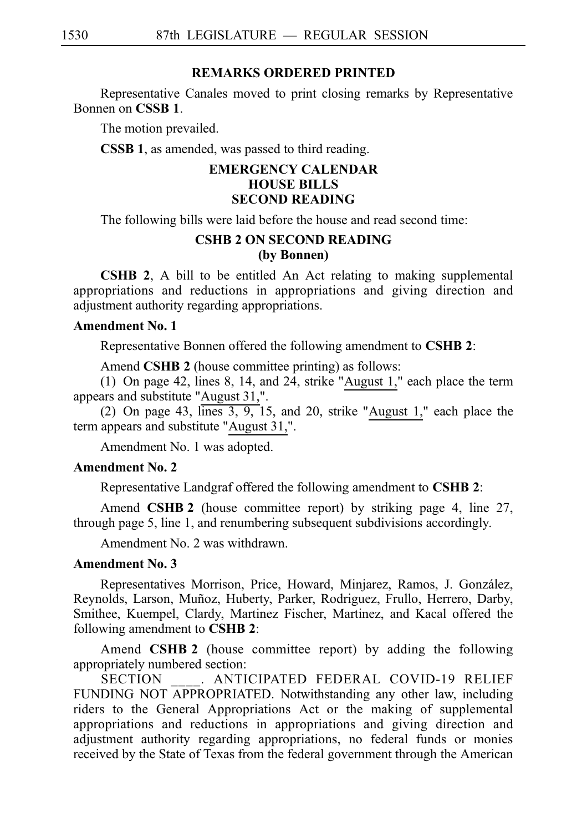## **REMARKS ORDERED PRINTED**

Representative Canales moved to print closing remarks by Representative Bonnen on **CSSB 1**.

The motion prevailed.

**CSSB 1**, as amended, was passed to third reading.

# **EMERGENCY CALENDAR HOUSE BILLS SECOND READING**

The following bills were laid before the house and read second time:

## **CSHB 2 ON SECOND READING (by Bonnen)**

**CSHB 2**, A bill to be entitled An Act relating to making supplemental appropriations and reductions in appropriations and giving direction and adjustment authority regarding appropriations.

## **Amendment No. 1**

Representative Bonnen offered the following amendment to **CSHBi2**:

Amend **CSHB 2** (house committee printing) as follows:

(1) On page 42, lines 8, 14, and  $24$ , strike "August 1," each place the term appears and substitute "August 31,".

(2) On page 43,  $\overline{\text{lines } 3, 9}$ , 15, and 20, strike "August 1," each place the term appears and substitute "August 31,".

Amendment No. 1 was adopted.

# **Amendment No. 2**

Representative Landgraf offered the following amendment to **CSHB 2**:

Amend **CSHB 2** (house committee report) by striking page 4, line 27, through page 5, line 1, and renumbering subsequent subdivisions accordingly.

Amendment No. 2 was withdrawn.

# **Amendment No. 3**

Representatives Morrison, Price, Howard, Minjarez, Ramos, J. González, Reynolds, Larson, Muñoz, Huberty, Parker, Rodriguez, Frullo, Herrero, Darby, Smithee, Kuempel, Clardy, Martinez Fischer, Martinez, and Kacal offered the following amendment to **CSHB 2**:

Amend **CSHB 2** (house committee report) by adding the following appropriately numbered section:

. ANTICIPATED FEDERAL COVID-19 RELIEF FUNDING NOT APPROPRIATED. Notwithstanding any other law, including riders to the General Appropriations Act or the making of supplemental appropriations and reductions in appropriations and giving direction and adjustment authority regarding appropriations, no federal funds or monies received by the State of Texas from the federal government through the American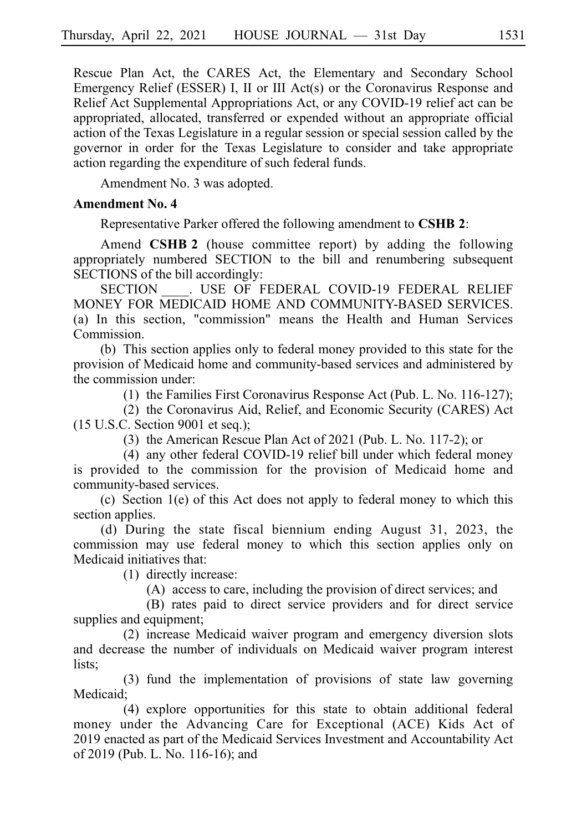Rescue Plan Act, the CARES Act, the Elementary and Secondary School Emergency Relief (ESSER) I, II or III Act(s) or the Coronavirus Response and Relief Act Supplemental Appropriations Act, or any COVID-19 relief act can be appropriated, allocated, transferred or expended without an appropriate official action of the Texas Legislature in a regular session or special session called by the governor in order for the Texas Legislature to consider and take appropriate action regarding the expenditure of such federal funds.

Amendment No. 3 was adopted.

## **Amendment No. 4**

Representative Parker offered the following amendment to **CSHB 2**:

Amend **CSHB 2** (house committee report) by adding the following appropriately numbered SECTION to the bill and renumbering subsequent SECTIONS of the bill accordingly:

SECTION . USE OF FEDERAL COVID-19 FEDERAL RELIEF MONEY FOR MEDICAID HOME AND COMMUNITY-BASED SERVICES. (a) In this section, "commission" means the Health and Human Services Commission.

(b) This section applies only to federal money provided to this state for the provision of Medicaid home and community-based services and administered by the commission under:

(1) the Families First Coronavirus Response Act (Pub. L. No. 116-127);

(2) the Coronavirus Aid, Relief, and Economic Security (CARES) Act (15 U.S.C. Section 9001 et seq.);

(3) the American Rescue Plan Act of 2021 (Pub. L. No. 117-2); or

(4) any other federal COVID-19 relief bill under which federal money is provided to the commission for the provision of Medicaid home and community-based services.

(c) Section  $1(e)$  of this Act does not apply to federal money to which this section applies.

(d) During the state fiscal biennium ending August 31, 2023, the commission may use federal money to which this section applies only on Medicaid initiatives that:

 $(1)$  directly increase:

(A) access to care, including the provision of direct services; and

(B) rates paid to direct service providers and for direct service supplies and equipment;

(2) increase Medicaid waiver program and emergency diversion slots and decrease the number of individuals on Medicaid waiver program interest lists;

 $(3)$  fund the implementation of provisions of state law governing Medicaid;

(4) explore opportunities for this state to obtain additional federal money under the Advancing Care for Exceptional (ACE) Kids Act of 2019 enacted as part of the Medicaid Services Investment and Accountability Act of 2019 (Pub. L. No. 116-16); and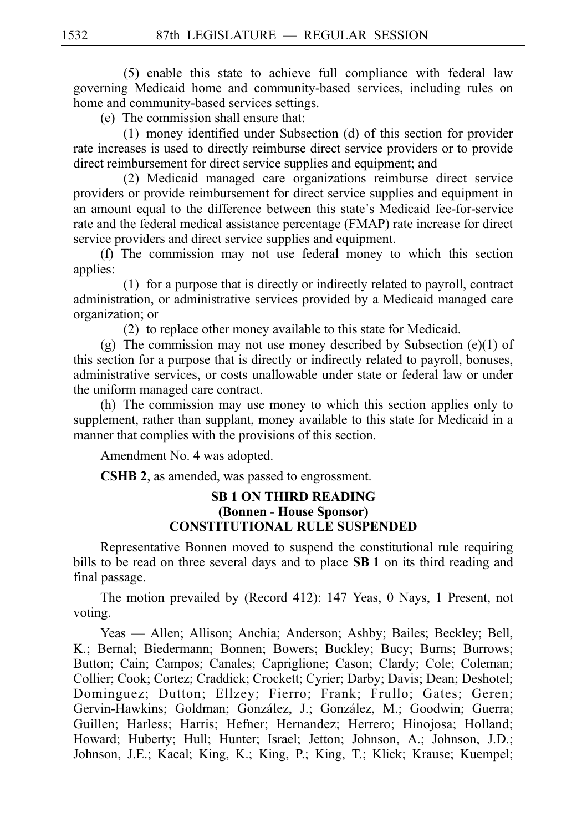$(5)$  enable this state to achieve full compliance with federal law governing Medicaid home and community-based services, including rules on home and community-based services settings.

(e) The commission shall ensure that:

 $(1)$  money identified under Subsection  $(d)$  of this section for provider rate increases is used to directly reimburse direct service providers or to provide direct reimbursement for direct service supplies and equipment; and

 $(2)$  Medicaid managed care organizations reimburse direct service providers or provide reimbursement for direct service supplies and equipment in an amount equal to the difference between this state's Medicaid fee-for-service rate and the federal medical assistance percentage (FMAP) rate increase for direct service providers and direct service supplies and equipment.

(f) The commission may not use federal money to which this section applies:

 $(1)$  for a purpose that is directly or indirectly related to payroll, contract administration, or administrative services provided by a Medicaid managed care organization; or

 $(2)$  to replace other money available to this state for Medicaid.

(g) The commission may not use money described by Subsection (e)(1) of this section for a purpose that is directly or indirectly related to payroll, bonuses, administrative services, or costs unallowable under state or federal law or under the uniform managed care contract.

(h) The commission may use money to which this section applies only to supplement, rather than supplant, money available to this state for Medicaid in a manner that complies with the provisions of this section.

Amendment No. 4 was adopted.

**CSHB 2**, as amended, was passed to engrossment.

## **SB 1 ON THIRD READING (Bonnen - House Sponsor) CONSTITUTIONAL RULE SUSPENDED**

Representative Bonnen moved to suspend the constitutional rule requiring bills to be read on three several days and to place **SB 1** on its third reading and final passage.

The motion prevailed by (Record 412): 147 Yeas, 0 Nays, 1 Present, not voting.

Yeas — Allen; Allison; Anchia; Anderson; Ashby; Bailes; Beckley; Bell, K.; Bernal; Biedermann; Bonnen; Bowers; Buckley; Bucy; Burns; Burrows; Button; Cain; Campos; Canales; Capriglione; Cason; Clardy; Cole; Coleman; Collier; Cook; Cortez; Craddick; Crockett; Cyrier; Darby; Davis; Dean; Deshotel; Dominguez; Dutton; Ellzey; Fierro; Frank; Frullo; Gates; Geren; Gervin-Hawkins; Goldman; González, J.; González, M.; Goodwin; Guerra; Guillen; Harless; Harris; Hefner; Hernandez; Herrero; Hinojosa; Holland; Howard; Huberty; Hull; Hunter; Israel; Jetton; Johnson, A.; Johnson, J.D.; Johnson, J.E.; Kacal; King, K.; King, P.; King, T.; Klick; Krause; Kuempel;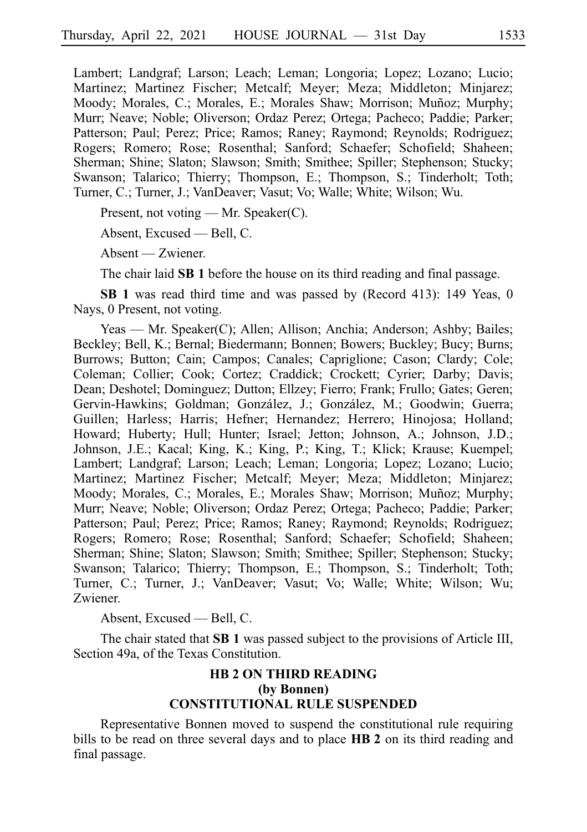Lambert; Landgraf; Larson; Leach; Leman; Longoria; Lopez; Lozano; Lucio; Martinez; Martinez Fischer; Metcalf; Meyer; Meza; Middleton; Minjarez; Moody; Morales, C.; Morales, E.; Morales Shaw; Morrison; Muñoz; Murphy; Murr; Neave; Noble; Oliverson; Ordaz Perez; Ortega; Pacheco; Paddie; Parker; Patterson; Paul; Perez; Price; Ramos; Raney; Raymond; Reynolds; Rodriguez; Rogers; Romero; Rose; Rosenthal; Sanford; Schaefer; Schofield; Shaheen; Sherman; Shine; Slaton; Slawson; Smith; Smithee; Spiller; Stephenson; Stucky; Swanson; Talarico; Thierry; Thompson, E.; Thompson, S.; Tinderholt; Toth; Turner, C.; Turner, J.; VanDeaver; Vasut; Vo; Walle; White; Wilson; Wu.

Present, not voting — Mr. Speaker(C).

Absent, Excused — Bell, C.

Absent — Zwiener.

The chair laid **SB 1** before the house on its third reading and final passage.

**SB 1** was read third time and was passed by (Record 413): 149 Yeas, 0 Nays, 0 Present, not voting.

Yeas — Mr. Speaker(C); Allen; Allison; Anchia; Anderson; Ashby; Bailes; Beckley; Bell, K.; Bernal; Biedermann; Bonnen; Bowers; Buckley; Bucy; Burns; Burrows; Button; Cain; Campos; Canales; Capriglione; Cason; Clardy; Cole; Coleman; Collier; Cook; Cortez; Craddick; Crockett; Cyrier; Darby; Davis; Dean; Deshotel; Dominguez; Dutton; Ellzey; Fierro; Frank; Frullo; Gates; Geren; Gervin-Hawkins; Goldman; González, J.; González, M.; Goodwin; Guerra; Guillen; Harless; Harris; Hefner; Hernandez; Herrero; Hinojosa; Holland; Howard; Huberty; Hull; Hunter; Israel; Jetton; Johnson, A.; Johnson, J.D.; Johnson, J.E.; Kacal; King, K.; King, P.; King, T.; Klick; Krause; Kuempel; Lambert; Landgraf; Larson; Leach; Leman; Longoria; Lopez; Lozano; Lucio; Martinez; Martinez Fischer; Metcalf; Meyer; Meza; Middleton; Minjarez; Moody; Morales, C.; Morales, E.; Morales Shaw; Morrison; Muñoz; Murphy; Murr; Neave; Noble; Oliverson; Ordaz Perez; Ortega; Pacheco; Paddie; Parker; Patterson; Paul; Perez; Price; Ramos; Raney; Raymond; Reynolds; Rodriguez; Rogers; Romero; Rose; Rosenthal; Sanford; Schaefer; Schofield; Shaheen; Sherman; Shine; Slaton; Slawson; Smith; Smithee; Spiller; Stephenson; Stucky; Swanson; Talarico; Thierry; Thompson, E.; Thompson, S.; Tinderholt; Toth; Turner, C.; Turner, J.; VanDeaver; Vasut; Vo; Walle; White; Wilson; Wu; Zwiener.

Absent, Excused — Bell, C.

The chair stated that **SB 1** was passed subject to the provisions of Article III, Section 49a, of the Texas Constitution.

# **HB 2 ON THIRD READING (by Bonnen) CONSTITUTIONAL RULE SUSPENDED**

Representative Bonnen moved to suspend the constitutional rule requiring bills to be read on three several days and to place **HB 2** on its third reading and final passage.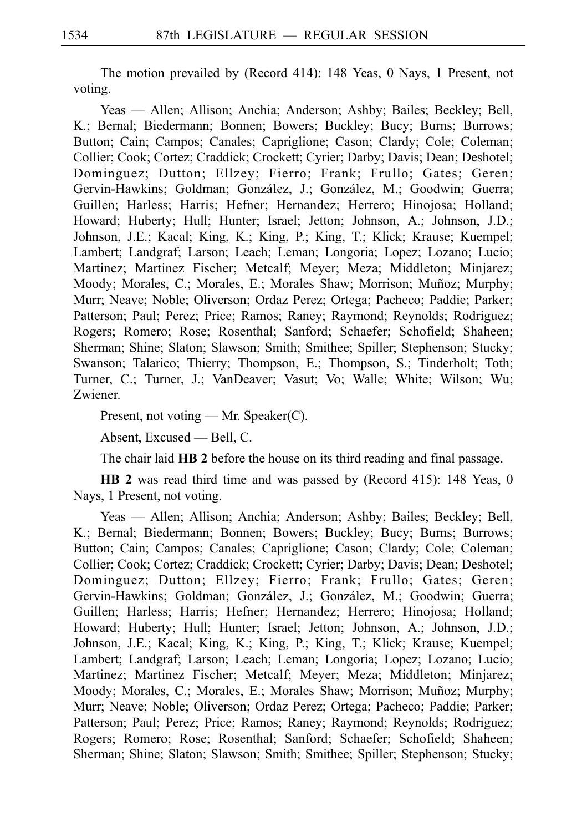The motion prevailed by (Record 414): 148 Yeas, 0 Nays, 1 Present, not voting.

Yeas — Allen; Allison; Anchia; Anderson; Ashby; Bailes; Beckley; Bell, K.; Bernal; Biedermann; Bonnen; Bowers; Buckley; Bucy; Burns; Burrows; Button; Cain; Campos; Canales; Capriglione; Cason; Clardy; Cole; Coleman; Collier; Cook; Cortez; Craddick; Crockett; Cyrier; Darby; Davis; Dean; Deshotel; Dominguez; Dutton; Ellzey; Fierro; Frank; Frullo; Gates; Geren; Gervin-Hawkins; Goldman; González, J.; González, M.; Goodwin; Guerra; Guillen; Harless; Harris; Hefner; Hernandez; Herrero; Hinojosa; Holland; Howard; Huberty; Hull; Hunter; Israel; Jetton; Johnson, A.; Johnson, J.D.; Johnson, J.E.; Kacal; King, K.; King, P.; King, T.; Klick; Krause; Kuempel; Lambert; Landgraf; Larson; Leach; Leman; Longoria; Lopez; Lozano; Lucio; Martinez; Martinez Fischer; Metcalf; Meyer; Meza; Middleton; Minjarez; Moody; Morales, C.; Morales, E.; Morales Shaw; Morrison; Muñoz; Murphy; Murr; Neave; Noble; Oliverson; Ordaz Perez; Ortega; Pacheco; Paddie; Parker; Patterson; Paul; Perez; Price; Ramos; Raney; Raymond; Reynolds; Rodriguez; Rogers; Romero; Rose; Rosenthal; Sanford; Schaefer; Schofield; Shaheen; Sherman; Shine; Slaton; Slawson; Smith; Smithee; Spiller; Stephenson; Stucky; Swanson; Talarico; Thierry; Thompson, E.; Thompson, S.; Tinderholt; Toth; Turner, C.; Turner, J.; VanDeaver; Vasut; Vo; Walle; White; Wilson; Wu; Zwiener.

Present, not voting — Mr. Speaker(C).

Absent, Excused — Bell, C.

The chair laid **HB 2** before the house on its third reading and final passage.

**HB 2** was read third time and was passed by (Record 415): 148 Yeas, 0 Nays, 1 Present, not voting.

Yeas — Allen; Allison; Anchia; Anderson; Ashby; Bailes; Beckley; Bell, K.; Bernal; Biedermann; Bonnen; Bowers; Buckley; Bucy; Burns; Burrows; Button; Cain; Campos; Canales; Capriglione; Cason; Clardy; Cole; Coleman; Collier; Cook; Cortez; Craddick; Crockett; Cyrier; Darby; Davis; Dean; Deshotel; Dominguez; Dutton; Ellzey; Fierro; Frank; Frullo; Gates; Geren; Gervin-Hawkins; Goldman; González, J.; González, M.; Goodwin; Guerra; Guillen; Harless; Harris; Hefner; Hernandez; Herrero; Hinojosa; Holland; Howard; Huberty; Hull; Hunter; Israel; Jetton; Johnson, A.; Johnson, J.D.; Johnson, J.E.; Kacal; King, K.; King, P.; King, T.; Klick; Krause; Kuempel; Lambert; Landgraf; Larson; Leach; Leman; Longoria; Lopez; Lozano; Lucio; Martinez; Martinez Fischer; Metcalf; Meyer; Meza; Middleton; Minjarez; Moody; Morales, C.; Morales, E.; Morales Shaw; Morrison; Muñoz; Murphy; Murr; Neave; Noble; Oliverson; Ordaz Perez; Ortega; Pacheco; Paddie; Parker; Patterson; Paul; Perez; Price; Ramos; Raney; Raymond; Reynolds; Rodriguez; Rogers; Romero; Rose; Rosenthal; Sanford; Schaefer; Schofield; Shaheen; Sherman; Shine; Slaton; Slawson; Smith; Smithee; Spiller; Stephenson; Stucky;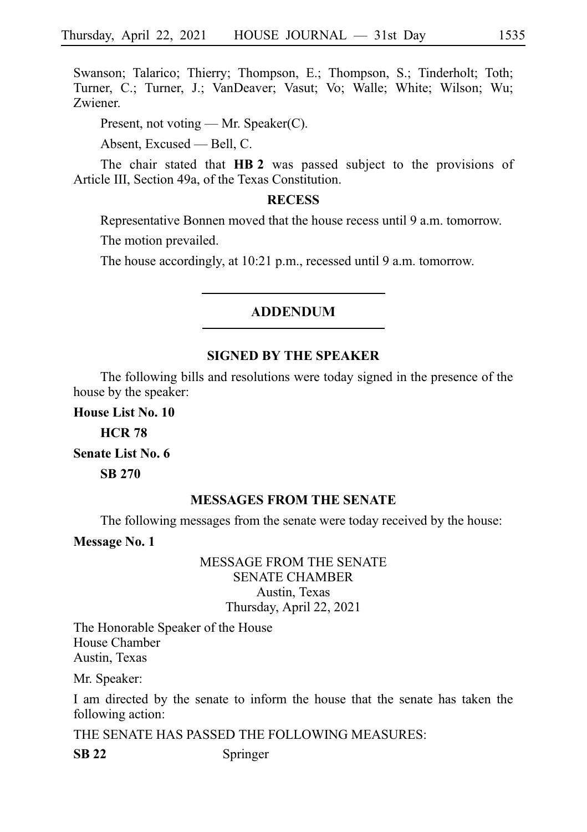Swanson; Talarico; Thierry; Thompson, E.; Thompson, S.; Tinderholt; Toth; Turner, C.; Turner, J.; VanDeaver; Vasut; Vo; Walle; White; Wilson; Wu; Zwiener.

Present, not voting — Mr. Speaker(C).

Absent, Excused — Bell, C.

The chair stated that **HB 2** was passed subject to the provisions of Article III, Section 49a, of the Texas Constitution.

## **RECESS**

Representative Bonnen moved that the house recess until 9 a.m. tomorrow.

The motion prevailed.

The house accordingly, at 10:21 p.m., recessed until 9 a.m. tomorrow.

## **ADDENDUM**

## **SIGNED BY THE SPEAKER**

The following bills and resolutions were today signed in the presence of the house by the speaker:

**House List No. 10 HCR**i**78 Senate List No. 6 SB**i**270**

## **MESSAGES FROM THE SENATE**

The following messages from the senate were today received by the house:

**Message No. 1**

# MESSAGE FROM THE SENATE SENATE CHAMBER Austin, Texas Thursday, April 22, 2021

The Honorable Speaker of the House House Chamber Austin, Texas

Mr. Speaker:

I am directed by the senate to inform the house that the senate has taken the following action:

THE SENATE HAS PASSED THE FOLLOWING MEASURES:

**SB 22** Springer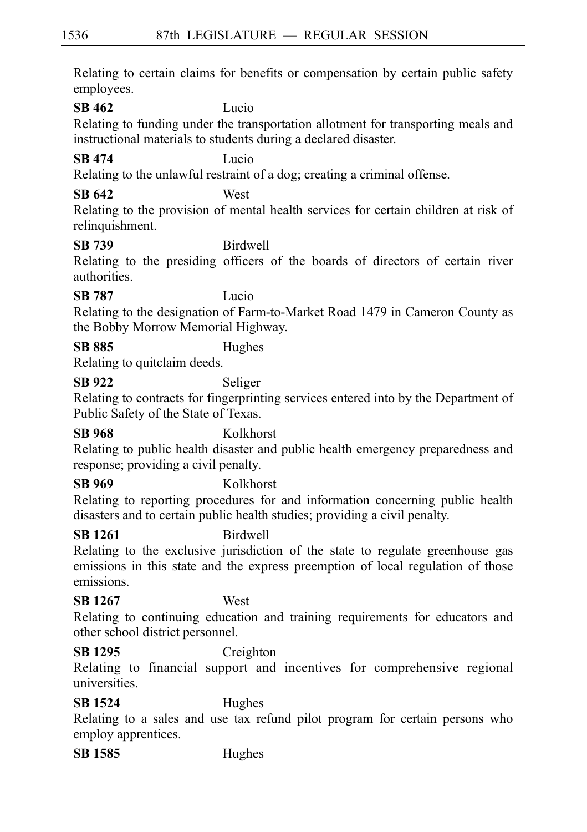Relating to certain claims for benefits or compensation by certain public safety employees.

**SB 462** Lucio

Relating to funding under the transportation allotment for transporting meals and instructional materials to students during a declared disaster.

# **SB 474** Lucio

Relating to the unlawful restraint of a dog; creating a criminal offense.

# **SB 642** West

Relating to the provision of mental health services for certain children at risk of relinquishment.

# **SB 739** Birdwell

Relating to the presiding officers of the boards of directors of certain river authorities.

# **SB 787** Lucio

Relating to the designation of Farm-to-Market Road 1479 in Cameron County as the Bobby Morrow Memorial Highway.

# **SB 885** Hughes

Relating to quitclaim deeds.

# **SB 922** Seliger

Relating to contracts for fingerprinting services entered into by the Department of Public Safety of the State of Texas.

# **SB 968** Kolkhorst

Relating to public health disaster and public health emergency preparedness and response; providing a civil penalty.

# **SB 969** Kolkhorst

Relating to reporting procedures for and information concerning public health disasters and to certain public health studies; providing a civil penalty.

# **SB 1261** Birdwell

Relating to the exclusive jurisdiction of the state to regulate greenhouse gas emissions in this state and the express preemption of local regulation of those emissions.

# **SB 1267** West

Relating to continuing education and training requirements for educators and other school district personnel.

# **SB 1295** Creighton

Relating to financial support and incentives for comprehensive regional universities.

# **SB 1524** Hughes

Relating to a sales and use tax refund pilot program for certain persons who employ apprentices.

**SB 1585** Hughes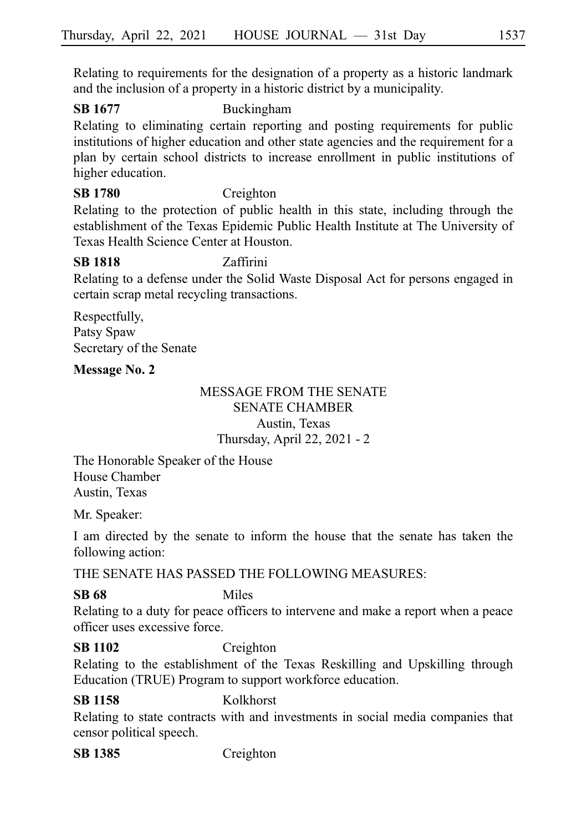Relating to requirements for the designation of a property as a historic landmark and the inclusion of a property in a historic district by a municipality.

# **SB 1677** Buckingham

Relating to eliminating certain reporting and posting requirements for public institutions of higher education and other state agencies and the requirement for a plan by certain school districts to increase enrollment in public institutions of higher education.

# **SB 1780** Creighton

Relating to the protection of public health in this state, including through the establishment of the Texas Epidemic Public Health Institute at The University of Texas Health Science Center at Houston.

# **SB 1818** Zaffirini

Relating to a defense under the Solid Waste Disposal Act for persons engaged in certain scrap metal recycling transactions.

Respectfully, Patsy Spaw Secretary of the Senate

# **Message No. 2**

# MESSAGE FROM THE SENATE SENATE CHAMBER Austin, Texas Thursday, April 22, 2021 - 2

The Honorable Speaker of the House House Chamber Austin, Texas

Mr. Speaker:

I am directed by the senate to inform the house that the senate has taken the following action:

THE SENATE HAS PASSED THE FOLLOWING MEASURES:

# **SB 68** Miles

Relating to a duty for peace officers to intervene and make a report when a peace officer uses excessive force.

# **SB 1102** Creighton

Relating to the establishment of the Texas Reskilling and Upskilling through Education (TRUE) Program to support workforce education.

# **SB 1158** Kolkhorst

Relating to state contracts with and investments in social media companies that censor political speech.

**SB 1385** Creighton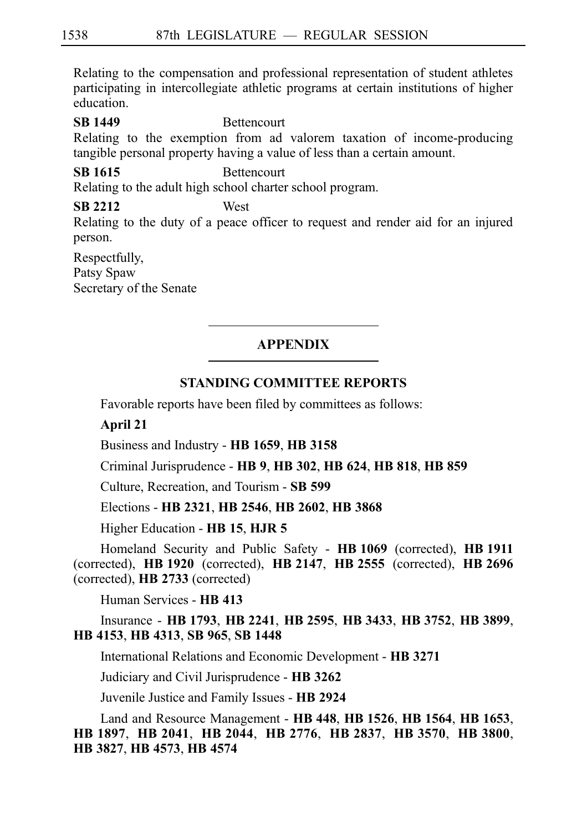Relating to the compensation and professional representation of student athletes participating in intercollegiate athletic programs at certain institutions of higher education.

**SB 1449** Bettencourt Relating to the exemption from ad valorem taxation of income-producing tangible personal property having a value of less than a certain amount.

## **SB 1615** Bettencourt

Relating to the adult high school charter school program.

**SB 2212** West Relating to the duty of a peace officer to request and render aid for an injured person.

Respectfully, Patsy Spaw Secretary of the Senate

# **APPENDIX**

## **STANDING COMMITTEE REPORTS**

Favorable reports have been filed by committees as follows:

**April 21**

Business and Industry - **HB**i**1659**, **HB**i**3158**

Criminal Jurisprudence - **HB**i**9**, **HB**i**302**, **HB**i**624**, **HB**i**818**, **HB**i**859**

Culture, Recreation, and Tourism - **SB**i**599**

Elections - **HB**i**2321**, **HB**i**2546**, **HB**i**2602**, **HB**i**3868**

Higher Education - **HB**i**15**, **HJR**i**5**

Homeland Security and Public Safety - **HB**i**1069** (corrected), **HB**i**1911** (corrected), **HB**i**1920** (corrected), **HB**i**2147**, **HB**i**2555** (corrected), **HB**i**2696** (corrected), **HB**i**2733** (corrected)

Human Services - **HB**i**413**

Insurance - **HB**i**1793**, **HB**i**2241**, **HB**i**2595**, **HB**i**3433**, **HB**i**3752**, **HB**i**3899**, **HB**i**4153**, **HB**i**4313**, **SB**i**965**, **SB**i**1448**

International Relations and Economic Development - **HB**i**3271**

Judiciary and Civil Jurisprudence - **HB**i**3262**

Juvenile Justice and Family Issues - **HB**i**2924**

Land and Resource Management - **HB**i**448**, **HB**i**1526**, **HB**i**1564**, **HB**i**1653**, **HB**i**1897**, **HB**i**2041**, **HB**i**2044**, **HB**i**2776**, **HB**i**2837**, **HB**i**3570**, **HB**i**3800**, **HB**i**3827**, **HB**i**4573**, **HB**i**4574**